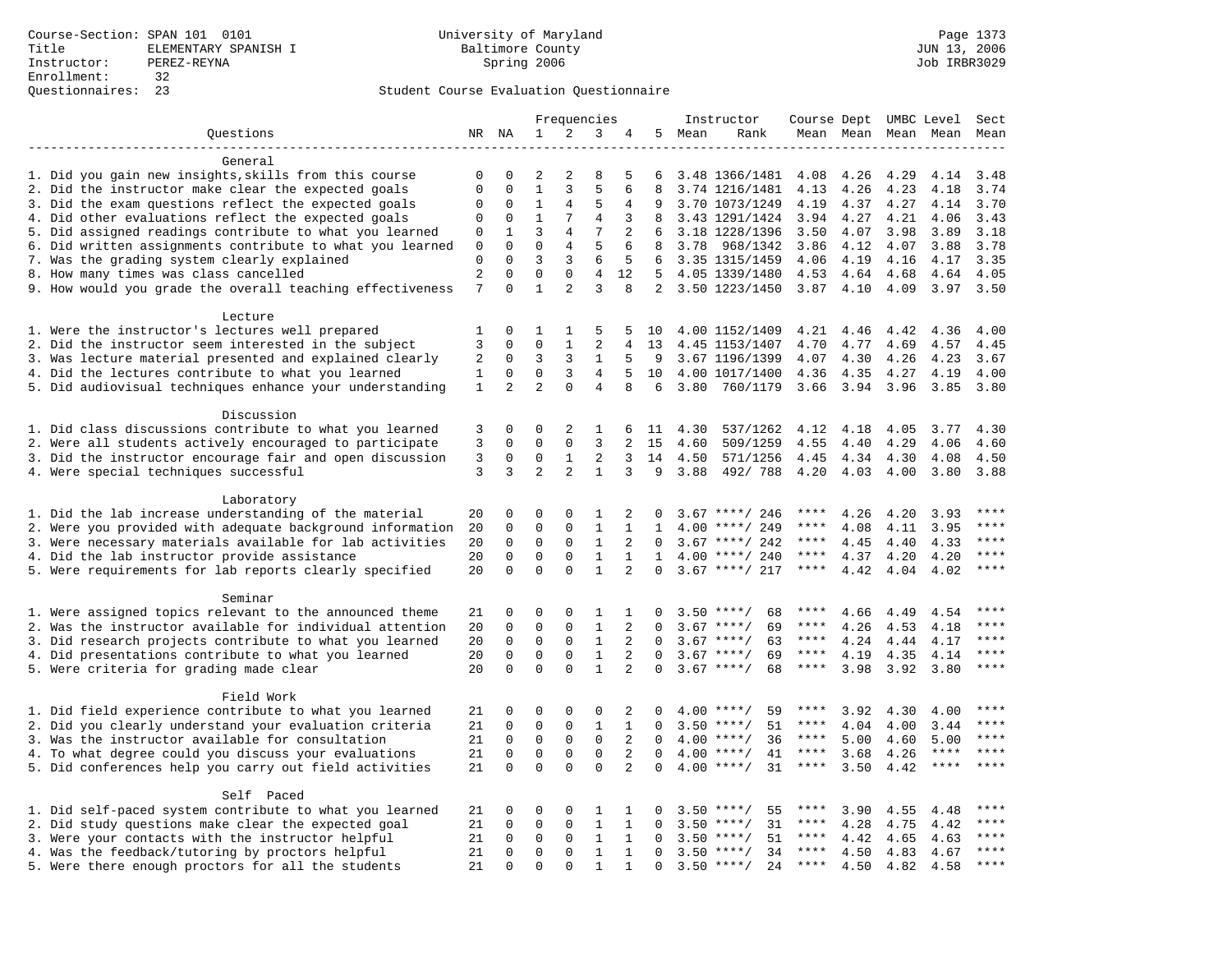|                                                                    |                     |                         |                  |                  | Frequencies         |                |              |        | Instructor         | Course Dept UMBC Level |      |                     |             | Sect         |
|--------------------------------------------------------------------|---------------------|-------------------------|------------------|------------------|---------------------|----------------|--------------|--------|--------------------|------------------------|------|---------------------|-------------|--------------|
| Questions                                                          |                     | NR NA                   | 1                | 2                | 3                   | 4              |              | 5 Mean | Rank               |                        |      | Mean Mean Mean Mean |             | Mean         |
|                                                                    |                     |                         |                  |                  |                     |                |              |        |                    |                        |      |                     |             |              |
| General                                                            |                     |                         |                  |                  |                     |                |              |        |                    |                        |      |                     |             |              |
| 1. Did you gain new insights, skills from this course              | 0                   | $\mathbf 0$             | 2                | $\overline{2}$   | 8                   | 5              | 6            |        | 3.48 1366/1481     | 4.08                   | 4.26 | 4.29                | 4.14        | 3.48         |
| 2. Did the instructor make clear the expected goals                | $\mathbf{0}$        | $\mathbf 0$             | $\mathbf{1}$     | 3                | 5                   | 6              | 8            |        | 3.74 1216/1481     | 4.13                   | 4.26 | 4.23                | 4.18        | 3.74         |
| 3. Did the exam questions reflect the expected goals               | $\mathbf 0$         | $\Omega$                | 1                | 4                | 5                   | 4              | 9            |        | 3.70 1073/1249     | 4.19                   | 4.37 | 4.27                | 4.14        | 3.70         |
| 4. Did other evaluations reflect the expected goals                | $\Omega$            | $\Omega$                | $\mathbf{1}$     | 7                | 4                   | 3              | 8            |        | 3.43 1291/1424     | 3.94                   | 4.27 | 4.21                | 4.06        | 3.43         |
| 5. Did assigned readings contribute to what you learned            | $\mathbf 0$         | $\mathbf{1}$            | 3                | $\overline{4}$   | 7                   | 2              | 6            |        | 3.18 1228/1396     | 3.50                   | 4.07 | 3.98                | 3.89        | 3.18         |
| 6. Did written assignments contribute to what you learned          | $\mathbf 0$         | $\mathbf 0$             | $\mathbf 0$      | 4                | 5                   | 6              | 8            | 3.78   | 968/1342           | 3.86                   | 4.12 | 4.07                | 3.88        | 3.78         |
| 7. Was the grading system clearly explained                        | $\mathbf 0$         | $\Omega$                | 3<br>$\mathbf 0$ | 3                | 6                   | 5              | 6            |        | 3.35 1315/1459     | 4.06                   | 4.19 | 4.16                | 4.17        | 3.35         |
| 8. How many times was class cancelled                              | $\overline{2}$<br>7 | $\mathbf 0$<br>$\Omega$ | $\mathbf{1}$     | $\mathbf 0$<br>2 | $\overline{4}$<br>3 | 12<br>8        | 5            |        | 4.05 1339/1480     | 4.53                   | 4.64 | 4.68                | 4.64        | 4.05<br>3.50 |
| 9. How would you grade the overall teaching effectiveness          |                     |                         |                  |                  |                     |                |              |        | 2 3.50 1223/1450   | $3.87$ 4.10            |      | 4.09                | 3.97        |              |
| Lecture                                                            |                     |                         |                  |                  |                     |                |              |        |                    |                        |      |                     |             |              |
| 1. Were the instructor's lectures well prepared                    | 1                   | $\mathbf 0$             | 1                | 1                | 5                   | 5              | 10           |        | 4.00 1152/1409     | 4.21                   | 4.46 | 4.42                | 4.36        | 4.00         |
| 2. Did the instructor seem interested in the subject               | 3                   | $\mathbf 0$             | $\mathbf 0$      | 1                | $\overline{2}$      | 4              | 13           |        | 4.45 1153/1407     | 4.70                   | 4.77 | 4.69                | 4.57        | 4.45         |
| 3. Was lecture material presented and explained clearly            | 2                   | $\mathbf 0$             | 3                | 3                | 1                   | 5              | -9           |        | 3.67 1196/1399     | 4.07                   | 4.30 | 4.26                | 4.23        | 3.67         |
| 4. Did the lectures contribute to what you learned                 | 1                   | 0                       | $\mathbf 0$      | 3                | 4                   | 5              | 10           |        | 4.00 1017/1400     | 4.36                   | 4.35 | 4.27                | 4.19        | 4.00         |
| 5. Did audiovisual techniques enhance your understanding           | $\mathbf{1}$        | $\overline{2}$          | $\overline{a}$   | $\Omega$         | 4                   | 8              | 6            | 3.80   | 760/1179           | 3.66                   | 3.94 | 3.96                | 3.85        | 3.80         |
|                                                                    |                     |                         |                  |                  |                     |                |              |        |                    |                        |      |                     |             |              |
| Discussion                                                         |                     |                         |                  |                  |                     |                |              |        |                    |                        |      |                     |             |              |
| 1. Did class discussions contribute to what you learned            | 3                   | $\mathbf 0$             | 0                | 2                | 1                   | 6              | 11           | 4.30   | 537/1262           | 4.12                   | 4.18 | 4.05                | 3.77        | 4.30         |
| 2. Were all students actively encouraged to participate            | 3                   | 0                       | $\mathbf 0$      | $\mathbf 0$      | $\overline{3}$      | $\overline{a}$ | 15           | 4.60   | 509/1259           | 4.55                   | 4.40 | 4.29                | 4.06        | 4.60         |
| 3. Did the instructor encourage fair and open discussion           | 3                   | 0                       | 0                | $\mathbf{1}$     | 2                   | 3              | 14           | 4.50   | 571/1256           | 4.45                   | 4.34 | 4.30                | 4.08        | 4.50         |
| 4. Were special techniques successful                              | 3                   | 3                       | $\overline{a}$   | $\overline{2}$   | $\mathbf{1}$        | 3              | 9            | 3.88   | 492/788            | 4.20                   | 4.03 | 4.00                | 3.80        | 3.88         |
|                                                                    |                     |                         |                  |                  |                     |                |              |        |                    |                        |      |                     |             |              |
| Laboratory                                                         |                     |                         |                  |                  |                     |                |              |        |                    |                        |      |                     |             |              |
| 1. Did the lab increase understanding of the material              | 20                  | $\mathbf 0$             | 0                | 0                | 1                   | 2              | 0            |        | $3.67$ ****/ 246   | ****                   | 4.26 | 4.20                | 3.93        |              |
| 2. Were you provided with adequate background information          | 20                  | $\mathbf 0$             | 0                | $\mathbf{0}$     | $\mathbf{1}$        | 1              | 1            | 4.00   | ****/ 249          | ****                   | 4.08 | 4.11                | 3.95        | ****         |
| 3. Were necessary materials available for lab activities           | 20                  | $\mathbf 0$             | 0                | $\mathbf 0$      | 1                   | 2              | $\Omega$     |        | $3.67$ ****/ 242   | ****                   | 4.45 | 4.40                | 4.33        | ****         |
| 4. Did the lab instructor provide assistance                       | 20                  | $\Omega$                | $\mathbf 0$      | $\mathbf{0}$     | $\mathbf{1}$        | $\mathbf{1}$   | $\mathbf{1}$ |        | $4.00$ ****/ 240   | ****                   | 4.37 | 4.20                | 4.20        | $***$        |
| 5. Were requirements for lab reports clearly specified             | 20                  | $\Omega$                | $\Omega$         | $\Omega$         | $\mathbf{1}$        | $\overline{2}$ | $\Omega$     |        | $3.67$ ****/ 217   | ****                   | 4.42 | 4.04                | 4.02        | ****         |
|                                                                    |                     |                         |                  |                  |                     |                |              |        |                    |                        |      |                     |             |              |
| Seminar<br>1. Were assigned topics relevant to the announced theme | 21                  | $\mathbf 0$             | 0                | $\mathbf{0}$     | 1                   | 1              | 0            |        | $3.50$ ****/<br>68 | ****                   | 4.66 | 4.49                | 4.54        | ****         |
| 2. Was the instructor available for individual attention           | 20                  | $\mathbf 0$             | 0                | $\mathsf 0$      | $\mathbf{1}$        | 2              | 0            |        | $3.67$ ****/<br>69 | $***$ * *              | 4.26 | 4.53                | 4.18        |              |
| 3. Did research projects contribute to what you learned            | 20                  | $\mathbf 0$             | $\mathbf 0$      | $\mathbf{0}$     | $\mathbf{1}$        | 2              | $\mathbf 0$  |        | $3.67$ ****/<br>63 | ****                   | 4.24 | 4.44                | 4.17        | ****         |
| 4. Did presentations contribute to what you learned                | 20                  | $\mathbf 0$             | $\mathbf 0$      | $\mathbf 0$      | $\mathbf{1}$        | 2              | $\Omega$     | 3.67   | $***$ /<br>69      | $***$ * *              | 4.19 | 4.35                | 4.14        | $***$        |
| 5. Were criteria for grading made clear                            | 20                  | $\Omega$                | $\Omega$         | $\Omega$         | $\mathbf{1}$        | $\overline{2}$ | $\Omega$     |        | $3.67$ ****/<br>68 | ****                   | 3.98 | 3.92                | 3.80        | $***$        |
|                                                                    |                     |                         |                  |                  |                     |                |              |        |                    |                        |      |                     |             |              |
| Field Work                                                         |                     |                         |                  |                  |                     |                |              |        |                    |                        |      |                     |             |              |
| 1. Did field experience contribute to what you learned             | 21                  | $\mathbf 0$             | 0                | $\mathbf{0}$     | 0                   | 2              | 0            |        | $4.00$ ****/<br>59 | ****                   | 3.92 | 4.30                | 4.00        |              |
| 2. Did you clearly understand your evaluation criteria             | 21                  | $\mathbf 0$             | $\mathbf 0$      | $\mathbf 0$      | 1                   | $\mathbf{1}$   | $\Omega$     |        | $3.50$ ****/<br>51 | ****                   | 4.04 | 4.00                | 3.44        | $***$        |
| 3. Was the instructor available for consultation                   | 21                  | $\mathbf 0$             | $\mathbf 0$      | $\mathbf 0$      | $\mathbf{0}$        | 2              | $\Omega$     |        | $4.00$ ****/<br>36 | ****                   | 5.00 | 4.60                | 5.00        | $***$ * * *  |
| 4. To what degree could you discuss your evaluations               | 21                  | $\mathbf 0$             | $\mathbf 0$      | $\mathbf{0}$     | $\mathbf 0$         | 2              | $\Omega$     |        | $4.00$ ****/<br>41 | $***$ * *              | 3.68 | 4.26                | ****        | $***$        |
| 5. Did conferences help you carry out field activities             | 21                  | $\Omega$                | $\Omega$         | $\Omega$         | $\Omega$            | $\overline{2}$ | $\Omega$     |        | $4.00$ ****/<br>31 | $***$ * *              | 3.50 | 4.42                | $***$ * * * | ****         |
|                                                                    |                     |                         |                  |                  |                     |                |              |        |                    |                        |      |                     |             |              |
| Self Paced                                                         |                     |                         |                  |                  |                     |                |              |        |                    |                        |      |                     |             |              |
| 1. Did self-paced system contribute to what you learned            | 21                  | $\mathbf 0$             | 0                | 0                | 1                   | 1              | 0            | 3.50   | $***$ /<br>55      | ****                   | 3.90 | 4.55                | 4.48        | $***$        |
| 2. Did study questions make clear the expected goal                | 21                  | $\mathbf 0$             | $\mathbf 0$      | $\mathbf 0$      | $\mathbf{1}$        | 1              | $\mathbf 0$  |        | $3.50$ ****/<br>31 | ****                   | 4.28 | 4.75                | 4.42        | ****         |
| 3. Were your contacts with the instructor helpful                  | 21                  | $\Omega$                | $\mathbf 0$      | $\Omega$         | 1                   | $\mathbf{1}$   | $\Omega$     | 3.50   | $***/$<br>51       | ****                   | 4.42 | 4.65                | 4.63        | $***$        |
| 4. Was the feedback/tutoring by proctors helpful                   | 21                  | $\mathbf 0$             | $\mathbf 0$      | $\mathbf 0$      | $\mathbf{1}$        | $\mathbf{1}$   | $\Omega$     |        | $3.50$ ****/<br>34 | ****                   | 4.50 | 4.83                | 4.67        | ****         |
| 5. Were there enough proctors for all the students                 | 21                  | $\Omega$                | $\Omega$         | $\Omega$         | 1                   | $\mathbf{1}$   | 0            |        | $3.50$ ****/<br>24 | $***$ * * *            | 4.50 | 4.82                | 4.58        | $***$        |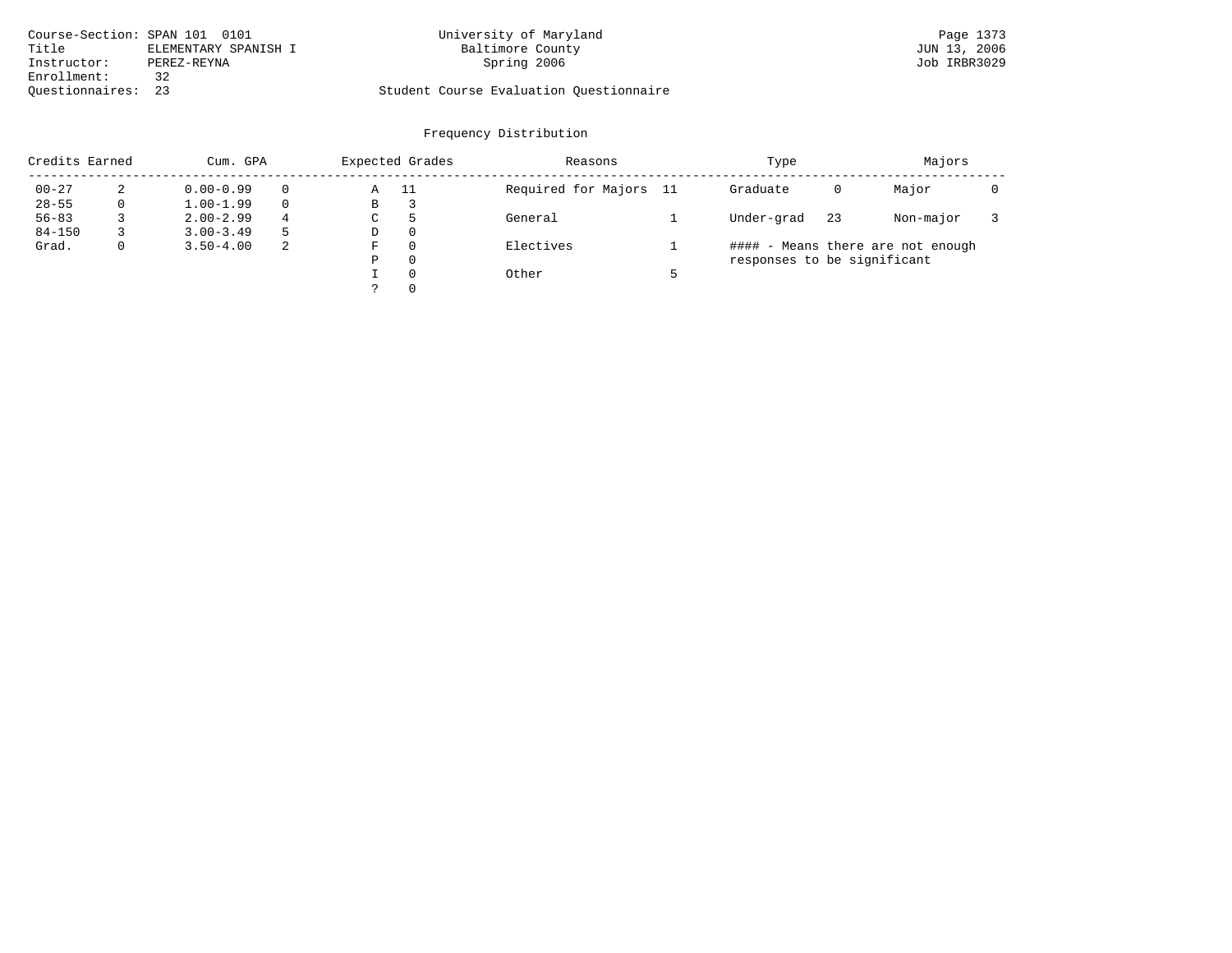| Course-Section: SPAN 101 0101 |                      | University of Maryland                  | Page 1373    |
|-------------------------------|----------------------|-----------------------------------------|--------------|
| Title                         | ELEMENTARY SPANISH I | Baltimore County                        | JUN 13, 2006 |
| Instructor:                   | PEREZ-REYNA          | Spring 2006                             | Job IRBR3029 |
| Enrollment:                   |                      |                                         |              |
| Ouestionnaires: 23            |                      | Student Course Evaluation Questionnaire |              |

| Credits Earned | Cum. GPA      |          | Expected Grades |          | Reasons                | Type                        |    | Majors                            |  |
|----------------|---------------|----------|-----------------|----------|------------------------|-----------------------------|----|-----------------------------------|--|
| $00 - 27$      | $0.00 - 0.99$ |          | Α               | -11      | Required for Majors 11 | Graduate                    | 0  | Major                             |  |
| $28 - 55$      | $1.00 - 1.99$ | $\Omega$ | В               | 3        |                        |                             |    |                                   |  |
| $56 - 83$      | $2.00 - 2.99$ | 4        | C               | 5        | General                | Under-grad                  | 23 | Non-major                         |  |
| $84 - 150$     | $3.00 - 3.49$ | 5        | D               | $\Omega$ |                        |                             |    |                                   |  |
| Grad.          | $3.50 - 4.00$ | 2        | F               | $\Omega$ | Electives              |                             |    | #### - Means there are not enough |  |
|                |               |          | Ρ               | 0        |                        | responses to be significant |    |                                   |  |
|                |               |          |                 | $\Omega$ | Other                  |                             |    |                                   |  |
|                |               |          |                 | $\Omega$ |                        |                             |    |                                   |  |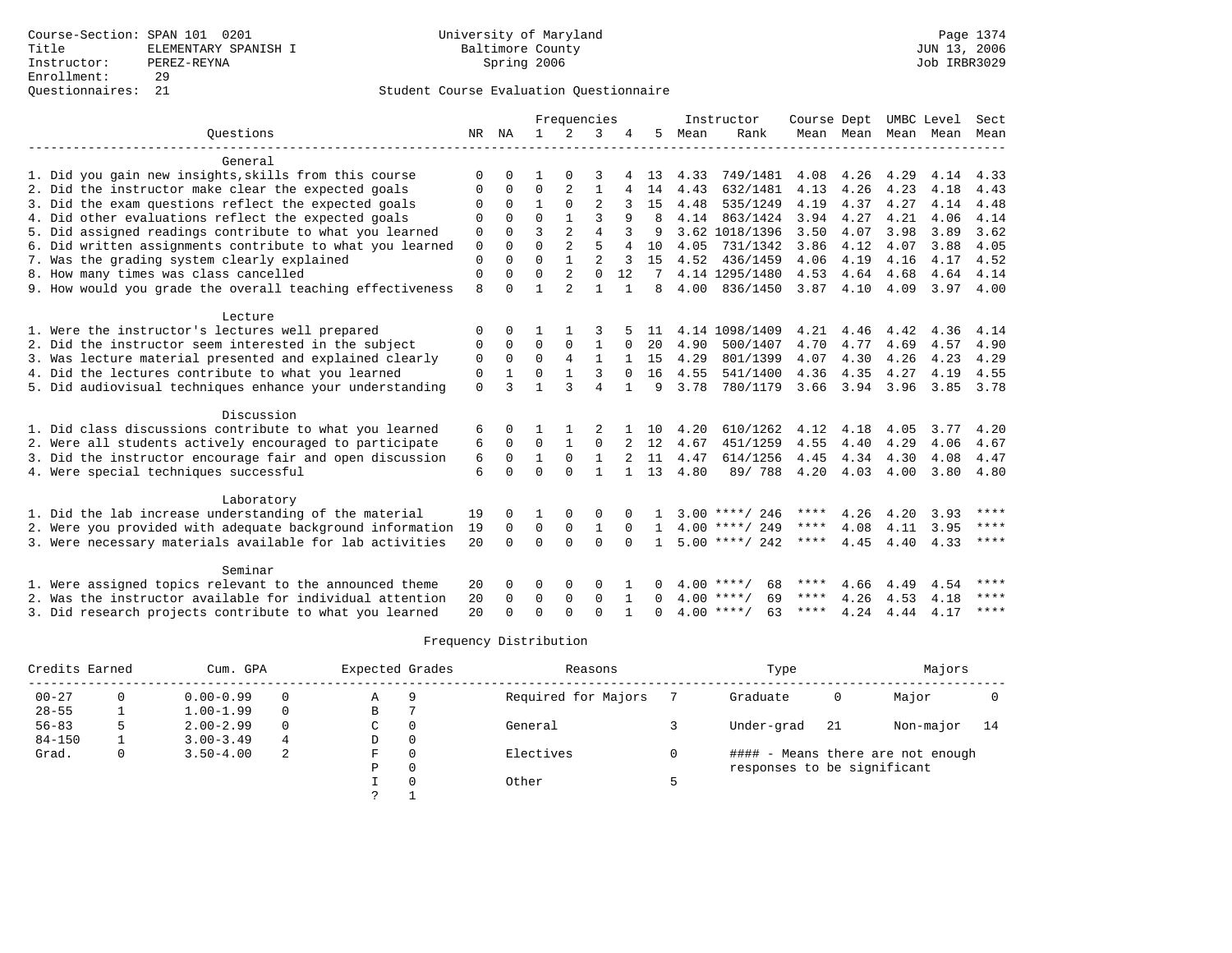|                                                           |              |             |              | Frequencies    |                |              |              |      | Instructor         | Course Dept |                |      | UMBC Level | Sect        |
|-----------------------------------------------------------|--------------|-------------|--------------|----------------|----------------|--------------|--------------|------|--------------------|-------------|----------------|------|------------|-------------|
| Ouestions                                                 | NR           | NA          | $\mathbf{1}$ | 2              | 3              |              | 5            | Mean | Rank               |             | Mean Mean Mean |      | Mean       | Mean        |
|                                                           |              |             |              |                |                |              |              |      |                    |             |                |      |            |             |
| General                                                   |              |             |              |                |                |              |              |      |                    |             |                |      |            |             |
| 1. Did you gain new insights, skills from this course     | $\Omega$     | U           |              |                |                |              | 13           | 4.33 | 749/1481           | 4.08        | 4.26           | 4.29 | 4.14       | 4.33        |
| 2. Did the instructor make clear the expected goals       | 0            | 0           | 0            |                | $\mathbf{1}$   | 4            | 14           | 4.43 | 632/1481           | 4.13        | 4.26           | 4.23 | 4.18       | 4.43        |
| 3. Did the exam questions reflect the expected goals      |              | 0           | $\mathbf{1}$ | $\Omega$       | 2              |              | 15           | 4.48 | 535/1249           | 4.19        | 4.37           | 4.27 | 4.14       | 4.48        |
| 4. Did other evaluations reflect the expected goals       | $\Omega$     | $\Omega$    | $\Omega$     |                |                | 9            | 8            | 4.14 | 863/1424           | 3.94        | 4.27           | 4.21 | 4.06       | 4.14        |
| 5. Did assigned readings contribute to what you learned   | $\mathbf 0$  | $\Omega$    | ζ            | $\overline{a}$ | 4              |              | 9            |      | 3.62 1018/1396     | 3.50        | 4.07           | 3.98 | 3.89       | 3.62        |
| 6. Did written assignments contribute to what you learned | $\mathbf{0}$ | $\Omega$    | $\Omega$     | $\overline{a}$ | 5              | 4            | 10           | 4.05 | 731/1342           | 3.86        | 4.12           | 4.07 | 3.88       | 4.05        |
| 7. Was the grading system clearly explained               | $\mathbf 0$  | $\Omega$    | $\Omega$     | $\mathbf{1}$   | $\overline{c}$ | 3            | 15           | 4.52 | 436/1459           | 4.06        | 4.19           | 4.16 | 4.17       | 4.52        |
| 8. How many times was class cancelled                     | $\mathbf 0$  | 0           | $\mathbf 0$  | $\overline{2}$ | $\mathbf{0}$   | 12           | 7            |      | 4.14 1295/1480     | 4.53        | 4.64           | 4.68 | 4.64       | 4.14        |
| 9. How would you grade the overall teaching effectiveness | 8            | O           | 1            | $\overline{a}$ | $\mathbf{1}$   | $\mathbf{1}$ | 8            | 4.00 | 836/1450           | 3.87        | 4.10           | 4.09 | 3.97       | 4.00        |
| Lecture                                                   |              |             |              |                |                |              |              |      |                    |             |                |      |            |             |
| 1. Were the instructor's lectures well prepared           | $\Omega$     | $\Omega$    |              |                |                |              | 11           |      | 4.14 1098/1409     | 4.21        | 4.46           | 4.42 | 4.36       | 4.14        |
| 2. Did the instructor seem interested in the subject      | 0            | $\Omega$    | $\Omega$     | 0              | $\mathbf{1}$   | 0            | 20           | 4.90 | 500/1407           | 4.70        | 4.77           | 4.69 | 4.57       | 4.90        |
| 3. Was lecture material presented and explained clearly   | 0            | $\mathbf 0$ | $\Omega$     | 4              | $\mathbf{1}$   |              | 15           | 4.29 | 801/1399           | 4.07        | 4.30           | 4.26 | 4.23       | 4.29        |
| 4. Did the lectures contribute to what you learned        | 0            |             | $\Omega$     | $\mathbf{1}$   | 3              | $\Omega$     | 16           | 4.55 | 541/1400           | 4.36        | 4.35           | 4.27 | 4.19       | 4.55        |
| 5. Did audiovisual techniques enhance your understanding  | $\mathbf 0$  | ς           | 1            | ঽ              | 4              |              | 9            | 3.78 | 780/1179           | 3.66        | 3.94           | 3.96 | 3.85       | 3.78        |
|                                                           |              |             |              |                |                |              |              |      |                    |             |                |      |            |             |
| Discussion                                                |              |             |              |                |                |              |              |      |                    |             |                |      |            |             |
| 1. Did class discussions contribute to what you learned   | 6            | $\Omega$    |              |                |                |              | 10           | 4.20 | 610/1262           | 4.12        | 4.18           | 4.05 | 3.77       | 4.20        |
| 2. Were all students actively encouraged to participate   | 6            | 0           | $\Omega$     | $\mathbf{1}$   | $\Omega$       |              | 12           | 4.67 | 451/1259           | 4.55        | 4.40           | 4.29 | 4.06       | 4.67        |
| 3. Did the instructor encourage fair and open discussion  | 6            | $\mathbf 0$ | $\mathbf{1}$ | 0              | $\mathbf{1}$   |              | 11           | 4.47 | 614/1256           | 4.45        | 4.34           | 4.30 | 4.08       | 4.47        |
| 4. Were special techniques successful                     | 6            | $\Omega$    | $\Omega$     | $\Omega$       | $\mathbf{1}$   |              | 13           | 4.80 | 89/788             | 4.20        | 4.03           | 4.00 | 3.80       | 4.80        |
| Laboratory                                                |              |             |              |                |                |              |              |      |                    |             |                |      |            |             |
| 1. Did the lab increase understanding of the material     | 19           | $\Omega$    | 1            | 0              | 0              |              |              |      | $3.00$ ****/ 246   | ****        | 4.26           | 4.20 | 3.93       | ****        |
|                                                           | 19           | 0           | $\mathbf 0$  | $\mathbf 0$    | $\mathbf{1}$   | $\Omega$     | $\mathbf{1}$ |      | $4.00$ ****/ 249   | ****        | 4.08           | 4.11 | 3.95       | ****        |
| 2. Were you provided with adequate background information | 20           | $\Omega$    | $\Omega$     | $\Omega$       | $\Omega$       | $\Omega$     |              |      | $5.00$ ****/ 242   | ****        | 4.45           | 4.40 | 4.33       | $***$ * * * |
| 3. Were necessary materials available for lab activities  |              |             |              |                |                |              |              |      |                    |             |                |      |            |             |
| Seminar                                                   |              |             |              |                |                |              |              |      |                    |             |                |      |            |             |
| 1. Were assigned topics relevant to the announced theme   | 20           | O           | O            | $\Omega$       | O              |              |              |      | 4.00 ****/<br>68   | ****        | 4.66           | 4.49 | 4.54       | ****        |
| 2. Was the instructor available for individual attention  | 20           | $\Omega$    | $\Omega$     | $\Omega$       | $\Omega$       | $\mathbf{1}$ | 0            |      | $4.00$ ****/<br>69 | ****        | 4.26           | 4.53 | 4.18       | ****        |
| 3. Did research projects contribute to what you learned   | 20           | ∩           | $\Omega$     | $\cap$         | $\cap$         | $\mathbf{1}$ | $\Omega$     |      | $4.00$ ****/<br>63 | ****        | 4.24           | 4.44 | 4.17       | ****        |

|            | Credits Earned | Cum. GPA      |          | Expected Grades |              | Reasons             | Type                        |     | Majors                            |    |
|------------|----------------|---------------|----------|-----------------|--------------|---------------------|-----------------------------|-----|-----------------------------------|----|
| $00 - 27$  |                | $0.00 - 0.99$ | $\Omega$ | А               | 9            | Required for Majors | Graduate                    | 0   | Major                             |    |
| $28 - 55$  |                | $1.00 - 1.99$ | $\Omega$ | B               |              |                     |                             |     |                                   |    |
| $56 - 83$  |                | $2.00 - 2.99$ | $\Omega$ | C               | 0            | General             | Under-grad                  | -21 | Non-major                         | 14 |
| $84 - 150$ |                | $3.00 - 3.49$ | 4        | D               | $\mathbf{0}$ |                     |                             |     |                                   |    |
| Grad.      | 0              | $3.50 - 4.00$ | -2       | F               | 0            | Electives           |                             |     | #### - Means there are not enough |    |
|            |                |               |          | Ρ               | 0            |                     | responses to be significant |     |                                   |    |
|            |                |               |          |                 | $\Omega$     | Other               |                             |     |                                   |    |
|            |                |               |          |                 |              |                     |                             |     |                                   |    |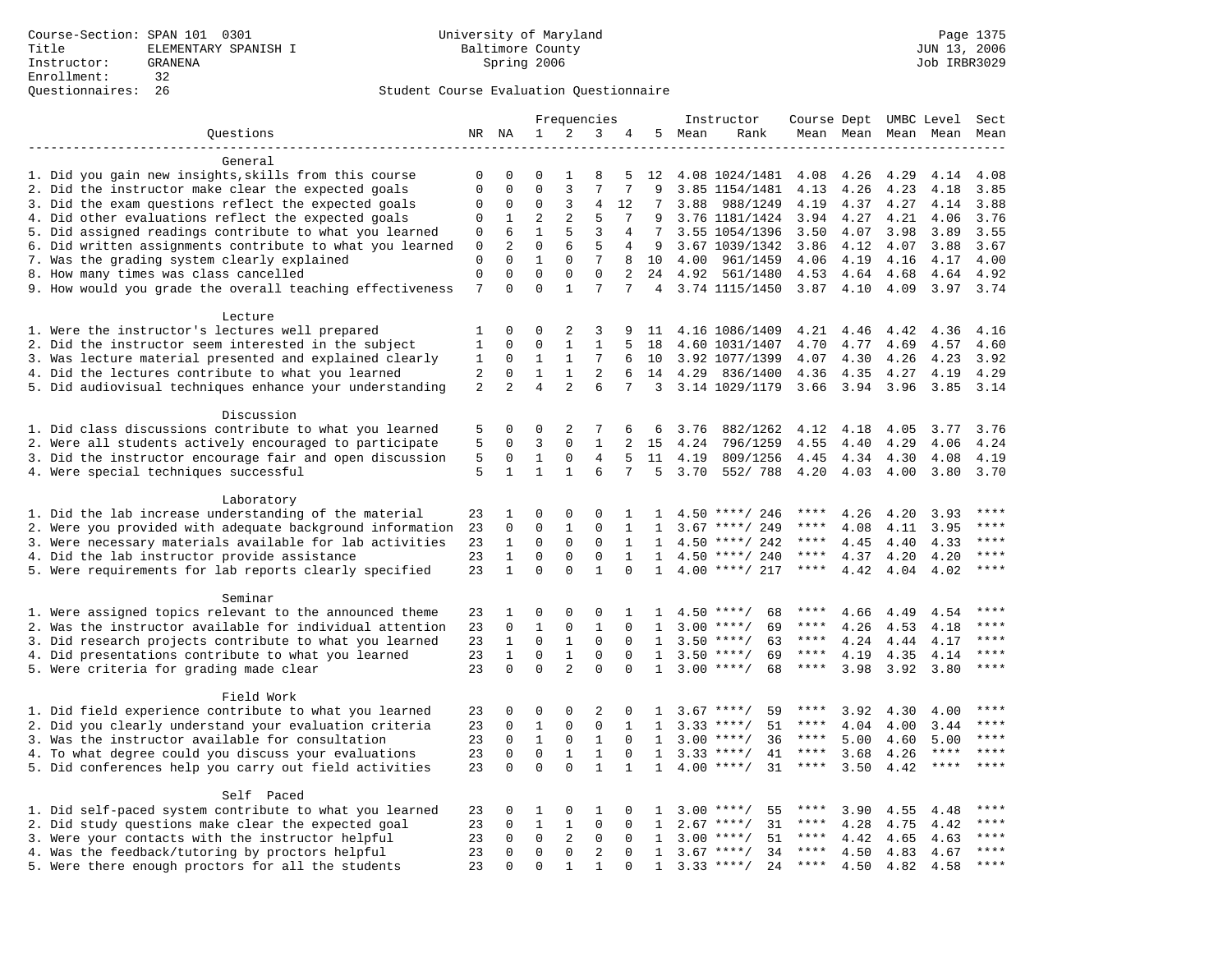|                                                           |              |                         |                         |                          | Frequencies                  |              |              |      | Instructor         | Course Dept UMBC Level |      |                     |                     | Sect        |
|-----------------------------------------------------------|--------------|-------------------------|-------------------------|--------------------------|------------------------------|--------------|--------------|------|--------------------|------------------------|------|---------------------|---------------------|-------------|
| Questions                                                 |              | NR NA                   | $\mathbf 1$             | 2                        | 3                            | 4            | 5            | Mean | Rank               |                        |      | Mean Mean Mean Mean |                     | Mean        |
|                                                           |              |                         |                         |                          |                              |              |              |      |                    |                        |      |                     |                     |             |
| General                                                   |              |                         |                         |                          |                              |              |              |      |                    |                        |      |                     |                     |             |
| 1. Did you gain new insights, skills from this course     | 0            | 0                       | 0                       | 1                        | 8                            | 5            | 12           |      | 4.08 1024/1481     | 4.08                   | 4.26 | 4.29                | 4.14                | 4.08        |
| 2. Did the instructor make clear the expected goals       | $\mathbf 0$  | $\mathbf 0$             | $\Omega$                | 3                        | 7                            | 7            | 9            |      | 3.85 1154/1481     | 4.13                   | 4.26 | 4.23                | 4.18                | 3.85        |
| 3. Did the exam questions reflect the expected goals      | $\mathbf 0$  | 0                       | $\Omega$                | 3                        | 4                            | 12           | 7            | 3.88 | 988/1249           | 4.19                   | 4.37 | 4.27                | 4.14                | 3.88        |
| 4. Did other evaluations reflect the expected goals       | $\mathbf 0$  | 1                       | 2                       | $\overline{a}$           | 5                            | 7            | 9            |      | 3.76 1181/1424     | 3.94                   | 4.27 | 4.21                | 4.06                | 3.76        |
| 5. Did assigned readings contribute to what you learned   | $\mathsf 0$  | 6                       | $\mathbf{1}$            | 5                        | 3                            | 4            | 7            |      | 3.55 1054/1396     | 3.50                   | 4.07 | 3.98                | 3.89                | 3.55        |
| 6. Did written assignments contribute to what you learned | $\mathbf 0$  | $\overline{a}$          | $\mathbf 0$             | 6                        | 5                            | 4            | 9            |      | 3.67 1039/1342     | 3.86                   | 4.12 | 4.07                | 3.88                | 3.67        |
| 7. Was the grading system clearly explained               | $\mathbf 0$  | $\Omega$                | $\mathbf{1}$            | $\mathbf 0$              | 7                            | 8            | 10           | 4.00 | 961/1459           | 4.06                   | 4.19 | 4.16                | 4.17                | 4.00        |
| 8. How many times was class cancelled                     | $\mathbf 0$  | $\mathbf 0$             | $\mathbf 0$             | $\mathbf 0$              | $\mathbf 0$                  | 2            | 24           | 4.92 | 561/1480           | 4.53                   | 4.64 | 4.68                | 4.64                | 4.92        |
| 9. How would you grade the overall teaching effectiveness | 7            | $\Omega$                | $\Omega$                | $\mathbf{1}$             | 7                            | 7            | 4            |      | 3.74 1115/1450     | $3.87$ 4.10            |      | 4.09                | 3.97                | 3.74        |
| Lecture                                                   |              |                         |                         |                          |                              |              |              |      |                    |                        |      |                     |                     |             |
| 1. Were the instructor's lectures well prepared           | 1            | $\Omega$                | $\Omega$                | 2                        | 3                            | 9            | 11           |      | 4.16 1086/1409     | 4.21                   | 4.46 | 4.42                | 4.36                | 4.16        |
| 2. Did the instructor seem interested in the subject      | $\mathbf{1}$ | $\mathbf 0$             | $\mathbf 0$             | $\mathbf{1}$             | $\mathbf 1$                  | 5            | 18           |      | 4.60 1031/1407     | 4.70                   | 4.77 | 4.69                | 4.57                | 4.60        |
| 3. Was lecture material presented and explained clearly   | 1            | 0                       | $\mathbf 1$             | $\mathbf{1}$             | 7                            | 6            | 10           |      | 3.92 1077/1399     | 4.07                   | 4.30 | 4.26                | 4.23                | 3.92        |
| 4. Did the lectures contribute to what you learned        | 2            | $\mathbf 0$             | $\mathbf{1}$            | $\mathbf{1}$             | $\overline{2}$               | 6            | 14           | 4.29 | 836/1400           | 4.36                   | 4.35 | 4.27                | 4.19                | 4.29        |
| 5. Did audiovisual techniques enhance your understanding  | 2            | 2                       | $\overline{4}$          | $\overline{a}$           | 6                            | 7            | 3            |      | 3.14 1029/1179     | 3.66                   | 3.94 | 3.96                | 3.85                | 3.14        |
|                                                           |              |                         |                         |                          |                              |              |              |      |                    |                        |      |                     |                     |             |
| Discussion                                                |              |                         |                         |                          |                              |              |              |      |                    |                        |      |                     |                     |             |
| 1. Did class discussions contribute to what you learned   | 5            | 0                       | $\mathbf 0$             | 2                        | 7                            | 6            | 6            | 3.76 | 882/1262           | 4.12                   | 4.18 | 4.05                | 3.77                | 3.76        |
| 2. Were all students actively encouraged to participate   | 5            | $\Omega$                | 3                       | $\Omega$                 | $\mathbf{1}$                 |              | 15           | 4.24 | 796/1259           | 4.55                   | 4.40 | 4.29                | 4.06                | 4.24        |
| 3. Did the instructor encourage fair and open discussion  | 5            | $\mathbf 0$             | $\mathbf{1}$            | $\mathsf 0$              | $\overline{4}$               | 5            | 11           | 4.19 | 809/1256           | 4.45                   | 4.34 | 4.30                | 4.08                | 4.19        |
| 4. Were special techniques successful                     | 5            | $\mathbf{1}$            | $\mathbf{1}$            | $\mathbf{1}$             | 6                            | 7            | 5            | 3.70 | 552/788            | 4.20                   | 4.03 | 4.00                | 3.80                | 3.70        |
|                                                           |              |                         |                         |                          |                              |              |              |      |                    |                        |      |                     |                     |             |
| Laboratory                                                |              |                         |                         |                          |                              |              |              |      |                    |                        |      |                     |                     |             |
| 1. Did the lab increase understanding of the material     | 23           | 1                       | $\mathbf 0$             | $\mathbf 0$              | 0                            | 1            | 1            |      | $4.50$ ****/ 246   | ****                   | 4.26 | 4.20                | 3.93                |             |
| 2. Were you provided with adequate background information | 23           | 0                       | $\mathbf{0}$            | 1                        | 0                            | 1            | 1            | 3.67 | ****/ 249          | ****                   | 4.08 | 4.11                | 3.95                | ****        |
| 3. Were necessary materials available for lab activities  | 23           | $\mathbf{1}$            | $\Omega$                | $\Omega$                 | $\mathbf 0$                  | $\mathbf{1}$ | $\mathbf{1}$ | 4.50 | ****/ 242          | $***$ * * *            | 4.45 | 4.40                | 4.33                | $***$       |
| 4. Did the lab instructor provide assistance              | 23           | $\mathbf{1}$            | $\Omega$                | $\Omega$                 | $\Omega$                     | $\mathbf{1}$ | $\mathbf{1}$ |      | 4.50 ****/ 240     | $***$ * *              | 4.37 | 4.20                | 4.20                | $***$ * * * |
| 5. Were requirements for lab reports clearly specified    | 23           | $\mathbf{1}$            | $\mathbf 0$             | $\mathbf 0$              | $\mathbf{1}$                 | $\Omega$     | $\mathbf{1}$ |      | $4.00$ ****/ 217   | $***$ * *              | 4.42 | 4.04                | 4.02                | $***$       |
|                                                           |              |                         |                         |                          |                              |              |              |      |                    |                        |      |                     |                     |             |
| Seminar                                                   |              |                         |                         |                          |                              |              |              |      |                    |                        |      |                     |                     |             |
| 1. Were assigned topics relevant to the announced theme   | 23           | 1                       | $\mathbf 0$             | $\mathbf 0$              | 0                            | 1            | -1.          |      | $4.50$ ****/<br>68 | ****                   | 4.66 | 4.49                | 4.54                | $***$       |
| 2. Was the instructor available for individual attention  | 23           | $\mathbf 0$             | $\mathbf{1}$            | $\mathbf 0$              | $\mathbf{1}$                 | $\mathbf 0$  | 1            |      | $3.00$ ****/<br>69 | ****                   | 4.26 | 4.53                | 4.18                | ****        |
| 3. Did research projects contribute to what you learned   | 23           | $\mathbf{1}$            | $\mathbf 0$             | $\mathbf{1}$             | $\mathbf{0}$                 | $\Omega$     | 1            |      | $3.50$ ****/<br>63 | $***$ * *              | 4.24 | 4.44                | 4.17                | ****        |
| 4. Did presentations contribute to what you learned       | 23           | $\mathbf{1}$            | $\mathbf 0$             | $\mathbf{1}$             | $\mathbf 0$                  | $\Omega$     | $\mathbf{1}$ |      | $3.50$ ****/<br>69 | $***$ * * *            | 4.19 | 4.35                | 4.14                | $***$       |
| 5. Were criteria for grading made clear                   | 23           | $\Omega$                | $\Omega$                | $\overline{a}$           | $\Omega$                     | $\Omega$     | $\mathbf{1}$ |      | $3.00$ ****/<br>68 | $***$ * * *            | 3.98 | 3.92                | 3.80                | ****        |
|                                                           |              |                         |                         |                          |                              |              |              |      |                    |                        |      |                     |                     |             |
| Field Work                                                |              |                         |                         |                          |                              |              |              |      |                    | ****                   |      |                     |                     | ****        |
| 1. Did field experience contribute to what you learned    | 23           | 0<br>$\Omega$           | 0                       | $\mathbf 0$<br>$\Omega$  | 2                            | 0            | 1            |      | 59<br>$3.67$ ****/ | ****                   | 3.92 | 4.30                | 4.00                | ****        |
| 2. Did you clearly understand your evaluation criteria    | 23           |                         | $\mathbf{1}$            |                          | $\mathbf{0}$                 | 1            | $\mathbf{1}$ |      | 51<br>$3.33$ ****/ | ****                   | 4.04 | 4.00                | 3.44                | ****        |
| 3. Was the instructor available for consultation          | 23           | $\mathbf 0$             | $\mathbf{1}$            | $\mathbf 0$              | $\mathbf{1}$                 | $\Omega$     | $\mathbf{1}$ |      | $3.00$ ****/<br>36 | $***$ * *              | 5.00 | 4.60                | 5.00<br>$***$ * * * | ****        |
| 4. To what degree could you discuss your evaluations      | 23           | $\mathbf 0$<br>$\Omega$ | $\mathbf 0$<br>$\Omega$ | $\mathbf{1}$<br>$\Omega$ | $\mathbf{1}$<br>$\mathbf{1}$ | $\mathbf 0$  | 1            |      | $3.33$ ****/<br>41 | $***$ * *              | 3.68 | 4.26                | $***$ * * *         | $***$       |
| 5. Did conferences help you carry out field activities    | 23           |                         |                         |                          |                              | $\mathbf{1}$ | $\mathbf{1}$ |      | $4.00$ ****/<br>31 |                        | 3.50 | 4.42                |                     |             |
| Self Paced                                                |              |                         |                         |                          |                              |              |              |      |                    |                        |      |                     |                     |             |
| 1. Did self-paced system contribute to what you learned   | 23           | 0                       | 1                       | $\mathsf 0$              | 1                            | 0            | 1            | 3.00 | $***$ /<br>55      |                        | 3.90 | 4.55                | 4.48                | $***$       |
| 2. Did study questions make clear the expected goal       | 23           | $\mathbf 0$             | $\mathbf{1}$            | 1                        | $\mathbf{0}$                 | 0            | 1            | 2.67 | $***/$<br>31       | ****                   | 4.28 | 4.75                | 4.42                | $***$       |
| 3. Were your contacts with the instructor helpful         | 23           | $\Omega$                | $\mathbf 0$             | 2                        | $\Omega$                     | $\Omega$     | 1            | 3.00 | $***$ /<br>51      | $***$ * *              | 4.42 | 4.65                | 4.63                | ****        |
| 4. Was the feedback/tutoring by proctors helpful          | 23           | $\Omega$                | $\mathbf 0$             | $\mathbf 0$              | $\overline{2}$               | $\Omega$     | $\mathbf{1}$ |      | $3.67$ ****/<br>34 | ****                   | 4.50 | 4.83                | 4.67                | $***$       |
| 5. Were there enough proctors for all the students        | 23           | $\Omega$                | $\Omega$                | 1                        | $\mathbf{1}$                 | $\Omega$     | 1            |      | $3.33$ ****/<br>24 | $***$ * *              | 4.50 | 4.82                | 4.58                | $***$       |
|                                                           |              |                         |                         |                          |                              |              |              |      |                    |                        |      |                     |                     |             |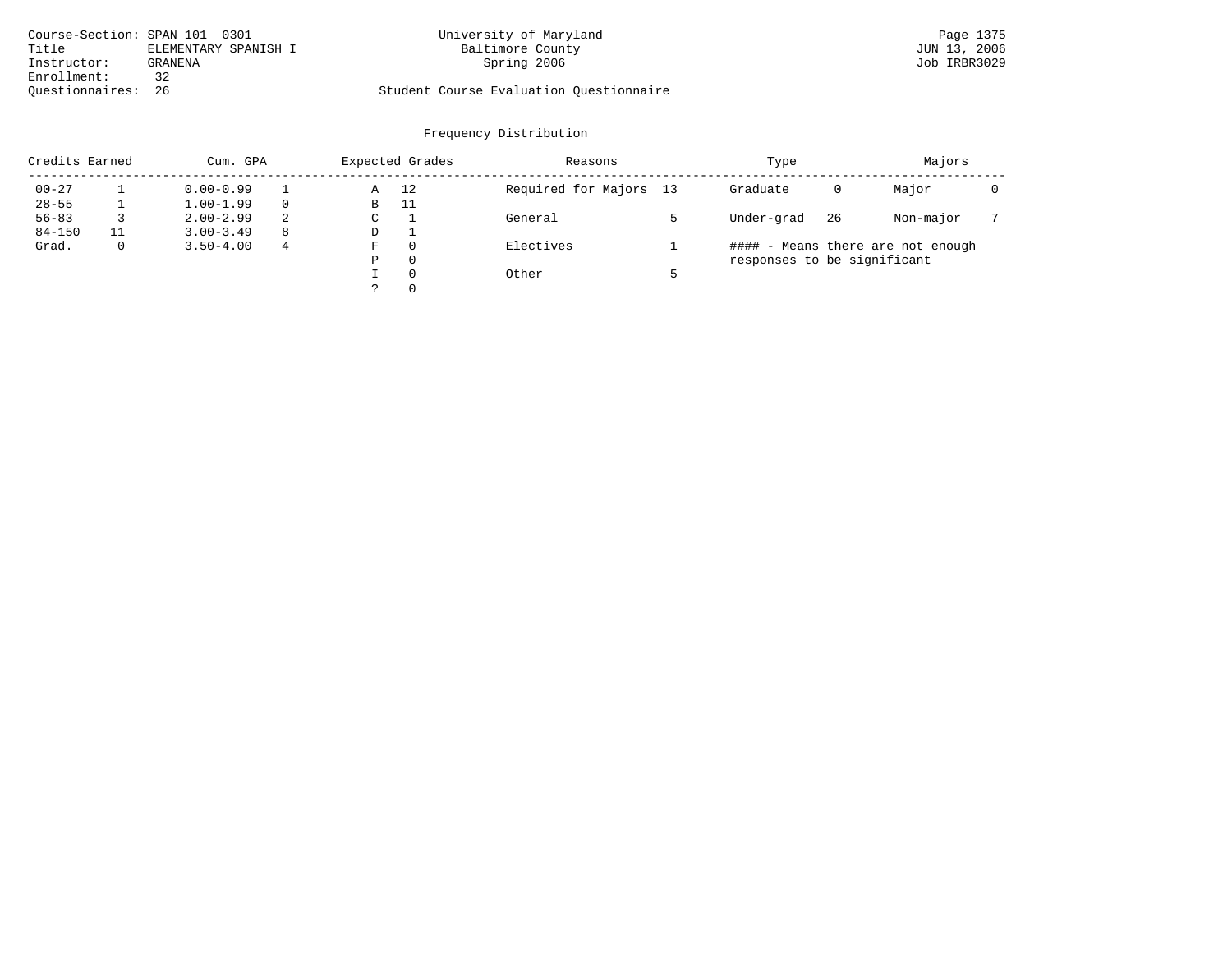| Course-Section: SPAN 101 0301 |                      | University of Maryland                  | Page 1375    |
|-------------------------------|----------------------|-----------------------------------------|--------------|
| Title                         | ELEMENTARY SPANISH I | Baltimore County                        | JUN 13, 2006 |
| Instructor:                   | GRANENA              | Spring 2006                             | Job IRBR3029 |
| Enrollment:                   |                      |                                         |              |
| Ouestionnaires: 26            |                      | Student Course Evaluation Ouestionnaire |              |

| Credits Earned |              | Cum. GPA      |    |   | Expected Grades | Reasons                | Type                        |    | Majors                            |  |
|----------------|--------------|---------------|----|---|-----------------|------------------------|-----------------------------|----|-----------------------------------|--|
| $00 - 27$      |              | $0.00 - 0.99$ |    | Α | 12              | Required for Majors 13 | Graduate                    | 0  | Major                             |  |
| $28 - 55$      |              | $1.00 - 1.99$ |    | В | 11              |                        |                             |    |                                   |  |
| $56 - 83$      |              | $2.00 - 2.99$ | 2  | C |                 | General                | Under-grad                  | 26 | Non-major                         |  |
| $84 - 150$     |              | $3.00 - 3.49$ | -8 | D |                 |                        |                             |    |                                   |  |
| Grad.          | $\mathbf{0}$ | $3.50 - 4.00$ | 4  | F | $\Omega$        | Electives              |                             |    | #### - Means there are not enough |  |
|                |              |               |    | Ρ | $\Omega$        |                        | responses to be significant |    |                                   |  |
|                |              |               |    |   | $\Omega$        | Other                  |                             |    |                                   |  |
|                |              |               |    |   | $\Omega$        |                        |                             |    |                                   |  |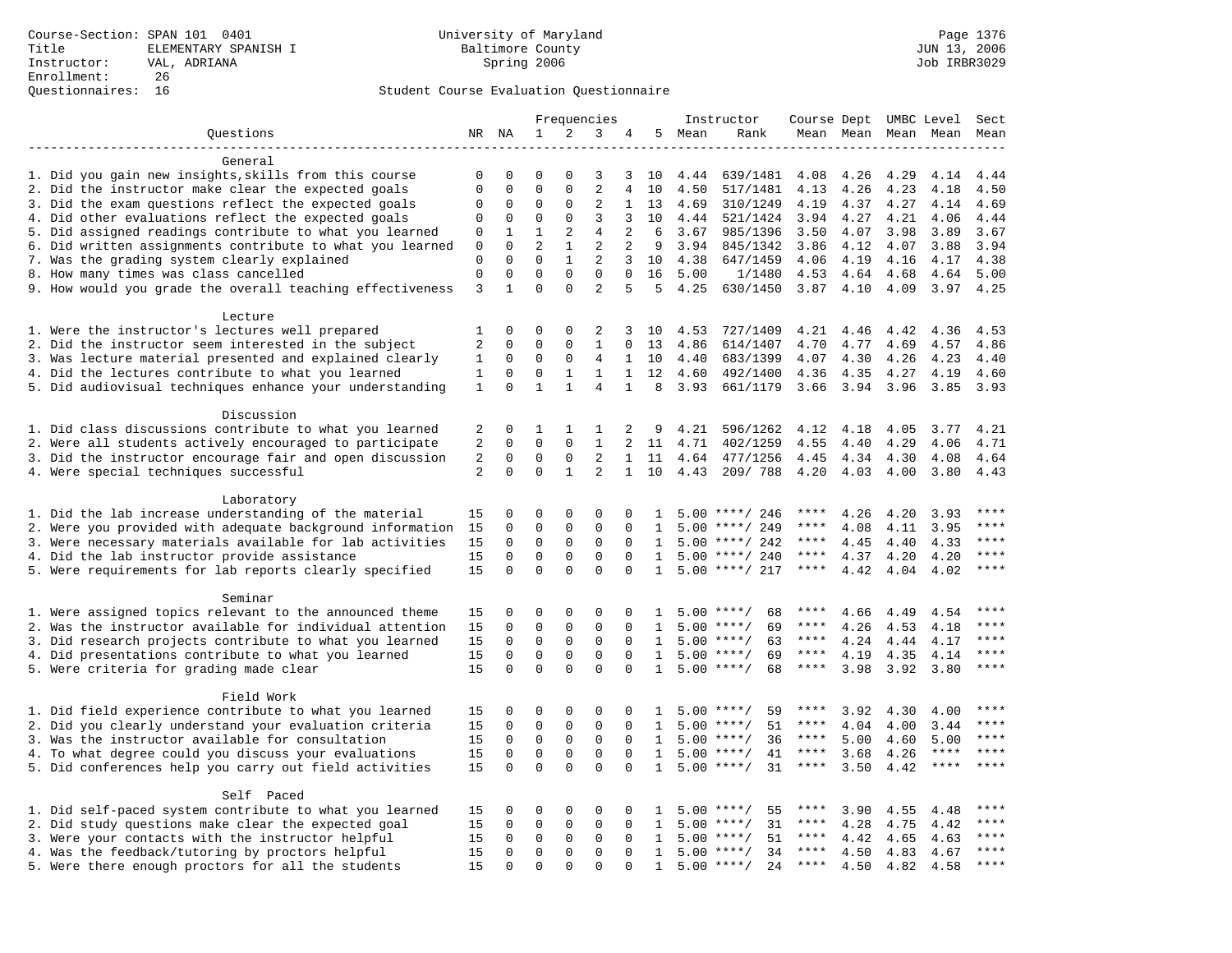|                                                                                                          |                   |                         |                         |                         | Frequencies                      |                |              |              | Instructor           | Course Dept UMBC Level     |                     |              |                     | Sect          |
|----------------------------------------------------------------------------------------------------------|-------------------|-------------------------|-------------------------|-------------------------|----------------------------------|----------------|--------------|--------------|----------------------|----------------------------|---------------------|--------------|---------------------|---------------|
| Ouestions                                                                                                |                   | NR NA                   | 1                       | 2                       | 3                                | 4              |              | 5 Mean       | Rank                 |                            | Mean Mean Mean Mean |              |                     | Mean          |
|                                                                                                          |                   |                         |                         |                         |                                  |                |              |              |                      |                            |                     |              |                     |               |
| General                                                                                                  |                   |                         |                         |                         |                                  |                |              |              |                      |                            |                     |              |                     |               |
| 1. Did you gain new insights, skills from this course                                                    | $\mathbf 0$       | $\mathbf 0$             | $\Omega$                | $\Omega$                | 3                                | 3              | 10           | 4.44         | 639/1481             | 4.08                       | 4.26                | 4.29         | 4.14                | 4.44          |
| 2. Did the instructor make clear the expected goals                                                      | $\mathbf{0}$      | $\Omega$                | $\mathbf 0$             | $\Omega$                | $\overline{2}$                   | 4              | 10           | 4.50         | 517/1481             | 4.13                       | 4.26                | 4.23         | 4.18                | 4.50          |
| 3. Did the exam questions reflect the expected goals                                                     | $\mathbf 0$       | $\mathbf 0$             | 0                       | $\mathbf 0$             | 2                                | $\mathbf{1}$   | 13           | 4.69         | 310/1249             | 4.19                       | 4.37                | 4.27         | 4.14                | 4.69          |
| 4. Did other evaluations reflect the expected goals                                                      | 0                 | $\mathbf 0$             | $\mathbf 0$             | $\mathbf 0$             | 3                                | 3              | 10           | 4.44         | 521/1424             | 3.94                       | 4.27                | 4.21         | 4.06                | 4.44          |
| 5. Did assigned readings contribute to what you learned                                                  | 0                 | 1<br>$\Omega$           | 1<br>$\overline{a}$     | 2<br>$\mathbf{1}$       | $\overline{4}$<br>$\overline{2}$ | 2<br>2         | 6<br>9       | 3.67<br>3.94 | 985/1396             | 3.50                       | 4.07                | 3.98         | 3.89<br>3.88        | 3.67<br>3.94  |
| 6. Did written assignments contribute to what you learned<br>7. Was the grading system clearly explained | 0<br>$\mathbf{0}$ | $\Omega$                | $\Omega$                | $\mathbf{1}$            | 2                                | 3              | 10           | 4.38         | 845/1342<br>647/1459 | 3.86<br>4.06               | 4.12<br>4.19        | 4.07<br>4.16 | 4.17                | 4.38          |
| 8. How many times was class cancelled                                                                    | $\mathbf 0$       | $\Omega$                | $\Omega$                | $\Omega$                | $\Omega$                         | $\Omega$       | 16           | 5.00         | 1/1480               | 4.53                       | 4.64                | 4.68         | 4.64                | 5.00          |
| 9. How would you grade the overall teaching effectiveness                                                | $\overline{3}$    | $\mathbf{1}$            | $\Omega$                | $\Omega$                | $\overline{a}$                   | 5              | 5            | 4.25         | 630/1450             | $3.87$ 4.10                |                     | 4.09         | 3.97                | 4.25          |
|                                                                                                          |                   |                         |                         |                         |                                  |                |              |              |                      |                            |                     |              |                     |               |
| Lecture                                                                                                  |                   |                         |                         |                         |                                  |                |              |              |                      |                            |                     |              |                     |               |
| 1. Were the instructor's lectures well prepared                                                          | 1                 | $\Omega$                | $\Omega$                | $\Omega$                | 2                                | 3              | 10           | 4.53         | 727/1409             | 4.21                       | 4.46                | 4.42         | 4.36                | 4.53          |
| 2. Did the instructor seem interested in the subject                                                     | 2                 | $\mathbf 0$             | $\mathbf 0$             | $\Omega$                | $\mathbf{1}$                     | $\Omega$       | 13           | 4.86         | 614/1407             | 4.70                       | 4.77                | 4.69         | 4.57                | 4.86          |
| 3. Was lecture material presented and explained clearly                                                  | 1                 | 0                       | 0                       | 0                       | 4                                | $\mathbf{1}$   | 10           | 4.40         | 683/1399             | 4.07                       | 4.30                | 4.26         | 4.23                | 4.40          |
| 4. Did the lectures contribute to what you learned                                                       | $\mathbf{1}$      | $\mathbf 0$             | $\mathbf 0$             | $\mathbf{1}$            | $\mathbf{1}$                     | $\mathbf{1}$   | 12           | 4.60         | 492/1400             | 4.36                       | 4.35                | 4.27         | 4.19                | 4.60          |
| 5. Did audiovisual techniques enhance your understanding                                                 | 1                 | $\Omega$                | $\mathbf{1}$            | $\mathbf{1}$            | 4                                | $\mathbf{1}$   | 8            | 3.93         | 661/1179             | 3.66                       | 3.94                | 3.96         | 3.85                | 3.93          |
|                                                                                                          |                   |                         |                         |                         |                                  |                |              |              |                      |                            |                     |              |                     |               |
| Discussion                                                                                               |                   |                         |                         |                         |                                  |                |              |              |                      |                            |                     |              |                     |               |
| 1. Did class discussions contribute to what you learned                                                  | 2                 | 0                       | 1                       | 1                       | 1                                | 2              | 9            | 4.21         | 596/1262             | 4.12                       | 4.18                | 4.05         | 3.77                | 4.21          |
| 2. Were all students actively encouraged to participate                                                  | $\overline{2}$    | $\mathbf 0$             | $\mathbf 0$             | $\mathbf 0$             | $\mathbf{1}$                     | $\overline{a}$ | 11           | 4.71         | 402/1259             | 4.55                       | 4.40                | 4.29         | 4.06                | 4.71          |
| 3. Did the instructor encourage fair and open discussion                                                 | 2                 | 0                       | 0                       | 0                       | $\overline{2}$                   | $\mathbf{1}$   | 11           | 4.64         | 477/1256             | 4.45                       | 4.34                | 4.30         | 4.08                | 4.64          |
| 4. Were special techniques successful                                                                    | 2                 | $\Omega$                | $\Omega$                | $\mathbf{1}$            | $\overline{2}$                   | $\mathbf{1}$   | 10           | 4.43         | 209/788              | 4.20                       | 4.03                | 4.00         | 3.80                | 4.43          |
|                                                                                                          |                   |                         |                         |                         |                                  |                |              |              |                      |                            |                     |              |                     |               |
| Laboratory<br>1. Did the lab increase understanding of the material                                      | 15                | 0                       | $\mathbf 0$             | 0                       | 0                                | 0              | 1            |              | $5.00$ ****/ 246     | ****                       | 4.26                |              | 3.93                |               |
| 2. Were you provided with adequate background information                                                | 15                | $\mathbf 0$             | 0                       | $\mathbf{0}$            | $\mathbf 0$                      | 0              | 1            | 5.00         | ****/ 249            | ****                       | 4.08                | 4.20<br>4.11 | 3.95                | ****          |
| 3. Were necessary materials available for lab activities                                                 | 15                | $\mathbf 0$             | 0                       | $\mathbf 0$             | 0                                | $\mathbf 0$    | 1            |              | $5.00$ ****/ 242     | ****                       | 4.45                | 4.40         | 4.33                | ****          |
| 4. Did the lab instructor provide assistance                                                             | 15                | $\Omega$                | $\Omega$                | $\Omega$                | $\Omega$                         | $\Omega$       | $\mathbf{1}$ |              | $5.00$ ****/ 240     | ****                       | 4.37                | 4.20         | 4.20                | ****          |
| 5. Were requirements for lab reports clearly specified                                                   | 15                | $\Omega$                | $\Omega$                | $\Omega$                | $\Omega$                         | $\Omega$       | 1            |              | $5.00$ ****/ 217     | $***$ * *                  | 4.42                | 4.04         | 4.02                | ****          |
|                                                                                                          |                   |                         |                         |                         |                                  |                |              |              |                      |                            |                     |              |                     |               |
| Seminar                                                                                                  |                   |                         |                         |                         |                                  |                |              |              |                      |                            |                     |              |                     |               |
| 1. Were assigned topics relevant to the announced theme                                                  | 15                | 0                       | 0                       | 0                       | $\Omega$                         | 0              | 1            |              | $5.00$ ****/<br>68   | ****                       | 4.66                | 4.49         | 4.54                | $***$         |
| 2. Was the instructor available for individual attention                                                 | 15                | $\mathbf 0$             | $\mathbf 0$             | $\mathbf 0$             | 0                                | 0              | 1            |              | $5.00$ ****/<br>69   | ****                       | 4.26                | 4.53         | 4.18                |               |
| 3. Did research projects contribute to what you learned                                                  | 15                | $\mathbf{0}$            | $\mathbf 0$             | $\mathbf{0}$            | $\mathbf 0$                      | $\Omega$       | 1            |              | 63<br>$5.00$ ****/   | $***$ * * *                | 4.24                | 4.44         | 4.17                | ****          |
| 4. Did presentations contribute to what you learned                                                      | 15                | $\Omega$                | $\mathbf 0$             | $\mathbf 0$             | $\mathbf 0$                      | $\Omega$       | $\mathbf{1}$ |              | $5.00$ ****/<br>69   | $***$ * * *                | 4.19                | 4.35         | 4.14                | $***$         |
| 5. Were criteria for grading made clear                                                                  | 15                | $\mathbf 0$             | $\mathbf 0$             | $\Omega$                | $\Omega$                         | $\Omega$       | 1            |              | $5.00$ ****/<br>68   | $***$ * * *                | 3.98                | 3.92         | 3.80                | ****          |
|                                                                                                          |                   |                         |                         |                         |                                  |                |              |              |                      |                            |                     |              |                     |               |
| Field Work                                                                                               |                   |                         |                         |                         |                                  |                |              |              |                      |                            |                     |              |                     |               |
| 1. Did field experience contribute to what you learned                                                   | 15                | $\mathbf 0$             | 0                       | 0                       | 0                                | $\Omega$       | -1.          |              | $5.00$ ****/<br>59   | ****                       | 3.92                | 4.30         | 4.00                |               |
| 2. Did you clearly understand your evaluation criteria                                                   | 15                | $\Omega$                | $\mathbf 0$             | $\mathbf 0$             | $\Omega$                         | $\Omega$       | $\mathbf{1}$ | 5.00         | $***$ /<br>51        | ****                       | 4.04                | 4.00         | 3.44                | ****<br>$***$ |
| 3. Was the instructor available for consultation                                                         | 15                | $\mathbf 0$             | 0                       | $\mathsf 0$             | $\mathbf 0$                      | $\Omega$       | $\mathbf{1}$ |              | $5.00$ ****/<br>36   | $***$ * *                  | 5.00                | 4.60         | 5.00<br>$***$ * * * | $***$         |
| 4. To what degree could you discuss your evaluations                                                     | 15                | $\mathbf 0$<br>$\Omega$ | $\mathbf 0$<br>$\Omega$ | $\mathbf 0$<br>$\Omega$ | $\mathbf 0$<br>$\Omega$          | $\mathbf 0$    | $\mathbf{1}$ |              | $5.00$ ****/<br>41   | $***$ * * *<br>$***$ * * * | 3.68                | 4.26         | ****                | ****          |
| 5. Did conferences help you carry out field activities                                                   | 15                |                         |                         |                         |                                  | $\Omega$       | $\mathbf{1}$ | 5.00         | 31<br>$***$ /        |                            | 3.50                | 4.42         |                     |               |
| Self Paced                                                                                               |                   |                         |                         |                         |                                  |                |              |              |                      |                            |                     |              |                     |               |
| 1. Did self-paced system contribute to what you learned                                                  | 15                | $\mathbf 0$             | 0                       | 0                       | $\Omega$                         | $\Omega$       | $\mathbf{1}$ |              | 55<br>$5.00$ ****/   | ****                       | 3.90                | 4.55         | 4.48                | $***$ * * *   |
| 2. Did study questions make clear the expected goal                                                      | 15                | $\mathbf 0$             | 0                       | $\mathbf 0$             | $\mathbf 0$                      | $\mathbf{0}$   | 1            | 5.00         | $***/$<br>31         | $***$ * * *                | 4.28                | 4.75         | 4.42                | $***$ * * *   |
| 3. Were your contacts with the instructor helpful                                                        | 15                | $\mathbf 0$             | $\mathbf 0$             | $\mathbf 0$             | $\mathbf 0$                      | 0              | 1            | 5.00         | 51<br>$***/$         | ****                       | 4.42                | 4.65         | 4.63                | ****          |
| 4. Was the feedback/tutoring by proctors helpful                                                         | 15                | $\mathbf 0$             | $\mathbf 0$             | $\mathbf 0$             | $\mathbf 0$                      | $\Omega$       | 1            | 5.00         | $***/$<br>34         | ****                       | 4.50                | 4.83         | 4.67                | ****          |
| 5. Were there enough proctors for all the students                                                       | 15                | $\Omega$                | $\Omega$                | $\Omega$                | $\Omega$                         |                | $\mathbf{1}$ |              | $5.00$ ****/<br>24   | $***$ * * *                | 4.50                | 4.82         | 4.58                | ****          |
|                                                                                                          |                   |                         |                         |                         |                                  |                |              |              |                      |                            |                     |              |                     |               |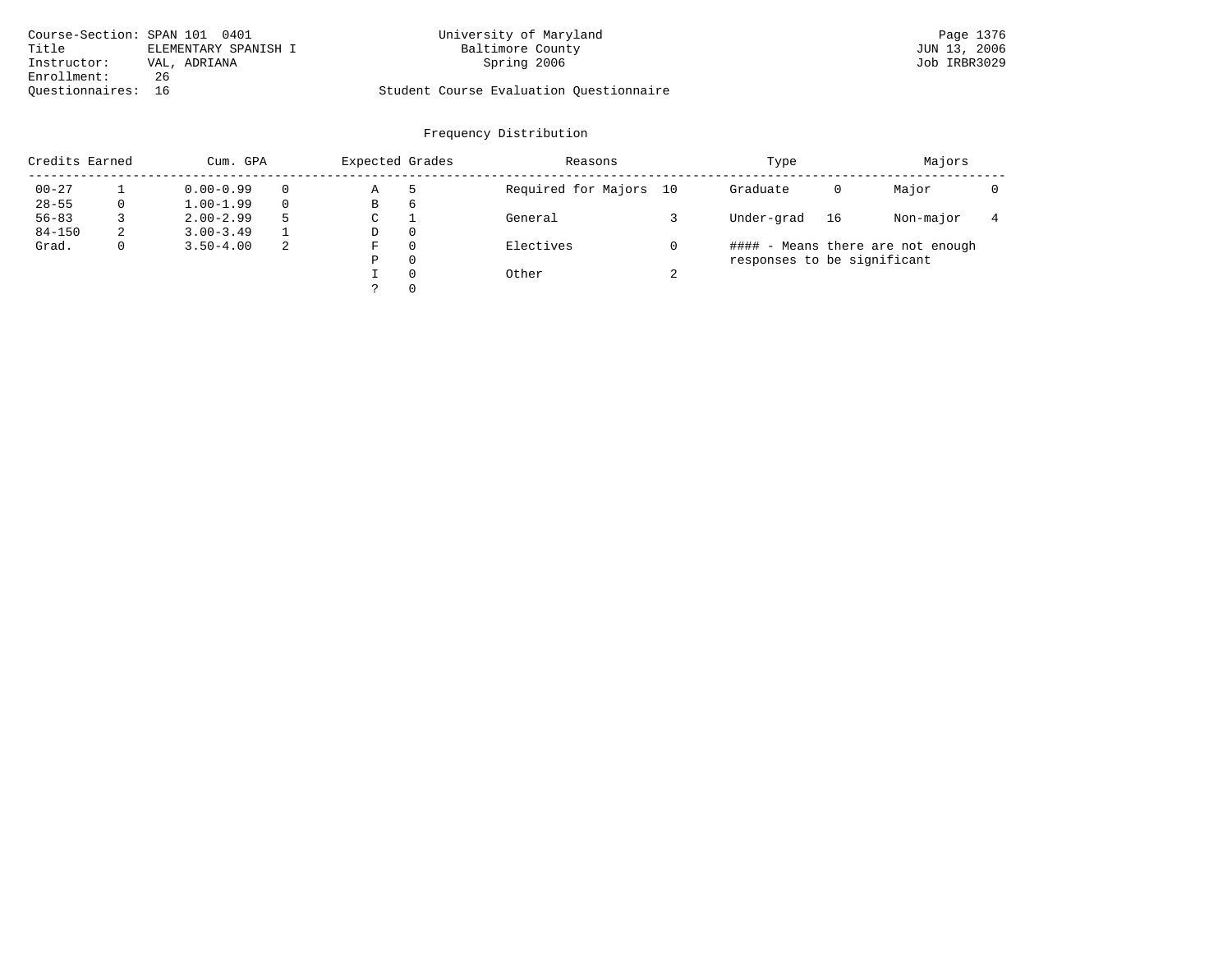|                    | Course-Section: SPAN 101 0401 | University of Maryland                  | Page 1376    |
|--------------------|-------------------------------|-----------------------------------------|--------------|
| Title              | ELEMENTARY SPANISH I          | Baltimore County                        | JUN 13, 2006 |
| Instructor:        | VAL, ADRIANA                  | Spring 2006                             | Job IRBR3029 |
| Enrollment:        | 26                            |                                         |              |
| Ouestionnaires: 16 |                               | Student Course Evaluation Ouestionnaire |              |

| Credits Earned |              | Cum. GPA      |    | Expected Grades |          | Reasons                |        | Type                        |    | Majors                            |  |
|----------------|--------------|---------------|----|-----------------|----------|------------------------|--------|-----------------------------|----|-----------------------------------|--|
| $00 - 27$      |              | $0.00 - 0.99$ |    | Α               |          | Required for Majors 10 |        | Graduate                    | 0  | Major                             |  |
| $28 - 55$      | 0            | $1.00 - 1.99$ |    | В               | 6        |                        |        |                             |    |                                   |  |
| $56 - 83$      |              | $2.00 - 2.99$ |    | C               |          | General                |        | Under-grad                  | 16 | Non-major                         |  |
| $84 - 150$     | 2            | $3.00 - 3.49$ |    | D               | 0        |                        |        |                             |    |                                   |  |
| Grad.          | $\mathbf{0}$ | $3.50 - 4.00$ | -2 | F               | $\Omega$ | Electives              |        |                             |    | #### - Means there are not enough |  |
|                |              |               |    | P               | $\Omega$ |                        |        | responses to be significant |    |                                   |  |
|                |              |               |    |                 | $\Omega$ | Other                  | $\sim$ |                             |    |                                   |  |
|                |              |               |    |                 | $\Omega$ |                        |        |                             |    |                                   |  |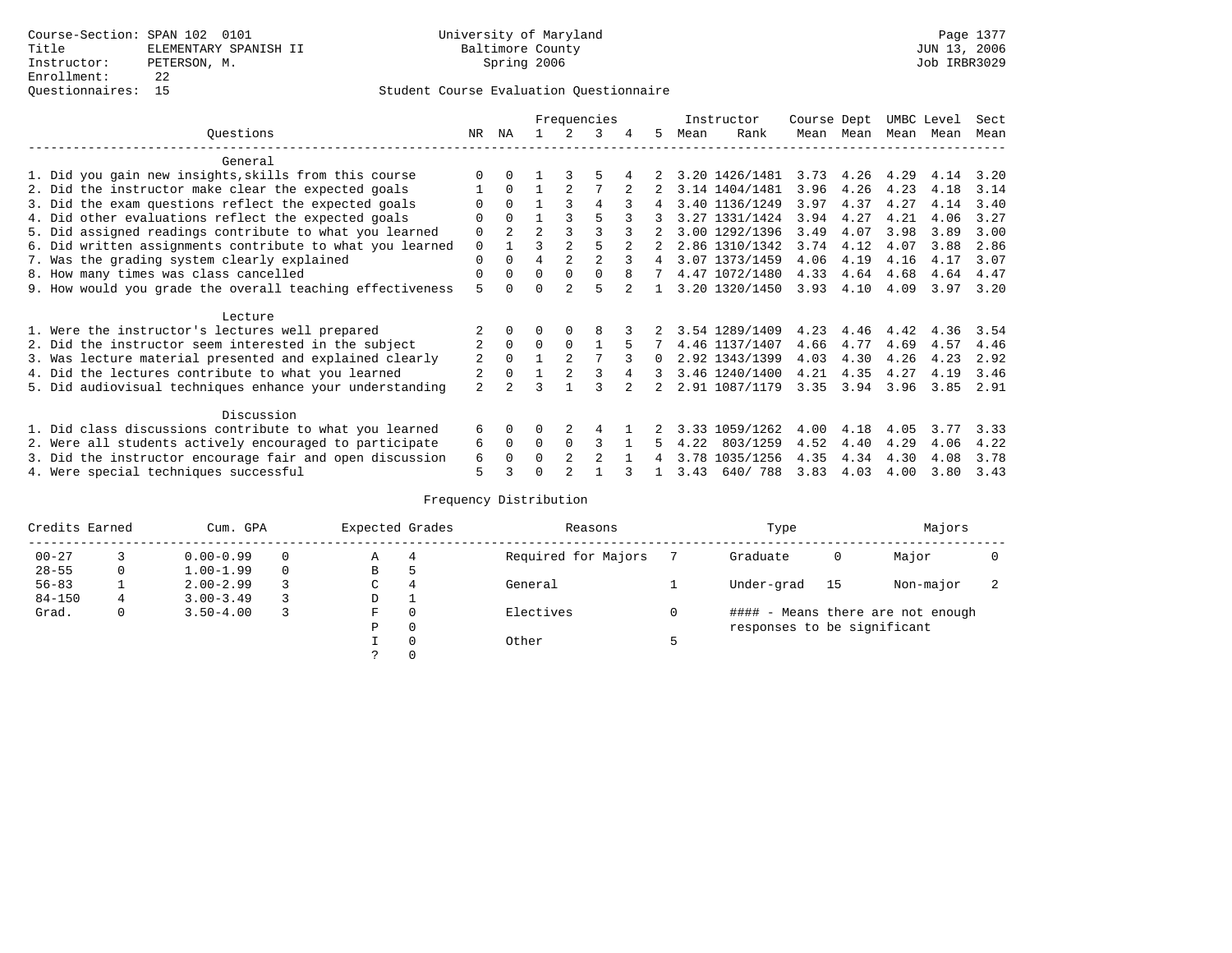| Ouestions |                                                           |                |                |                |                | Frequencies    |   |   |      | Instructor     | Course Dept |           | UMBC Level |      | Sect |
|-----------|-----------------------------------------------------------|----------------|----------------|----------------|----------------|----------------|---|---|------|----------------|-------------|-----------|------------|------|------|
|           |                                                           | NR             | ΝA             |                |                | 3              | 4 | 5 | Mean | Rank           | Mean        | Mean      | Mean       | Mean | Mean |
|           | General                                                   |                |                |                |                |                |   |   |      |                |             |           |            |      |      |
|           | 1. Did you gain new insights, skills from this course     |                |                |                |                |                |   |   |      | 3.20 1426/1481 |             | 3.73 4.26 | 4.29       | 4.14 | 3.20 |
|           | 2. Did the instructor make clear the expected goals       |                | $\Omega$       |                |                |                |   |   |      | 3.14 1404/1481 | 3.96        | 4.26      | 4.23       | 4.18 | 3.14 |
|           | 3. Did the exam questions reflect the expected goals      |                | $\Omega$       |                |                | 4              |   | 4 |      | 3.40 1136/1249 | 3.97        | 4.37      | 4.27       | 4.14 | 3.40 |
|           | 4. Did other evaluations reflect the expected goals       | U              | $\Omega$       |                |                | 5              |   |   |      | 3.27 1331/1424 | 3.94        | 4.27      | 4.21       | 4.06 | 3.27 |
|           | 5. Did assigned readings contribute to what you learned   | 0              | $\mathfrak{D}$ | $\mathfrak{D}$ |                |                |   |   |      | 3.00 1292/1396 | 3.49        | 4.07      | 3.98       | 3.89 | 3.00 |
|           | 6. Did written assignments contribute to what you learned | 0              |                |                |                |                |   |   |      | 2.86 1310/1342 | 3.74        | 4.12      | 4.07       | 3.88 | 2.86 |
|           | 7. Was the grading system clearly explained               | 0              |                | 4              |                | $\mathfrak{D}$ |   | 4 |      | 3.07 1373/1459 | 4.06        | 4.19      | 4.16       | 4.17 | 3.07 |
|           | 8. How many times was class cancelled                     | 0              | $\Omega$       | 0              | $\Omega$       | $\Omega$       | 8 | 7 |      | 4.47 1072/1480 | 4.33        | 4.64      | 4.68       | 4.64 | 4.47 |
|           | 9. How would you grade the overall teaching effectiveness | 5              |                |                | $\mathcal{D}$  | г,             |   |   |      | 3.20 1320/1450 | 3.93        | 4.10      | 4.09       | 3.97 | 3.20 |
|           |                                                           |                |                |                |                |                |   |   |      |                |             |           |            |      |      |
|           | Lecture                                                   |                |                |                |                |                |   |   |      |                |             |           |            |      |      |
|           | 1. Were the instructor's lectures well prepared           |                |                |                |                |                |   |   |      | 3.54 1289/1409 | 4.23        | 4.46      | 4.42       | 4.36 | 3.54 |
|           | 2. Did the instructor seem interested in the subject      | 2              | $\Omega$       | $\Omega$       | 0              |                |   |   |      | 4.46 1137/1407 | 4.66        | 4.77      | 4.69       | 4.57 | 4.46 |
|           | 3. Was lecture material presented and explained clearly   | 2              | $\Omega$       |                | $\mathfrak{D}$ |                |   | 0 |      | 2.92 1343/1399 | 4.03        | 4.30      | 4.26       | 4.23 | 2.92 |
|           | 4. Did the lectures contribute to what you learned        |                |                |                | $\mathfrak{D}$ |                |   | 3 |      | 3.46 1240/1400 | 4.21        | 4.35      | 4.27       | 4.19 | 3.46 |
|           | 5. Did audiovisual techniques enhance your understanding  | $\overline{a}$ | $\mathfrak{D}$ |                |                |                |   |   |      | 2.91 1087/1179 | 3.35        | 3.94      | 3.96       | 3.85 | 2.91 |
|           |                                                           |                |                |                |                |                |   |   |      |                |             |           |            |      |      |
|           | Discussion                                                |                |                |                |                |                |   |   |      |                |             |           |            |      |      |
|           | 1. Did class discussions contribute to what you learned   | б.             | $\Omega$       | 0              |                | 4              |   |   | 3.33 | 1059/1262      | 4.00        | 4.18      | 4.05       | 3.77 | 3.33 |
|           | 2. Were all students actively encouraged to participate   | 6              | $\mathbf 0$    | 0              | $\Omega$       | 3              |   |   | 4.22 | 803/1259       | 4.52        | 4.40      | 4.29       | 4.06 | 4.22 |
|           | 3. Did the instructor encourage fair and open discussion  | 6              | 0              |                |                | 2              |   |   | 3.78 | 1035/1256      | 4.35        | 4.34      | 4.30       | 4.08 | 3.78 |
|           | 4. Were special techniques successful                     | 5              |                |                |                |                |   |   | 3.43 | 640/788        | 3.83        | 4.03      | 4.00       | 3.80 | 3.43 |

|            | Credits Earned |               | Expected Grades<br>Cum. GPA |   |              | Reasons             | Type                        | Majors |                                   |  |
|------------|----------------|---------------|-----------------------------|---|--------------|---------------------|-----------------------------|--------|-----------------------------------|--|
| $00 - 27$  |                | $0.00 - 0.99$ | $\Omega$                    | Α | 4            | Required for Majors | Graduate                    | 0      | Major                             |  |
| $28 - 55$  | 0              | $1.00 - 1.99$ | $\Omega$                    | В | כ            |                     |                             |        |                                   |  |
| $56 - 83$  |                | $2.00 - 2.99$ |                             | С | 4            | General             | Under-grad                  | - 15   | Non-major                         |  |
| $84 - 150$ | 4              | $3.00 - 3.49$ | 3                           | D | ᅩ            |                     |                             |        |                                   |  |
| Grad.      | 0              | $3.50 - 4.00$ | 3                           | F | $\mathbf{0}$ | Electives           |                             |        | #### - Means there are not enough |  |
|            |                |               |                             | Ρ | $\mathbf{0}$ |                     | responses to be significant |        |                                   |  |
|            |                |               |                             |   | 0            | Other               |                             |        |                                   |  |
|            |                |               |                             |   | 0            |                     |                             |        |                                   |  |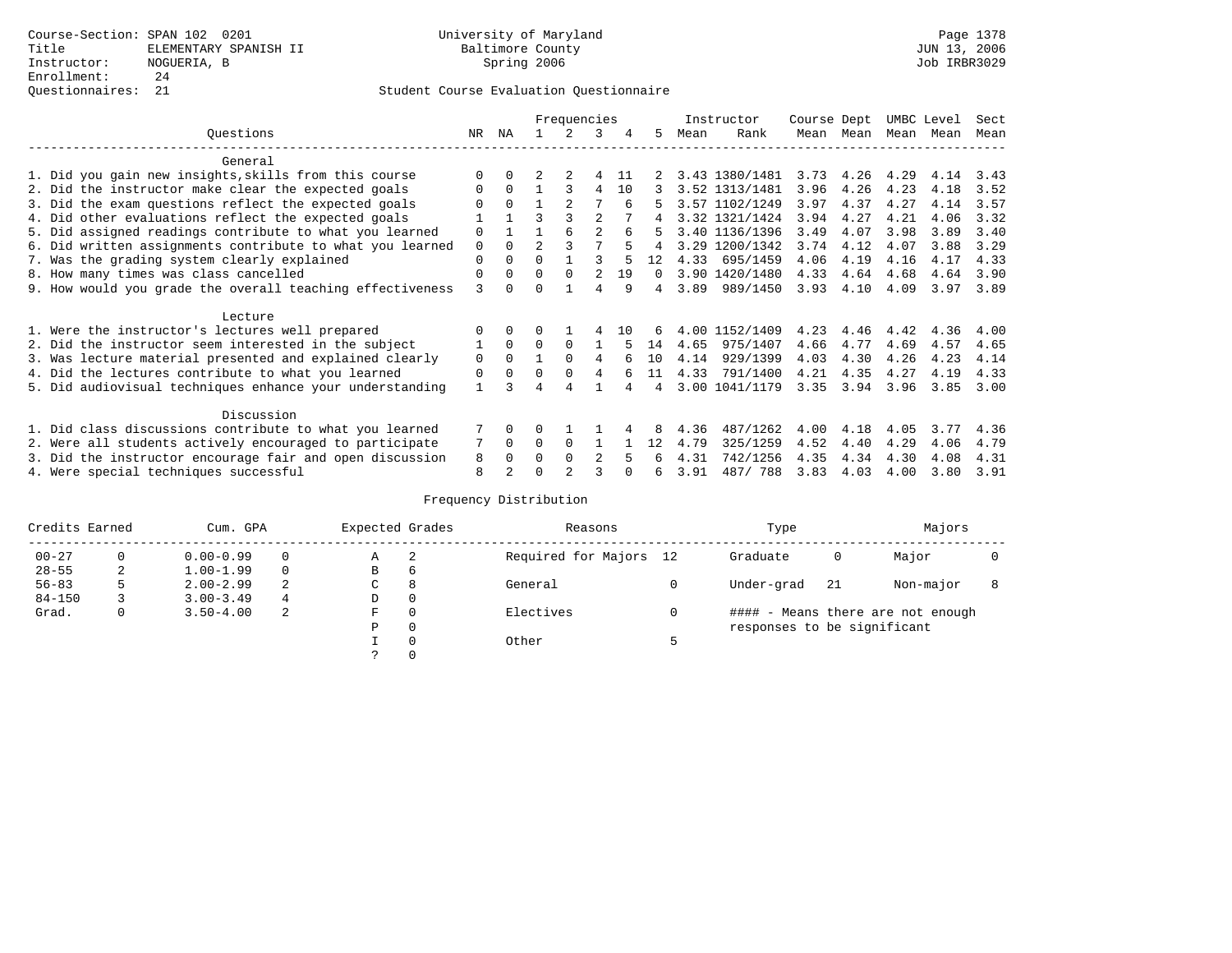## Questionnaires: 21 Student Course Evaluation Questionnaire

|                                                           |              |          |                | Frequencies |                |     |          |      | Instructor     | Course Dept |           | UMBC Level |      | Sect |
|-----------------------------------------------------------|--------------|----------|----------------|-------------|----------------|-----|----------|------|----------------|-------------|-----------|------------|------|------|
| Ouestions                                                 | NR.          | ΝA       |                |             | 3              |     | 5.       | Mean | Rank           |             | Mean Mean | Mean       | Mean | Mean |
| General                                                   |              |          |                |             |                |     |          |      |                |             |           |            |      |      |
| 1. Did you gain new insights, skills from this course     |              |          |                |             |                | 11  |          |      | 3.43 1380/1481 | 3.73        | 4.26      | 4.29       | 4.14 | 3.43 |
| 2. Did the instructor make clear the expected goals       | $\Omega$     | $\Omega$ |                |             | 4              | 10  |          |      | 3.52 1313/1481 | 3.96        | 4.26      | 4.23       | 4.18 | 3.52 |
| 3. Did the exam questions reflect the expected goals      |              | $\Omega$ |                |             |                |     | 5        |      | 3.57 1102/1249 | 3.97        | 4.37      | 4.27       | 4.14 | 3.57 |
| 4. Did other evaluations reflect the expected goals       |              |          | ς              |             | $\mathfrak{D}$ |     |          |      | 3.32 1321/1424 | 3.94        | 4.27      | 4.21       | 4.06 | 3.32 |
| 5. Did assigned readings contribute to what you learned   | $\mathbf 0$  |          |                | 6           | $\mathfrak{D}$ |     |          |      | 3.40 1136/1396 | 3.49        | 4.07      | 3.98       | 3.89 | 3.40 |
| 6. Did written assignments contribute to what you learned | $\mathbf 0$  | $\Omega$ | $\mathfrak{D}$ |             |                |     |          |      | 3.29 1200/1342 | 3.74        | 4.12      | 4.07       | 3.88 | 3.29 |
| 7. Was the grading system clearly explained               |              |          | $\Omega$       |             |                |     |          | 4.33 | 695/1459       | 4.06        | 4.19      | 4.16       | 4.17 | 4.33 |
| 8. How many times was class cancelled                     |              |          | $\Omega$       | $\Omega$    |                | 19  | $\Omega$ |      | 3.90 1420/1480 | 4.33        | 4.64      | 4.68       | 4.64 | 3.90 |
| 9. How would you grade the overall teaching effectiveness |              |          | ∩              |             | 4              | q   | 4        | 3.89 | 989/1450       | 3.93        | 4.10      | 4.09       | 3.97 | 3.89 |
| Lecture                                                   |              |          |                |             |                |     |          |      |                |             |           |            |      |      |
| 1. Were the instructor's lectures well prepared           |              |          |                |             |                | 1 N |          |      | 4.00 1152/1409 | 4.23        | 4.46      | 4.42       | 4.36 | 4.00 |
| 2. Did the instructor seem interested in the subject      |              | $\Omega$ | $\Omega$       | $\Omega$    |                |     | 14       | 4.65 | 975/1407       | 4.66        | 4.77      | 4.69       | 4.57 | 4.65 |
| 3. Was lecture material presented and explained clearly   | 0            | $\Omega$ |                | $\Omega$    | 4              |     | 10       | 4.14 | 929/1399       | 4.03        | 4.30      | 4.26       | 4.23 | 4.14 |
| 4. Did the lectures contribute to what you learned        | 0            | $\Omega$ | $\Omega$       | $\Omega$    | 4              |     | 11       | 4.33 | 791/1400       | 4.21        | 4.35      | 4.27       | 4.19 | 4.33 |
| 5. Did audiovisual techniques enhance your understanding  | $\mathbf{1}$ |          |                |             |                |     |          |      | 3.00 1041/1179 | 3.35        | 3.94      | 3.96       | 3.85 | 3.00 |
| Discussion                                                |              |          |                |             |                |     |          |      |                |             |           |            |      |      |
| 1. Did class discussions contribute to what you learned   |              | $\Omega$ | U              |             |                |     |          | 4.36 | 487/1262       | 4.00        | 4.18      | 4.05       | 3.77 | 4.36 |
| 2. Were all students actively encouraged to participate   |              | $\Omega$ | $\Omega$       | $\Omega$    |                |     | 12       | 4.79 | 325/1259       | 4.52        | 4.40      | 4.29       | 4.06 | 4.79 |
| 3. Did the instructor encourage fair and open discussion  |              | $\Omega$ | O              | $\Omega$    |                |     |          | 4.31 | 742/1256       | 4.35        | 4.34      | 4.30       | 4.08 | 4.31 |
| 4. Were special techniques successful                     | 8            |          |                |             |                |     | 6        | 3.91 | 487/788        | 3.83        | 4.03      | 4.00       | 3.80 | 3.91 |

|            | Credits Earned<br>Cum. GPA |               | Expected Grades |             | Reasons  |                        | Type | Majors                      |     |                                   |  |
|------------|----------------------------|---------------|-----------------|-------------|----------|------------------------|------|-----------------------------|-----|-----------------------------------|--|
| $00 - 27$  | $\Omega$                   | $0.00 - 0.99$ |                 | А           | -2       | Required for Majors 12 |      | Graduate                    | 0   | Major                             |  |
| $28 - 55$  | 2                          | $1.00 - 1.99$ |                 | В           | 6        |                        |      |                             |     |                                   |  |
| $56 - 83$  | 5                          | $2.00 - 2.99$ | 2               | $\sim$<br>◡ | 8        | General                |      | Under-grad                  | -21 | Non-major                         |  |
| $84 - 150$ |                            | $3.00 - 3.49$ | 4               | D           | 0        |                        |      |                             |     |                                   |  |
| Grad.      | 0                          | $3.50 - 4.00$ | 2               | F           | 0        | Electives              | 0    |                             |     | #### - Means there are not enough |  |
|            |                            |               |                 | Ρ           | 0        |                        |      | responses to be significant |     |                                   |  |
|            |                            |               |                 |             | $\Omega$ | Other                  |      |                             |     |                                   |  |
|            |                            |               |                 |             |          |                        |      |                             |     |                                   |  |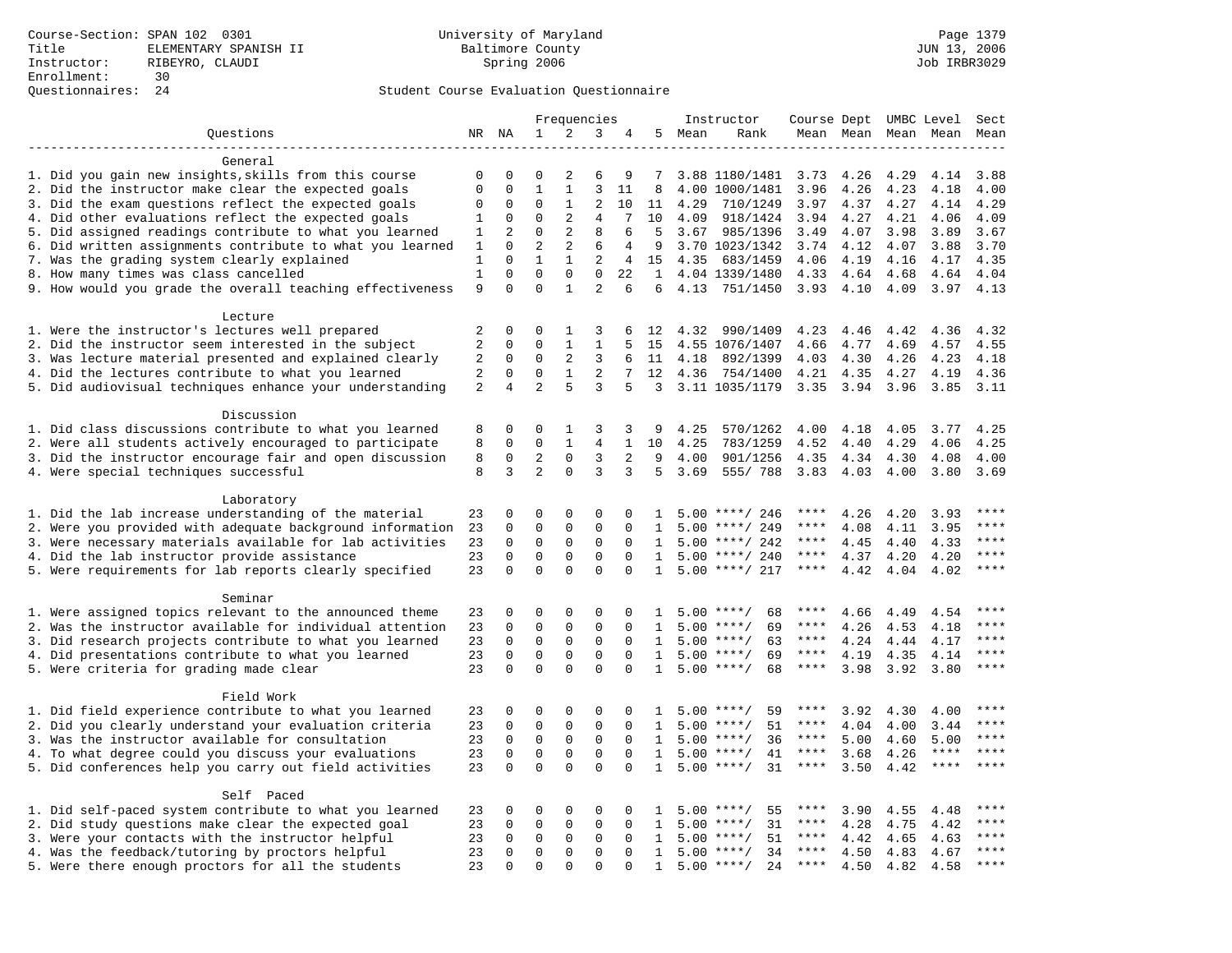|                                                           | Frequencies  |                         |                             |                             | Instructor       | Course Dept UMBC Level |                   |      |                                 | Sect         |              |              |              |         |
|-----------------------------------------------------------|--------------|-------------------------|-----------------------------|-----------------------------|------------------|------------------------|-------------------|------|---------------------------------|--------------|--------------|--------------|--------------|---------|
| Questions                                                 |              | NR NA                   | $\mathbf{1}$                | 2                           | 3                | 4                      | 5                 | Mean | Rank                            |              | Mean Mean    |              | Mean Mean    | Mean    |
|                                                           |              |                         |                             |                             |                  |                        |                   |      |                                 |              |              |              |              |         |
| General                                                   |              |                         |                             |                             |                  |                        |                   |      |                                 |              |              |              |              |         |
| 1. Did you gain new insights, skills from this course     | 0            | 0                       | $\Omega$                    | 2                           | 6                | 9                      | 7                 |      | 3.88 1180/1481                  | 3.73         | 4.26         | 4.29         | 4.14         | 3.88    |
| 2. Did the instructor make clear the expected goals       | $\mathbf{0}$ | $\mathbf 0$             | $\mathbf{1}$                | $\mathbf{1}$                | 3                | 11                     | 8                 |      | 4.00 1000/1481                  | 3.96         | 4.26         | 4.23         | 4.18         | 4.00    |
| 3. Did the exam questions reflect the expected goals      | $\mathbf 0$  | $\mathbf 0$             | $\Omega$                    | 1                           | 2                | 10                     | 11                | 4.29 | 710/1249                        | 3.97         | 4.37         | 4.27         | 4.14         | 4.29    |
| 4. Did other evaluations reflect the expected goals       | 1            | $\mathbf 0$             | $\mathbf 0$                 | 2                           | $\overline{4}$   | 7                      | 10                | 4.09 | 918/1424                        | 3.94         | 4.27         | 4.21         | 4.06         | 4.09    |
| 5. Did assigned readings contribute to what you learned   | 1            | 2                       | $\mathbf 0$                 | 2                           | 8                | 6                      | 5                 | 3.67 | 985/1396                        | 3.49         | 4.07         | 3.98         | 3.89         | 3.67    |
| 6. Did written assignments contribute to what you learned | 1            | $\Omega$                | $\overline{a}$              | 2                           | 6                | 4                      | 9                 |      | 3.70 1023/1342                  | 3.74         | 4.12         | 4.07         | 3.88         | 3.70    |
| 7. Was the grading system clearly explained               | 1            | $\Omega$<br>$\mathbf 0$ | $\mathbf{1}$<br>$\mathbf 0$ | $\mathbf{1}$<br>$\mathbf 0$ | 2<br>$\mathbf 0$ | $\overline{4}$         | 15                |      | 4.35 683/1459                   | 4.06         | 4.19         | 4.16         | 4.17         | 4.35    |
| 8. How many times was class cancelled                     | $1\,$<br>9   | $\Omega$                | $\Omega$                    | $\mathbf{1}$                | $\overline{2}$   | 22<br>6                | $\mathbf{1}$<br>6 |      | 4.04 1339/1480<br>4.13 751/1450 | 4.33<br>3.93 | 4.64<br>4.10 | 4.68<br>4.09 | 4.64<br>3.97 | 4.04    |
| 9. How would you grade the overall teaching effectiveness |              |                         |                             |                             |                  |                        |                   |      |                                 |              |              |              |              | 4.13    |
| Lecture                                                   |              |                         |                             |                             |                  |                        |                   |      |                                 |              |              |              |              |         |
| 1. Were the instructor's lectures well prepared           | 2            | $\mathbf 0$             | 0                           | 1                           | 3                | 6                      | 12                | 4.32 | 990/1409                        | 4.23         | 4.46         | 4.42         | 4.36         | 4.32    |
| 2. Did the instructor seem interested in the subject      | 2            | $\mathbf 0$             | $\Omega$                    | $\mathbf{1}$                | $\mathbf{1}$     | 5                      | 15                |      | 4.55 1076/1407                  | 4.66         | 4.77         | 4.69         | 4.57         | 4.55    |
| 3. Was lecture material presented and explained clearly   | 2            | $\mathbf 0$             | $\mathbf 0$                 | 2                           | 3                | 6                      | 11                | 4.18 | 892/1399                        | 4.03         | 4.30         | 4.26         | 4.23         | 4.18    |
| 4. Did the lectures contribute to what you learned        | 2            | $\Omega$                | $\Omega$                    | $\mathbf{1}$                | 2                | 7                      | 12                | 4.36 | 754/1400                        | 4.21         | 4.35         | 4.27         | 4.19         | 4.36    |
| 5. Did audiovisual techniques enhance your understanding  | 2            | $\overline{4}$          | $\overline{a}$              | 5                           | 3                | 5                      | $\mathcal{L}$     |      | 3.11 1035/1179                  | 3.35         | 3.94         | 3.96         | 3.85         | 3.11    |
|                                                           |              |                         |                             |                             |                  |                        |                   |      |                                 |              |              |              |              |         |
| Discussion                                                |              |                         |                             |                             |                  |                        |                   |      |                                 |              |              |              |              |         |
| 1. Did class discussions contribute to what you learned   | 8            | 0                       | 0                           | 1                           | 3                | 3                      | 9                 | 4.25 | 570/1262                        | 4.00         | 4.18         | 4.05         | 3.77         | 4.25    |
| 2. Were all students actively encouraged to participate   | 8            | $\mathbf 0$             | $\mathbf 0$                 | $\mathbf{1}$                | $\overline{4}$   | $\mathbf{1}$           | 10                | 4.25 | 783/1259                        | 4.52         | 4.40         | 4.29         | 4.06         | 4.25    |
| 3. Did the instructor encourage fair and open discussion  | 8            | 0                       | 2                           | $\mathbf 0$                 | 3                | 2                      | 9                 | 4.00 | 901/1256                        | 4.35         | 4.34         | 4.30         | 4.08         | 4.00    |
| 4. Were special techniques successful                     | 8            | 3                       | $\overline{2}$              | $\Omega$                    | 3                | 3                      | 5                 | 3.69 | 555/788                         | 3.83         | 4.03         | 4.00         | 3.80         | 3.69    |
|                                                           |              |                         |                             |                             |                  |                        |                   |      |                                 |              |              |              |              |         |
| Laboratory                                                |              |                         |                             |                             |                  |                        |                   |      |                                 |              |              |              |              |         |
| 1. Did the lab increase understanding of the material     | 23           | 0                       | 0                           | $\Omega$                    | $\Omega$         | $\Omega$               | $\mathbf{1}$      |      | $5.00$ ****/ 246                | ****         | 4.26         | 4.20         | 3.93         |         |
| 2. Were you provided with adequate background information | 23           | 0                       | 0                           | $\mathsf 0$                 | $\mathsf 0$      | 0                      | 1                 | 5.00 | ****/ 249                       | ****         | 4.08         | 4.11         | 3.95         | ****    |
| 3. Were necessary materials available for lab activities  | 23           | $\mathbf 0$             | $\mathbf 0$                 | $\mathbf 0$                 | $\mathbf 0$      | $\mathbf{0}$           | 1                 |      | $5.00$ ****/ 242                | $***$ * * *  | 4.45         | 4.40         | 4.33         | $***$   |
| 4. Did the lab instructor provide assistance              | 23           | $\Omega$                | $\mathbf 0$                 | $\mathbf{0}$                | $\mathbf 0$      | $\Omega$               | 1                 |      | $5.00$ ****/ 240                | ****         | 4.37         | 4.20         | 4.20         | $***$   |
| 5. Were requirements for lab reports clearly specified    | 23           | $\mathbf 0$             | $\Omega$                    | $\Omega$                    | $\Omega$         | $\Omega$               | $\mathbf{1}$      |      | $5.00$ ****/ 217                | ****         | 4.42         | 4.04         | 4.02         | ****    |
| Seminar                                                   |              |                         |                             |                             |                  |                        |                   |      |                                 |              |              |              |              |         |
| 1. Were assigned topics relevant to the announced theme   | 23           | $\mathbf 0$             | 0                           | $\Omega$                    | $\Omega$         | $\Omega$               | -1.               |      | $5.00$ ****/<br>68              | ****         | 4.66         | 4.49         | 4.54         | * * * * |
| 2. Was the instructor available for individual attention  | 23           | $\mathbf 0$             | $\mathbf 0$                 | $\mathbf 0$                 | $\mathbf{0}$     | $\Omega$               | $\mathbf{1}$      |      | $5.00$ ****/<br>69              | ****         | 4.26         | 4.53         | 4.18         | ****    |
| 3. Did research projects contribute to what you learned   | 23           | $\mathbf 0$             | $\mathbf 0$                 | $\mathsf 0$                 | $\mathbf 0$      | $\mathbf 0$            | $\mathbf{1}$      |      | $5.00$ ****/<br>63              | $***$ * *    | 4.24         | 4.44         | 4.17         | ****    |
| 4. Did presentations contribute to what you learned       | 23           | $\mathbf 0$             | $\mathbf 0$                 | $\mathbf 0$                 | $\mathbf 0$      | $\mathbf 0$            | 1                 |      | 69<br>$5.00$ ****/              | $***$ * * *  | 4.19         | 4.35         | 4.14         | $***$   |
| 5. Were criteria for grading made clear                   | 23           | $\Omega$                | $\Omega$                    | $\Omega$                    | $\Omega$         | $\Omega$               | $\mathbf{1}$      |      | $5.00$ ****/<br>68              | $***$ * * *  | 3.98         | 3.92         | 3.80         | ****    |
|                                                           |              |                         |                             |                             |                  |                        |                   |      |                                 |              |              |              |              |         |
| Field Work                                                |              |                         |                             |                             |                  |                        |                   |      |                                 |              |              |              |              |         |
| 1. Did field experience contribute to what you learned    | 23           | $\mathbf 0$             | 0                           | 0                           | 0                | 0                      | 1                 |      | 59<br>$5.00$ ****/              | ****         | 3.92         | 4.30         | 4.00         | ****    |
| 2. Did you clearly understand your evaluation criteria    | 23           | $\Omega$                | $\mathbf 0$                 | $\mathbf 0$                 | $\mathbf 0$      | $\Omega$               | $\mathbf{1}$      |      | 51<br>$5.00$ ****/              | ****         | 4.04         | 4.00         | 3.44         | ****    |
| 3. Was the instructor available for consultation          | 23           | $\mathbf 0$             | $\mathbf 0$                 | $\mathbf 0$                 | $\mathbf 0$      | $\Omega$               | 1                 |      | 36<br>$5.00$ ****/              | ****         | 5.00         | 4.60         | 5.00         | ****    |
| 4. To what degree could you discuss your evaluations      | 23           | $\mathbf 0$             | $\mathbf 0$                 | $\mathbf 0$                 | $\mathbf 0$      | $\Omega$               | $\mathbf{1}$      | 5.00 | $***/$<br>41                    | $***$ * * *  | 3.68         | 4.26         | $***$ * * *  | ****    |
| 5. Did conferences help you carry out field activities    |              | $\Omega$                | $\Omega$                    | $\Omega$                    | $\Omega$         | $\Omega$               | $\mathbf{1}$      |      | 31<br>$5.00$ ****/              | $***$ * *    | 3.50         | 4.42         | ****         | ****    |
|                                                           |              |                         |                             |                             |                  |                        |                   |      |                                 |              |              |              |              |         |
| Self Paced                                                |              |                         |                             |                             |                  |                        |                   |      |                                 |              |              |              |              |         |
| 1. Did self-paced system contribute to what you learned   | 23           | 0                       | 0                           | 0                           | 0                | 0                      | 1                 |      | $5.00$ ****/<br>55              | ****         | 3.90         | 4.55         | 4.48         | $***$   |
| 2. Did study questions make clear the expected goal       | 23           | $\mathbf 0$             | $\mathbf 0$                 | $\mathbf 0$                 | $\mathbf{0}$     | 0                      | 1                 | 5.00 | 31<br>$***$ /                   | ****         | 4.28         | 4.75         | 4.42         | $***$   |
| 3. Were your contacts with the instructor helpful         | 23           | $\Omega$                | $\mathbf 0$                 | $\mathbf 0$                 | $\Omega$         | $\Omega$               | 1                 | 5.00 | $***/$<br>51                    | $***$ * *    | 4.42         | 4.65         | 4.63         | ****    |
| 4. Was the feedback/tutoring by proctors helpful          | 23           | $\Omega$                | $\mathbf 0$                 | $\mathbf 0$                 | $\Omega$         | $\Omega$               | $\mathbf{1}$      |      | $5.00$ ****/<br>34              | ****         | 4.50         | 4.83         | 4.67         | $***$   |
| 5. Were there enough proctors for all the students        | 23           | $\Omega$                | $\Omega$                    | $\Omega$                    | $\Omega$         | $\Omega$               | $\mathbf{1}$      |      | $5.00$ ****/<br>24              | $***$ * *    | 4.50         | 4.82         | 4.58         | $***$   |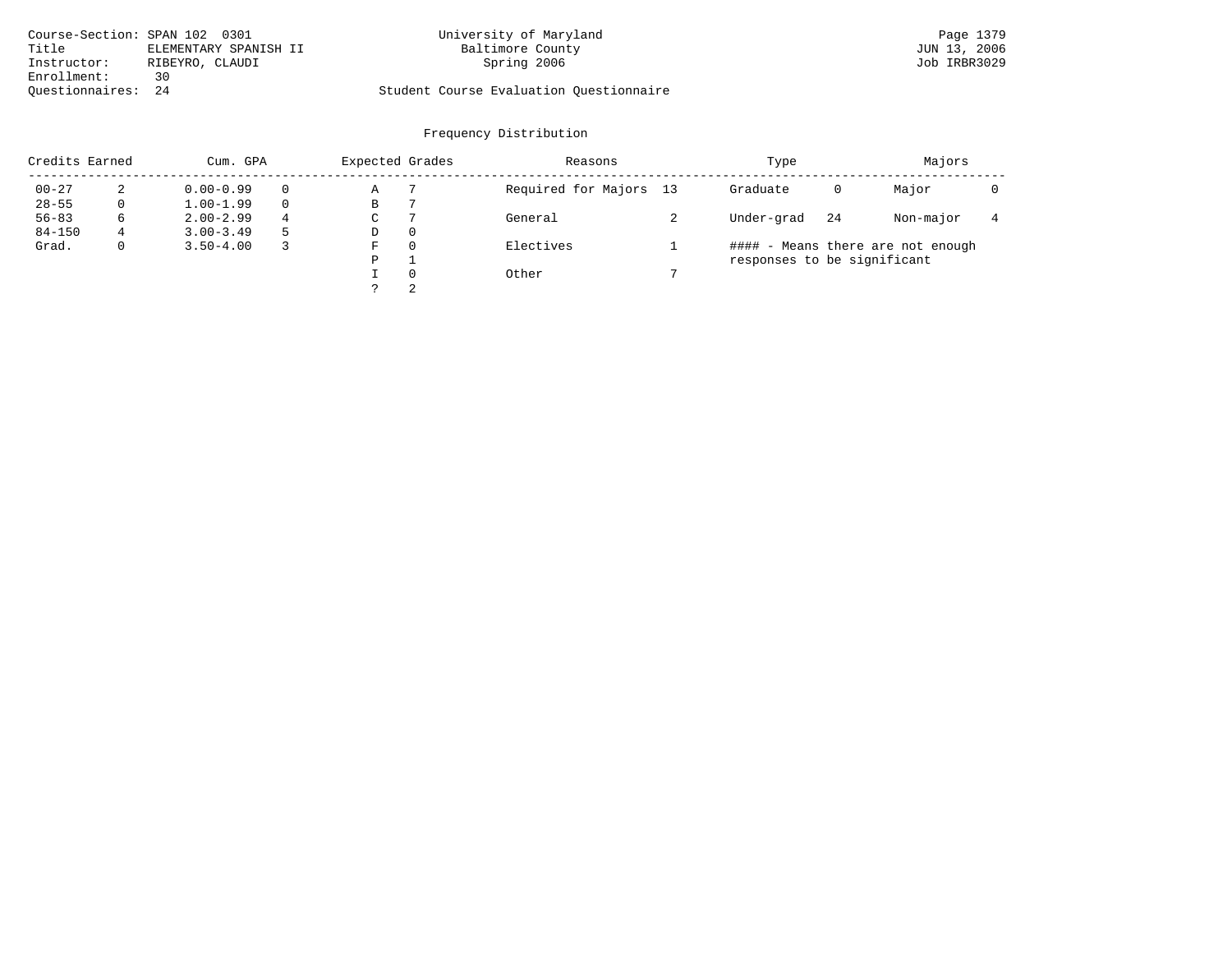| Course-Section: SPAN 102 0301 |                       | University of Maryland                  | Page 1379    |
|-------------------------------|-----------------------|-----------------------------------------|--------------|
| Title                         | ELEMENTARY SPANISH II | Baltimore County                        | JUN 13, 2006 |
| Instructor:                   | RIBEYRO, CLAUDI       | Spring 2006                             | Job IRBR3029 |
| Enrollment:                   | 30                    |                                         |              |
| Ouestionnaires: 24            |                       | Student Course Evaluation Questionnaire |              |

| Credits Earned |   | Cum. GPA      |    |             | Expected Grades | Reasons                | Type                        |    | Majors                            |  |
|----------------|---|---------------|----|-------------|-----------------|------------------------|-----------------------------|----|-----------------------------------|--|
| $00 - 27$      | 2 | $0.00 - 0.99$ |    | Α           |                 | Required for Majors 13 | Graduate                    | 0  | Major                             |  |
| $28 - 55$      | 0 | $1.00 - 1.99$ |    | В           |                 |                        |                             |    |                                   |  |
| $56 - 83$      | 6 | $2.00 - 2.99$ | 4  | $\sim$<br>◡ |                 | General                | Under-grad                  | 24 | Non-major                         |  |
| $84 - 150$     | 4 | $3.00 - 3.49$ | -5 | D           | 0               |                        |                             |    |                                   |  |
| Grad.          | 0 | $3.50 - 4.00$ |    | F           | 0               | Electives              |                             |    | #### - Means there are not enough |  |
|                |   |               |    | P           |                 |                        | responses to be significant |    |                                   |  |
|                |   |               |    |             | $\Omega$        | Other                  |                             |    |                                   |  |
|                |   |               |    | っ           | 2               |                        |                             |    |                                   |  |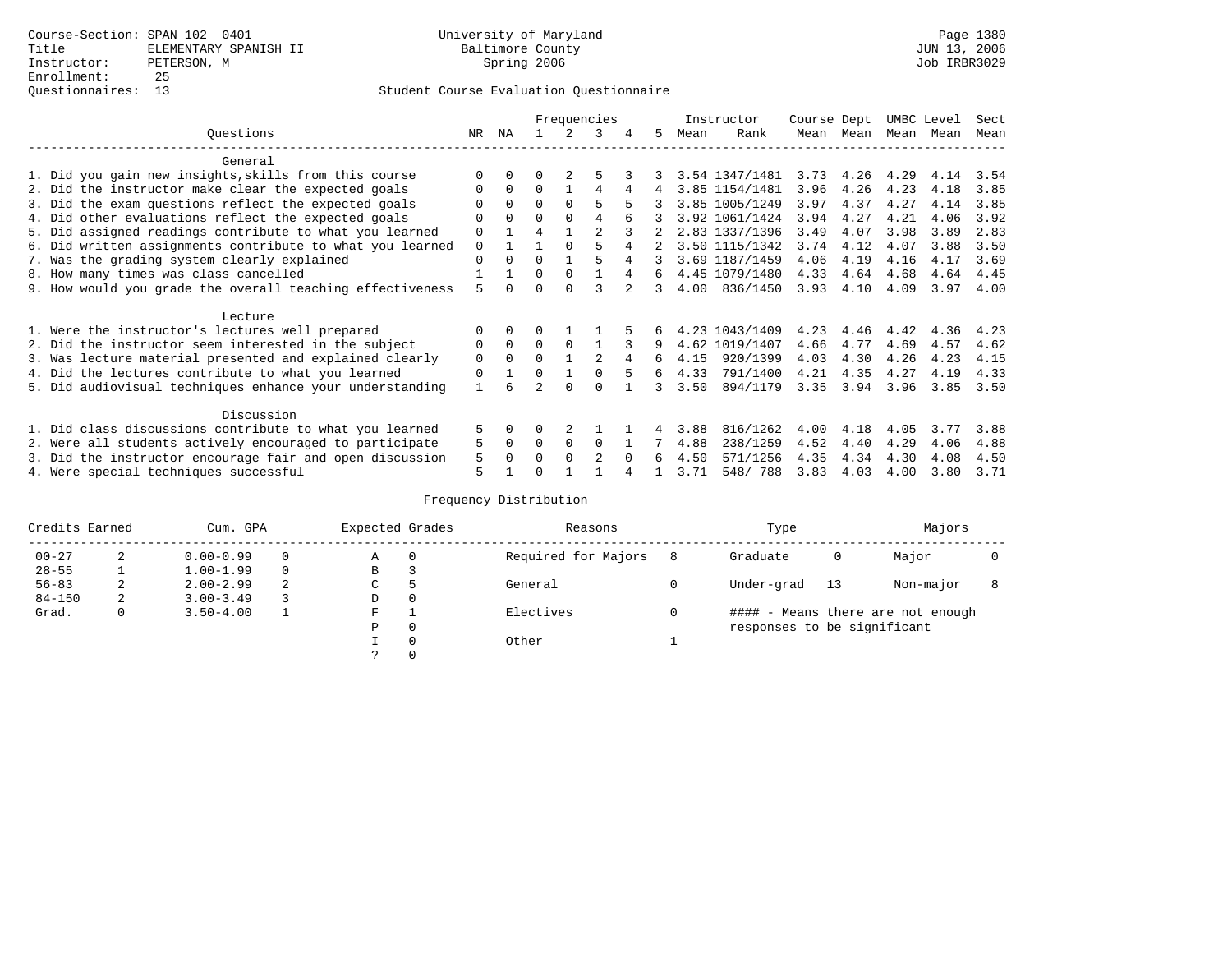|                                                           |                                                           |    |          |                |          | Frequencies    |   |    |      | Instructor     | Course Dept |             | UMBC Level |      | Sect |
|-----------------------------------------------------------|-----------------------------------------------------------|----|----------|----------------|----------|----------------|---|----|------|----------------|-------------|-------------|------------|------|------|
|                                                           | Ouestions                                                 | NR | ΝA       |                |          | 3              | 4 | 5  | Mean | Rank           | Mean        | Mean        | Mean       | Mean | Mean |
|                                                           | General                                                   |    |          |                |          |                |   |    |      |                |             |             |            |      |      |
|                                                           | 1. Did you gain new insights, skills from this course     |    | 0        |                |          |                |   |    |      | 3.54 1347/1481 |             | $3.73$ 4.26 | 4.29       | 4.14 | 3.54 |
|                                                           | 2. Did the instructor make clear the expected goals       |    | $\Omega$ | $\Omega$       |          | 4              | 4 | 4  |      | 3.85 1154/1481 | 3.96        | 4.26        | 4.23       | 4.18 | 3.85 |
|                                                           | 3. Did the exam questions reflect the expected goals      |    | $\Omega$ | $\Omega$       | $\Omega$ | 5              |   |    |      | 3.85 1005/1249 | 3.97        | 4.37        | 4.27       | 4.14 | 3.85 |
|                                                           | 4. Did other evaluations reflect the expected goals       | O  | $\Omega$ | O              | $\Omega$ | 4              |   |    |      | 3.92 1061/1424 | 3.94        | 4.27        | 4.21       | 4.06 | 3.92 |
|                                                           | 5. Did assigned readings contribute to what you learned   | 0  |          |                |          | $\mathfrak{D}$ |   |    |      | 2.83 1337/1396 | 3.49        | 4.07        | 3.98       | 3.89 | 2.83 |
|                                                           | 6. Did written assignments contribute to what you learned |    |          |                |          |                |   |    |      | 3.50 1115/1342 | 3.74        | 4.12        | 4.07       | 3.88 | 3.50 |
|                                                           | 7. Was the grading system clearly explained               |    |          |                |          |                | 4 |    |      | 3.69 1187/1459 | 4.06        | 4.19        | 4.16       | 4.17 | 3.69 |
|                                                           | 8. How many times was class cancelled                     |    |          | 0              | $\Omega$ |                |   | 6  |      | 4.45 1079/1480 | 4.33        | 4.64        | 4.68       | 4.64 | 4.45 |
| 9. How would you grade the overall teaching effectiveness |                                                           |    |          |                |          |                |   | 3  | 4.00 | 836/1450       | 3.93        | 4.10        | 4.09       | 3.97 | 4.00 |
|                                                           | Lecture                                                   |    |          |                |          |                |   |    |      |                |             |             |            |      |      |
|                                                           | 1. Were the instructor's lectures well prepared           |    |          |                |          |                |   |    |      | 4.23 1043/1409 | 4.23        | 4.46        | 4.42       | 4.36 | 4.23 |
|                                                           | 2. Did the instructor seem interested in the subject      | 0  | $\Omega$ | $\Omega$       | $\Omega$ |                |   | 9  |      | 4.62 1019/1407 | 4.66        | 4.77        | 4.69       | 4.57 | 4.62 |
|                                                           |                                                           |    | $\Omega$ | O              |          | $\mathfrak{D}$ |   | 6  | 4.15 | 920/1399       | 4.03        | 4.30        | 4.26       | 4.23 | 4.15 |
|                                                           | 3. Was lecture material presented and explained clearly   | 0  |          | O              |          |                |   | б. |      |                |             |             |            |      |      |
|                                                           | 4. Did the lectures contribute to what you learned        | 0  |          |                |          |                |   |    | 4.33 | 791/1400       | 4.21        | 4.35        | 4.27       | 4.19 | 4.33 |
|                                                           | 5. Did audiovisual techniques enhance your understanding  |    |          | $\mathfrak{D}$ |          |                |   |    | 3.50 | 894/1179       | 3.35        | 3.94        | 3.96       | 3.85 | 3.50 |
|                                                           | Discussion                                                |    |          |                |          |                |   |    |      |                |             |             |            |      |      |
|                                                           | 1. Did class discussions contribute to what you learned   | 5. | $\Omega$ | U              |          |                |   |    | 3.88 | 816/1262       | 4.00        | 4.18        | 4.05       | 3.77 | 3.88 |
|                                                           | 2. Were all students actively encouraged to participate   | 5  | 0        | 0              | $\Omega$ | $\Omega$       |   |    | 4.88 | 238/1259       | 4.52        | 4.40        | 4.29       | 4.06 | 4.88 |
|                                                           | 3. Did the instructor encourage fair and open discussion  |    |          |                | $\Omega$ | 2              |   | б. | 4.50 | 571/1256       | 4.35        | 4.34        | 4.30       | 4.08 | 4.50 |
|                                                           | 4. Were special techniques successful                     | 5  |          |                |          |                |   |    | 3.71 | 548/788        | 3.83        | 4.03        | 4.00       | 3.80 | 3.71 |

|            | Credits Earned |               | Cum. GPA |   |          | Expected Grades     |   | Reasons                     |    | Type                              |  | Majors |  |
|------------|----------------|---------------|----------|---|----------|---------------------|---|-----------------------------|----|-----------------------------------|--|--------|--|
| $00 - 27$  | 2              | $0.00 - 0.99$ |          | Α | $\Omega$ | Required for Majors | 8 | Graduate                    | 0  | Major                             |  |        |  |
| $28 - 55$  |                | $1.00 - 1.99$ |          | B | 3        |                     |   |                             |    |                                   |  |        |  |
| $56 - 83$  | 2              | $2.00 - 2.99$ | 2        | C | 5        | General             |   | Under-grad                  | 13 | Non-major                         |  |        |  |
| $84 - 150$ | 2              | $3.00 - 3.49$ |          | D | 0        |                     |   |                             |    |                                   |  |        |  |
| Grad.      | 0              | $3.50 - 4.00$ |          | F |          | Electives           |   |                             |    | #### - Means there are not enough |  |        |  |
|            |                |               |          | Ρ | 0        |                     |   | responses to be significant |    |                                   |  |        |  |
|            |                |               |          |   | $\Omega$ | Other               |   |                             |    |                                   |  |        |  |
|            |                |               |          |   |          |                     |   |                             |    |                                   |  |        |  |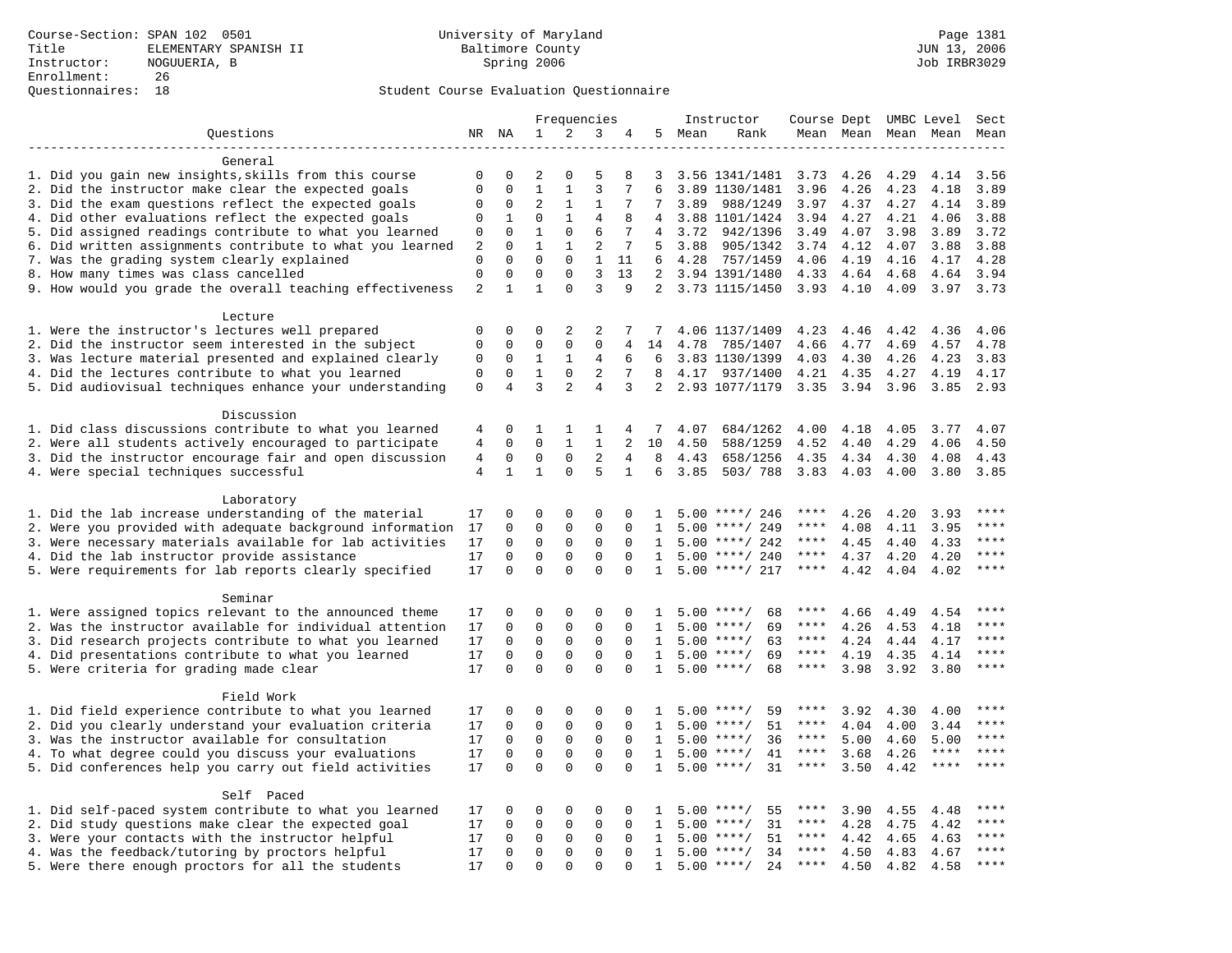|                                                                                                                     | Frequencies                 |                          |                          |                          | Instructor          | Course Dept UMBC Level |              |      |                                          | Sect         |              |              |              |              |
|---------------------------------------------------------------------------------------------------------------------|-----------------------------|--------------------------|--------------------------|--------------------------|---------------------|------------------------|--------------|------|------------------------------------------|--------------|--------------|--------------|--------------|--------------|
| Questions                                                                                                           |                             | NR NA                    | $\mathbf{1}$             | 2                        | 3                   | 4                      | 5            | Mean | Rank                                     |              | Mean Mean    |              | Mean Mean    | Mean         |
|                                                                                                                     |                             |                          |                          |                          |                     |                        |              |      |                                          |              |              |              |              |              |
| General                                                                                                             |                             |                          |                          |                          |                     |                        |              |      |                                          |              |              |              |              |              |
| 1. Did you gain new insights, skills from this course                                                               | 0                           | 0                        | 2                        | $\Omega$                 | 5                   | 8                      | 3            |      | 3.56 1341/1481                           | 3.73         | 4.26         | 4.29         | 4.14         | 3.56         |
| 2. Did the instructor make clear the expected goals                                                                 | $\mathbf{0}$                | $\mathbf 0$              | $\mathbf{1}$             | $\mathbf{1}$             | $\overline{3}$      | 7                      | 6            |      | 3.89 1130/1481                           | 3.96         | 4.26         | 4.23         | 4.18         | 3.89         |
| 3. Did the exam questions reflect the expected goals                                                                | 0                           | $\mathbf 0$              | $\overline{2}$           | 1                        | 1                   | 7                      | 7            | 3.89 | 988/1249                                 | 3.97         | 4.37         | 4.27         | 4.14         | 3.89         |
| 4. Did other evaluations reflect the expected goals                                                                 | $\mathbf 0$                 | 1                        | $\Omega$                 | $\mathbf{1}$             | $\overline{4}$      | 8                      | 4            |      | 3.88 1101/1424                           | 3.94         | 4.27         | 4.21         | 4.06         | 3.88         |
| 5. Did assigned readings contribute to what you learned                                                             | $\mathbf 0$                 | $\mathbf{0}$             | $\mathbf{1}$             | $\mathbf 0$              | 6                   | 7                      | 4            | 3.72 | 942/1396                                 | 3.49         | 4.07         | 3.98         | 3.89         | 3.72         |
| 6. Did written assignments contribute to what you learned                                                           | 2                           | $\mathbf 0$              | $\mathbf{1}$<br>$\Omega$ | $\mathbf{1}$<br>$\Omega$ | 2                   | 7                      | 5            | 3.88 | 905/1342                                 | 3.74         | 4.12         | 4.07         | 3.88         | 3.88         |
| 7. Was the grading system clearly explained                                                                         | $\mathbf 0$<br>$\mathbf{0}$ | $\Omega$<br>$\mathbf{0}$ | $\mathbf 0$              | $\mathbf 0$              | 1<br>$\overline{3}$ | 11<br>13               | 6            | 4.28 | 757/1459                                 | 4.06         | 4.19         | 4.16         | 4.17         | 4.28         |
| 8. How many times was class cancelled<br>9. How would you grade the overall teaching effectiveness                  | 2                           | $\mathbf{1}$             | $\mathbf{1}$             | $\Omega$                 | 3                   | 9                      | 2            |      | 3.94 1391/1480<br>2 3.73 1115/1450       | 4.33<br>3.93 | 4.64<br>4.10 | 4.68<br>4.09 | 4.64<br>3.97 | 3.94<br>3.73 |
|                                                                                                                     |                             |                          |                          |                          |                     |                        |              |      |                                          |              |              |              |              |              |
| Lecture                                                                                                             |                             |                          |                          |                          |                     |                        |              |      |                                          |              |              |              |              |              |
| 1. Were the instructor's lectures well prepared                                                                     | $\mathbf 0$                 | $\mathbf 0$              | $\mathbf 0$              | 2                        | 2                   | 7                      |              |      | 4.06 1137/1409                           | 4.23         | 4.46         | 4.42         | 4.36         | 4.06         |
| 2. Did the instructor seem interested in the subject                                                                | $\mathbf{0}$                | $\mathbf 0$              | $\mathbf 0$              | $\mathbf 0$              | $\mathbf{0}$        | 4                      | 14           | 4.78 | 785/1407                                 | 4.66         | 4.77         | 4.69         | 4.57         | 4.78         |
| 3. Was lecture material presented and explained clearly                                                             | 0                           | 0                        | 1                        | 1                        | 4                   | 6                      | 6            |      | 3.83 1130/1399                           | 4.03         | 4.30         | 4.26         | 4.23         | 3.83         |
| 4. Did the lectures contribute to what you learned                                                                  | $\mathbf 0$                 | $\mathbf 0$              | $\mathbf{1}$             | $\mathbf 0$              | 2                   | 7                      | 8            |      | 4.17 937/1400                            | 4.21         | 4.35         | 4.27         | 4.19         | 4.17         |
| 5. Did audiovisual techniques enhance your understanding                                                            | $\mathbf 0$                 | $\overline{4}$           | 3                        | $\overline{a}$           | $\overline{4}$      | 3                      | 2            |      | 2.93 1077/1179                           | 3.35         | 3.94         | 3.96         | 3.85         | 2.93         |
|                                                                                                                     |                             |                          |                          |                          |                     |                        |              |      |                                          |              |              |              |              |              |
| Discussion                                                                                                          |                             |                          |                          |                          |                     |                        |              |      |                                          |              |              |              |              |              |
| 1. Did class discussions contribute to what you learned                                                             | 4                           | $\mathbf 0$              | 1                        | 1                        | 1                   | 4                      | 7            | 4.07 | 684/1262                                 | 4.00         | 4.18         | 4.05         | 3.77         | 4.07         |
| 2. Were all students actively encouraged to participate                                                             | $\overline{4}$              | $\mathbf 0$              | $\mathbf 0$              | $\mathbf{1}$             | $\mathbf{1}$        | $\overline{a}$         | 10           | 4.50 | 588/1259                                 | 4.52         | 4.40         | 4.29         | 4.06         | 4.50         |
| 3. Did the instructor encourage fair and open discussion                                                            | $\overline{4}$              | 0                        | $\mathbf 0$              | $\mathbf 0$              | $\overline{2}$      | 4                      | 8            | 4.43 | 658/1256                                 | 4.35         | 4.34         | 4.30         | 4.08         | 4.43         |
| 4. Were special techniques successful                                                                               | $\overline{4}$              | $\mathbf{1}$             | $\mathbf{1}$             | $\Omega$                 | 5                   | $\mathbf{1}$           | 6            | 3.85 | 503/788                                  | 3.83         | 4.03         | 4.00         | 3.80         | 3.85         |
|                                                                                                                     |                             |                          |                          |                          |                     |                        |              |      |                                          |              |              |              |              |              |
| Laboratory                                                                                                          |                             |                          |                          |                          |                     |                        |              |      |                                          |              |              |              |              |              |
| 1. Did the lab increase understanding of the material                                                               | 17                          | $\Omega$                 | 0                        | $\Omega$                 | 0                   | $\Omega$               | $\mathbf{1}$ |      | $5.00$ ****/ 246                         |              | 4.26         | 4.20         | 3.93         | $***$        |
| 2. Were you provided with adequate background information                                                           | 17                          | $\mathbf 0$              | $\mathbf 0$              | $\mathbf 0$              | $\mathbf 0$         | $\mathbf 0$            | 1            |      | $5.00$ ****/ 249                         | ****         | 4.08         | 4.11         | 3.95         | ****         |
| 3. Were necessary materials available for lab activities                                                            | 17                          | $\mathbf 0$              | $\mathbf 0$              | $\mathbf 0$              | $\mathbf 0$         | $\Omega$               | 1            |      | $5.00$ ****/ 242                         | $***$ * * *  | 4.45         | 4.40         | 4.33         | $***$ * * *  |
| 4. Did the lab instructor provide assistance                                                                        | 17                          | $\mathbf 0$              | $\mathbf 0$              | $\mathbf{0}$             | $\mathbf 0$         | $\Omega$               | $\mathbf{1}$ |      | $5.00$ ****/ 240                         | ****         | 4.37         | 4.20         | 4.20         | $***$ *      |
| 5. Were requirements for lab reports clearly specified                                                              | 17                          | $\Omega$                 | $\Omega$                 | $\Omega$                 | $\Omega$            | $\Omega$               | 1            |      | $5.00$ ****/ 217                         | ****         | 4.42         | 4.04         | 4.02         | ****         |
|                                                                                                                     |                             |                          |                          |                          |                     |                        |              |      |                                          |              |              |              |              |              |
| Seminar                                                                                                             |                             |                          | 0                        | $\mathsf 0$              | $\Omega$            | $\Omega$               |              |      |                                          | ****         |              |              |              | ****         |
| 1. Were assigned topics relevant to the announced theme<br>2. Was the instructor available for individual attention | 17<br>17                    | 0<br>$\mathbf 0$         | 0                        | $\mathsf 0$              | $\mathbf 0$         | 0                      | 1            |      | $5.00$ ****/<br>68<br>$5.00$ ****/<br>69 | $***$ * *    | 4.66<br>4.26 | 4.49<br>4.53 | 4.54<br>4.18 | ****         |
| 3. Did research projects contribute to what you learned                                                             | 17                          | $\mathbf 0$              | $\mathbf 0$              | $\mathsf 0$              | $\mathbf 0$         | $\mathbf 0$            | 1            |      | $5.00$ ****/<br>63                       | ****         | 4.24         | 4.44         | 4.17         | ****         |
| 4. Did presentations contribute to what you learned                                                                 | 17                          | $\Omega$                 | $\mathbf 0$              | $\mathbf 0$              | 0                   | $\Omega$               | 1            | 5.00 | $***$ /<br>69                            | $***$ * *    | 4.19         | 4.35         | 4.14         | $***$ * * *  |
| 5. Were criteria for grading made clear                                                                             | 17                          | $\mathbf 0$              | $\Omega$                 | $\Omega$                 | $\Omega$            | $\Omega$               | $\mathbf{1}$ |      | $5.00$ ****/<br>68                       | $***$ * * *  | 3.98         | 3.92         | 3.80         | ****         |
|                                                                                                                     |                             |                          |                          |                          |                     |                        |              |      |                                          |              |              |              |              |              |
| Field Work                                                                                                          |                             |                          |                          |                          |                     |                        |              |      |                                          |              |              |              |              |              |
| 1. Did field experience contribute to what you learned                                                              | 17                          | $\Omega$                 | $\Omega$                 | $\Omega$                 | $\Omega$            | $\Omega$               | 1            |      | $5.00$ ****/<br>59                       | ****         | 3.92         | 4.30         | 4.00         | ****         |
| 2. Did you clearly understand your evaluation criteria                                                              | 17                          | $\mathbf 0$              | $\mathbf 0$              | $\mathbf 0$              | $\mathbf 0$         | $\mathbf 0$            | 1            | 5.00 | 51<br>$***/$                             | ****         | 4.04         | 4.00         | 3.44         | $***$        |
| 3. Was the instructor available for consultation                                                                    | 17                          | $\mathbf 0$              | $\mathbf 0$              | 0                        | 0                   | $\mathbf 0$            | 1            |      | $5.00$ ****/<br>36                       | ****         | 5.00         | 4.60         | 5.00         | ****         |
| 4. To what degree could you discuss your evaluations                                                                | 17                          | $\mathbf 0$              | $\mathbf 0$              | $\mathbf{0}$             | $\mathbf 0$         | $\Omega$               | 1            |      | $5.00$ ****/<br>41                       | $***$ * *    | 3.68         | 4.26         | $***$ * * *  | $***$        |
| 5. Did conferences help you carry out field activities                                                              |                             | $\Omega$                 | $\Omega$                 | $\Omega$                 | $\Omega$            | $\Omega$               | $\mathbf{1}$ | 5.00 | 31<br>$***/$                             | $***$ * *    | 3.50         | 4.42         | $***$ * * *  | ****         |
|                                                                                                                     |                             |                          |                          |                          |                     |                        |              |      |                                          |              |              |              |              |              |
| Self Paced                                                                                                          |                             |                          |                          |                          |                     |                        |              |      |                                          |              |              |              |              |              |
| 1. Did self-paced system contribute to what you learned                                                             | 17                          | 0                        | 0                        | $\mathsf 0$              | 0                   | $\Omega$               | $\mathbf{1}$ |      | 55<br>$5.00$ ****/                       | ****         | 3.90         | 4.55         | 4.48         | $***$ * * *  |
| 2. Did study questions make clear the expected goal                                                                 | 17                          | $\mathbf 0$              | $\mathbf 0$              | $\mathbf 0$              | $\mathbf 0$         | $\mathbf 0$            | 1            | 5.00 | $***/$<br>31                             | $***$ * *    | 4.28         | 4.75         | 4.42         | ****         |
| 3. Were your contacts with the instructor helpful                                                                   | 17                          | $\mathbf 0$              | $\mathbf 0$              | $\mathbf 0$              | 0                   | $\Omega$               | 1            | 5.00 | 51<br>$***/$                             | ****         | 4.42         | 4.65         | 4.63         | ****         |
| 4. Was the feedback/tutoring by proctors helpful                                                                    | 17                          | $\mathbf 0$              | $\mathbf 0$              | $\mathbf 0$              | $\mathbf 0$         | $\Omega$               | 1            | 5.00 | $***/$<br>34                             | ****         | 4.50         | 4.83         | 4.67         | ****         |
| 5. Were there enough proctors for all the students                                                                  | 17                          | $\Omega$                 | $\Omega$                 | $\Omega$                 | $\Omega$            |                        | $\mathbf{1}$ |      | $5.00$ ****/<br>24                       | $***$ * * *  | 4.50         | 4.82         | 4.58         | ****         |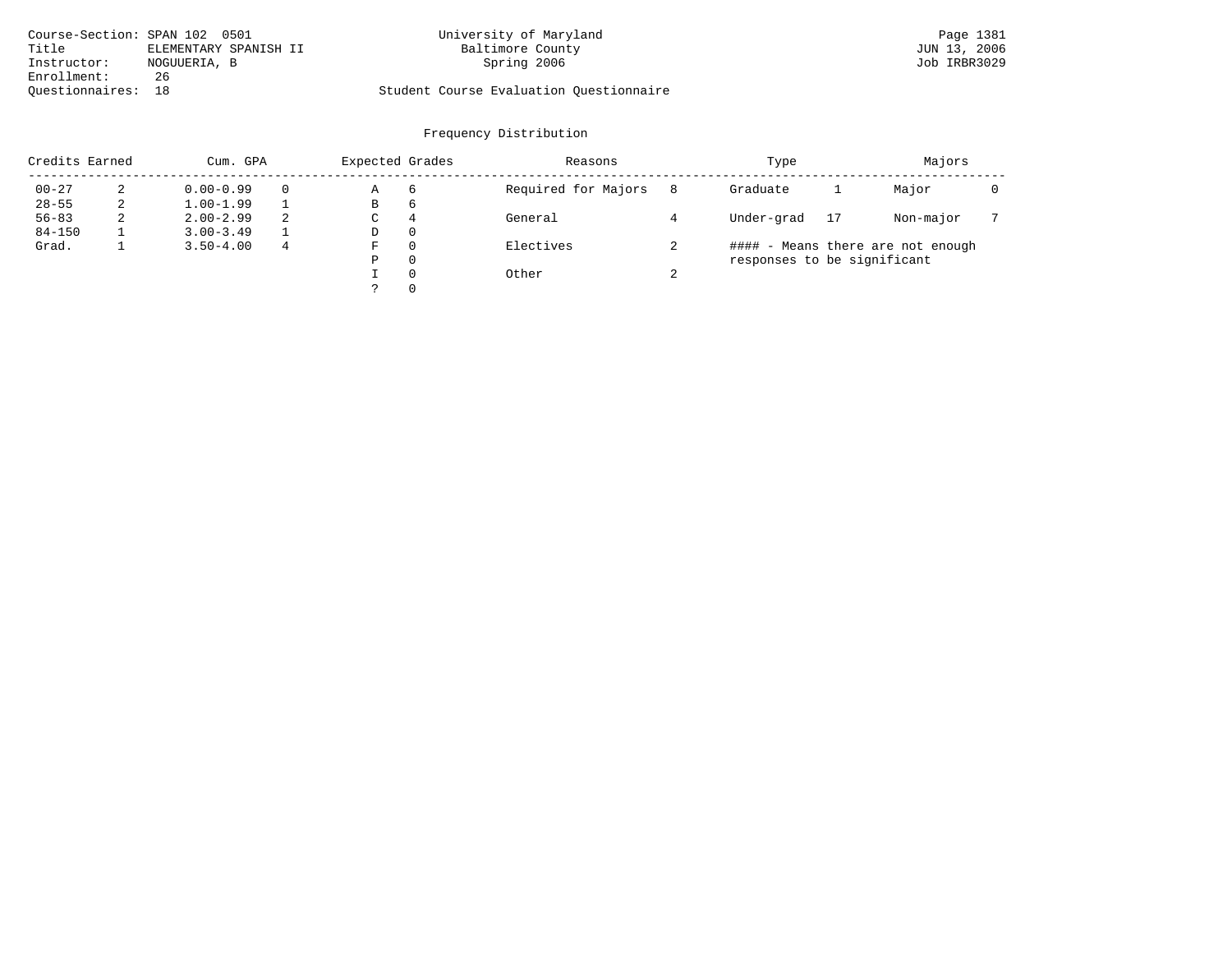| Course-Section: SPAN 102 0501 |                       | University of Maryland                  | Page 1381    |
|-------------------------------|-----------------------|-----------------------------------------|--------------|
| Title                         | ELEMENTARY SPANISH II | Baltimore County                        | JUN 13, 2006 |
| Instructor:                   | NOGUUERIA, B          | Spring 2006                             | Job IRBR3029 |
| Enrollment:                   | 26                    |                                         |              |
| Ouestionnaires: 18            |                       | Student Course Evaluation Ouestionnaire |              |

| Credits Earned |   | Cum. GPA      |          |   | Expected Grades | Reasons             |        | Type                        |    | Majors                            |  |
|----------------|---|---------------|----------|---|-----------------|---------------------|--------|-----------------------------|----|-----------------------------------|--|
| $00 - 27$      |   | $0.00 - 0.99$ | $\Omega$ | Α | 6               | Required for Majors | 8      | Graduate                    |    | Major                             |  |
| $28 - 55$      |   | $1.00 - 1.99$ |          | В | 6               |                     |        |                             |    |                                   |  |
| $56 - 83$      | ∠ | $2.00 - 2.99$ | 2        | C | $\overline{4}$  | General             |        | Under-grad                  | 17 | Non-major                         |  |
| $84 - 150$     |   | $3.00 - 3.49$ |          | D | $\Omega$        |                     |        |                             |    |                                   |  |
| Grad.          |   | $3.50 - 4.00$ | 4        | F | $\Omega$        | Electives           |        |                             |    | #### - Means there are not enough |  |
|                |   |               |          | Ρ | 0               |                     |        | responses to be significant |    |                                   |  |
|                |   |               |          |   | $\Omega$        | Other               | $\sim$ |                             |    |                                   |  |
|                |   |               |          |   | $\Omega$        |                     |        |                             |    |                                   |  |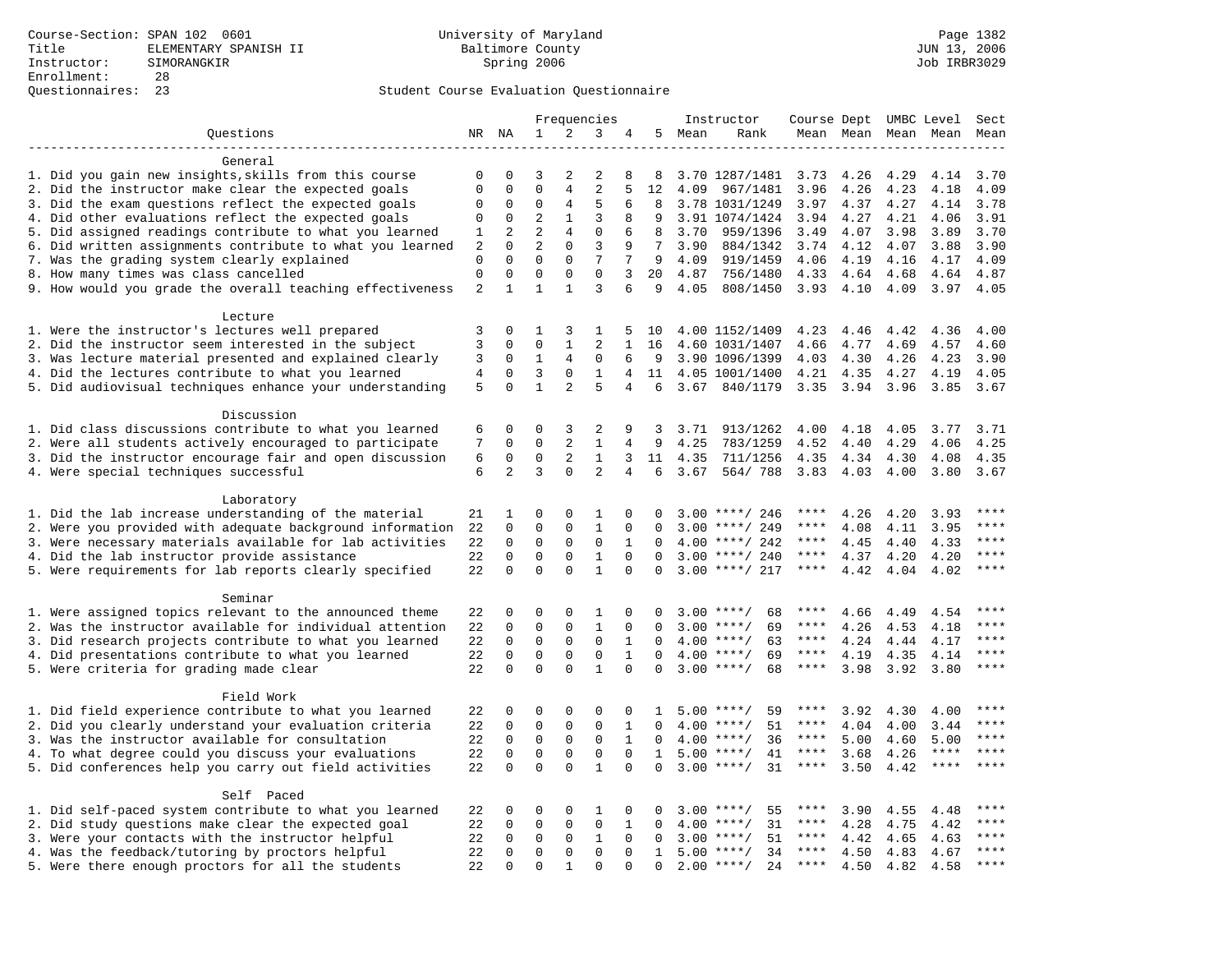|                                                           | Frequencies             |                         |                         |                         | Instructor       | Course Dept UMBC Level |              |              |                      | Sect         |              |              |              |              |
|-----------------------------------------------------------|-------------------------|-------------------------|-------------------------|-------------------------|------------------|------------------------|--------------|--------------|----------------------|--------------|--------------|--------------|--------------|--------------|
| Questions                                                 |                         | NR NA                   | $\mathbf{1}$            | 2                       | 3                | 4                      | 5            | Mean         | Rank                 |              | Mean Mean    |              | Mean Mean    | Mean         |
|                                                           |                         |                         |                         |                         |                  |                        |              |              |                      |              |              |              |              |              |
| General                                                   |                         |                         |                         |                         |                  |                        |              |              |                      |              |              |              |              |              |
| 1. Did you gain new insights, skills from this course     | 0                       | 0                       | 3                       | 2                       | 2                | 8                      | 8            |              | 3.70 1287/1481       | 3.73         | 4.26         | 4.29         | 4.14         | 3.70         |
| 2. Did the instructor make clear the expected goals       | $\mathbf{0}$            | $\mathbf 0$             | $\mathbf 0$             | 4                       | $\overline{2}$   | 5                      | 12           | 4.09         | 967/1481             | 3.96         | 4.26         | 4.23         | 4.18         | 4.09         |
| 3. Did the exam questions reflect the expected goals      | 0                       | $\mathbf 0$             | 0                       | 4                       | 5                | 6                      | 8            |              | 3.78 1031/1249       | 3.97         | 4.37         | 4.27         | 4.14         | 3.78         |
| 4. Did other evaluations reflect the expected goals       | $\mathbf 0$             | $\mathbf 0$             | 2                       | $\mathbf{1}$            | 3                | 8                      | 9            |              | 3.91 1074/1424       | 3.94         | 4.27         | 4.21         | 4.06         | 3.91         |
| 5. Did assigned readings contribute to what you learned   | 1                       | 2                       | $\overline{2}$          | 4                       | $\mathbf{0}$     | 6                      | 8            | 3.70         | 959/1396             | 3.49         | 4.07         | 3.98         | 3.89         | 3.70         |
| 6. Did written assignments contribute to what you learned | 2                       | $\Omega$                | $\overline{a}$          | $\Omega$                | 3                | 9                      | 7            | 3.90         | 884/1342             | 3.74         | 4.12         | 4.07         | 3.88         | 3.90         |
| 7. Was the grading system clearly explained               | $\Omega$<br>$\mathbf 0$ | $\Omega$<br>$\mathbf 0$ | $\Omega$<br>$\mathbf 0$ | $\Omega$<br>$\mathbf 0$ | 7<br>$\mathbf 0$ | 7<br>3                 | 9<br>20      | 4.09         | 919/1459             | 4.06         | 4.19         | 4.16         | 4.17         | 4.09         |
| 8. How many times was class cancelled                     | $\overline{2}$          | $\mathbf{1}$            | $\mathbf{1}$            | $\mathbf{1}$            | $\overline{3}$   | 6                      | 9            | 4.87<br>4.05 | 756/1480<br>808/1450 | 4.33<br>3.93 | 4.64<br>4.10 | 4.68<br>4.09 | 4.64<br>3.97 | 4.87<br>4.05 |
| 9. How would you grade the overall teaching effectiveness |                         |                         |                         |                         |                  |                        |              |              |                      |              |              |              |              |              |
| Lecture                                                   |                         |                         |                         |                         |                  |                        |              |              |                      |              |              |              |              |              |
| 1. Were the instructor's lectures well prepared           | 3                       | $\mathbf 0$             | 1                       | 3                       | 1                | 5                      | 10           |              | 4.00 1152/1409       | 4.23         | 4.46         | 4.42         | 4.36         | 4.00         |
| 2. Did the instructor seem interested in the subject      | 3                       | $\mathbf 0$             | $\Omega$                | $\mathbf{1}$            | 2                | $\mathbf{1}$           | 16           |              | 4.60 1031/1407       | 4.66         | 4.77         | 4.69         | 4.57         | 4.60         |
| 3. Was lecture material presented and explained clearly   | 3                       | $\mathbf 0$             | $\mathbf{1}$            | 4                       | $\mathbf{0}$     | 6                      | 9            |              | 3.90 1096/1399       | 4.03         | 4.30         | 4.26         | 4.23         | 3.90         |
| 4. Did the lectures contribute to what you learned        | $\overline{4}$          | $\Omega$                | $\overline{3}$          | $\Omega$                | $\mathbf{1}$     | $\overline{4}$         | 11           |              | 4.05 1001/1400       | 4.21         | 4.35         | 4.27         | 4.19         | 4.05         |
| 5. Did audiovisual techniques enhance your understanding  | 5                       | $\Omega$                | $\mathbf{1}$            | $\overline{a}$          | 5                | 4                      | 6            | 3.67         | 840/1179             | 3.35         | 3.94         | 3.96         | 3.85         | 3.67         |
|                                                           |                         |                         |                         |                         |                  |                        |              |              |                      |              |              |              |              |              |
| Discussion                                                |                         |                         |                         |                         |                  |                        |              |              |                      |              |              |              |              |              |
| 1. Did class discussions contribute to what you learned   | 6                       | 0                       | 0                       | 3                       | 2                | 9                      | 3            | 3.71         | 913/1262             | 4.00         | 4.18         | 4.05         | 3.77         | 3.71         |
| 2. Were all students actively encouraged to participate   | 7                       | $\mathbf 0$             | $\mathbf 0$             | 2                       | $\mathbf{1}$     | 4                      | 9            | 4.25         | 783/1259             | 4.52         | 4.40         | 4.29         | 4.06         | 4.25         |
| 3. Did the instructor encourage fair and open discussion  | 6                       | $\mathbf 0$             | 0                       | 2                       | $\mathbf{1}$     | 3                      | 11           | 4.35         | 711/1256             | 4.35         | 4.34         | 4.30         | 4.08         | 4.35         |
| 4. Were special techniques successful                     | 6                       | $\overline{2}$          | 3                       | $\Omega$                | $\overline{2}$   | 4                      | 6            | 3.67         | 564/788              | 3.83         | 4.03         | 4.00         | 3.80         | 3.67         |
|                                                           |                         |                         |                         |                         |                  |                        |              |              |                      |              |              |              |              |              |
| Laboratory                                                |                         |                         |                         |                         |                  |                        |              |              |                      |              |              |              |              |              |
| 1. Did the lab increase understanding of the material     | 21                      | 1                       | 0                       | $\Omega$                | 1                | $\Omega$               | $\Omega$     |              | $3.00$ ****/ 246     | ****         | 4.26         | 4.20         | 3.93         |              |
| 2. Were you provided with adequate background information | 22                      | $\mathbf 0$             | 0                       | $\mathbf{0}$            | $\mathbf{1}$     | 0                      | $\mathbf 0$  | 3.00         | ****/ 249            | ****         | 4.08         | 4.11         | 3.95         | ****         |
| 3. Were necessary materials available for lab activities  | 22                      | $\mathbf 0$             | $\mathbf 0$             | $\mathbf 0$             | $\mathbf 0$      | $\mathbf{1}$           | $\Omega$     |              | $4.00$ ****/ 242     | $***$ * * *  | 4.45         | 4.40         | 4.33         | $***$        |
| 4. Did the lab instructor provide assistance              | 22                      | $\Omega$                | $\mathbf 0$             | $\mathbf{0}$            | $\mathbf{1}$     | $\Omega$               | $\Omega$     |              | $3.00$ ****/ 240     | ****         | 4.37         | 4.20         | 4.20         | $***$        |
| 5. Were requirements for lab reports clearly specified    | 22                      | $\mathbf 0$             | $\Omega$                | $\Omega$                | $\mathbf{1}$     | $\Omega$               | $\Omega$     |              | $3.00$ ****/ 217     | ****         | 4.42         | 4.04         | 4.02         | ****         |
| Seminar                                                   |                         |                         |                         |                         |                  |                        |              |              |                      |              |              |              |              |              |
| 1. Were assigned topics relevant to the announced theme   | 22                      | $\mathbf 0$             | 0                       | $\Omega$                | 1                | $\Omega$               | $\Omega$     |              | $3.00$ ****/<br>68   | ****         | 4.66         | 4.49         | 4.54         | * * * *      |
| 2. Was the instructor available for individual attention  | 22                      | $\mathbf 0$             | $\mathbf 0$             | $\mathbf 0$             | $\mathbf{1}$     | 0                      | $\Omega$     |              | $3.00$ ****/<br>69   | ****         | 4.26         | 4.53         | 4.18         | ****         |
| 3. Did research projects contribute to what you learned   | 22                      | $\mathbf 0$             | $\mathbf 0$             | $\mathsf 0$             | $\mathbf 0$      | 1                      | $\mathbf 0$  |              | $4.00$ ****/<br>63   | $***$ * *    | 4.24         | 4.44         | 4.17         | ****         |
| 4. Did presentations contribute to what you learned       | 22                      | $\mathbf 0$             | $\mathbf 0$             | $\mathbf 0$             | $\mathbf 0$      | $\mathbf{1}$           | $\mathbf 0$  |              | $4.00$ ****/<br>69   | $***$ * * *  | 4.19         | 4.35         | 4.14         | $***$        |
| 5. Were criteria for grading made clear                   | 22                      | $\Omega$                | $\Omega$                | $\Omega$                | $\mathbf{1}$     | $\Omega$               | $\Omega$     |              | $3.00$ ****/<br>68   | $***$ * * *  | 3.98         | 3.92         | 3.80         | ****         |
|                                                           |                         |                         |                         |                         |                  |                        |              |              |                      |              |              |              |              |              |
| Field Work                                                |                         |                         |                         |                         |                  |                        |              |              |                      |              |              |              |              |              |
| 1. Did field experience contribute to what you learned    | 22                      | $\mathbf 0$             | 0                       | $\mathbf 0$             | $\Omega$         | 0                      | 1            |              | 59<br>$5.00$ ****/   | ****         | 3.92         | 4.30         | 4.00         | ****         |
| 2. Did you clearly understand your evaluation criteria    | 22                      | $\Omega$                | $\mathbf 0$             | $\mathbf 0$             | $\mathbf 0$      | $\mathbf{1}$           | $\Omega$     |              | 51<br>$4.00$ ****/   | ****         | 4.04         | 4.00         | 3.44         | ****         |
| 3. Was the instructor available for consultation          | 22                      | $\mathbf 0$             | $\mathbf 0$             | $\mathbf 0$             | $\mathbf 0$      | $\mathbf{1}$           | $\Omega$     |              | $4.00$ ****/<br>36   | ****         | 5.00         | 4.60         | 5.00         | ****         |
| 4. To what degree could you discuss your evaluations      | 22                      | $\mathbf 0$             | $\mathbf 0$             | $\mathbf{0}$            | $\mathbf 0$      | $\Omega$               | $\mathbf{1}$ | 5.00         | $***/$<br>41         | $***$ * * *  | 3.68         | 4.26         | $***$ * * *  | ****         |
| 5. Did conferences help you carry out field activities    |                         | $\Omega$                | $\Omega$                | $\Omega$                | $\mathbf{1}$     | $\Omega$               | $\Omega$     |              | 31<br>$3.00$ ****/   | $***$ * *    | 3.50         | 4.42         | ****         | ****         |
|                                                           |                         |                         |                         |                         |                  |                        |              |              |                      |              |              |              |              |              |
| Self Paced                                                |                         |                         |                         |                         |                  |                        |              |              |                      |              |              |              |              |              |
| 1. Did self-paced system contribute to what you learned   | 22                      | 0                       | 0                       | 0                       | 1                | 0                      | 0            |              | $3.00$ ****/<br>55   | ****         | 3.90         | 4.55         | 4.48         |              |
| 2. Did study questions make clear the expected goal       | 22                      | $\mathbf 0$             | $\mathbf 0$             | $\mathbf{0}$            | $\mathbf{0}$     | 1                      | $\Omega$     | 4.00         | 31<br>$***$ /        | ****         | 4.28         | 4.75         | 4.42         | $***$        |
| 3. Were your contacts with the instructor helpful         | 22                      | $\Omega$                | 0                       | $\mathbf 0$             | 1                | $\Omega$               | $\Omega$     | 3.00         | $***/$<br>51         | $***$ * *    | 4.42         | 4.65         | 4.63         | ****         |
| 4. Was the feedback/tutoring by proctors helpful          | 22                      | $\Omega$                | $\mathbf 0$             | $\mathbf 0$             | $\Omega$         | $\Omega$               | $\mathbf{1}$ |              | $5.00$ ****/<br>34   | ****         | 4.50         | 4.83         | 4.67         | $***$        |
| 5. Were there enough proctors for all the students        | 22                      | $\Omega$                | $\Omega$                | $\mathbf{1}$            | $\Omega$         | $\Omega$               | $\Omega$     |              | $2.00$ ****/<br>24   | $***$ * * *  | 4.50         | 4.82         | 4.58         | $***$        |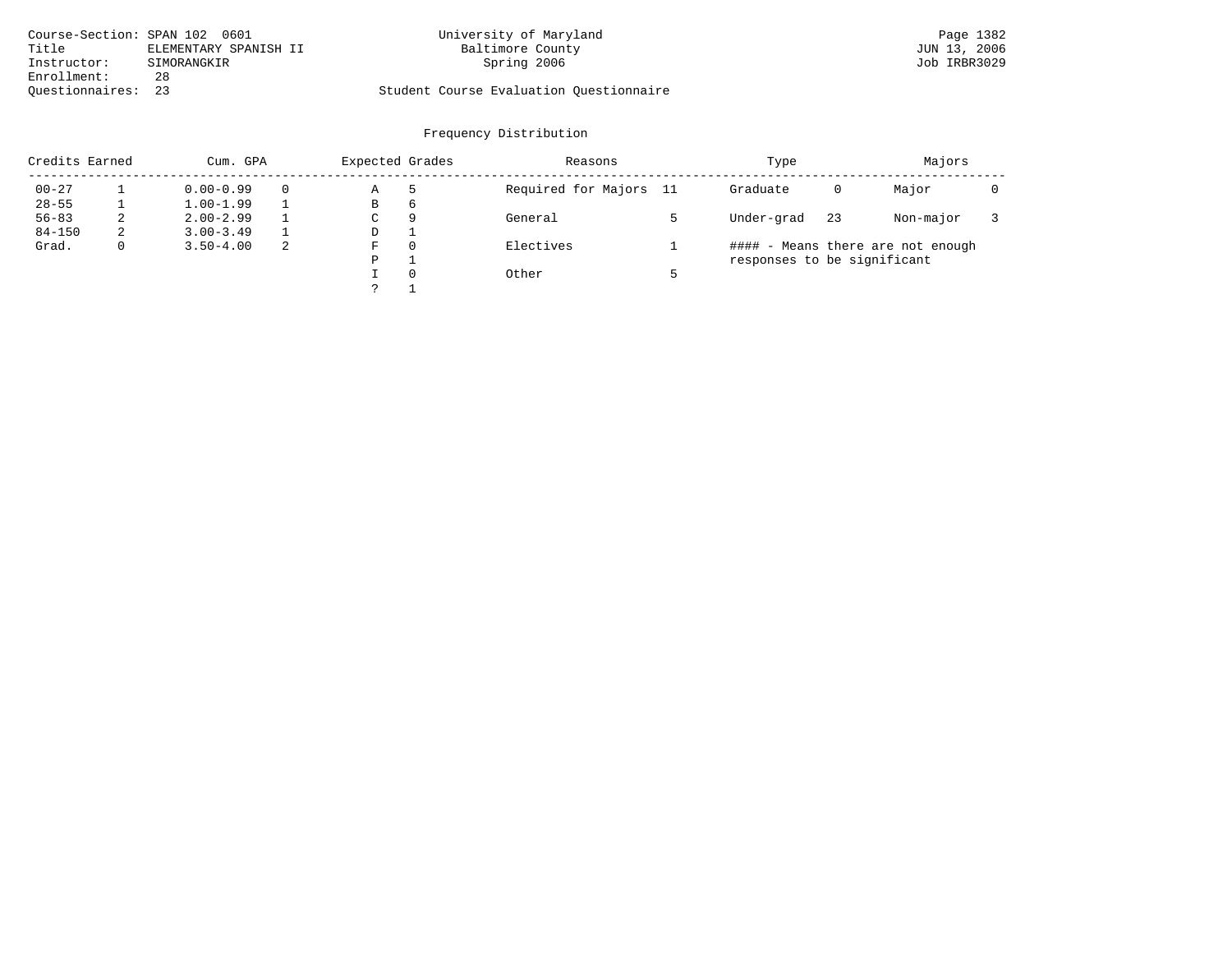| Course-Section: SPAN 102 0601 |                       | University of Maryland                  | Page 1382    |
|-------------------------------|-----------------------|-----------------------------------------|--------------|
| Title                         | ELEMENTARY SPANISH II | Baltimore County                        | JUN 13, 2006 |
| Instructor:                   | SIMORANGKIR           | Spring 2006                             | Job IRBR3029 |
| Enrollment:                   | 28                    |                                         |              |
| Ouestionnaires:               | 23                    | Student Course Evaluation Questionnaire |              |

| Credits Earned<br>Cum. GPA |    |               | Expected Grades |   | Reasons  | Type                   | Majors                      |    |                                   |  |
|----------------------------|----|---------------|-----------------|---|----------|------------------------|-----------------------------|----|-----------------------------------|--|
| $00 - 27$                  |    | $0.00 - 0.99$ | $\Omega$        | Α | -5       | Required for Majors 11 | Graduate                    | 0  | Major                             |  |
| $28 - 55$                  |    | $1.00 - 1.99$ |                 | В | 6        |                        |                             |    |                                   |  |
| $56 - 83$                  | z. | $2.00 - 2.99$ |                 | C | 9        | General                | Under-grad                  | 23 | Non-major                         |  |
| $84 - 150$                 | 2  | $3.00 - 3.49$ |                 | D |          |                        |                             |    |                                   |  |
| Grad.                      |    | $3.50 - 4.00$ | 2               | F | $\Omega$ | Electives              |                             |    | #### - Means there are not enough |  |
|                            |    |               |                 | P |          |                        | responses to be significant |    |                                   |  |
|                            |    |               |                 |   | $\Omega$ | Other                  |                             |    |                                   |  |
|                            |    |               |                 |   |          |                        |                             |    |                                   |  |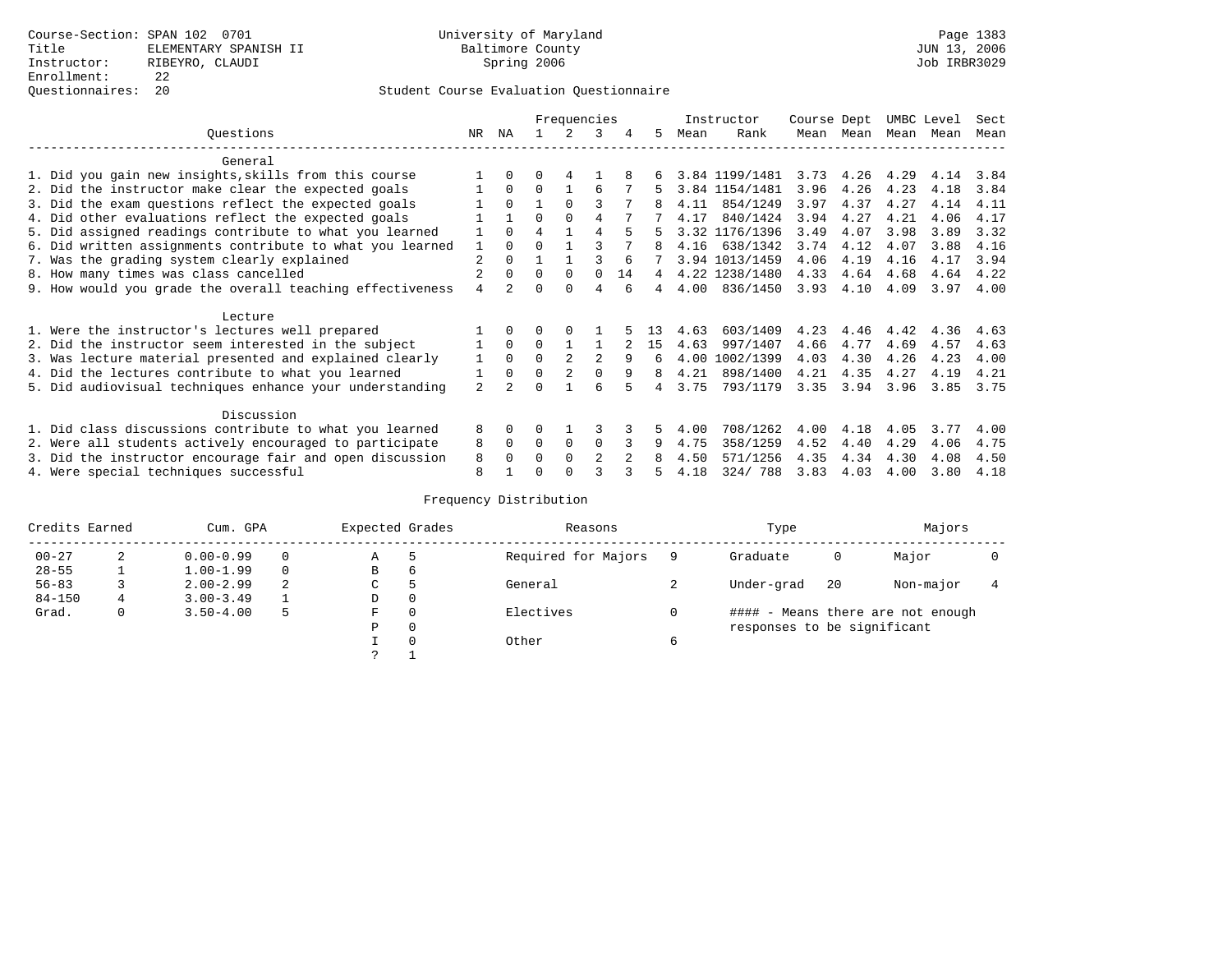## Questionnaires: 20 Student Course Evaluation Questionnaire

|                                                           |                |          | Frequencies    |          |                |    |    | Instructor | Course Dept    |      | UMBC Level        |      | Sect |      |
|-----------------------------------------------------------|----------------|----------|----------------|----------|----------------|----|----|------------|----------------|------|-------------------|------|------|------|
| Ouestions                                                 |                | ΝA       |                |          | 3              |    | 5. | Mean       | Rank           | Mean | Mean              | Mean | Mean | Mean |
| General                                                   |                |          |                |          |                |    |    |            |                |      |                   |      |      |      |
| 1. Did you gain new insights, skills from this course     |                | $\Omega$ | O              |          |                |    |    |            | 3.84 1199/1481 |      | $3.73 \quad 4.26$ | 4.29 | 4.14 | 3.84 |
| 2. Did the instructor make clear the expected goals       |                | $\Omega$ | $\Omega$       |          | 6              |    | 5  |            | 3.84 1154/1481 | 3.96 | 4.26              | 4.23 | 4.18 | 3.84 |
| 3. Did the exam questions reflect the expected goals      |                | $\Omega$ |                | $\Omega$ | ς              |    |    | 4.11       | 854/1249       | 3.97 | 4.37              | 4.27 | 4.14 | 4.11 |
| 4. Did other evaluations reflect the expected goals       |                |          | $\Omega$       | $\Omega$ | 4              |    |    | 4.17       | 840/1424       | 3.94 | 4.27              | 4.21 | 4.06 | 4.17 |
| 5. Did assigned readings contribute to what you learned   |                | $\Omega$ | $\overline{4}$ |          | 4              |    |    |            | 3.32 1176/1396 | 3.49 | 4.07              | 3.98 | 3.89 | 3.32 |
| 6. Did written assignments contribute to what you learned | 1              | $\Omega$ |                |          |                |    | 8  | 4.16       | 638/1342       | 3.74 | 4.12              | 4.07 | 3.88 | 4.16 |
| 7. Was the grading system clearly explained               | $\overline{a}$ | $\Omega$ |                |          |                |    |    |            | 3.94 1013/1459 | 4.06 | 4.19              | 4.16 | 4.17 | 3.94 |
| 8. How many times was class cancelled                     |                | $\Omega$ | $\Omega$       | $\Omega$ | $\Omega$       | 14 | 4  |            | 4.22 1238/1480 | 4.33 | 4.64              | 4.68 | 4.64 | 4.22 |
| 9. How would you grade the overall teaching effectiveness | 4              |          | U              | $\cap$   | 4              |    | 4  | 4.00       | 836/1450       | 3.93 | 4.10              | 4.09 | 3.97 | 4.00 |
| Lecture                                                   |                |          |                |          |                |    |    |            |                |      |                   |      |      |      |
| 1. Were the instructor's lectures well prepared           |                |          |                |          |                |    |    | 4.63       | 603/1409       | 4.23 | 4.46              | 4.42 | 4.36 | 4.63 |
| 2. Did the instructor seem interested in the subject      |                | $\Omega$ | $\Omega$       |          |                |    | 15 | 4.63       | 997/1407       | 4.66 | 4.77              | 4.69 | 4.57 | 4.63 |
| 3. Was lecture material presented and explained clearly   | 1              | $\Omega$ | $\Omega$       |          | $\mathfrak{D}$ | 9  | 6  | 4.00       | 1002/1399      | 4.03 | 4.30              | 4.26 | 4.23 | 4.00 |
| 4. Did the lectures contribute to what you learned        |                | $\Omega$ | $\Omega$       |          |                | 9  | 8  | 4.21       | 898/1400       | 4.21 | 4.35              | 4.27 | 4.19 | 4.21 |
| 5. Did audiovisual techniques enhance your understanding  | $\mathfrak{D}$ |          | ∩              |          | ศ              |    |    | 3.75       | 793/1179       | 3.35 | 3.94              | 3.96 | 3.85 | 3.75 |
| Discussion                                                |                |          |                |          |                |    |    |            |                |      |                   |      |      |      |
| 1. Did class discussions contribute to what you learned   | 8              | $\Omega$ | U              |          |                |    | 5. | 4.00       | 708/1262       | 4.00 | 4.18              | 4.05 | 3.77 | 4.00 |
| 2. Were all students actively encouraged to participate   | 8              | $\Omega$ | $\Omega$       | $\Omega$ | $\Omega$       |    | 9  | 4.75       | 358/1259       | 4.52 | 4.40              | 4.29 | 4.06 | 4.75 |
| 3. Did the instructor encourage fair and open discussion  | 8              |          | 0              | $\Omega$ | $\mathfrak{D}$ |    |    | 4.50       | 571/1256       | 4.35 | 4.34              | 4.30 | 4.08 | 4.50 |
| 4. Were special techniques successful                     | 8              |          |                |          |                |    |    | 4.18       | 324/788        | 3.83 | 4.03              | 4.00 | 3.80 | 4.18 |

| Credits Earned |   | Cum. GPA      |   | Expected Grades |          | Reasons             | Type |                             |    |                                   |  |  |
|----------------|---|---------------|---|-----------------|----------|---------------------|------|-----------------------------|----|-----------------------------------|--|--|
| $00 - 27$      | 2 | $0.00 - 0.99$ |   | Α               | 5        | Required for Majors |      | Graduate                    | 0  | Major                             |  |  |
| $28 - 55$      |   | $1.00 - 1.99$ |   | B               | 6        |                     |      |                             |    |                                   |  |  |
| $56 - 83$      |   | $2.00 - 2.99$ | 2 | C               | 5        | General             |      | Under-grad                  | 20 | Non-major                         |  |  |
| $84 - 150$     | 4 | $3.00 - 3.49$ |   | D               | 0        |                     |      |                             |    |                                   |  |  |
| Grad.          | 0 | $3.50 - 4.00$ | 5 | F               | 0        | Electives           |      |                             |    | #### - Means there are not enough |  |  |
|                |   |               |   | Ρ               | 0        |                     |      | responses to be significant |    |                                   |  |  |
|                |   |               |   |                 | $\Omega$ | Other               |      |                             |    |                                   |  |  |
|                |   |               |   | っ               |          |                     |      |                             |    |                                   |  |  |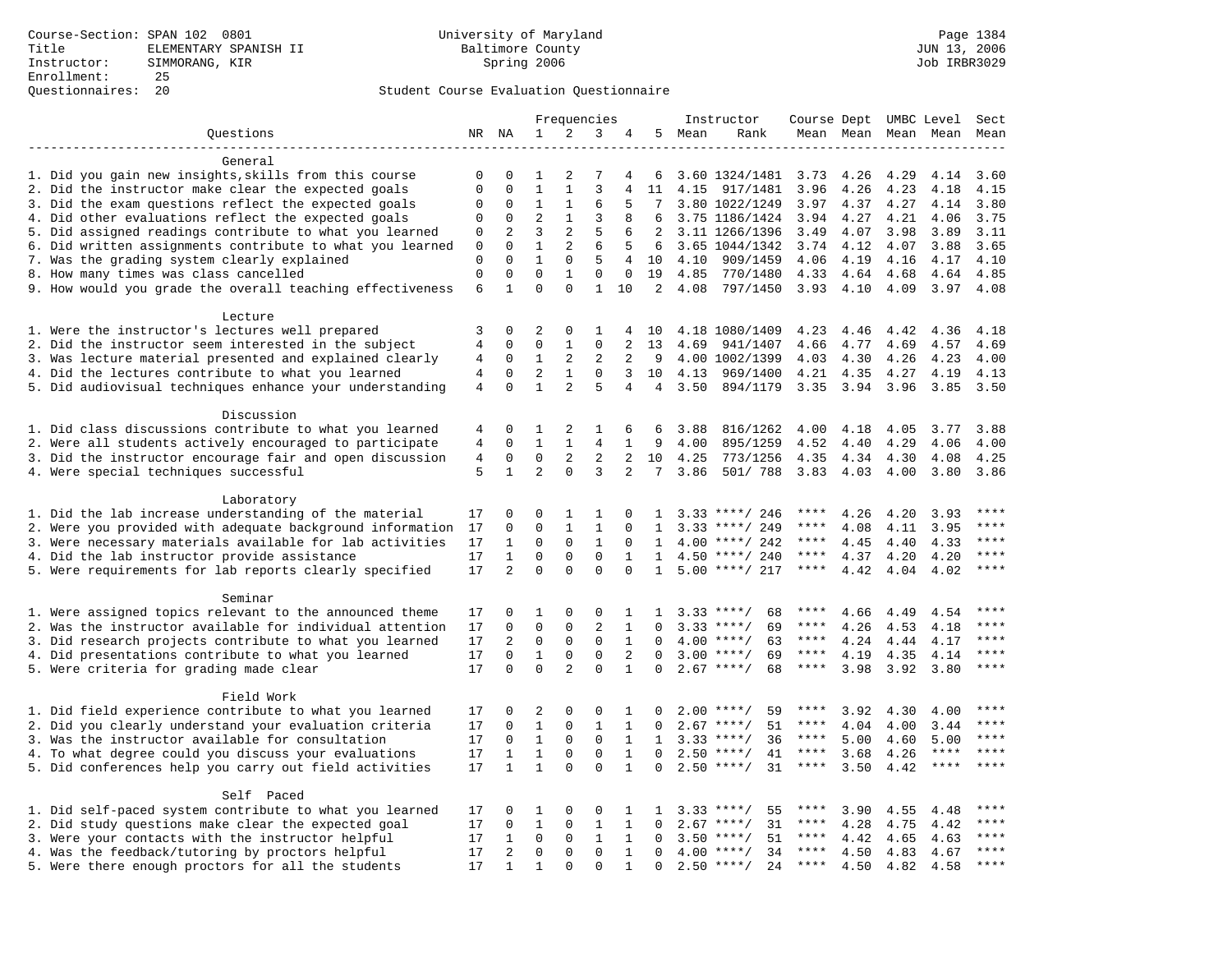|                                                                                                    | Frequencies                |                         | Instructor                  |                |                   |                | Course Dept UMBC Level |              | Sect                 |              |              |              |              |                        |
|----------------------------------------------------------------------------------------------------|----------------------------|-------------------------|-----------------------------|----------------|-------------------|----------------|------------------------|--------------|----------------------|--------------|--------------|--------------|--------------|------------------------|
| Questions                                                                                          |                            | NR NA                   | $\mathbf{1}$                | 2              | 3                 |                | 5                      | Mean         | Rank                 |              | Mean Mean    |              | Mean Mean    | Mean                   |
|                                                                                                    |                            |                         |                             |                |                   |                |                        |              |                      |              |              |              |              |                        |
| General                                                                                            |                            |                         |                             |                |                   |                |                        |              |                      |              |              |              |              |                        |
| 1. Did you gain new insights, skills from this course                                              | 0                          | 0                       | 1                           | 2              | 7                 | 4              | 6                      |              | 3.60 1324/1481       | 3.73         | 4.26         | 4.29         | 4.14         | 3.60                   |
| 2. Did the instructor make clear the expected goals                                                | $\mathbf 0$                | $\Omega$                | $\mathbf{1}$                | $\mathbf{1}$   | $\overline{3}$    | $\overline{4}$ | 11                     | 4.15         | 917/1481             | 3.96         | 4.26         | 4.23         | 4.18         | 4.15                   |
| 3. Did the exam questions reflect the expected goals                                               | $\mathbf 0$                | 0                       | 1                           | 1              | 6                 | .5             |                        |              | 3.80 1022/1249       | 3.97         | 4.37         | 4.27         | 4.14         | 3.80                   |
| 4. Did other evaluations reflect the expected goals                                                | $\mathbf 0$                | $\mathbf 0$             | $\overline{2}$              | $\mathbf{1}$   | 3                 | 8              | 6                      |              | 3.75 1186/1424       | 3.94         | 4.27         | 4.21         | 4.06         | 3.75                   |
| 5. Did assigned readings contribute to what you learned                                            | $\mathbf 0$                | 2                       | 3                           | $\overline{2}$ | 5                 | 6              | 2                      |              | 3.11 1266/1396       | 3.49         | 4.07         | 3.98         | 3.89         | 3.11                   |
| 6. Did written assignments contribute to what you learned                                          | $\mathsf 0$                | $\mathbf 0$<br>$\Omega$ | $\mathbf{1}$                | 2              | 6                 | 5              | 6                      |              | 3.65 1044/1342       | 3.74         | 4.12         | 4.07         | 3.88         | 3.65                   |
| 7. Was the grading system clearly explained                                                        | $\mathbf 0$<br>$\mathbf 0$ | $\mathbf 0$             | $\mathbf{1}$<br>$\mathbf 0$ | $\mathbf 0$    | 5<br>$\mathbf{0}$ | 4              | 10                     | 4.10         | 909/1459             | 4.06         | 4.19         | 4.16         | 4.17         | 4.10                   |
| 8. How many times was class cancelled<br>9. How would you grade the overall teaching effectiveness | 6                          | $\mathbf{1}$            | $\Omega$                    | 1<br>$\Omega$  | $\mathbf{1}$      | 0<br>10        | 19<br>2                | 4.85<br>4.08 | 770/1480<br>797/1450 | 4.33<br>3.93 | 4.64<br>4.10 | 4.68<br>4.09 | 4.64<br>3.97 | 4.85<br>4.08           |
|                                                                                                    |                            |                         |                             |                |                   |                |                        |              |                      |              |              |              |              |                        |
| Lecture                                                                                            |                            |                         |                             |                |                   |                |                        |              |                      |              |              |              |              |                        |
| 1. Were the instructor's lectures well prepared                                                    | 3                          | $\mathbf 0$             | $\overline{2}$              | $\mathbf 0$    | 1                 | 4              | 10                     |              | 4.18 1080/1409       | 4.23         | 4.46         | 4.42         | 4.36         | 4.18                   |
| 2. Did the instructor seem interested in the subject                                               | $\overline{4}$             | $\mathbf 0$             | $\mathbf{0}$                | $\mathbf{1}$   | $\mathbf{0}$      | 2              | 13                     | 4.69         | 941/1407             | 4.66         | 4.77         | 4.69         | 4.57         | 4.69                   |
| 3. Was lecture material presented and explained clearly                                            | 4                          | 0                       | $\mathbf 1$                 | 2              | $\overline{2}$    | 2              | 9                      |              | 4.00 1002/1399       | 4.03         | 4.30         | 4.26         | 4.23         | 4.00                   |
| 4. Did the lectures contribute to what you learned                                                 | 4                          | $\mathbf 0$             | $\overline{2}$              | $\mathbf{1}$   | $\mathbf{0}$      | 3              | 10                     | 4.13         | 969/1400             | 4.21         | 4.35         | 4.27         | 4.19         | 4.13                   |
| 5. Did audiovisual techniques enhance your understanding                                           | $\overline{4}$             | $\mathbf 0$             | $\mathbf{1}$                | $\overline{a}$ | 5                 | $\overline{4}$ | $\overline{4}$         | 3.50         | 894/1179             | 3.35         | 3.94         | 3.96         | 3.85         | 3.50                   |
|                                                                                                    |                            |                         |                             |                |                   |                |                        |              |                      |              |              |              |              |                        |
| Discussion                                                                                         |                            |                         |                             |                |                   |                |                        |              |                      |              |              |              |              |                        |
| 1. Did class discussions contribute to what you learned                                            | 4                          | 0                       | 1                           | 2              | 1                 | 6              | 6                      | 3.88         | 816/1262             | 4.00         | 4.18         | 4.05         | 3.77         | 3.88                   |
| 2. Were all students actively encouraged to participate                                            | 4                          | $\mathbf 0$             | $\mathbf{1}$                | $\mathbf{1}$   | $\overline{4}$    | $\mathbf{1}$   | 9                      | 4.00         | 895/1259             | 4.52         | 4.40         | 4.29         | 4.06         | 4.00                   |
| 3. Did the instructor encourage fair and open discussion                                           | 4                          | 0                       | $\mathbf 0$                 | 2              | 2                 | 2              | 10                     | 4.25         | 773/1256             | 4.35         | 4.34         | 4.30         | 4.08         | 4.25                   |
| 4. Were special techniques successful                                                              | 5                          | $\mathbf{1}$            | 2                           | $\Omega$       | 3                 | $\overline{2}$ | $7\overline{ }$        | 3.86         | 501/ 788             | 3.83         | 4.03         | 4.00         | 3.80         | 3.86                   |
|                                                                                                    |                            |                         |                             |                |                   |                |                        |              |                      |              |              |              |              |                        |
| Laboratory                                                                                         |                            |                         |                             |                |                   |                |                        |              |                      |              |              |              |              |                        |
| 1. Did the lab increase understanding of the material                                              | 17                         | 0                       | $\Omega$                    | 1              | 1                 | $\Omega$       | $\mathbf{1}$           |              | $3.33$ ****/ 246     |              | 4.26         | 4.20         | 3.93         |                        |
| 2. Were you provided with adequate background information                                          | 17                         | 0                       | $\mathbf{0}$                | $\mathbf{1}$   | $\mathbf 1$       | $\mathbf 0$    | 1                      |              | $3.33$ ****/ 249     | ****         | 4.08         | 4.11         | 3.95         | ****                   |
| 3. Were necessary materials available for lab activities                                           | 17                         | $\mathbf{1}$            | $\mathbf{0}$                | $\mathbf 0$    | $\mathbf{1}$      | $\Omega$       | 1                      | 4.00         | ****/ 242            | $***$ * * *  | 4.45         | 4.40         | 4.33         | $***$<br>$***$ *       |
| 4. Did the lab instructor provide assistance                                                       | 17                         | $\mathbf{1}$            | $\mathbf 0$                 | $\mathbf 0$    | $\mathbf 0$       | $\mathbf 1$    | $\mathbf{1}$           |              | $4.50$ ****/ 240     | ****         | 4.37         | 4.20         | 4.20         | ****                   |
| 5. Were requirements for lab reports clearly specified                                             | 17                         | $\overline{2}$          | $\Omega$                    | $\Omega$       | $\Omega$          | $\Omega$       | $\mathbf{1}$           |              | $5.00$ ****/ 217     | ****         | 4.42         | 4.04         | 4.02         |                        |
| Seminar                                                                                            |                            |                         |                             |                |                   |                |                        |              |                      |              |              |              |              |                        |
| 1. Were assigned topics relevant to the announced theme                                            | 17                         | 0                       | 1                           | $\mathsf 0$    | $\mathsf 0$       | 1              | $\mathbf{1}$           |              | 68<br>$3.33$ ****/   | ****         | 4.66         | 4.49         | 4.54         | ****                   |
| 2. Was the instructor available for individual attention                                           | 17                         | 0                       | $\mathsf 0$                 | $\mathsf 0$    | $\overline{2}$    | $\mathbf{1}$   | $\Omega$               |              | $3.33$ ****/<br>69   | $***$ * *    | 4.26         | 4.53         | 4.18         | ****                   |
| 3. Did research projects contribute to what you learned                                            | 17                         | 2                       | $\mathbf 0$                 | $\mathsf 0$    | $\mathbf 0$       | $\mathbf{1}$   | $\Omega$               |              | $4.00$ ****/<br>63   | $***$ * * *  | 4.24         | 4.44         | 4.17         | ****                   |
| 4. Did presentations contribute to what you learned                                                | 17                         | $\Omega$                | $\mathbf{1}$                | $\mathbf 0$    | $\mathbf{0}$      | 2              | $\Omega$               | 3.00         | $***$ /<br>69        | $***$ * *    | 4.19         | 4.35         | 4.14         | ****                   |
| 5. Were criteria for grading made clear                                                            | 17                         | $\Omega$                | $\Omega$                    | $\overline{a}$ | $\Omega$          | $\mathbf 1$    | $\Omega$               |              | $2.67$ ****/<br>68   | $***$ * * *  | 3.98         | 3.92         | 3.80         | ****                   |
|                                                                                                    |                            |                         |                             |                |                   |                |                        |              |                      |              |              |              |              |                        |
| Field Work                                                                                         |                            |                         |                             |                |                   |                |                        |              |                      |              |              |              |              |                        |
| 1. Did field experience contribute to what you learned                                             | 17                         | $\Omega$                | $\overline{c}$              | $\Omega$       | $\Omega$          | 1              | $\cap$                 |              | $2.00$ ****/<br>59   | ****         | 3.92         | 4.30         | 4.00         | ****                   |
| 2. Did you clearly understand your evaluation criteria                                             | 17                         | $\mathbf 0$             | $\mathbf{1}$                | $\mathbf 0$    | $\mathbf{1}$      | $\mathbf{1}$   | 0                      |              | 51<br>$2.67$ ****/   | ****         | 4.04         | 4.00         | 3.44         | $\star\star\star\star$ |
| 3. Was the instructor available for consultation                                                   | 17                         | 0                       | $\mathbf{1}$                | 0              | $\mathbf 0$       | $\mathbf{1}$   | 1                      |              | $3.33$ ****/<br>36   | ****         | 5.00         | 4.60         | 5.00         | ****                   |
| 4. To what degree could you discuss your evaluations                                               | 17                         | 1                       | $\mathbf 1$                 | $\mathbf 0$    | $\mathbf{0}$      | $\mathbf{1}$   | $\Omega$               |              | $2.50$ ****/<br>41   | $***$ * *    | 3.68         | 4.26         | $***$ * * *  | $***$                  |
| 5. Did conferences help you carry out field activities                                             | 17                         | $\mathbf{1}$            | $\mathbf{1}$                | $\Omega$       | $\Omega$          | $\mathbf{1}$   | $\Omega$               | 2.50         | 31<br>$***/$         | $***$ * *    | 3.50         | 4.42         | $***$ * * *  | ****                   |
|                                                                                                    |                            |                         |                             |                |                   |                |                        |              |                      |              |              |              |              |                        |
| Self Paced                                                                                         |                            |                         |                             |                |                   |                |                        |              |                      |              |              |              |              |                        |
| 1. Did self-paced system contribute to what you learned                                            | 17                         | 0                       | 1                           | $\mathsf 0$    | $\Omega$          | 1              | $\mathbf{1}$           |              | $3.33$ ****/<br>55   | ****         | 3.90         | 4.55         | 4.48         | $***$ * * *<br>****    |
| 2. Did study questions make clear the expected goal                                                | 17                         | $\mathbf 0$             | $\mathbf{1}$                | $\mathbf 0$    | $\mathbf{1}$      | $\mathbf{1}$   | $\Omega$               |              | $2.67$ ****/<br>31   | $***$ * *    | 4.28         | 4.75         | 4.42         | ****                   |
| 3. Were your contacts with the instructor helpful                                                  | 17                         | 1                       | $\mathbf 0$                 | 0              | 1                 | $\mathbf{1}$   | $\Omega$               | 3.50         | 51<br>$***/$         | ****<br>**** | 4.42         | 4.65         | 4.63         | ****                   |
| 4. Was the feedback/tutoring by proctors helpful                                                   | 17                         | $\overline{2}$          | $\mathbf 0$                 | $\mathbf 0$    | $\mathbf 0$       | $\mathbf{1}$   | $\Omega$               | 4.00         | $***/$<br>34         | $***$ * * *  | 4.50         | 4.83         | 4.67         | ****                   |
| 5. Were there enough proctors for all the students                                                 | 17                         | 1                       | $\mathbf{1}$                | $\Omega$       | $\mathbf{0}$      | $\mathbf{1}$   | 0                      |              | $2.50$ ****/<br>24   |              | 4.50         | 4.82         | 4.58         |                        |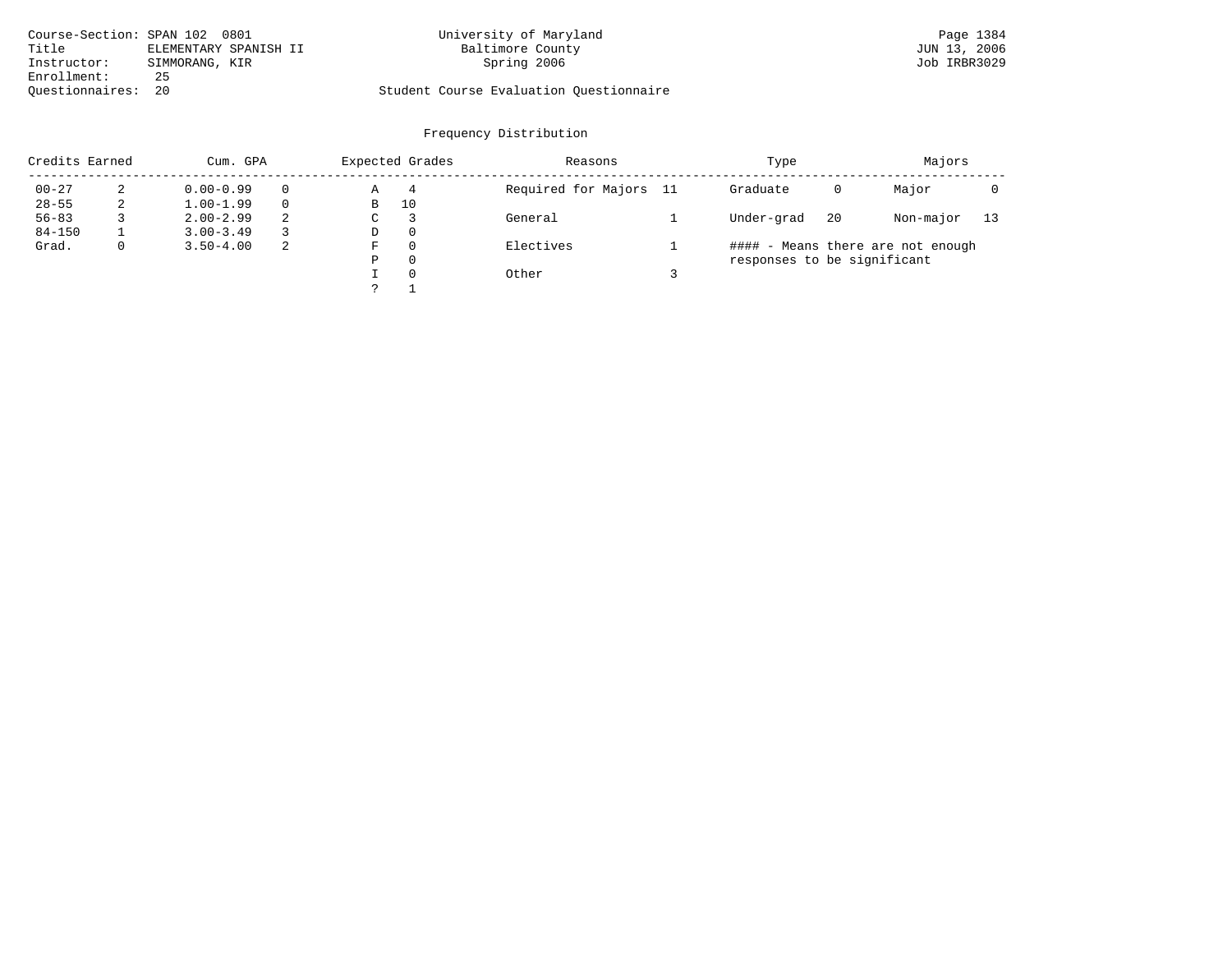| Course-Section: SPAN 102 0801 |                       | University of Maryland                  | Page 1384    |
|-------------------------------|-----------------------|-----------------------------------------|--------------|
| Title                         | ELEMENTARY SPANISH II | Baltimore County                        | JUN 13, 2006 |
| Instructor:                   | SIMMORANG, KIR        | Spring 2006                             | Job IRBR3029 |
| Enrollment:                   | 25                    |                                         |              |
| Ouestionnaires: 20            |                       | Student Course Evaluation Questionnaire |              |

| Credits Earned |             | Cum. GPA      |    | Expected Grades |          | Reasons                | Type                        | Majors |                                   |    |
|----------------|-------------|---------------|----|-----------------|----------|------------------------|-----------------------------|--------|-----------------------------------|----|
| $00 - 27$      | 2           | $0.00 - 0.99$ |    | Α               | 4        | Required for Majors 11 | Graduate                    | 0      | Major                             |    |
| $28 - 55$      | 2           | $1.00 - 1.99$ |    | В               | 10       |                        |                             |        |                                   |    |
| $56 - 83$      |             | $2.00 - 2.99$ | 2  | C               |          | General                | Under-grad                  | 20     | Non-major                         | 13 |
| $84 - 150$     |             | $3.00 - 3.49$ |    | D               | $\Omega$ |                        |                             |        |                                   |    |
| Grad.          | $\mathbf 0$ | $3.50 - 4.00$ | -2 | F               | $\Omega$ | Electives              |                             |        | #### - Means there are not enough |    |
|                |             |               |    | Ρ               | $\Omega$ |                        | responses to be significant |        |                                   |    |
|                |             |               |    |                 | $\Omega$ | Other                  |                             |        |                                   |    |
|                |             |               |    |                 |          |                        |                             |        |                                   |    |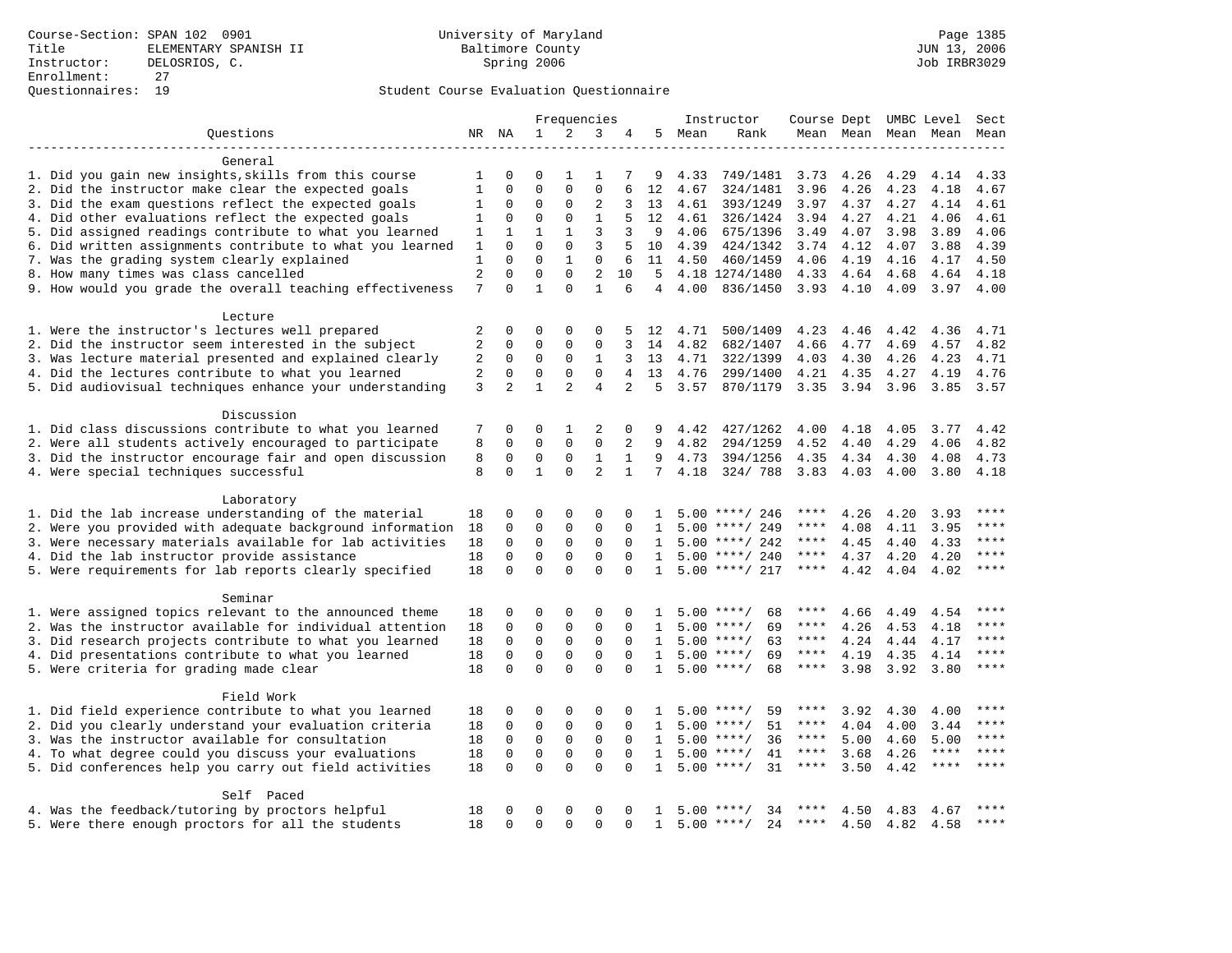|                                                           |                |                | Frequencies  |                |                |                |              |      | Instructor          | Course Dept |           |      | UMBC Level   | Sect        |
|-----------------------------------------------------------|----------------|----------------|--------------|----------------|----------------|----------------|--------------|------|---------------------|-------------|-----------|------|--------------|-------------|
| Questions                                                 |                |                | $\mathbf{1}$ | 2              | 3              |                | 5            | Mean | Rank                |             | Mean Mean |      | Mean Mean    | Mean        |
|                                                           |                |                |              |                |                |                |              |      |                     |             |           |      |              |             |
| General                                                   |                |                |              |                |                |                |              |      |                     |             |           |      |              |             |
| 1. Did you gain new insights, skills from this course     | 1              | 0              | $\Omega$     | $\mathbf{1}$   | $\mathbf{1}$   |                | 9            | 4.33 | 749/1481            | 3.73        | 4.26      | 4.29 | 4.14         | 4.33        |
| 2. Did the instructor make clear the expected goals       | $\mathbf{1}$   | $\Omega$       | $\Omega$     | $\Omega$       | $\Omega$       | 6              | 12           | 4.67 | 324/1481            | 3.96        | 4.26      | 4.23 | 4.18         | 4.67        |
| 3. Did the exam questions reflect the expected goals      | 1              | $\mathbf{0}$   | $\mathbf 0$  | $\mathbf 0$    | $\overline{2}$ | 3              | 13           | 4.61 | 393/1249            | 3.97        | 4.37      | 4.27 | 4.14         | 4.61        |
| 4. Did other evaluations reflect the expected goals       | $\mathbf 1$    | $\mathbf 0$    | $\mathbf 0$  | $\mathbf 0$    | $\mathbf{1}$   | 5              | 12           | 4.61 | 326/1424            | 3.94        | 4.27      | 4.21 | 4.06         | 4.61        |
| 5. Did assigned readings contribute to what you learned   | 1              | 1              | $\mathbf{1}$ | $\mathbf{1}$   | $\overline{3}$ | 3              | 9            | 4.06 | 675/1396            | 3.49        | 4.07      | 3.98 | 3.89         | 4.06        |
| 6. Did written assignments contribute to what you learned | $\mathbf{1}$   | $\mathbf{0}$   | $\Omega$     | $\mathbf 0$    | $\overline{3}$ | 5              | 10           | 4.39 | 424/1342            | 3.74        | 4.12      | 4.07 | 3.88         | 4.39        |
| 7. Was the grading system clearly explained               | $\mathbf{1}$   | $\Omega$       | $\Omega$     | $\mathbf{1}$   | $\mathbf 0$    | 6              | 11           | 4.50 | 460/1459            | 4.06        | 4.19      | 4.16 | 4.17         | 4.50        |
| 8. How many times was class cancelled                     | $\overline{2}$ | $\mathbf 0$    | $\mathbf 0$  | $\mathbf 0$    | $\overline{2}$ | 10             | 5            |      | 4.18 1274/1480      | 4.33        | 4.64      | 4.68 | 4.64         | 4.18        |
| 9. How would you grade the overall teaching effectiveness | 7              | $\Omega$       | $\mathbf{1}$ | $\Omega$       | $\mathbf{1}$   | 6              | 4            | 4.00 | 836/1450            | 3.93 4.10   |           | 4.09 | 3.97         | 4.00        |
| Lecture                                                   |                |                |              |                |                |                |              |      |                     |             |           |      |              |             |
| 1. Were the instructor's lectures well prepared           | $\overline{2}$ | $\mathbf 0$    | $\mathbf 0$  | $\mathbf{0}$   | $\Omega$       |                | 12           | 4.71 | 500/1409            | 4.23        | 4.46      | 4.42 | 4.36         | 4.71        |
| 2. Did the instructor seem interested in the subject      | 2              | $\mathbf 0$    | $\Omega$     | $\Omega$       | $\Omega$       | 3              | 14           | 4.82 | 682/1407            | 4.66        | 4.77      | 4.69 | 4.57         | 4.82        |
| 3. Was lecture material presented and explained clearly   | 2              | 0              | 0            | $\mathbf 0$    | 1              | 3              | 13           | 4.71 | 322/1399            | 4.03        | 4.30      | 4.26 | 4.23         | 4.71        |
| 4. Did the lectures contribute to what you learned        | $\sqrt{2}$     | $\mathbf 0$    | $\mathbf 0$  | $\mathbf 0$    | $\mathbf 0$    | $\overline{4}$ | 13           | 4.76 | 299/1400            | 4.21        | 4.35      | 4.27 | 4.19         | 4.76        |
| 5. Did audiovisual techniques enhance your understanding  | 3              | $\overline{2}$ | $\mathbf{1}$ | $\mathfrak{D}$ | $\overline{4}$ | $\overline{2}$ | 5            | 3.57 | 870/1179            | 3.35        | 3.94      | 3.96 | 3.85         | 3.57        |
|                                                           |                |                |              |                |                |                |              |      |                     |             |           |      |              |             |
| Discussion                                                |                |                |              |                |                |                |              |      |                     |             |           |      |              |             |
| 1. Did class discussions contribute to what you learned   | 7              | 0              | $\Omega$     | 1              | 2              | 0              | 9            | 4.42 | 427/1262            | 4.00        | 4.18      | 4.05 | 3.77         | 4.42        |
| 2. Were all students actively encouraged to participate   | 8              | $\mathbf 0$    | $\mathbf 0$  | $\mathbf 0$    | $\mathbf 0$    | 2              | 9            | 4.82 | 294/1259            | 4.52        | 4.40      | 4.29 | 4.06         | 4.82        |
| 3. Did the instructor encourage fair and open discussion  | 8              | $\mathbf 0$    | 0            | $\mathsf 0$    | $1\,$          | $\mathbf{1}$   | 9            | 4.73 | 394/1256            | 4.35        | 4.34      | 4.30 | 4.08         | 4.73        |
| 4. Were special techniques successful                     | 8              | $\Omega$       | $\mathbf{1}$ | $\Omega$       | $\overline{2}$ | $\mathbf{1}$   | 7            | 4.18 | 324/788             | 3.83        | 4.03      | 4.00 | 3.80         | 4.18        |
|                                                           |                |                |              |                |                |                |              |      |                     |             |           |      |              |             |
| Laboratory                                                |                |                |              |                |                |                |              |      |                     |             |           |      |              |             |
| 1. Did the lab increase understanding of the material     | 18             | 0              | 0            | 0              | 0              | 0              | 1            |      | $5.00$ ****/ 246    | ****        | 4.26      | 4.20 | 3.93         | ****        |
| 2. Were you provided with adequate background information | 18             | $\mathbf 0$    | $\mathbf 0$  | $\mathsf 0$    | $\mathsf 0$    | 0              | 1            |      | $5.00$ ****/ 249    | ****        | 4.08      | 4.11 | 3.95         | $***$       |
| 3. Were necessary materials available for lab activities  | 18             | $\mathbf 0$    | $\mathbf 0$  | $\mathbf{0}$   | $\mathbf{0}$   | $\Omega$       | 1            |      | $5.00$ ****/ 242    | $***$ * * * | 4.45      | 4.40 | 4.33         | ****        |
| 4. Did the lab instructor provide assistance              | 18             | $\mathbf 0$    | $\mathbf 0$  | $\mathbf{0}$   | $\mathbf{0}$   | $\Omega$       | 1            |      | $5.00$ ****/ 240    | $***$ * *   | 4.37      | 4.20 | 4.20         | ****        |
| 5. Were requirements for lab reports clearly specified    | 18             | $\mathbf 0$    | $\mathbf 0$  | $\Omega$       | $\mathbf 0$    | $\Omega$       | $\mathbf{1}$ |      | $5.00$ ****/ 217    | $***$ * * * | 4.42      | 4.04 | 4.02         | $***$       |
| Seminar                                                   |                |                |              |                |                |                |              |      |                     |             |           |      |              |             |
| 1. Were assigned topics relevant to the announced theme   | 18             | $\mathbf 0$    | 0            | 0              | $\Omega$       | 0              | 1            |      | $5.00$ ****/<br>68  | ****        | 4.66      | 4.49 | 4.54         |             |
| 2. Was the instructor available for individual attention  | 18             | $\Omega$       | $\mathbf 0$  | $\mathbf{0}$   | $\mathbf 0$    | $\Omega$       | 1            |      | $5.00$ ****/<br>69  | ****        | 4.26      | 4.53 | 4.18         | ****        |
| 3. Did research projects contribute to what you learned   | 18             | $\mathbf 0$    | $\mathbf 0$  | $\mathbf{0}$   | $\mathbf 0$    | $\Omega$       | 1            |      | $5.00$ ****/<br>63  | ****        | 4.24      | 4.44 | 4.17         | ****        |
| 4. Did presentations contribute to what you learned       |                | $\mathbf 0$    | $\mathbf 0$  | $\mathbf 0$    | $\mathbf 0$    | $\Omega$       | $\mathbf{1}$ |      | $5.00$ ****/<br>69  | $***$ * *   | 4.19      | 4.35 |              | ****        |
|                                                           | 18<br>18       | $\Omega$       | $\Omega$     | $\Omega$       | $\Omega$       | $\Omega$       | $\mathbf{1}$ |      | $5.00$ ****/<br>68  | ****        |           |      | 4.14<br>3.80 | $***$       |
| 5. Were criteria for grading made clear                   |                |                |              |                |                |                |              |      |                     |             | 3.98      | 3.92 |              |             |
| Field Work                                                |                |                |              |                |                |                |              |      |                     |             |           |      |              |             |
| 1. Did field experience contribute to what you learned    | 18             | $\mathbf 0$    | 0            | 0              | $\Omega$       | $\Omega$       | 1            | 5.00 | 59<br>$***$ /       |             | 3.92      | 4.30 | 4.00         |             |
| 2. Did you clearly understand your evaluation criteria    | 18             | $\mathsf 0$    | $\mathbf 0$  | $\mathsf 0$    | $\mathbf 0$    | $\mathbf 0$    | 1            | 5.00 | 51<br>$***/$        | ****        | 4.04      | 4.00 | 3.44         | $***$       |
| 3. Was the instructor available for consultation          | 18             | $\mathbf 0$    | $\mathbf 0$  | $\mathbf 0$    | $\mathbf 0$    | $\Omega$       | $\mathbf{1}$ | 5.00 | $***/$<br>36        | ****        | 5.00      | 4.60 | 5.00         | ****        |
| 4. To what degree could you discuss your evaluations      | 18             | $\mathbf{0}$   | $\mathbf 0$  | $\mathbf 0$    | $\mathbf 0$    | $\Omega$       | 1            | 5.00 | $***$ /<br>41       | ****        | 3.68      | 4.26 | ****         | $***$       |
| 5. Did conferences help you carry out field activities    | 18             | $\Omega$       | $\mathbf 0$  | $\Omega$       | $\Omega$       | $\Omega$       | $\mathbf{1}$ | 5.00 | 31<br>$***/$        | ****        | 3.50      | 4.42 | $***$ * * *  | $***$       |
|                                                           |                |                |              |                |                |                |              |      |                     |             |           |      |              |             |
| Self Paced                                                |                |                |              |                |                |                |              |      |                     |             |           |      |              |             |
| 4. Was the feedback/tutoring by proctors helpful          | 18             | $\Omega$       | 0            | 0              | $\Omega$       | 0              |              | 5.00 | 34<br>****/         |             | 4.50      | 4.83 | 4.67         | ****        |
| 5. Were there enough proctors for all the students        | 18             | $\Omega$       | $\Omega$     | $\Omega$       | $\Omega$       | $\Omega$       | $\mathbf{1}$ |      | $5.00$ ****/<br>2.4 | ****        | 4.50      | 4.82 | 4.58         | $* * * * *$ |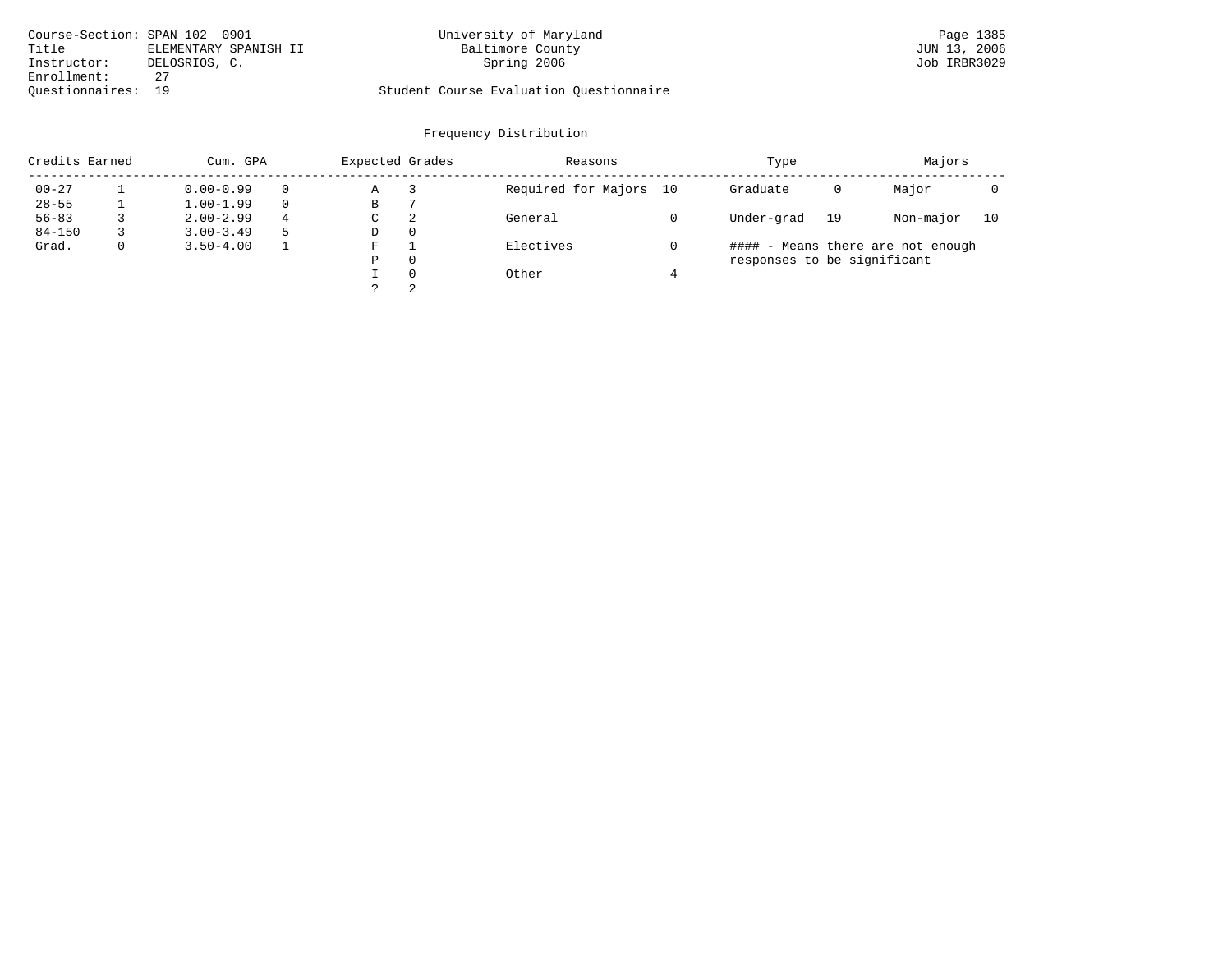| Course-Section: SPAN 102 0901 |                       | University of Maryland                  | Page 1385    |
|-------------------------------|-----------------------|-----------------------------------------|--------------|
| Title                         | ELEMENTARY SPANISH II | Baltimore County                        | JUN 13, 2006 |
| Instructor:                   | DELOSRIOS, C.         | Spring 2006                             | Job IRBR3029 |
| Enrollment:                   |                       |                                         |              |
| Ouestionnaires: 19            |                       | Student Course Evaluation Questionnaire |              |

| Credits Earned |   | Cum. GPA      |          | Expected Grades |          | Reasons                | Type                        |    | Majors                            |    |
|----------------|---|---------------|----------|-----------------|----------|------------------------|-----------------------------|----|-----------------------------------|----|
| $00 - 27$      |   | $0.00 - 0.99$ | $\Omega$ | Α               |          | Required for Majors 10 | Graduate                    | 0  | Major                             |    |
| $28 - 55$      |   | $1.00 - 1.99$ | $\Omega$ | В               |          |                        |                             |    |                                   |    |
| $56 - 83$      |   | $2.00 - 2.99$ | 4        | C               | 2        | General                | Under-grad                  | 19 | Non-major                         | 10 |
| $84 - 150$     |   | $3.00 - 3.49$ |          | D               | 0        |                        |                             |    |                                   |    |
| Grad.          | 0 | $3.50 - 4.00$ |          | F               |          | Electives              |                             |    | #### - Means there are not enough |    |
|                |   |               |          | Ρ               | $\Omega$ |                        | responses to be significant |    |                                   |    |
|                |   |               |          |                 | $\Omega$ | Other                  |                             |    |                                   |    |
|                |   |               |          |                 | 2        |                        |                             |    |                                   |    |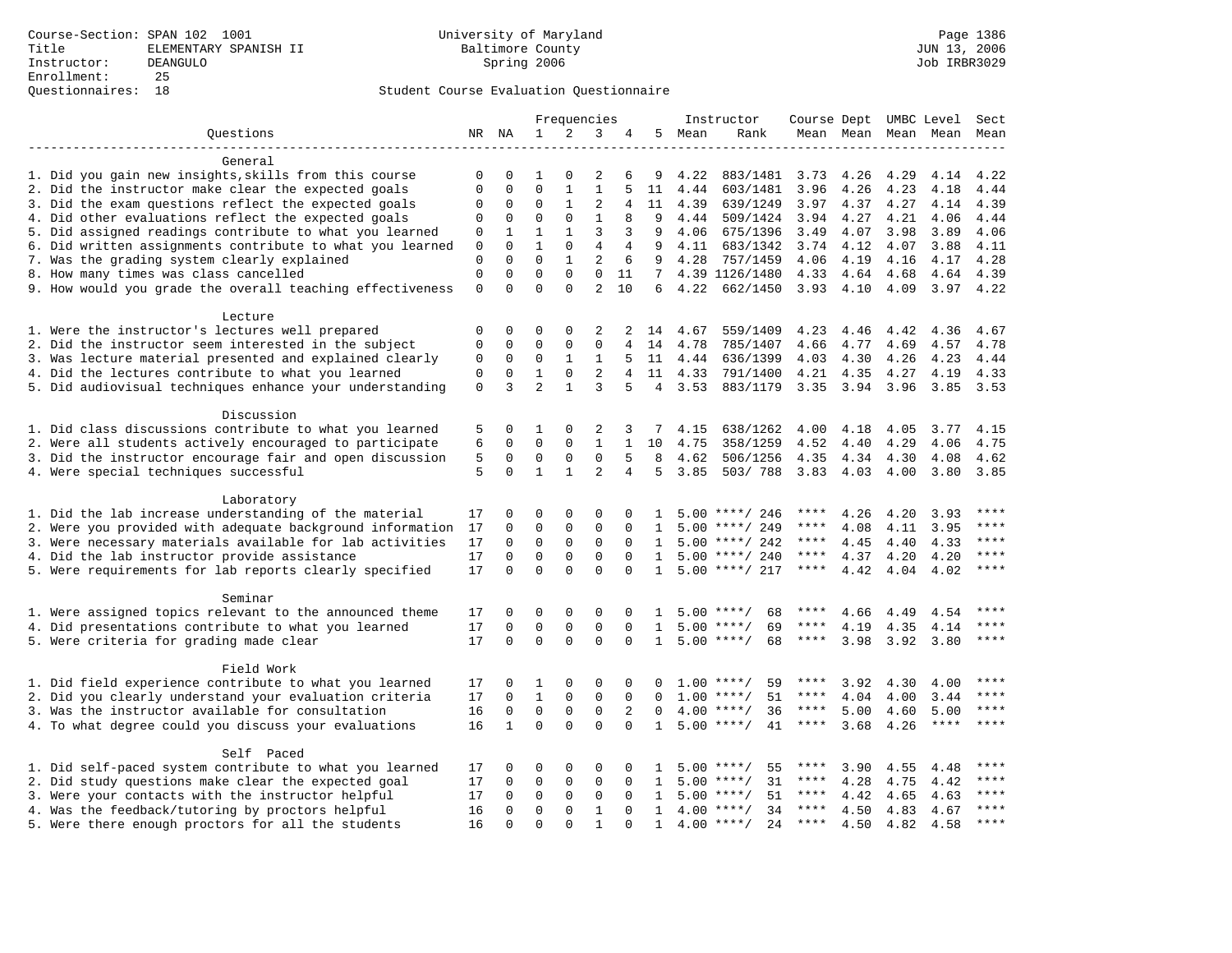|                                                           | Frequencies  |              |                |              |                |                | Instructor     |      |                     |             | Course Dept UMBC Level Sect |      |                     |             |
|-----------------------------------------------------------|--------------|--------------|----------------|--------------|----------------|----------------|----------------|------|---------------------|-------------|-----------------------------|------|---------------------|-------------|
| Ouestions                                                 |              | NR NA        | $\mathbf{1}$   | 2            | 3              | 4              | 5              | Mean | Rank                |             |                             |      | Mean Mean Mean Mean | Mean        |
|                                                           |              |              |                |              |                |                |                |      |                     |             |                             |      |                     |             |
| General                                                   |              |              |                |              |                |                |                |      |                     |             |                             |      |                     |             |
| 1. Did you gain new insights, skills from this course     | 0            | O            |                | 0            | 2              | 6              | 9              | 4.22 | 883/1481            | 3.73        | 4.26                        | 4.29 | 4.14                | 4.22        |
| 2. Did the instructor make clear the expected goals       | $\mathbf{0}$ | $\mathbf 0$  | $\mathbf 0$    | $1\,$        | $\mathbf{1}$   | 5              | 11             | 4.44 | 603/1481            | 3.96        | 4.26                        | 4.23 | 4.18                | 4.44        |
| 3. Did the exam questions reflect the expected goals      | $\Omega$     | $\mathbf 0$  | $\mathbf 0$    | $\mathbf{1}$ | 2              | 4              | 11             | 4.39 | 639/1249            | 3.97        | 4.37                        | 4.27 | 4.14                | 4.39        |
| 4. Did other evaluations reflect the expected goals       | $\mathbf 0$  | $\mathsf 0$  | $\mathbf 0$    | $\mathbf 0$  | $\mathbf{1}$   | 8              | 9              | 4.44 | 509/1424            | 3.94        | 4.27                        | 4.21 | 4.06                | 4.44        |
| 5. Did assigned readings contribute to what you learned   | 0            | 1            | $\mathbf{1}$   | $\mathbf{1}$ | $\overline{3}$ | 3              | 9              | 4.06 | 675/1396            | 3.49        | 4.07                        | 3.98 | 3.89                | 4.06        |
| 6. Did written assignments contribute to what you learned | 0            | $\mathbf 0$  | $\mathbf{1}$   | $\mathbf 0$  | $\overline{4}$ | 4              | 9              | 4.11 | 683/1342            | 3.74 4.12   |                             | 4.07 | 3.88                | 4.11        |
| 7. Was the grading system clearly explained               | $\mathbf{0}$ | $\Omega$     | $\Omega$       | $\mathbf{1}$ | 2              | 6              | 9              | 4.28 | 757/1459            | 4.06        | 4.19                        | 4.16 | 4.17                | 4.28        |
| 8. How many times was class cancelled                     | $\mathbf 0$  | $\mathbf 0$  | $\mathbf 0$    | $\mathbf 0$  | $\mathbf 0$    | 11             |                |      | 7 4.39 1126/1480    | 4.33 4.64   |                             | 4.68 | 4.64                | 4.39        |
| 9. How would you grade the overall teaching effectiveness | $\mathbf 0$  | $\Omega$     | $\Omega$       | $\Omega$     | $\overline{a}$ | 10             | 6              | 4.22 | 662/1450            | $3.93$ 4.10 |                             | 4.09 |                     | $3.97$ 4.22 |
| Lecture                                                   |              |              |                |              |                |                |                |      |                     |             |                             |      |                     |             |
| 1. Were the instructor's lectures well prepared           | 0            | $\mathbf 0$  | 0              | $\mathbf 0$  | 2              | 2              | 14             | 4.67 | 559/1409            | 4.23        | 4.46                        | 4.42 | 4.36                | 4.67        |
| 2. Did the instructor seem interested in the subject      | $\mathbf 0$  | $\mathbf 0$  | $\mathbf 0$    | $\mathbf{0}$ | $\mathbf{0}$   | 4              | 14             | 4.78 | 785/1407            | 4.66        | 4.77                        | 4.69 | 4.57                | 4.78        |
| 3. Was lecture material presented and explained clearly   | $\mathbf 0$  | $\mathbf 0$  | $\mathbf 0$    | $\mathbf{1}$ | 1              | 5.             | 11             | 4.44 | 636/1399            | 4.03        | 4.30                        | 4.26 | 4.23                | 4.44        |
| 4. Did the lectures contribute to what you learned        | $\mathsf 0$  | $\mathbf 0$  | $\mathbf{1}$   | $\mathbf 0$  | 2              | $\overline{4}$ | 11             | 4.33 | 791/1400            | 4.21        | 4.35                        | 4.27 | 4.19                | 4.33        |
| 5. Did audiovisual techniques enhance your understanding  | $\mathbf 0$  | 3            | $\overline{a}$ | $\mathbf{1}$ | 3              | 5              | $\overline{4}$ | 3.53 | 883/1179            | 3.35        | 3.94 3.96                   |      |                     | 3.85 3.53   |
| Discussion                                                |              |              |                |              |                |                |                |      |                     |             |                             |      |                     |             |
| 1. Did class discussions contribute to what you learned   | 5            | 0            | 1              | 0            | 2              | 3              | 7              | 4.15 | 638/1262            | 4.00        | 4.18                        | 4.05 | 3.77                | 4.15        |
| 2. Were all students actively encouraged to participate   | 6            | $\mathbf 0$  | $\mathbf 0$    | $\mathbf{0}$ | $\mathbf{1}$   | $\mathbf{1}$   | 10             | 4.75 | 358/1259            | 4.52        | 4.40                        | 4.29 | 4.06                | 4.75        |
| 3. Did the instructor encourage fair and open discussion  | 5            | $\mathbf 0$  | $\mathbf 0$    | $\mathbf{0}$ | $\mathbf{0}$   | 5              | 8              | 4.62 | 506/1256            | 4.35        | 4.34                        | 4.30 | 4.08                | 4.62        |
|                                                           | 5            | $\Omega$     | $\mathbf{1}$   | $\mathbf{1}$ | $\overline{a}$ | $\overline{4}$ | 5              | 3.85 | 503/788             | 3.83 4.03   |                             | 4.00 | 3.80                | 3.85        |
| 4. Were special techniques successful                     |              |              |                |              |                |                |                |      |                     |             |                             |      |                     |             |
| Laboratory                                                |              |              |                |              |                |                |                |      |                     |             |                             |      |                     |             |
| 1. Did the lab increase understanding of the material     | 17           | 0            | 0              | $\mathbf 0$  | $\Omega$       | $\Omega$       |                |      | $5.00$ ****/ 246    | ****        | 4.26                        | 4.20 | 3.93                | ****        |
| 2. Were you provided with adequate background information | 17           | $\mathbf 0$  | $\mathbf 0$    | 0            | $\mathbf 0$    | 0              | 1              |      | $5.00$ ****/ 249    | ****        | 4.08                        | 4.11 | 3.95                | ****        |
| 3. Were necessary materials available for lab activities  | 17           | $\mathbf 0$  | $\mathbf 0$    | $\mathbf{0}$ | $\mathbf 0$    | $\Omega$       | 1              |      | $5.00$ ****/ 242    | ****        | 4.45                        | 4.40 | 4.33                | ****        |
| 4. Did the lab instructor provide assistance              | 17           | $\mathbf 0$  | $\mathbf 0$    | $\mathbf 0$  | $\mathbf 0$    | $\Omega$       | $\mathbf{1}$   |      | $5.00$ ****/ 240    | ****        | 4.37                        | 4.20 | 4.20                | ****        |
| 5. Were requirements for lab reports clearly specified    | 17           | $\mathbf 0$  | $\mathbf 0$    | $\Omega$     | $\mathbf 0$    | $\Omega$       | $\mathbf{1}$   |      | $5.00$ ****/ 217    | $***$ * *   | 4.42                        | 4.04 | 4.02                | $***$       |
|                                                           |              |              |                |              |                |                |                |      |                     |             |                             |      |                     |             |
| Seminar                                                   |              |              |                |              |                |                |                |      |                     |             |                             |      |                     |             |
| 1. Were assigned topics relevant to the announced theme   | 17           | $\Omega$     | 0              | $\Omega$     | $\Omega$       | $\Omega$       | 1              |      | $5.00$ ****/<br>68  | ****        | 4.66                        | 4.49 | 4.54                | $***$ * * * |
| 4. Did presentations contribute to what you learned       | 17           | $\mathbf 0$  | $\mathbf 0$    | $\mathbf 0$  | $\mathbf 0$    | $\mathbf 0$    | 1              |      | $5.00$ ****/<br>69  | $***$ * *   | 4.19                        | 4.35 | 4.14                | $***$       |
| 5. Were criteria for grading made clear                   | 17           | $\Omega$     | $\Omega$       | $\Omega$     | $\Omega$       | $\Omega$       | $\mathbf{1}$   |      | $5.00$ ****/<br>68  | $***$ * *   | 3.98                        |      | 3.92 3.80           | $***$       |
| Field Work                                                |              |              |                |              |                |                |                |      |                     |             |                             |      |                     |             |
| 1. Did field experience contribute to what you learned    | 17           | 0            | 1              | $\mathbf 0$  | 0              | 0              |                |      | $1.00$ ****/<br>59  | $***$ * * * | 3.92                        | 4.30 | 4.00                |             |
| 2. Did you clearly understand your evaluation criteria    | 17           | $\Omega$     | $\mathbf{1}$   | $\Omega$     | $\Omega$       | $\Omega$       | $\Omega$       | 1.00 | 51<br>$***/$        | ****        | 4.04                        | 4.00 | 3.44                | ****        |
| 3. Was the instructor available for consultation          | 16           | $\mathbf 0$  | $\mathbf 0$    | $\mathbf{0}$ | $\mathbf 0$    | 2              | $\Omega$       |      | $4.00$ ****/<br>36  | ****        | 5.00                        | 4.60 | 5.00                | ****        |
| 4. To what degree could you discuss your evaluations      | 16           | $\mathbf{1}$ | $\mathbf 0$    | $\Omega$     | $\Omega$       | $\Omega$       | $\mathbf{1}$   |      | $5.00$ ****/<br>41  | $***$ * *   | 3.68                        | 4.26 | $***$ * * *         | $***$       |
|                                                           |              |              |                |              |                |                |                |      |                     |             |                             |      |                     |             |
| Self Paced                                                |              |              |                |              |                |                |                |      |                     |             |                             |      |                     |             |
| 1. Did self-paced system contribute to what you learned   | 17           | O            | $\Omega$       | $\Omega$     | $\Omega$       |                |                | 5.00 | $***/$<br>55        | ****        | 3.90                        | 4.55 | 4.48                | ****        |
| 2. Did study questions make clear the expected goal       | 17           | 0            | $\mathbf 0$    | $\mathbf 0$  | $\mathbf 0$    | $\mathbf 0$    | 1              | 5.00 | 31<br>$***$ /       | ****        | 4.28                        | 4.75 | 4.42                | $***$       |
| 3. Were your contacts with the instructor helpful         | 17           | $\Omega$     | $\mathbf 0$    | $\mathbf 0$  | $\mathbf 0$    | $\Omega$       | $\mathbf{1}$   |      | $5.00$ ****/<br>51  | ****        | 4.42                        | 4.65 | 4.63                | ****        |
| 4. Was the feedback/tutoring by proctors helpful          | 16           | $\mathbf 0$  | $\mathbf 0$    | $\mathbf{0}$ | $\mathbf{1}$   | $\Omega$       | 1              |      | $4.00$ ****/<br>34  | ****        | 4.50                        | 4.83 | 4.67                | ****        |
| 5. Were there enough proctors for all the students        | 16           | $\Omega$     | $\Omega$       | $\Omega$     | $\mathbf{1}$   | $\cap$         | $\mathbf{1}$   |      | 2.4<br>$4.00$ ****/ | $***$ * *   | 4.50                        | 4.82 | 4.58                | $***$ * * * |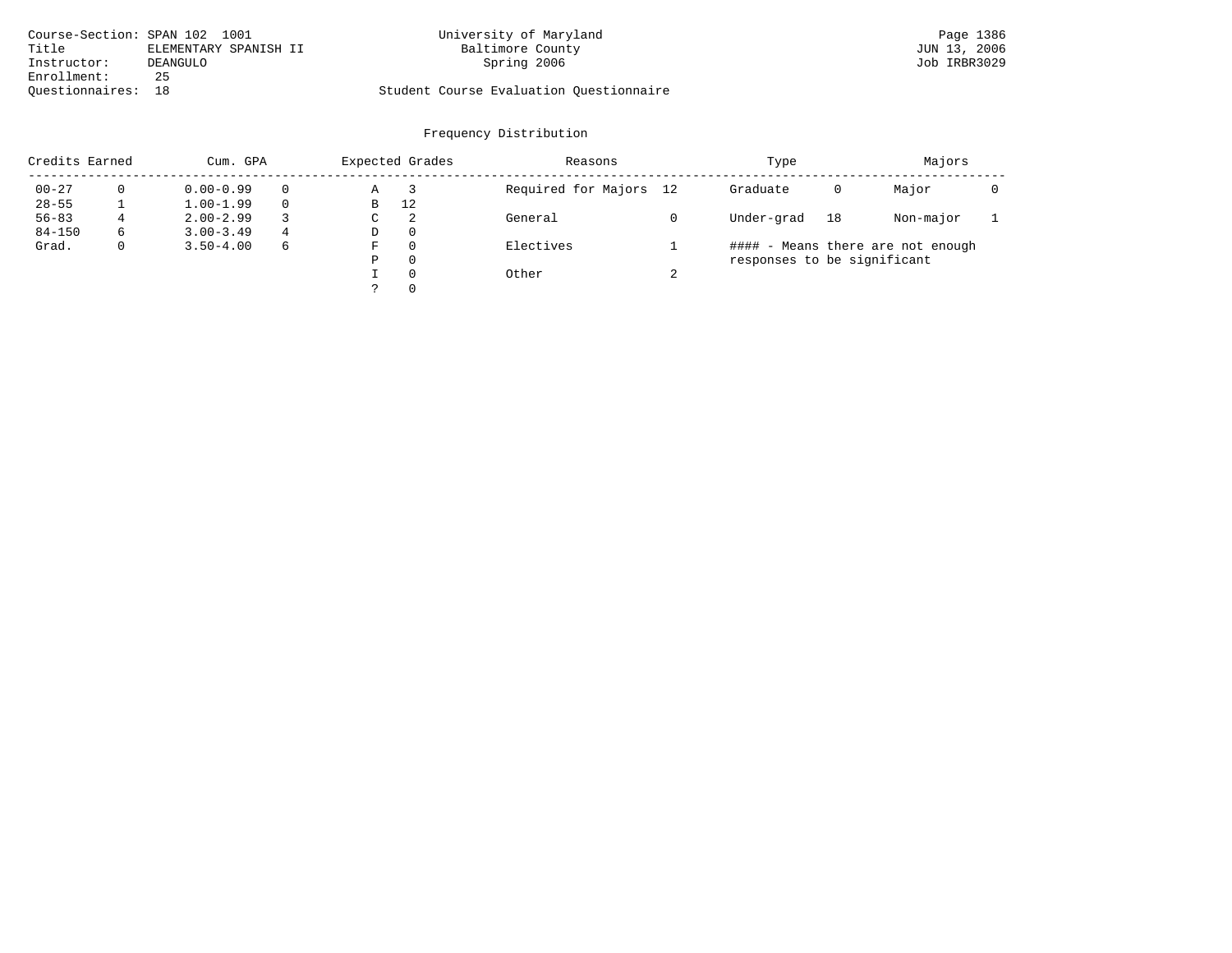| Course-Section: SPAN 102 1001 |                       | University of Maryland                  | Page 1386    |
|-------------------------------|-----------------------|-----------------------------------------|--------------|
| Title                         | ELEMENTARY SPANISH II | Baltimore County                        | JUN 13, 2006 |
| Instructor:                   | DEANGULO              | Spring 2006                             | Job IRBR3029 |
| Enrollment:                   | 25                    |                                         |              |
| Ouestionnaires: 18            |                       | Student Course Evaluation Questionnaire |              |

| Credits Earned |   | Cum. GPA      |          | Expected Grades |          | Reasons                |        | Type                        |    | Majors                            |  |
|----------------|---|---------------|----------|-----------------|----------|------------------------|--------|-----------------------------|----|-----------------------------------|--|
| $00 - 27$      |   | $0.00 - 0.99$ | $\Omega$ | Α               |          | Required for Majors 12 |        | Graduate                    | 0  | Major                             |  |
| $28 - 55$      |   | $1.00 - 1.99$ | $\Omega$ | B               | 12       |                        |        |                             |    |                                   |  |
| $56 - 83$      | 4 | $2.00 - 2.99$ |          | C               | 2        | General                |        | Under-grad                  | 18 | Non-major                         |  |
| $84 - 150$     | 6 | $3.00 - 3.49$ | 4        | D               | $\Omega$ |                        |        |                             |    |                                   |  |
| Grad.          |   | $3.50 - 4.00$ | 6        | F               | $\Omega$ | Electives              |        |                             |    | #### - Means there are not enough |  |
|                |   |               |          | Ρ               | 0        |                        |        | responses to be significant |    |                                   |  |
|                |   |               |          |                 | $\Omega$ | Other                  | $\sim$ |                             |    |                                   |  |
|                |   |               |          |                 | $\Omega$ |                        |        |                             |    |                                   |  |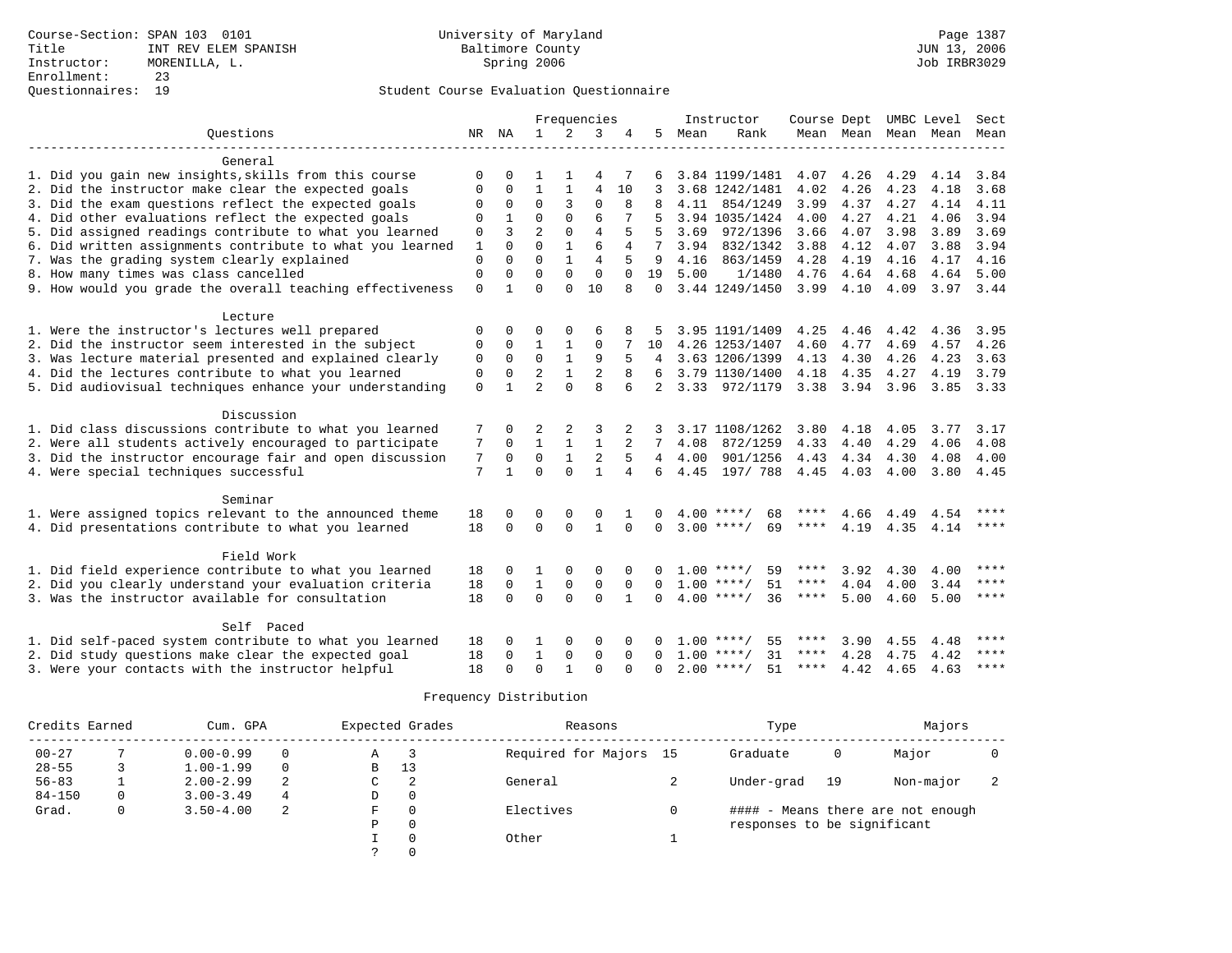|                                                           |              |              |                |              | Frequencies    |              |                |      | Instructor         | Course Dept UMBC Level |                |      |                          | Sect        |
|-----------------------------------------------------------|--------------|--------------|----------------|--------------|----------------|--------------|----------------|------|--------------------|------------------------|----------------|------|--------------------------|-------------|
| Ouestions                                                 |              | NR NA        | $\mathbf{1}$   | 2            | 3              | 4            | 5              | Mean | Rank               |                        |                |      | Mean Mean Mean Mean Mean |             |
|                                                           |              |              |                |              |                |              |                |      |                    |                        |                |      |                          |             |
| General                                                   |              |              |                |              |                |              |                |      |                    |                        |                |      |                          |             |
| 1. Did you gain new insights, skills from this course     | $\Omega$     |              | 1              |              | 4              |              |                |      | 3.84 1199/1481     | 4.07                   | 4.26           | 4.29 | 4.14                     | 3.84        |
| 2. Did the instructor make clear the expected goals       | 0            | 0            | $\mathbf{1}$   | 1            | $\overline{4}$ | 10           | 3              |      | 3.68 1242/1481     | 4.02                   | 4.26           | 4.23 | 4.18                     | 3.68        |
| 3. Did the exam questions reflect the expected goals      | 0            | $\mathbf 0$  | $\mathbf 0$    | 3            | $\mathbf 0$    | 8            |                |      | 4.11 854/1249      | 3.99                   | 4.37           | 4.27 | 4.14                     | 4.11        |
| 4. Did other evaluations reflect the expected goals       |              |              | $\Omega$       | $\Omega$     | 6              |              |                |      | 3.94 1035/1424     | 4.00                   | 4.27           | 4.21 | 4.06                     | 3.94        |
| 5. Did assigned readings contribute to what you learned   | 0            | 3            | $\overline{a}$ | $\Omega$     | $\overline{4}$ |              | 5              |      | 3.69 972/1396      | 3.66                   | 4.07           | 3.98 | 3.89                     | 3.69        |
| 6. Did written assignments contribute to what you learned | $\mathbf{1}$ | $\Omega$     | $\Omega$       | $\mathbf{1}$ | 6              | 4            | 7              | 3.94 | 832/1342           | 3.88                   | 4.12           | 4.07 | 3.88                     | 3.94        |
| 7. Was the grading system clearly explained               | $\mathbf 0$  | $\Omega$     | $\Omega$       |              | $\overline{4}$ |              | 9              | 4.16 | 863/1459           | 4.28                   | 4.19           | 4.16 | 4.17                     | 4.16        |
| 8. How many times was class cancelled                     | $\Omega$     | $\Omega$     | $\Omega$       | $\Omega$     | $\Omega$       | $\Omega$     | 19             | 5.00 | 1/1480             | 4.76                   | 4.64           | 4.68 | 4.64                     | 5.00        |
| 9. How would you grade the overall teaching effectiveness | $\Omega$     | $\mathbf{1}$ | $\cap$         | $\Omega$     | 10             | 8            | $\Omega$       |      | 3.44 1249/1450     |                        | $3.99$ 4.10    | 4.09 | 3.97 3.44                |             |
| Lecture                                                   |              |              |                |              |                |              |                |      |                    |                        |                |      |                          |             |
| 1. Were the instructor's lectures well prepared           | 0            | $\Omega$     | 0              | $\mathbf 0$  | 6              |              | 5              |      | 3.95 1191/1409     | 4.25                   | 4.46           | 4.42 | 4.36                     | 3.95        |
| 2. Did the instructor seem interested in the subject      | 0            | $\mathbf 0$  | $\mathbf{1}$   | 1            | 0              |              | 10             |      | 4.26 1253/1407     | 4.60                   | 4.77           | 4.69 | 4.57                     | 4.26        |
| 3. Was lecture material presented and explained clearly   | $\mathbf 0$  | $\Omega$     | $\Omega$       | $\mathbf{1}$ | 9              | 5            |                |      | 4 3.63 1206/1399   | 4.13                   | 4.30           | 4.26 | 4.23                     | 3.63        |
| 4. Did the lectures contribute to what you learned        | $\mathbf 0$  | $\Omega$     | $\overline{a}$ | $\mathbf{1}$ | $\overline{2}$ |              | ნ.             |      | 3.79 1130/1400     | 4.18                   | 4.35           | 4.27 | 4.19                     | 3.79        |
| 5. Did audiovisual techniques enhance your understanding  | $\Omega$     |              | $\overline{2}$ | $\Omega$     | $\mathsf{R}$   |              | $2^{\circ}$    |      | 3.33 972/1179      |                        | 3.38 3.94 3.96 |      |                          | 3.85 3.33   |
|                                                           |              |              |                |              |                |              |                |      |                    |                        |                |      |                          |             |
| Discussion                                                |              |              |                |              |                |              |                |      |                    |                        |                |      |                          |             |
| 1. Did class discussions contribute to what you learned   | 7            | $\Omega$     | 2              | 2            | 3              | 2            | 3              |      | 3.17 1108/1262     | 3.80                   | 4.18           | 4.05 | 3.77                     | 3.17        |
| 2. Were all students actively encouraged to participate   | 7            | $\Omega$     | $\mathbf{1}$   |              | $\mathbf{1}$   |              | 7              | 4.08 | 872/1259           | 4.33                   | 4.40           | 4.29 | 4.06                     | 4.08        |
| 3. Did the instructor encourage fair and open discussion  | 7            | $\Omega$     | $\mathbf 0$    | $\mathbf{1}$ | $\overline{2}$ |              | $\overline{4}$ | 4.00 | 901/1256           | 4.43                   | 4.34           | 4.30 | 4.08                     | 4.00        |
| 4. Were special techniques successful                     | 7            | $\mathbf{1}$ | $\Omega$       | $\Omega$     | $\mathbf{1}$   | 4            | 6              | 4.45 | 197/ 788 4.45 4.03 |                        |                | 4.00 | 3.80 4.45                |             |
| Seminar                                                   |              |              |                |              |                |              |                |      |                    |                        |                |      |                          |             |
| 1. Were assigned topics relevant to the announced theme   | 18           | 0            | $\Omega$       |              | $\Omega$       |              |                |      | $4.00$ ****/<br>68 | ****                   | 4.66           | 4.49 | 4.54                     | ****        |
| 4. Did presentations contribute to what you learned       | 18           | $\Omega$     | $\Omega$       | $\Omega$     | $\mathbf{1}$   | $\Omega$     | $\Omega$       |      | $3.00$ ****/<br>69 | ****                   | 4.19           | 4.35 | 4.14                     | $***$ * * * |
|                                                           |              |              |                |              |                |              |                |      |                    |                        |                |      |                          |             |
| Field Work                                                |              |              |                |              |                |              |                |      |                    |                        |                |      |                          |             |
| 1. Did field experience contribute to what you learned    | 18           | 0            |                | $\Omega$     | $\Omega$       |              |                |      | $1.00$ ****/<br>59 | ****                   | 3.92           | 4.30 | 4.00                     | $***$       |
| 2. Did you clearly understand your evaluation criteria    | 18           | $\mathbf 0$  | $\mathbf{1}$   | $\mathbf{0}$ | $\mathbf 0$    | $\Omega$     | $\Omega$       |      | 51<br>$1.00$ ****/ | ****                   | 4.04           | 4.00 | 3.44                     | $* * * *$   |
| 3. Was the instructor available for consultation          | 18           | $\Omega$     | $\Omega$       | $\Omega$     | $\Omega$       | $\mathbf{1}$ | $\Omega$       |      | $4.00$ ****/<br>36 | $***$ * * *            | 5.00           | 4.60 | 5.00                     | $* * * * *$ |
| Self Paced                                                |              |              |                |              |                |              |                |      |                    |                        |                |      |                          |             |
| 1. Did self-paced system contribute to what you learned   | 18           |              |                |              | $\Omega$       |              |                |      | 55<br>$1.00$ ****/ | ****                   | 3.90           | 4.55 | 4.48                     | ****        |
| 2. Did study questions make clear the expected goal       | 18           | $\Omega$     | $\mathbf{1}$   | $\Omega$     | $\Omega$       | $\Omega$     | $\Omega$       |      | $1.00$ ****/<br>31 | ****                   | 4.28           | 4.75 | 4.42                     | $* * * *$   |
| 3. Were your contacts with the instructor helpful         | 18           | $\Omega$     | $\Omega$       | $\mathbf{1}$ | $\Omega$       | $\Omega$     | $\Omega$       |      | $2.00$ ****/<br>51 | ****                   | 4.42           | 4.65 | 4.63                     | $* * * *$   |

| Credits Earned | Cum. GPA      |          |   | Expected Grades | Reasons                | Type                        |    | Majors                            |  |
|----------------|---------------|----------|---|-----------------|------------------------|-----------------------------|----|-----------------------------------|--|
| $00 - 27$      | $0.00 - 0.99$ |          | A | 3               | Required for Majors 15 | Graduate                    | 0  | Major                             |  |
| $28 - 55$      | $1.00 - 1.99$ | $\Omega$ | B | 13              |                        |                             |    |                                   |  |
| $56 - 83$      | $2.00 - 2.99$ |          | C | 2               | General                | Under-grad                  | 19 | Non-major                         |  |
| $84 - 150$     | $3.00 - 3.49$ | 4        | D | 0               |                        |                             |    |                                   |  |
| Grad.          | $3.50 - 4.00$ | 2        | F | $\Omega$        | Electives              |                             |    | #### - Means there are not enough |  |
|                |               |          | P | $\Omega$        |                        | responses to be significant |    |                                   |  |
|                |               |          |   | $\Omega$        | Other                  |                             |    |                                   |  |
|                |               |          |   |                 |                        |                             |    |                                   |  |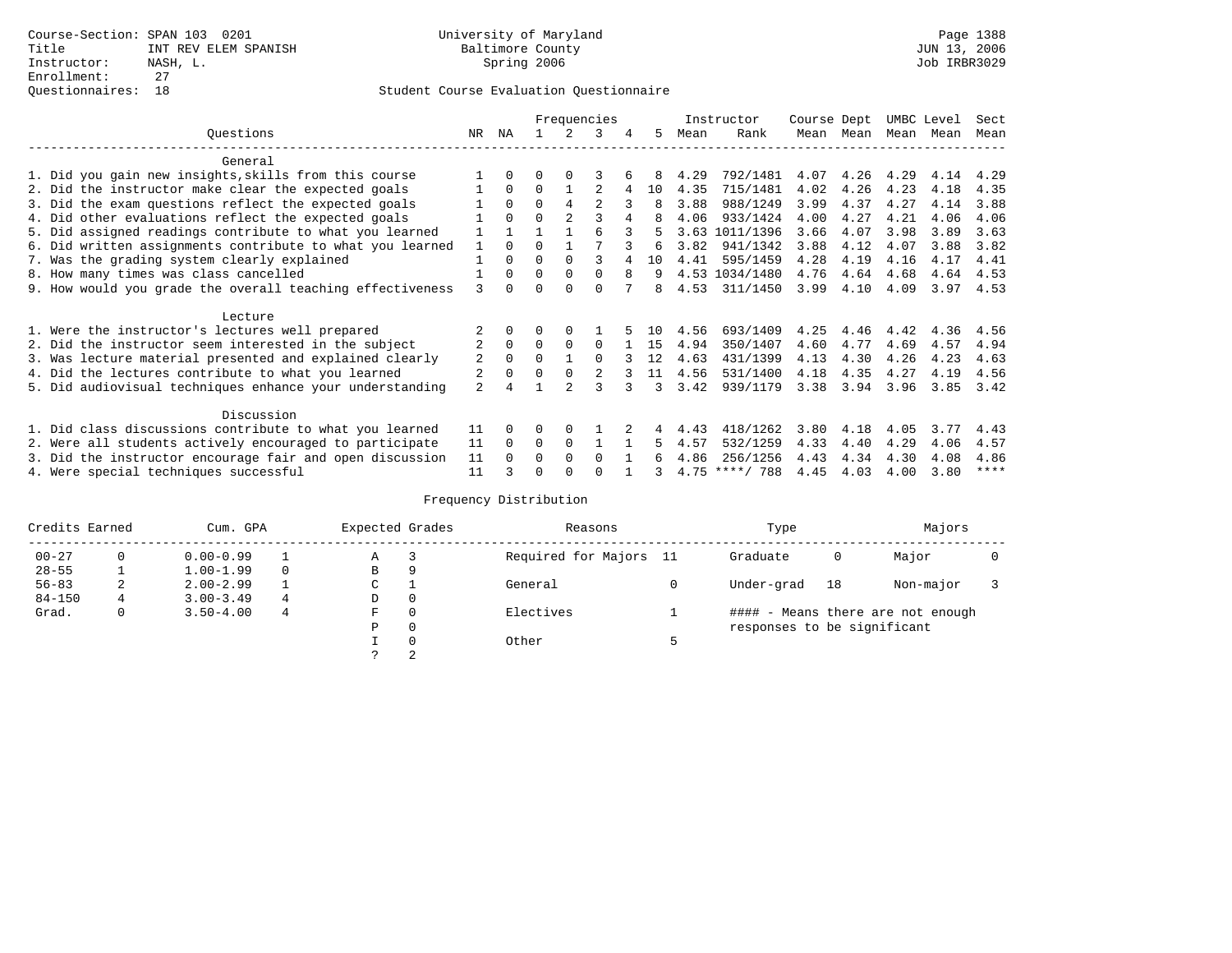|                                                           |                |          |          |                | Frequencies    |   |    |      | Instructor       | Course Dept |           | UMBC Level |      | Sect |
|-----------------------------------------------------------|----------------|----------|----------|----------------|----------------|---|----|------|------------------|-------------|-----------|------------|------|------|
| Ouestions                                                 | NR             | ΝA       |          |                | 3              | 4 | 5. | Mean | Rank             |             | Mean Mean | Mean       | Mean | Mean |
| General                                                   |                |          |          |                |                |   |    |      |                  |             |           |            |      |      |
| 1. Did you gain new insights, skills from this course     |                | $\Omega$ | 0        |                |                |   |    | 4.29 | 792/1481         | 4.07        | 4.26      | 4.29       | 4.14 | 4.29 |
| 2. Did the instructor make clear the expected goals       |                | $\Omega$ | $\Omega$ |                |                |   | 10 | 4.35 | 715/1481         | 4.02        | 4.26      | 4.23       | 4.18 | 4.35 |
| 3. Did the exam questions reflect the expected goals      |                | $\Omega$ | $\Omega$ | 4              | $\mathfrak{D}$ |   | 8  | 3.88 | 988/1249         | 3.99        | 4.37      | 4.27       | 4.14 | 3.88 |
| 4. Did other evaluations reflect the expected goals       |                | $\Omega$ | $\Omega$ | $\overline{2}$ |                | 4 | 8  | 4.06 | 933/1424         | 4.00        | 4.27      | 4.21       | 4.06 | 4.06 |
| 5. Did assigned readings contribute to what you learned   |                |          |          |                | 6              |   |    |      | 3.63 1011/1396   | 3.66        | 4.07      | 3.98       | 3.89 | 3.63 |
| 6. Did written assignments contribute to what you learned | $\mathbf{1}$   | $\Omega$ | U        |                |                |   | 6  | 3.82 | 941/1342         | 3.88        | 4.12      | 4.07       | 3.88 | 3.82 |
| 7. Was the grading system clearly explained               |                | $\Omega$ | U        | $\Omega$       |                |   | 10 | 4.41 | 595/1459         | 4.28        | 4.19      | 4.16       | 4.17 | 4.41 |
| 8. How many times was class cancelled                     |                | $\Omega$ | $\Omega$ | $\Omega$       | <sup>0</sup>   | 8 | 9  |      | 4.53 1034/1480   | 4.76        | 4.64      | 4.68       | 4.64 | 4.53 |
| 9. How would you grade the overall teaching effectiveness | ζ              | $\cap$   |          | $\cap$         | U              |   | 8  | 4.53 | 311/1450         | 3.99        | 4.10      | 4.09       | 3.97 | 4.53 |
| Lecture                                                   |                |          |          |                |                |   |    |      |                  |             |           |            |      |      |
| 1. Were the instructor's lectures well prepared           |                |          |          |                |                |   | 10 | 4.56 | 693/1409         | 4.25        | 4.46      | 4.42       | 4.36 | 4.56 |
| 2. Did the instructor seem interested in the subject      | 2              | $\Omega$ | $\Omega$ | $\Omega$       | $\Omega$       |   | 15 | 4.94 | 350/1407         | 4.60        | 4.77      | 4.69       | 4.57 | 4.94 |
| 3. Was lecture material presented and explained clearly   | 2              | $\Omega$ | 0        |                | <sup>0</sup>   |   | 12 | 4.63 | 431/1399         | 4.13        | 4.30      | 4.26       | 4.23 | 4.63 |
| 4. Did the lectures contribute to what you learned        | 2              | 0        | $\Omega$ |                |                |   | 11 | 4.56 | 531/1400         | 4.18        | 4.35      | 4.27       | 4.19 | 4.56 |
| 5. Did audiovisual techniques enhance your understanding  | $\overline{2}$ |          |          | $\mathcal{D}$  | ς              |   | ર  | 3.42 | 939/1179         | 3.38        | 3.94      | 3.96       | 3.85 | 3.42 |
| Discussion                                                |                |          |          |                |                |   |    |      |                  |             |           |            |      |      |
| 1. Did class discussions contribute to what you learned   | 11             | $\Omega$ | 0        | $\Omega$       |                |   |    | 4.43 | 418/1262         | 3.80        | 4.18      | 4.05       | 3.77 | 4.43 |
| 2. Were all students actively encouraged to participate   | 11             | $\Omega$ | 0        | $\mathbf 0$    |                |   | 5  | 4.57 | 532/1259         | 4.33        | 4.40      | 4.29       | 4.06 | 4.57 |
| 3. Did the instructor encourage fair and open discussion  | 11             |          | U        | $\Omega$       | <sup>0</sup>   |   |    | 4.86 | 256/1256         | 4.43        | 4.34      | 4.30       | 4.08 | 4.86 |
| 4. Were special techniques successful                     | 11             |          |          |                |                |   |    |      | $4.75$ ****/ 788 | 4.45        | 4.03      | 4.00       | 3.80 | **** |

| Credits Earned |              | Cum. GPA      |          | Expected Grades |          | Reasons                | Type                        |    | Majors                            |  |
|----------------|--------------|---------------|----------|-----------------|----------|------------------------|-----------------------------|----|-----------------------------------|--|
| $00 - 27$      |              | $0.00 - 0.99$ |          | Α               |          | Required for Majors 11 | Graduate                    | 0  | Major                             |  |
| $28 - 55$      |              | $1.00 - 1.99$ | $\Omega$ | В               | 9        |                        |                             |    |                                   |  |
| $56 - 83$      | 2            | $2.00 - 2.99$ |          | C               |          | General                | Under-grad                  | 18 | Non-major                         |  |
| $84 - 150$     | 4            | $3.00 - 3.49$ | 4        | D               | 0        |                        |                             |    |                                   |  |
| Grad.          | $\mathbf{0}$ | $3.50 - 4.00$ | 4        | F               | $\Omega$ | Electives              |                             |    | #### - Means there are not enough |  |
|                |              |               |          | Ρ               | 0        |                        | responses to be significant |    |                                   |  |
|                |              |               |          |                 | $\Omega$ | Other                  |                             |    |                                   |  |
|                |              |               |          |                 |          |                        |                             |    |                                   |  |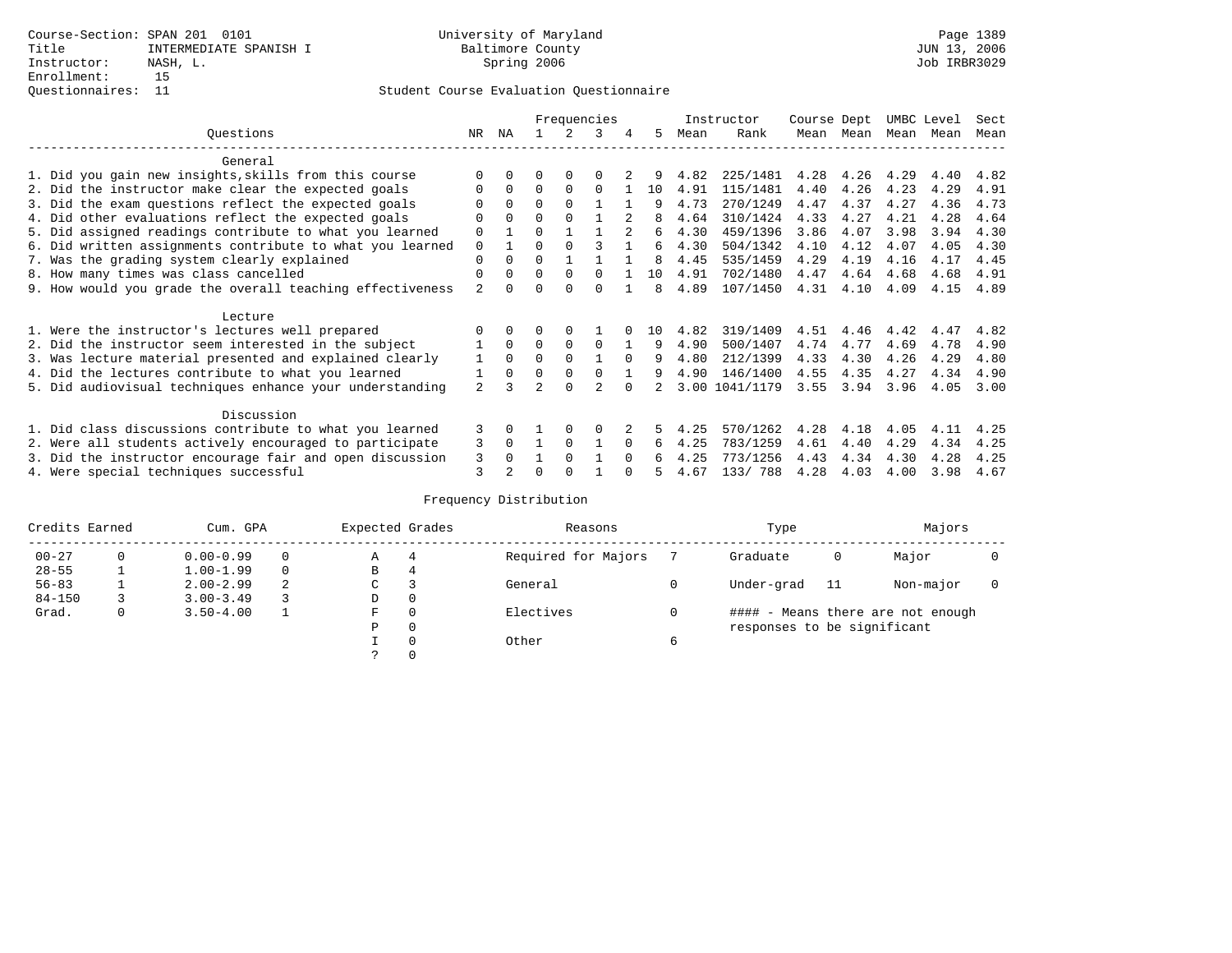|                                                           |                |                |          |              | Frequencies |                |     |      | Instructor     | Course Dept |      | UMBC Level |      | Sect |
|-----------------------------------------------------------|----------------|----------------|----------|--------------|-------------|----------------|-----|------|----------------|-------------|------|------------|------|------|
| Ouestions                                                 | NR.            | ΝA             |          |              | 3           | 4              | 5   | Mean | Rank           | Mean        | Mean | Mean       | Mean | Mean |
| General                                                   |                |                |          |              |             |                |     |      |                |             |      |            |      |      |
| 1. Did you gain new insights, skills from this course     |                | 0              | U        | $\Omega$     |             |                |     | 4.82 | 225/1481       | 4.28        | 4.26 | 4.29       | 4.40 | 4.82 |
| 2. Did the instructor make clear the expected goals       |                | $\Omega$       | $\Omega$ | 0            | 0           |                | 10  | 4.91 | 115/1481       | 4.40        | 4.26 | 4.23       | 4.29 | 4.91 |
| 3. Did the exam questions reflect the expected goals      |                | $\Omega$       | $\Omega$ | $\Omega$     |             |                | q   | 4.73 | 270/1249       | 4.47        | 4.37 | 4.27       | 4.36 | 4.73 |
| 4. Did other evaluations reflect the expected goals       | O              | $\Omega$       | 0        | $\Omega$     |             |                |     | 4.64 | 310/1424       | 4.33        | 4.27 | 4.21       | 4.28 | 4.64 |
| 5. Did assigned readings contribute to what you learned   | 0              |                | 0        |              |             | $\mathfrak{D}$ | 6   | 4.30 | 459/1396       | 3.86        | 4.07 | 3.98       | 3.94 | 4.30 |
| 6. Did written assignments contribute to what you learned | 0              |                | 0        |              |             |                | б.  | 4.30 | 504/1342       | 4.10        | 4.12 | 4.07       | 4.05 | 4.30 |
| 7. Was the grading system clearly explained               | 0              |                | U        |              |             |                | 8   | 4.45 | 535/1459       | 4.29        | 4.19 | 4.16       | 4.17 | 4.45 |
| 8. How many times was class cancelled                     | 0              | 0              | $\Omega$ | $\Omega$     | $\Omega$    |                | 10  | 4.91 | 702/1480       | 4.47        | 4.64 | 4.68       | 4.68 | 4.91 |
| 9. How would you grade the overall teaching effectiveness | $\overline{a}$ |                |          | <sup>n</sup> | U           |                | 8   | 4.89 | 107/1450       | 4.31        | 4.10 | 4.09       | 4.15 | 4.89 |
| Lecture                                                   |                |                |          |              |             |                |     |      |                |             |      |            |      |      |
| 1. Were the instructor's lectures well prepared           |                |                |          |              |             |                | 1 O | 4.82 | 319/1409       | 4.51        | 4.46 | 4.42       | 4.47 | 4.82 |
| 2. Did the instructor seem interested in the subject      |                | $\Omega$       | 0        | 0            | 0           |                | 9   | 4.90 | 500/1407       | 4.74        | 4.77 | 4.69       | 4.78 | 4.90 |
| 3. Was lecture material presented and explained clearly   |                | $\Omega$       | $\Omega$ | $\Omega$     |             | $\Omega$       | 9   | 4.80 | 212/1399       | 4.33        | 4.30 | 4.26       | 4.29 | 4.80 |
| 4. Did the lectures contribute to what you learned        |                | $\Omega$       | $\Omega$ | 0            |             |                | 9   | 4.90 | 146/1400       | 4.55        | 4.35 | 4.27       | 4.34 | 4.90 |
| 5. Did audiovisual techniques enhance your understanding  | $\overline{a}$ |                |          | $\cap$       |             |                |     |      | 3.00 1041/1179 | 3.55        | 3.94 | 3.96       | 4.05 | 3.00 |
| Discussion                                                |                |                |          |              |             |                |     |      |                |             |      |            |      |      |
| 1. Did class discussions contribute to what you learned   | 3              | 0              |          |              |             |                |     | 4.25 | 570/1262       | 4.28        | 4.18 | 4.05       | 4.11 | 4.25 |
| 2. Were all students actively encouraged to participate   | 3              | $\Omega$       |          | $\Omega$     |             | $\Omega$       | 6   | 4.25 | 783/1259       | 4.61        | 4.40 | 4.29       | 4.34 | 4.25 |
| 3. Did the instructor encourage fair and open discussion  | 3              |                |          | $\Omega$     |             |                |     | 4.25 | 773/1256       | 4.43        | 4.34 | 4.30       | 4.28 | 4.25 |
| 4. Were special techniques successful                     | 3              | $\mathfrak{D}$ |          |              |             |                |     | 4.67 | 133/788        | 4.28        | 4.03 | 4.00       | 3.98 | 4.67 |

| Credits Earned |          | Cum. GPA      |   | Expected Grades |          | Reasons             |   | Type                        |    | Majors                            |  |
|----------------|----------|---------------|---|-----------------|----------|---------------------|---|-----------------------------|----|-----------------------------------|--|
| $00 - 27$      | $\Omega$ | $0.00 - 0.99$ |   | А               | 4        | Required for Majors |   | Graduate                    | 0  | Major                             |  |
| $28 - 55$      | ᅩ        | $1.00 - 1.99$ |   | В               | 4        |                     |   |                             |    |                                   |  |
| $56 - 83$      |          | $2.00 - 2.99$ | 2 | $\sim$<br>◡     |          | General             |   | Under-grad                  | 11 | Non-major                         |  |
| $84 - 150$     |          | $3.00 - 3.49$ |   | D               | 0        |                     |   |                             |    |                                   |  |
| Grad.          | 0        | $3.50 - 4.00$ |   | F               | 0        | Electives           | 0 |                             |    | #### - Means there are not enough |  |
|                |          |               |   | Ρ               | 0        |                     |   | responses to be significant |    |                                   |  |
|                |          |               |   |                 | $\Omega$ | Other               | 6 |                             |    |                                   |  |
|                |          |               |   |                 |          |                     |   |                             |    |                                   |  |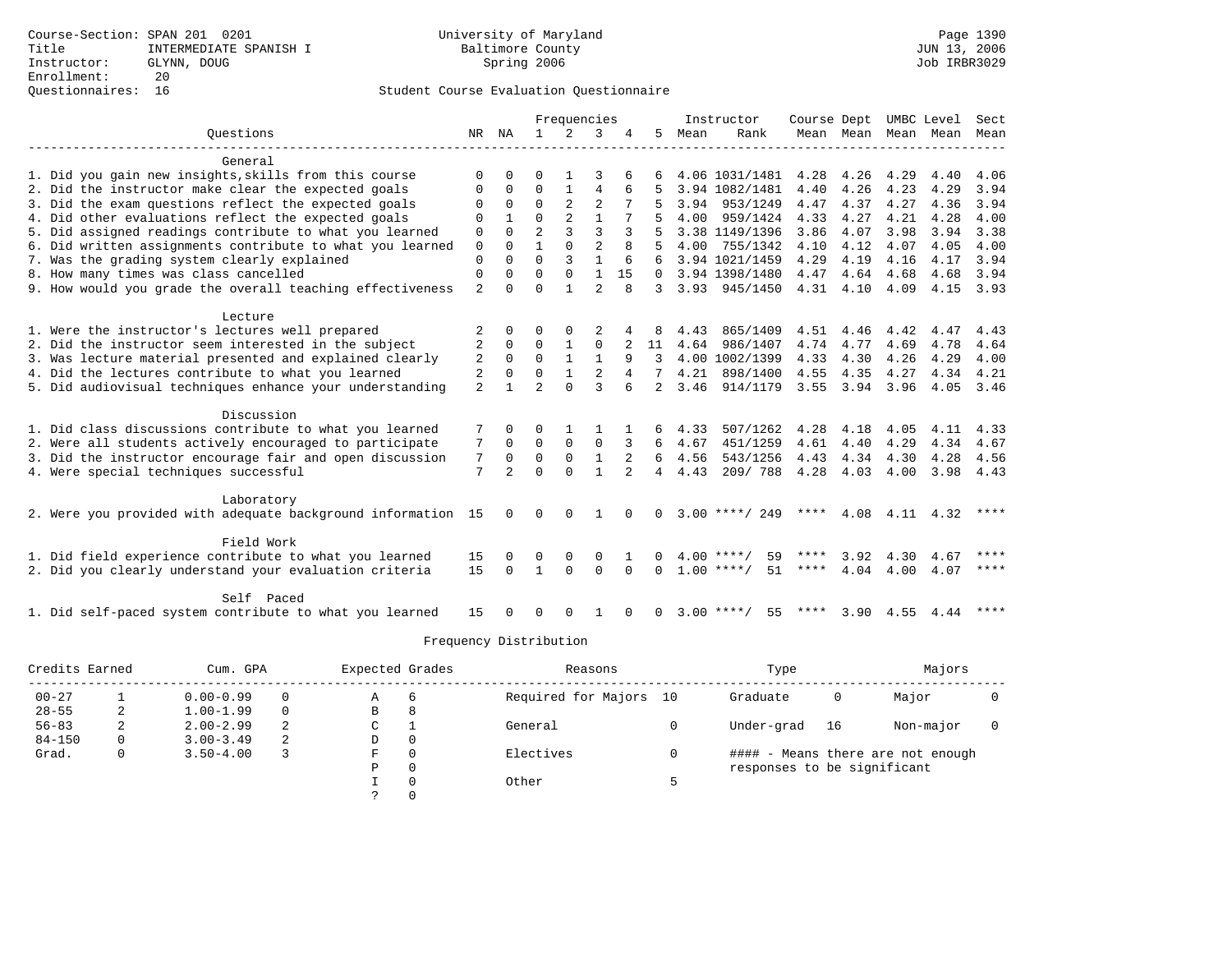|                                                              |                |                |                | Frequencies  |                |                |                |      | Instructor         | Course Dept |                |                | UMBC Level | Sect        |
|--------------------------------------------------------------|----------------|----------------|----------------|--------------|----------------|----------------|----------------|------|--------------------|-------------|----------------|----------------|------------|-------------|
| Ouestions                                                    | NR             | NA             | $\mathbf{1}$   | 2            | 3              |                | 5              | Mean | Rank               |             | Mean Mean Mean |                | Mean       | Mean        |
|                                                              |                |                |                |              |                |                |                |      |                    |             |                |                |            |             |
| General                                                      |                |                |                |              |                |                |                |      |                    |             |                |                |            |             |
| 1. Did you gain new insights, skills from this course        | $\Omega$       |                |                |              |                |                |                |      | 4.06 1031/1481     | 4.28        | 4.26           | 4.29           | 4.40       | 4.06        |
| 2. Did the instructor make clear the expected goals          | O              | $\Omega$       | $\Omega$       |              | 4              |                |                |      | 3.94 1082/1481     | 4.40        | 4.26           | 4.23           | 4.29       | 3.94        |
| 3. Did the exam questions reflect the expected goals         |                | $\Omega$       | $\Omega$       |              | $\mathfrak{D}$ |                |                | 3.94 | 953/1249           | 4.47        | 4.37           | 4.27           | 4.36       | 3.94        |
| 4. Did other evaluations reflect the expected goals          | $\Omega$       |                | $\Omega$       |              |                |                |                | 4.00 | 959/1424           | 4.33        | 4.27           | 4.21           | 4.28       | 4.00        |
| 5. Did assigned readings contribute to what you learned      | $\mathbf 0$    | $\Omega$       |                |              | ζ              |                |                |      | 3.38 1149/1396     | 3.86        | 4.07           | 3.98           | 3.94       | 3.38        |
| 6. Did written assignments contribute to what you learned    | $\mathbf 0$    | $\Omega$       |                | $\Omega$     | $\overline{2}$ | 8              |                | 4.00 | 755/1342           | 4.10        | 4.12           | 4.07           | 4.05       | 4.00        |
| 7. Was the grading system clearly explained                  | $\Omega$       | $\Omega$       | $\Omega$       | 3            |                | 6              | 6              |      | 3.94 1021/1459     | 4.29        | 4.19           | 4.16           | 4.17       | 3.94        |
| 8. How many times was class cancelled                        | $\mathbf 0$    | $\Omega$       | $\Omega$       | $\Omega$     | $\mathbf{1}$   | 15             | $\Omega$       |      | 3.94 1398/1480     | 4.47        | 4.64           | 4.68           | 4.68       | 3.94        |
| 9. How would you grade the overall teaching effectiveness    | $\overline{2}$ | $\cap$         | $\Omega$       |              | $\overline{2}$ | $\mathsf{R}$   | 3              |      | 3.93 945/1450      |             | 4.31 4.10      | 4.09           | 4.15       | 3.93        |
| Lecture                                                      |                |                |                |              |                |                |                |      |                    |             |                |                |            |             |
| 1. Were the instructor's lectures well prepared              | 2              | $\Omega$       | ∩              | $\Omega$     |                |                |                | 4.43 | 865/1409           | 4.51        | 4.46           | 4.42           | 4.47       | 4.43        |
| 2. Did the instructor seem interested in the subject         | 2              | $\Omega$       | $\Omega$       |              | $\Omega$       |                | 11             | 4.64 | 986/1407           | 4.74        | 4.77           | 4.69           | 4.78       | 4.64        |
| 3. Was lecture material presented and explained clearly      | 2              | $\Omega$       | $\Omega$       | $\mathbf{1}$ | $\mathbf{1}$   | 9              | 3              |      | 4.00 1002/1399     | 4.33        | 4.30           | 4.26           | 4.29       | 4.00        |
| 4. Did the lectures contribute to what you learned           | $\overline{2}$ | $\Omega$       | $\Omega$       | $\mathbf{1}$ | $\overline{2}$ |                |                | 4.21 | 898/1400           | 4.55        | 4.35           | 4.27           | 4.34       | 4.21        |
| 5. Did audiovisual techniques enhance your understanding     | 2              |                | $\mathfrak{D}$ | $\Omega$     | ζ              |                | 2              | 3.46 | 914/1179           | 3.55        | 3.94           | 3.96           | 4.05 3.46  |             |
|                                                              |                |                |                |              |                |                |                |      |                    |             |                |                |            |             |
| Discussion                                                   |                |                |                |              |                |                |                |      |                    |             |                |                |            |             |
| 1. Did class discussions contribute to what you learned      |                |                | ∩              |              |                |                |                | 4.33 | 507/1262           | 4.28        | 4.18           | 4.05           | 4.11       | 4.33        |
| 2. Were all students actively encouraged to participate      | 7              | $\Omega$       | $\Omega$       | $\Omega$     | $\Omega$       | 3              | 6              | 4.67 | 451/1259           | 4.61        | 4.40           | 4.29           | 4.34       | 4.67        |
| 3. Did the instructor encourage fair and open discussion     | 7              | $\Omega$       | $\Omega$       | $\Omega$     | $\mathbf{1}$   | $\overline{2}$ | 6              | 4.56 | 543/1256           | 4.43        | 4.34           | 4.30           | 4.28       | 4.56        |
| 4. Were special techniques successful                        | 7              | $\mathfrak{D}$ | $\Omega$       | $\cap$       | $\mathbf{1}$   | $\mathfrak{D}$ | $\overline{4}$ | 4.43 | 209/788            | 4.28        | 4.03           | 4.00           | 3.98       | 4.43        |
| Laboratory                                                   |                |                |                |              |                |                |                |      |                    |             |                |                |            |             |
| 2. Were you provided with adequate background information 15 |                | $\Omega$       | $\Omega$       | $\Omega$     |                |                | $\Omega$       |      | $3.00$ ****/ 249   | ****        |                | 4.08 4.11 4.32 |            | $* * * *$   |
|                                                              |                |                |                |              |                |                |                |      |                    |             |                |                |            |             |
| Field Work                                                   |                |                |                |              |                |                |                |      |                    |             |                |                |            |             |
| 1. Did field experience contribute to what you learned       | 15             |                | 0              |              | $\Omega$       |                |                |      | $4.00$ ****/<br>59 | ****        | 3.92           | 4.30           | 4.67       | ****        |
| 2. Did you clearly understand your evaluation criteria       | 15             | $\Omega$       | $\mathbf{1}$   | $\Omega$     | $\Omega$       | $\Omega$       | $\Omega$       |      | $1.00$ ****/<br>51 | ****        | 4.04           | 4.00           | 4.07       | $***$ * * * |
| Self Paced                                                   |                |                |                |              |                |                |                |      |                    |             |                |                |            |             |
| 1. Did self-paced system contribute to what you learned      | 15             |                | $\Omega$       | $\Omega$     |                | $\Omega$       | 0              |      | $3.00$ ****/<br>55 | ****        | 3.90           | 4.55           | 4.44       | ****        |
|                                                              |                |                |                |              |                |                |                |      |                    |             |                |                |            |             |

| Credits Earned |          | Cum. GPA      |          | Expected Grades |              | Reasons                | Type                        |    | Majors                            |  |
|----------------|----------|---------------|----------|-----------------|--------------|------------------------|-----------------------------|----|-----------------------------------|--|
| $00 - 27$      |          | $0.00 - 0.99$ | $\Omega$ | Α               | 6            | Required for Majors 10 | Graduate                    | 0  | Major                             |  |
| $28 - 55$      |          | $1.00 - 1.99$ | $\Omega$ | В               | 8            |                        |                             |    |                                   |  |
| $56 - 83$      |          | $2.00 - 2.99$ | -2       | С               |              | General                | Under-grad                  | 16 | Non-major                         |  |
| $84 - 150$     | $\Omega$ | $3.00 - 3.49$ | -2       | D               | $\mathbf{0}$ |                        |                             |    |                                   |  |
| Grad.          | 0        | $3.50 - 4.00$ |          | F               | 0            | Electives              |                             |    | #### - Means there are not enough |  |
|                |          |               |          | Ρ               | 0            |                        | responses to be significant |    |                                   |  |
|                |          |               |          |                 | $\Omega$     | Other                  |                             |    |                                   |  |
|                |          |               |          |                 | $\Omega$     |                        |                             |    |                                   |  |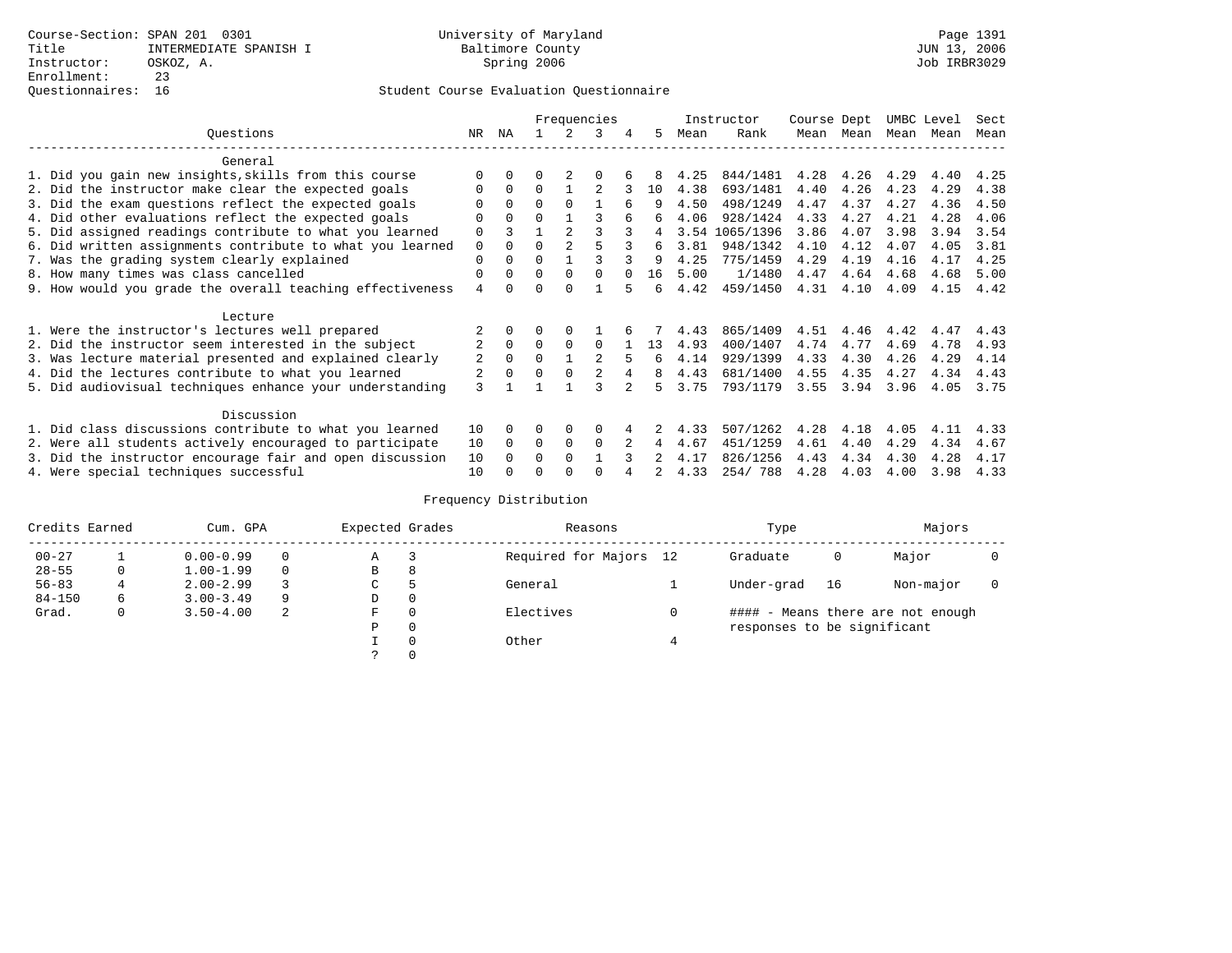|                                                           |                |              |          | Frequencies |          |        |    |      | Instructor | Course Dept |      | UMBC Level |      | Sect |
|-----------------------------------------------------------|----------------|--------------|----------|-------------|----------|--------|----|------|------------|-------------|------|------------|------|------|
| Ouestions                                                 | NR.            | ΝA           |          |             | 3        | 4      | 5. | Mean | Rank       | Mean        | Mean | Mean       | Mean | Mean |
| General                                                   |                |              |          |             |          |        |    |      |            |             |      |            |      |      |
| 1. Did you gain new insights, skills from this course     | $\Omega$       | $\Omega$     | 0        |             |          |        | 8  | 4.25 | 844/1481   | 4.28        | 4.26 | 4.29       | 4.40 | 4.25 |
| 2. Did the instructor make clear the expected goals       | $\Omega$       | $\Omega$     | $\Omega$ |             |          |        | 10 | 4.38 | 693/1481   | 4.40        | 4.26 | 4.23       | 4.29 | 4.38 |
| 3. Did the exam questions reflect the expected goals      |                | $\Omega$     | $\Omega$ | $\Omega$    |          | 6      | q  | 4.50 | 498/1249   | 4.47        | 4.37 | 4.27       | 4.36 | 4.50 |
| 4. Did other evaluations reflect the expected goals       | $\Omega$       | $\Omega$     | $\Omega$ |             |          |        | б. | 4.06 | 928/1424   | 4.33        | 4.27 | 4.21       | 4.28 | 4.06 |
| 5. Did assigned readings contribute to what you learned   | $\mathbf 0$    |              |          |             |          |        | 4  | 3.54 | 1065/1396  | 3.86        | 4.07 | 3.98       | 3.94 | 3.54 |
| 6. Did written assignments contribute to what you learned | $\mathbf 0$    |              | $\Omega$ |             |          |        | 6  | 3.81 | 948/1342   | 4.10        | 4.12 | 4.07       | 4.05 | 3.81 |
| 7. Was the grading system clearly explained               | $\mathbf 0$    |              | $\Omega$ |             |          |        | q  | 4.25 | 775/1459   | 4.29        | 4.19 | 4.16       | 4.17 | 4.25 |
| 8. How many times was class cancelled                     | 0              | $\Omega$     | $\Omega$ | $\Omega$    | $\Omega$ | $\cap$ | 16 | 5.00 | 1/1480     | 4.47        | 4.64 | 4.68       | 4.68 | 5.00 |
| 9. How would you grade the overall teaching effectiveness | $\overline{4}$ | <sup>n</sup> | $\Omega$ | $\cap$      |          | 5      | б. | 4.42 | 459/1450   | 4.31        | 4.10 | 4.09       | 4.15 | 4.42 |
| Lecture                                                   |                |              |          |             |          |        |    |      |            |             |      |            |      |      |
| 1. Were the instructor's lectures well prepared           |                |              |          |             |          |        |    | 4.43 | 865/1409   | 4.51        | 4.46 | 4.42       | 4.47 | 4.43 |
| 2. Did the instructor seem interested in the subject      | $\overline{2}$ | $\Omega$     | $\Omega$ | $\Omega$    | $\Omega$ |        | 13 | 4.93 | 400/1407   | 4.74        | 4.77 | 4.69       | 4.78 | 4.93 |
| 3. Was lecture material presented and explained clearly   | 2              | $\Omega$     | $\Omega$ |             |          | 5      | б. | 4.14 | 929/1399   | 4.33        | 4.30 | 4.26       | 4.29 | 4.14 |
| 4. Did the lectures contribute to what you learned        |                | $\Omega$     | $\Omega$ | $\Omega$    |          |        | 8  | 4.43 | 681/1400   | 4.55        | 4.35 | 4.27       | 4.34 | 4.43 |
| 5. Did audiovisual techniques enhance your understanding  | 3              |              |          |             |          |        | 5  | 3.75 | 793/1179   | 3.55        | 3.94 | 3.96       | 4.05 | 3.75 |
|                                                           |                |              |          |             |          |        |    |      |            |             |      |            |      |      |
| Discussion                                                |                |              |          |             |          |        |    |      |            |             |      |            |      |      |
| 1. Did class discussions contribute to what you learned   | 10             | $\Omega$     |          | $\Omega$    | $\Omega$ |        |    | 4.33 | 507/1262   | 4.28        | 4.18 | 4.05       | 4.11 | 4.33 |
| 2. Were all students actively encouraged to participate   | 10             | $\Omega$     | $\Omega$ | $\Omega$    | $\Omega$ |        | 4  | 4.67 | 451/1259   | 4.61        | 4.40 | 4.29       | 4.34 | 4.67 |
| 3. Did the instructor encourage fair and open discussion  | 10             | $\Omega$     | 0        | $\Omega$    |          |        |    | 4.17 | 826/1256   | 4.43        | 4.34 | 4.30       | 4.28 | 4.17 |
| 4. Were special techniques successful                     | 10             |              |          |             |          |        |    | 4.33 | 254/788    | 4.28        | 4.03 | 4.00       | 3.98 | 4.33 |

| Credits Earned |              | Cum. GPA      |          | Expected Grades |          | Reasons                | Type                        |    | Majors                            |  |
|----------------|--------------|---------------|----------|-----------------|----------|------------------------|-----------------------------|----|-----------------------------------|--|
| $00 - 27$      |              | $0.00 - 0.99$ |          | Α               |          | Required for Majors 12 | Graduate                    | 0  | Major                             |  |
| $28 - 55$      | 0            | $1.00 - 1.99$ | $\Omega$ | В               | 8        |                        |                             |    |                                   |  |
| $56 - 83$      |              | $2.00 - 2.99$ |          | C.              | 5        | General                | Under-grad                  | 16 | Non-major                         |  |
| $84 - 150$     | 6            | $3.00 - 3.49$ | 9        | D               | 0        |                        |                             |    |                                   |  |
| Grad.          | $\mathbf{0}$ | $3.50 - 4.00$ | -2       | F               | $\Omega$ | Electives              |                             |    | #### - Means there are not enough |  |
|                |              |               |          | Ρ               | 0        |                        | responses to be significant |    |                                   |  |
|                |              |               |          |                 | $\Omega$ | Other                  |                             |    |                                   |  |
|                |              |               |          |                 |          |                        |                             |    |                                   |  |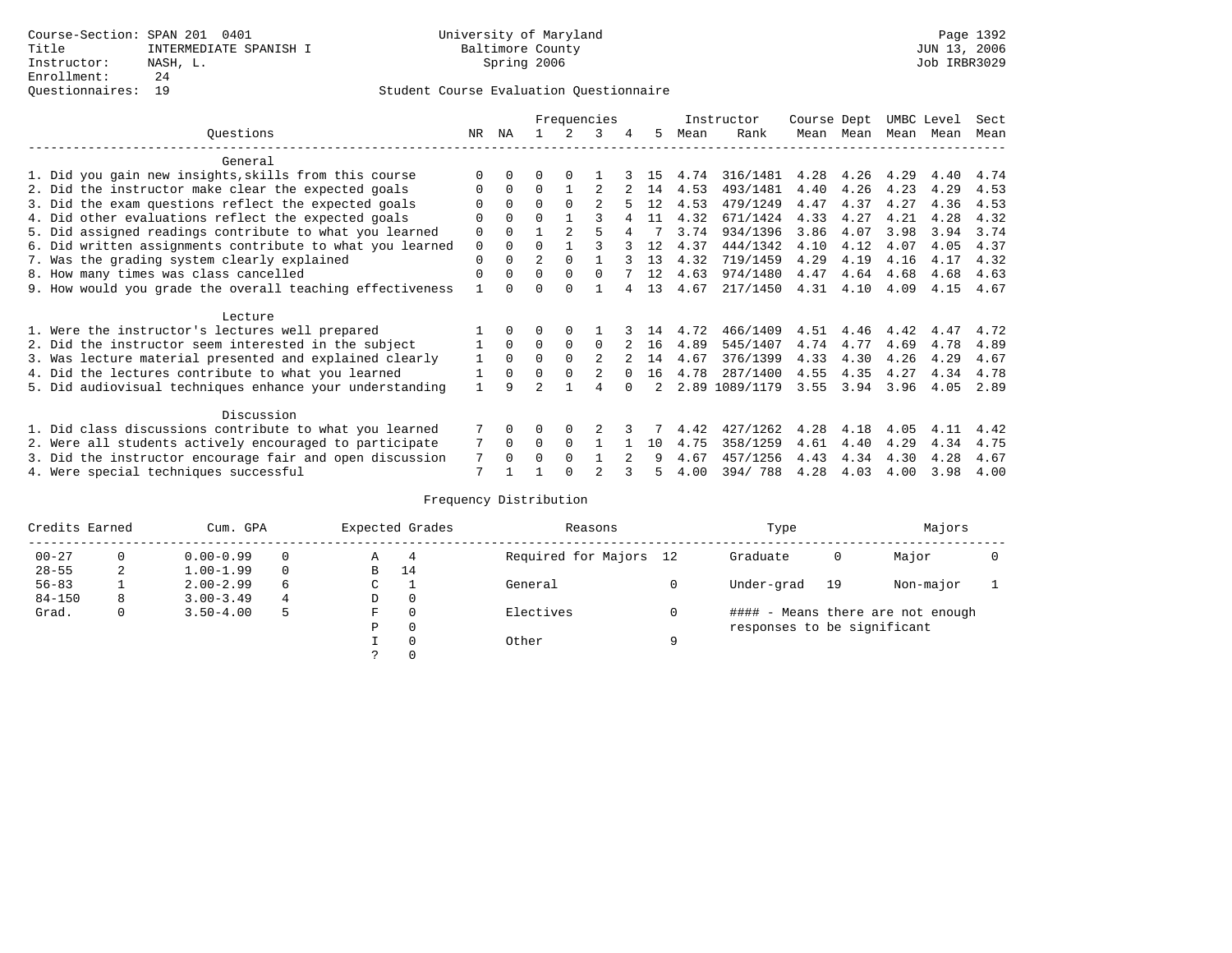|                                                           |     |          |          |                | Frequencies   |         |    |      | Instructor | Course Dept |      | UMBC Level |      | Sect |
|-----------------------------------------------------------|-----|----------|----------|----------------|---------------|---------|----|------|------------|-------------|------|------------|------|------|
| Ouestions                                                 | NR. | ΝA       |          |                | 3             | 4       | 5  | Mean | Rank       | Mean        | Mean | Mean       | Mean | Mean |
| General                                                   |     |          |          |                |               |         |    |      |            |             |      |            |      |      |
| 1. Did you gain new insights, skills from this course     |     | 0        | U        | $\Omega$       |               |         | 15 | 4.74 | 316/1481   | 4.28        | 4.26 | 4.29       | 4.40 | 4.74 |
| 2. Did the instructor make clear the expected goals       |     | $\Omega$ | $\Omega$ |                |               |         | 14 | 4.53 | 493/1481   | 4.40        | 4.26 | 4.23       | 4.29 | 4.53 |
| 3. Did the exam questions reflect the expected goals      |     | $\Omega$ | $\Omega$ | $\Omega$       |               |         | 12 | 4.53 | 479/1249   | 4.47        | 4.37 | 4.27       | 4.36 | 4.53 |
| 4. Did other evaluations reflect the expected goals       | O   | $\Omega$ | 0        |                |               |         | 11 | 4.32 | 671/1424   | 4.33        | 4.27 | 4.21       | 4.28 | 4.32 |
| 5. Did assigned readings contribute to what you learned   | 0   | $\Omega$ |          | $\mathfrak{D}$ |               |         |    | 3.74 | 934/1396   | 3.86        | 4.07 | 3.98       | 3.94 | 3.74 |
| 6. Did written assignments contribute to what you learned | 0   | $\Omega$ | U        |                |               |         | 12 | 4.37 | 444/1342   | 4.10        | 4.12 | 4.07       | 4.05 | 4.37 |
| 7. Was the grading system clearly explained               | 0   | 0        |          | <sup>0</sup>   |               |         | 13 | 4.32 | 719/1459   | 4.29        | 4.19 | 4.16       | 4.17 | 4.32 |
| 8. How many times was class cancelled                     | 0   | $\Omega$ | 0        | $\Omega$       | $\Omega$      |         | 12 | 4.63 | 974/1480   | 4.47        | 4.64 | 4.68       | 4.68 | 4.63 |
| 9. How would you grade the overall teaching effectiveness |     |          |          | <sup>n</sup>   |               |         | 13 | 4.67 | 217/1450   | 4.31        | 4.10 | 4.09       | 4.15 | 4.67 |
| Lecture                                                   |     |          |          |                |               |         |    |      |            |             |      |            |      |      |
| 1. Were the instructor's lectures well prepared           |     |          |          |                |               |         | 14 | 4.72 | 466/1409   | 4.51        | 4.46 | 4.42       | 4.47 | 4.72 |
| 2. Did the instructor seem interested in the subject      |     | $\Omega$ | 0        | 0              | $\Omega$      |         | 16 | 4.89 | 545/1407   | 4.74        | 4.77 | 4.69       | 4.78 | 4.89 |
| 3. Was lecture material presented and explained clearly   |     | $\Omega$ | U        | $\Omega$       | $\mathcal{L}$ |         | 14 | 4.67 | 376/1399   | 4.33        | 4.30 | 4.26       | 4.29 | 4.67 |
| 4. Did the lectures contribute to what you learned        |     | $\Omega$ | 0        | $\Omega$       |               |         | 16 | 4.78 | 287/1400   | 4.55        | 4.35 | 4.27       | 4.34 | 4.78 |
| 5. Did audiovisual techniques enhance your understanding  |     | q        |          |                |               |         |    | 2.89 | 1089/1179  | 3.55        | 3.94 | 3.96       | 4.05 | 2.89 |
| Discussion                                                |     |          |          |                |               |         |    |      |            |             |      |            |      |      |
| 1. Did class discussions contribute to what you learned   |     | $\Omega$ | 0        | $\Omega$       |               |         |    | 4.42 | 427/1262   | 4.28        | 4.18 | 4.05       | 4.11 | 4.42 |
| 2. Were all students actively encouraged to participate   |     | $\Omega$ | 0        | $\Omega$       |               |         | 10 | 4.75 | 358/1259   | 4.61        | 4.40 | 4.29       | 4.34 | 4.75 |
| 3. Did the instructor encourage fair and open discussion  | 7   | $\Omega$ |          | $\Omega$       |               | $2^{1}$ | 9  | 4.67 | 457/1256   | 4.43        | 4.34 | 4.30       | 4.28 | 4.67 |
| 4. Were special techniques successful                     | 7   |          |          |                |               |         |    | 4.00 | 394/788    | 4.28        | 4.03 | 4.00       | 3.98 | 4.00 |

| Credits Earned |   | Cum. GPA      |   |               | Expected Grades | Reasons                |   | Type                        |    | Majors                            |  |
|----------------|---|---------------|---|---------------|-----------------|------------------------|---|-----------------------------|----|-----------------------------------|--|
| $00 - 27$      | 0 | $0.00 - 0.99$ |   | Α             | 4               | Required for Majors 12 |   | Graduate                    | 0  | Major                             |  |
| $28 - 55$      | 2 | $1.00 - 1.99$ |   | В             | 14              |                        |   |                             |    |                                   |  |
| $56 - 83$      |   | $2.00 - 2.99$ | 6 | $\sim$<br>◡   |                 | General                |   | Under-grad                  | 19 | Non-major                         |  |
| $84 - 150$     | 8 | $3.00 - 3.49$ | 4 | D             | 0               |                        |   |                             |    |                                   |  |
| Grad.          | 0 | $3.50 - 4.00$ | 5 | F             | 0               | Electives              |   |                             |    | #### - Means there are not enough |  |
|                |   |               |   | Ρ             | 0               |                        |   | responses to be significant |    |                                   |  |
|                |   |               |   |               | 0               | Other                  | a |                             |    |                                   |  |
|                |   |               |   | $\mathcal{L}$ |                 |                        |   |                             |    |                                   |  |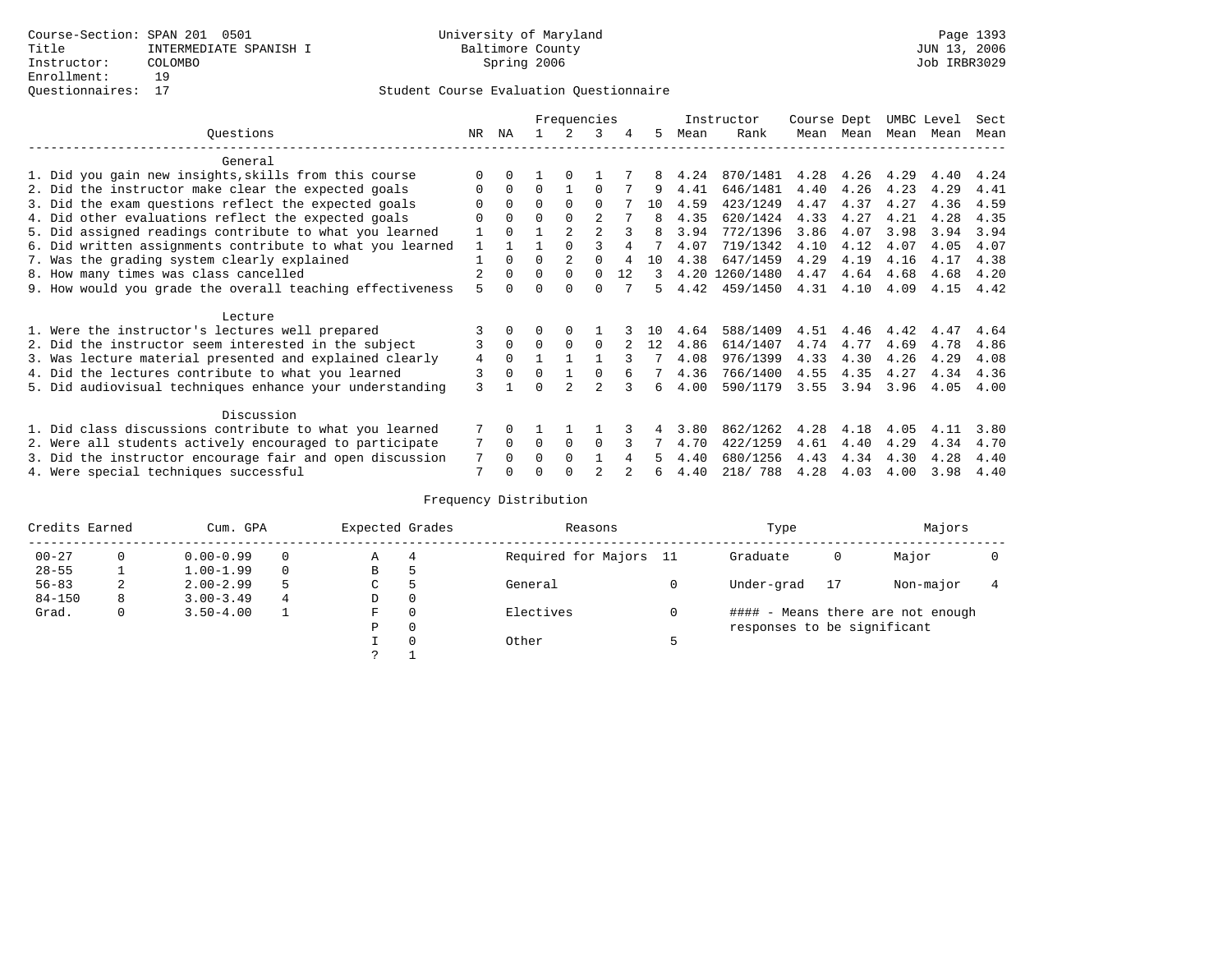|                                                           |     |              |          | Frequencies |                |    |     |      | Instructor     | Course Dept |      | UMBC Level |      | Sect |
|-----------------------------------------------------------|-----|--------------|----------|-------------|----------------|----|-----|------|----------------|-------------|------|------------|------|------|
| Ouestions                                                 | NR. | ΝA           |          |             | 3              |    | 5.  | Mean | Rank           | Mean        | Mean | Mean       | Mean | Mean |
| General                                                   |     |              |          |             |                |    |     |      |                |             |      |            |      |      |
| 1. Did you gain new insights, skills from this course     |     | $\cap$       |          | $\Omega$    |                |    | 8   | 4.24 | 870/1481       | 4.28        | 4.26 | 4.29       | 4.40 | 4.24 |
| 2. Did the instructor make clear the expected goals       | O   | $\Omega$     | $\Omega$ |             | $\Omega$       |    | 9   | 4.41 | 646/1481       | 4.40        | 4.26 | 4.23       | 4.29 | 4.41 |
| 3. Did the exam questions reflect the expected goals      |     | $\Omega$     | $\Omega$ | $\Omega$    | $\Omega$       |    | 10  | 4.59 | 423/1249       | 4.47        | 4.37 | 4.27       | 4.36 | 4.59 |
| 4. Did other evaluations reflect the expected goals       | O   | $\Omega$     | $\Omega$ |             | $\mathfrak{D}$ |    |     | 4.35 | 620/1424       | 4.33        | 4.27 | 4.21       | 4.28 | 4.35 |
| 5. Did assigned readings contribute to what you learned   | 1   | $\Omega$     |          |             |                |    | 8   | 3.94 | 772/1396       | 3.86        | 4.07 | 3.98       | 3.94 | 3.94 |
| 6. Did written assignments contribute to what you learned | 1   |              |          |             |                |    |     | 4.07 | 719/1342       | 4.10        | 4.12 | 4.07       | 4.05 | 4.07 |
| 7. Was the grading system clearly explained               |     | $\Omega$     | $\Omega$ |             |                |    | 10  | 4.38 | 647/1459       | 4.29        | 4.19 | 4.16       | 4.17 | 4.38 |
| 8. How many times was class cancelled                     |     | $\Omega$     | $\Omega$ | $\Omega$    | $\Omega$       | 12 | 3   |      | 4.20 1260/1480 | 4.47        | 4.64 | 4.68       | 4.68 | 4.20 |
| 9. How would you grade the overall teaching effectiveness | 5   | <sup>n</sup> | U        | $\cap$      | $\cap$         |    | 5.  | 4.42 | 459/1450       | 4.31        | 4.10 | 4.09       | 4.15 | 4.42 |
| Lecture                                                   |     |              |          |             |                |    |     |      |                |             |      |            |      |      |
| 1. Were the instructor's lectures well prepared           |     |              |          |             |                |    | 1 N | 4.64 | 588/1409       | 4.51        | 4.46 | 4.42       | 4.47 | 4.64 |
| 2. Did the instructor seem interested in the subject      | 3   | $\Omega$     | $\Omega$ | $\Omega$    | $\Omega$       |    | 12  | 4.86 | 614/1407       | 4.74        | 4.77 | 4.69       | 4.78 | 4.86 |
| 3. Was lecture material presented and explained clearly   | 4   | $\Omega$     |          |             |                |    |     | 4.08 | 976/1399       | 4.33        | 4.30 | 4.26       | 4.29 | 4.08 |
| 4. Did the lectures contribute to what you learned        | 3   | $\Omega$     | $\Omega$ |             |                |    |     | 4.36 | 766/1400       | 4.55        | 4.35 | 4.27       | 4.34 | 4.36 |
| 5. Did audiovisual techniques enhance your understanding  | 3   |              |          |             | $\mathcal{D}$  |    | 6   | 4.00 | 590/1179       | 3.55        | 3.94 | 3.96       | 4.05 | 4.00 |
| Discussion                                                |     |              |          |             |                |    |     |      |                |             |      |            |      |      |
| 1. Did class discussions contribute to what you learned   |     | $\Omega$     |          |             |                |    |     | 3.80 | 862/1262       | 4.28        | 4.18 | 4.05       | 4.11 | 3.80 |
| 2. Were all students actively encouraged to participate   |     | $\Omega$     | $\Omega$ | $\Omega$    | $\Omega$       |    |     | 4.70 | 422/1259       | 4.61        | 4.40 | 4.29       | 4.34 | 4.70 |
| 3. Did the instructor encourage fair and open discussion  | 7   | $\Omega$     | O        | $\Omega$    |                |    |     | 4.40 | 680/1256       | 4.43        | 4.34 | 4.30       | 4.28 | 4.40 |
| 4. Were special techniques successful                     | 7   |              |          |             |                |    |     | 4.40 | 218/ 788       | 4.28        | 4.03 | 4.00       | 3.98 | 4.40 |

| Credits Earned |   | Cum. GPA      |   | Expected Grades |          | Reasons                | Type                        |    | Majors                            |  |
|----------------|---|---------------|---|-----------------|----------|------------------------|-----------------------------|----|-----------------------------------|--|
| $00 - 27$      | 0 | $0.00 - 0.99$ |   | Α               | 4        | Required for Majors 11 | Graduate                    | 0  | Major                             |  |
| $28 - 55$      |   | $1.00 - 1.99$ |   | В               | -5       |                        |                             |    |                                   |  |
| $56 - 83$      | 2 | $2.00 - 2.99$ | 5 | C               | 5        | General                | Under-grad                  | 17 | Non-major                         |  |
| $84 - 150$     | 8 | $3.00 - 3.49$ | 4 | D               | 0        |                        |                             |    |                                   |  |
| Grad.          | 0 | $3.50 - 4.00$ |   | F               | $\Omega$ | Electives              |                             |    | #### - Means there are not enough |  |
|                |   |               |   | Ρ               | 0        |                        | responses to be significant |    |                                   |  |
|                |   |               |   |                 | $\Omega$ | Other                  |                             |    |                                   |  |
|                |   |               |   | っ               |          |                        |                             |    |                                   |  |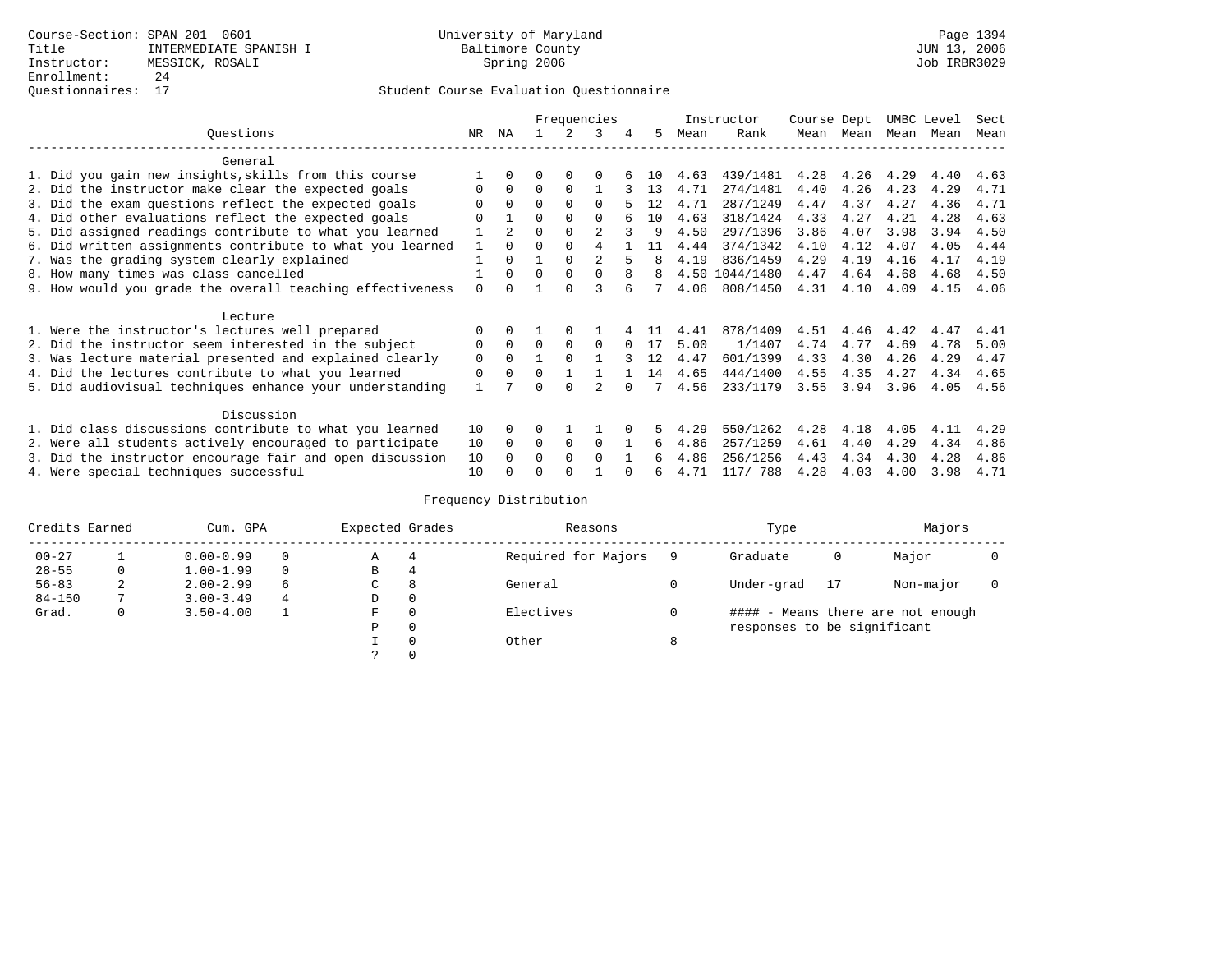## Questionnaires: 17 Student Course Evaluation Questionnaire

|                                                           |             |                |          |              | Frequencies    |          |     |      | Instructor     | Course Dept |      | UMBC Level |      | Sect |
|-----------------------------------------------------------|-------------|----------------|----------|--------------|----------------|----------|-----|------|----------------|-------------|------|------------|------|------|
| Ouestions                                                 | NR          | ΝA             |          |              | 3              | 4        | 5   | Mean | Rank           | Mean        | Mean | Mean       | Mean | Mean |
| General                                                   |             |                |          |              |                |          |     |      |                |             |      |            |      |      |
| 1. Did you gain new insights, skills from this course     |             | 0              | U        | $\Omega$     |                |          | 1 O | 4.63 | 439/1481       | 4.28        | 4.26 | 4.29       | 4.40 | 4.63 |
| 2. Did the instructor make clear the expected goals       | 0           | $\Omega$       | $\Omega$ | $\Omega$     |                |          | 13  | 4.71 | 274/1481       | 4.40        | 4.26 | 4.23       | 4.29 | 4.71 |
| 3. Did the exam questions reflect the expected goals      |             | $\Omega$       | $\Omega$ | $\Omega$     | $\Omega$       |          | 12  | 4.71 | 287/1249       | 4.47        | 4.37 | 4.27       | 4.36 | 4.71 |
| 4. Did other evaluations reflect the expected goals       | 0           |                | 0        | $\Omega$     | $\Omega$       |          | 10  | 4.63 | 318/1424       | 4.33        | 4.27 | 4.21       | 4.28 | 4.63 |
| 5. Did assigned readings contribute to what you learned   |             | $\overline{2}$ |          | $\Omega$     | 2              |          | 9   | 4.50 | 297/1396       | 3.86        | 4.07 | 3.98       | 3.94 | 4.50 |
| 6. Did written assignments contribute to what you learned | 1           | $\Omega$       | U        | $\Omega$     | 4              |          | 11  | 4.44 | 374/1342       | 4.10        | 4.12 | 4.07       | 4.05 | 4.44 |
| 7. Was the grading system clearly explained               |             | $\Omega$       |          | $\Omega$     | $\mathfrak{D}$ | 5        |     | 4.19 | 836/1459       | 4.29        | 4.19 | 4.16       | 4.17 | 4.19 |
|                                                           |             | $\Omega$       | $\Omega$ | $\Omega$     | $\Omega$       | 8        |     |      | 4.50 1044/1480 | 4.47        | 4.64 | 4.68       |      |      |
| 8. How many times was class cancelled                     |             |                |          | U            | 3              |          | 8   |      |                |             |      |            | 4.68 | 4.50 |
| 9. How would you grade the overall teaching effectiveness | $\Omega$    |                |          |              |                |          |     | 4.06 | 808/1450       | 4.31        | 4.10 | 4.09       | 4.15 | 4.06 |
| Lecture                                                   |             |                |          |              |                |          |     |      |                |             |      |            |      |      |
| 1. Were the instructor's lectures well prepared           |             |                |          |              |                |          |     | 4.41 | 878/1409       | 4.51        | 4.46 | 4.42       | 4.47 | 4.41 |
| 2. Did the instructor seem interested in the subject      | 0           | $\mathbf 0$    | $\Omega$ | 0            | $\Omega$       | $\Omega$ | 17  | 5.00 | 1/1407         | 4.74        | 4.77 | 4.69       | 4.78 | 5.00 |
| 3. Was lecture material presented and explained clearly   | $\mathbf 0$ | $\Omega$       |          | $\Omega$     |                |          | 12  | 4.47 | 601/1399       | 4.33        | 4.30 | 4.26       | 4.29 | 4.47 |
| 4. Did the lectures contribute to what you learned        | 0           | $\Omega$       | $\Omega$ |              |                |          | 14  | 4.65 | 444/1400       | 4.55        | 4.35 | 4.27       | 4.34 | 4.65 |
| 5. Did audiovisual techniques enhance your understanding  |             |                |          | $\Omega$     |                |          |     | 4.56 | 233/1179       | 3.55        | 3.94 | 3.96       | 4.05 | 4.56 |
|                                                           |             |                |          |              |                |          |     |      |                |             |      |            |      |      |
| Discussion                                                |             |                |          |              |                |          |     |      |                |             |      |            |      |      |
| 1. Did class discussions contribute to what you learned   | 10          | $\Omega$       |          |              |                |          |     | 4.29 | 550/1262       | 4.28        | 4.18 | 4.05       | 4.11 | 4.29 |
| 2. Were all students actively encouraged to participate   | 10          | $\Omega$       | $\Omega$ | 0            | $\Omega$       |          | 6   | 4.86 | 257/1259       | 4.61        | 4.40 | 4.29       | 4.34 | 4.86 |
| 3. Did the instructor encourage fair and open discussion  | 10          |                | U        | $\Omega$     | $\cap$         |          | б.  | 4.86 | 256/1256       | 4.43        | 4.34 | 4.30       | 4.28 | 4.86 |
| 4. Were special techniques successful                     | 10          |                |          | <sup>0</sup> |                |          | 6   | 4.71 | 117/ 788       | 4.28        | 4.03 | 4.00       | 3.98 | 4.71 |

| Credits Earned |   | Cum. GPA      |          | Expected Grades |          | Reasons             |   | Type                        |    | Majors                            |  |
|----------------|---|---------------|----------|-----------------|----------|---------------------|---|-----------------------------|----|-----------------------------------|--|
| $00 - 27$      |   | $0.00 - 0.99$ |          | Α               | 4        | Required for Majors |   | Graduate                    | 0  | Major                             |  |
| $28 - 55$      | 0 | $1.00 - 1.99$ | $\Omega$ | В               | 4        |                     |   |                             |    |                                   |  |
| $56 - 83$      | 2 | $2.00 - 2.99$ | 6        | C.              | 8        | General             |   | Under-grad                  | 17 | Non-major                         |  |
| $84 - 150$     |   | $3.00 - 3.49$ | 4        | D               | 0        |                     |   |                             |    |                                   |  |
| Grad.          | 0 | $3.50 - 4.00$ |          | F               | $\Omega$ | Electives           |   |                             |    | #### - Means there are not enough |  |
|                |   |               |          | P               | 0        |                     |   | responses to be significant |    |                                   |  |
|                |   |               |          |                 | $\Omega$ | Other               | 8 |                             |    |                                   |  |
|                |   |               |          |                 |          |                     |   |                             |    |                                   |  |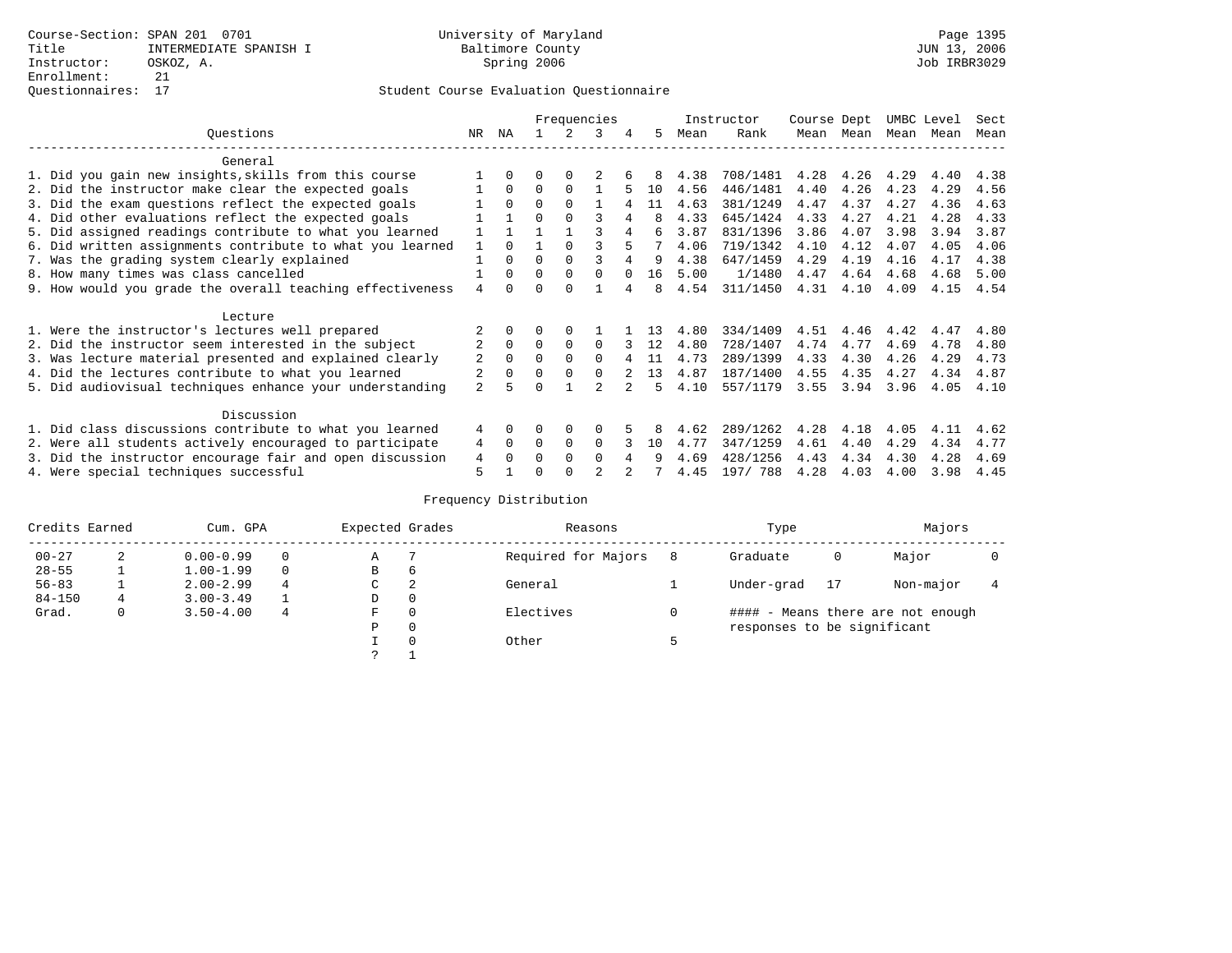|                                                           |                |              |          |          | Frequencies |          |    |      | Instructor | Course Dept |      | UMBC Level |      | Sect |
|-----------------------------------------------------------|----------------|--------------|----------|----------|-------------|----------|----|------|------------|-------------|------|------------|------|------|
| Ouestions                                                 | NR.            | ΝA           |          |          | 3           |          | 5. | Mean | Rank       | Mean        | Mean | Mean       | Mean | Mean |
| General                                                   |                |              |          |          |             |          |    |      |            |             |      |            |      |      |
| 1. Did you gain new insights, skills from this course     |                | $\Omega$     | O        | $\Omega$ |             |          | 8  | 4.38 | 708/1481   | 4.28        | 4.26 | 4.29       | 4.40 | 4.38 |
| 2. Did the instructor make clear the expected goals       |                | $\Omega$     | $\Omega$ | $\Omega$ |             |          | 10 | 4.56 | 446/1481   | 4.40        | 4.26 | 4.23       | 4.29 | 4.56 |
| 3. Did the exam questions reflect the expected goals      |                | $\Omega$     | $\Omega$ | $\Omega$ |             |          | 11 | 4.63 | 381/1249   | 4.47        | 4.37 | 4.27       | 4.36 | 4.63 |
| 4. Did other evaluations reflect the expected goals       |                |              | $\Omega$ | $\Omega$ |             |          | 8  | 4.33 | 645/1424   | 4.33        | 4.27 | 4.21       | 4.28 | 4.33 |
| 5. Did assigned readings contribute to what you learned   |                |              |          |          |             |          | 6  | 3.87 | 831/1396   | 3.86        | 4.07 | 3.98       | 3.94 | 3.87 |
| 6. Did written assignments contribute to what you learned | $\mathbf{1}$   | $\cap$       |          |          |             |          |    | 4.06 | 719/1342   | 4.10        | 4.12 | 4.07       | 4.05 | 4.06 |
| 7. Was the grading system clearly explained               |                | $\Omega$     | $\Omega$ | $\Omega$ |             |          | 9  | 4.38 | 647/1459   | 4.29        | 4.19 | 4.16       | 4.17 | 4.38 |
| 8. How many times was class cancelled                     |                | $\Omega$     | $\Omega$ | $\Omega$ | $\Omega$    | $\Omega$ | 16 | 5.00 | 1/1480     | 4.47        | 4.64 | 4.68       | 4.68 | 5.00 |
| 9. How would you grade the overall teaching effectiveness | 4              | <sup>n</sup> | ∩        | ∩        |             |          | 8  | 4.54 | 311/1450   | 4.31        | 4.10 | 4.09       | 4.15 | 4.54 |
| Lecture                                                   |                |              |          |          |             |          |    |      |            |             |      |            |      |      |
| 1. Were the instructor's lectures well prepared           |                |              |          |          |             |          | 13 | 4.80 | 334/1409   | 4.51        | 4.46 | 4.42       | 4.47 | 4.80 |
| 2. Did the instructor seem interested in the subject      | $\overline{2}$ | $\Omega$     | $\Omega$ | $\Omega$ | $\Omega$    |          | 12 | 4.80 | 728/1407   | 4.74        | 4.77 | 4.69       | 4.78 | 4.80 |
| 3. Was lecture material presented and explained clearly   | 2              | $\Omega$     | $\Omega$ | $\Omega$ | $\Omega$    |          | 11 | 4.73 | 289/1399   | 4.33        | 4.30 | 4.26       | 4.29 | 4.73 |
| 4. Did the lectures contribute to what you learned        |                | $\Omega$     | $\Omega$ | $\Omega$ | $\Omega$    |          | 13 | 4.87 | 187/1400   | 4.55        | 4.35 | 4.27       | 4.34 | 4.87 |
| 5. Did audiovisual techniques enhance your understanding  | $\overline{a}$ |              |          |          |             |          | Б. | 4.10 | 557/1179   | 3.55        | 3.94 | 3.96       | 4.05 | 4.10 |
| Discussion                                                |                |              |          |          |             |          |    |      |            |             |      |            |      |      |
| 1. Did class discussions contribute to what you learned   | 4              | $\Omega$     | U        | $\Omega$ | $\Omega$    |          |    | 4.62 | 289/1262   | 4.28        | 4.18 | 4.05       | 4.11 | 4.62 |
| 2. Were all students actively encouraged to participate   | 4              | $\Omega$     | $\Omega$ | $\Omega$ | $\Omega$    |          | 10 | 4.77 | 347/1259   | 4.61        | 4.40 | 4.29       | 4.34 | 4.77 |
| 3. Did the instructor encourage fair and open discussion  | 4              | $\Omega$     | O        | $\Omega$ | $\Omega$    |          |    | 4.69 | 428/1256   | 4.43        | 4.34 | 4.30       | 4.28 | 4.69 |
| 4. Were special techniques successful                     | 5              |              |          |          |             |          |    | 4.45 | 197/ 788   | 4.28        | 4.03 | 4.00       | 3.98 | 4.45 |

| Credits Earned |   | Cum. GPA      |   | Expected Grades |          | Reasons             |   | Type                        |    | Majors                            |  |
|----------------|---|---------------|---|-----------------|----------|---------------------|---|-----------------------------|----|-----------------------------------|--|
| $00 - 27$      | 2 | $0.00 - 0.99$ |   | Α               |          | Required for Majors | 8 | Graduate                    | 0  | Major                             |  |
| $28 - 55$      |   | $1.00 - 1.99$ |   | B               | 6        |                     |   |                             |    |                                   |  |
| $56 - 83$      |   | $2.00 - 2.99$ | 4 | C               | 2        | General             |   | Under-grad                  | 17 | Non-major                         |  |
| $84 - 150$     | 4 | $3.00 - 3.49$ |   | D               | 0        |                     |   |                             |    |                                   |  |
| Grad.          | 0 | $3.50 - 4.00$ | 4 | F               | 0        | Electives           |   |                             |    | #### - Means there are not enough |  |
|                |   |               |   | Ρ               | 0        |                     |   | responses to be significant |    |                                   |  |
|                |   |               |   |                 | $\Omega$ | Other               |   |                             |    |                                   |  |
|                |   |               |   | っ               |          |                     |   |                             |    |                                   |  |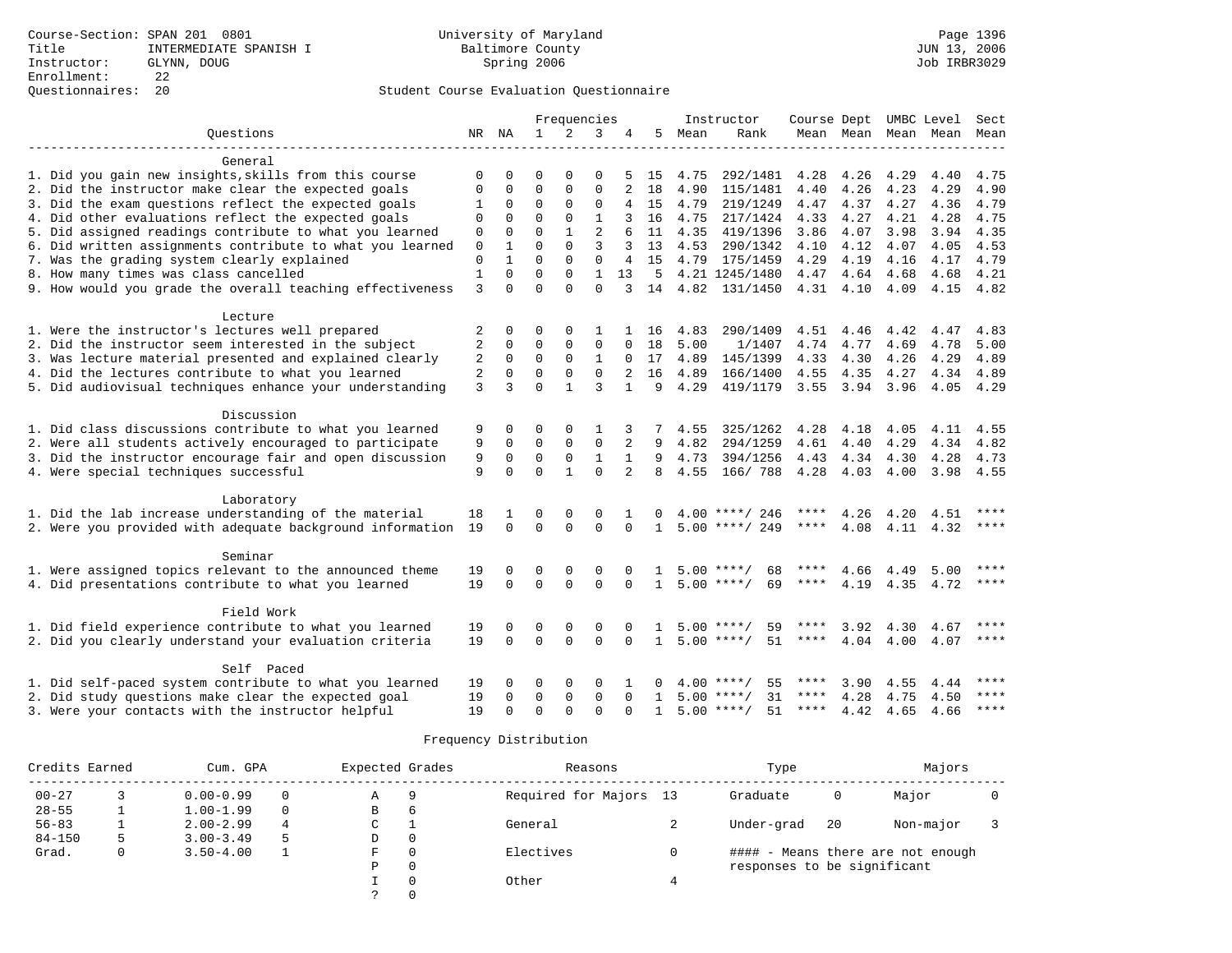|                                                           |              |             |              |                | Frequencies    |              |              |      | Instructor         | Course Dept UMBC Level |           |           |           | Sect        |
|-----------------------------------------------------------|--------------|-------------|--------------|----------------|----------------|--------------|--------------|------|--------------------|------------------------|-----------|-----------|-----------|-------------|
| Ouestions                                                 |              | NR NA       | $\mathbf{1}$ | $\overline{2}$ | 3              |              | 5.           | Mean | Rank               |                        | Mean Mean |           | Mean Mean | Mean        |
| General                                                   |              |             |              |                |                |              |              |      |                    |                        |           |           |           |             |
| 1. Did you gain new insights, skills from this course     | 0            | 0           | 0            | $\Omega$       | $\Omega$       |              | 15           | 4.75 | 292/1481           | 4.28                   | 4.26      | 4.29      | 4.40      | 4.75        |
| 2. Did the instructor make clear the expected goals       | $\Omega$     | $\Omega$    | $\Omega$     | $\Omega$       | $\Omega$       |              | 18           | 4.90 | 115/1481           | 4.40                   | 4.26      | 4.23      | 4.29      | 4.90        |
| 3. Did the exam questions reflect the expected goals      | 1            | $\Omega$    | $\Omega$     | $\Omega$       | $\mathbf 0$    | 4            | 15           | 4.79 | 219/1249           | 4.47                   | 4.37      | 4.27      | 4.36      | 4.79        |
| 4. Did other evaluations reflect the expected goals       | 0            | 0           | $\Omega$     | $\Omega$       | $\mathbf{1}$   | 3            | 16           | 4.75 | 217/1424           | 4.33                   | 4.27      | 4.21      | 4.28      | 4.75        |
| 5. Did assigned readings contribute to what you learned   | $\mathsf 0$  | $\Omega$    | $\Omega$     |                | $\overline{2}$ |              | 11           | 4.35 | 419/1396           | 3.86                   | 4.07      | 3.98      | 3.94      | 4.35        |
| 6. Did written assignments contribute to what you learned | $\mathbf 0$  | 1           | $\Omega$     | $\Omega$       | 3              | 3            | 13           | 4.53 | 290/1342           | 4.10                   | 4.12      | 4.07      | 4.05      | 4.53        |
| 7. Was the grading system clearly explained               | $\mathbf 0$  | 1           | $\Omega$     | $\Omega$       | $\mathbf 0$    | 4            | 15           |      | 4.79 175/1459      | 4.29                   | 4.19      | 4.16      | 4.17      | 4.79        |
| 8. How many times was class cancelled                     | $\mathbf{1}$ | 0           | $\Omega$     | $\Omega$       | $\mathbf{1}$   | 13           | 5            |      | 4.21 1245/1480     | 4.47 4.64              |           | 4.68      | 4.68      | 4.21        |
| 9. How would you grade the overall teaching effectiveness | 3            | $\Omega$    | $\Omega$     | $\Omega$       | $\Omega$       | 3            | 14           |      | 4.82 131/1450      |                        | 4.31 4.10 | 4.09      | 4.15 4.82 |             |
|                                                           |              |             |              |                |                |              |              |      |                    |                        |           |           |           |             |
| Lecture                                                   |              |             |              |                |                |              |              |      |                    |                        |           |           |           |             |
| 1. Were the instructor's lectures well prepared           | 2            | 0           | O            | $\Omega$       |                |              | 16           | 4.83 | 290/1409           | 4.51                   | 4.46      | 4.42      | 4.47      | 4.83        |
| 2. Did the instructor seem interested in the subject      | 2            | 0           | $\Omega$     | 0              | $\mathbf 0$    | 0            | 18           | 5.00 | 1/1407             | 4.74                   | 4.77      | 4.69      | 4.78      | 5.00        |
| 3. Was lecture material presented and explained clearly   | 2            | $\mathbf 0$ | $\mathbf 0$  | $\mathbf 0$    | 1              | 0            | 17           | 4.89 | 145/1399           | 4.33                   | 4.30      | 4.26      | 4.29      | 4.89        |
| 4. Did the lectures contribute to what you learned        | 2            | $\Omega$    | $\Omega$     | $\Omega$       | $\Omega$       |              | 16           | 4.89 | 166/1400           | 4.55                   | 4.35      | 4.27      | 4.34      | 4.89        |
| 5. Did audiovisual techniques enhance your understanding  | 3            | 3           | $\Omega$     | $\mathbf{1}$   | 3              | $\mathbf{1}$ | 9            | 4.29 | 419/1179           | 3.55                   | 3.94      | 3.96      | 4.05      | 4.29        |
| Discussion                                                |              |             |              |                |                |              |              |      |                    |                        |           |           |           |             |
| 1. Did class discussions contribute to what you learned   | 9            | 0           | $\Omega$     | $\Omega$       |                |              |              | 4.55 | 325/1262           | 4.28                   | 4.18      | 4.05      | 4.11      | 4.55        |
| 2. Were all students actively encouraged to participate   | 9            | 0           | 0            | 0              | $\mathbf 0$    | 2            | 9            | 4.82 | 294/1259           | 4.61                   | 4.40      | 4.29      | 4.34      | 4.82        |
| 3. Did the instructor encourage fair and open discussion  | 9            | $\mathbf 0$ | $\mathbf 0$  | $\mathbf 0$    | $\mathbf{1}$   | $\mathbf{1}$ | 9            | 4.73 | 394/1256           | 4.43                   | 4.34      | 4.30      | 4.28      | 4.73        |
| 4. Were special techniques successful                     | 9            | $\Omega$    | $\Omega$     | $\mathbf{1}$   | $\Omega$       |              | 8            | 4.55 | 166/788            | 4.28                   | 4.03      | 4.00      | 3.98 4.55 |             |
|                                                           |              |             |              |                |                |              |              |      |                    |                        |           |           |           |             |
| Laboratory                                                |              |             |              |                |                |              |              |      |                    |                        |           |           |           |             |
| 1. Did the lab increase understanding of the material     | 18           | 1           | $\Omega$     | 0              | $\Omega$       |              |              | 4.00 | ****/ 246          |                        | 4.26      | 4.20      | 4.51      |             |
| 2. Were you provided with adequate background information | 19           | $\Omega$    | $\Omega$     | $\Omega$       | $\Omega$       | $\Omega$     | $\mathbf{1}$ |      | $5.00$ ****/ 249   | $***$ * *              | 4.08      |           | 4.11 4.32 | $***$ * * * |
| Seminar                                                   |              |             |              |                |                |              |              |      |                    |                        |           |           |           |             |
| 1. Were assigned topics relevant to the announced theme   | 19           | 0           | 0            | 0              | 0              | $\Omega$     |              |      | $5.00$ ****/<br>68 |                        | 4.66      | 4.49      | 5.00      | $***$       |
| 4. Did presentations contribute to what you learned       | 19           | $\Omega$    | $\Omega$     | $\Omega$       | $\Omega$       | $\Omega$     | $\mathbf{1}$ |      | $5.00$ ****/<br>69 | $***$ * * *            | 4.19      | 4.35 4.72 |           | $***$       |
|                                                           |              |             |              |                |                |              |              |      |                    |                        |           |           |           |             |
| Field Work                                                |              |             |              |                |                |              |              |      |                    |                        |           |           |           |             |
| 1. Did field experience contribute to what you learned    | 19           | 0           | 0            | 0              | $\mathbf 0$    |              |              |      | $5.00$ ****/<br>59 |                        | 3.92      | 4.30      | 4.67      | ****        |
| 2. Did you clearly understand your evaluation criteria    | 19           | $\Omega$    | $\Omega$     | $\Omega$       | $\Omega$       | $\Omega$     | $\mathbf{1}$ |      | 51<br>$5.00$ ****/ | ****                   | 4.04      | 4.00      | 4.07      | $***$ *     |
| Self Paced                                                |              |             |              |                |                |              |              |      |                    |                        |           |           |           |             |
| 1. Did self-paced system contribute to what you learned   | 19           | 0           | 0            | 0              | $\mathbf 0$    |              | 0            |      | $4.00$ ****/<br>55 | ****                   | 3.90      | 4.55      | 4.44      | $***$       |
| 2. Did study questions make clear the expected goal       | 19           | $\Omega$    | $\mathbf 0$  | $\mathbf 0$    | $\Omega$       | $\Omega$     | $\mathbf{1}$ |      | 31<br>$5.00$ ****/ | ****                   | 4.28      | 4.75      | 4.50      | ****        |
| 3. Were your contacts with the instructor helpful         | 19           | $\Omega$    | $\Omega$     | $\Omega$       | $\Omega$       | $\Omega$     | $\mathbf{1}$ |      | $5.00$ ****/<br>51 | ****                   | 4.42      | 4.65      | 4.66      | ****        |
|                                                           |              |             |              |                |                |              |              |      |                    |                        |           |           |           |             |

| Credits Earned |   | Cum. GPA      |          | Expected Grades |          | Reasons                | Type                        |    | Majors                            |  |
|----------------|---|---------------|----------|-----------------|----------|------------------------|-----------------------------|----|-----------------------------------|--|
| $00 - 27$      |   | $0.00 - 0.99$ |          | Α               | 9        | Required for Majors 13 | Graduate                    | 0  | Major                             |  |
| $28 - 55$      |   | $1.00 - 1.99$ | $\Omega$ | В               | 6        |                        |                             |    |                                   |  |
| $56 - 83$      |   | $2.00 - 2.99$ | 4        | C               |          | General                | Under-grad                  | 20 | Non-major                         |  |
| $84 - 150$     | 5 | $3.00 - 3.49$ |          | D               | $\Omega$ |                        |                             |    |                                   |  |
| Grad.          | 0 | $3.50 - 4.00$ |          | F               | $\Omega$ | Electives              |                             |    | #### - Means there are not enough |  |
|                |   |               |          | P               | $\Omega$ |                        | responses to be significant |    |                                   |  |
|                |   |               |          |                 | $\Omega$ | Other                  |                             |    |                                   |  |
|                |   |               |          |                 |          |                        |                             |    |                                   |  |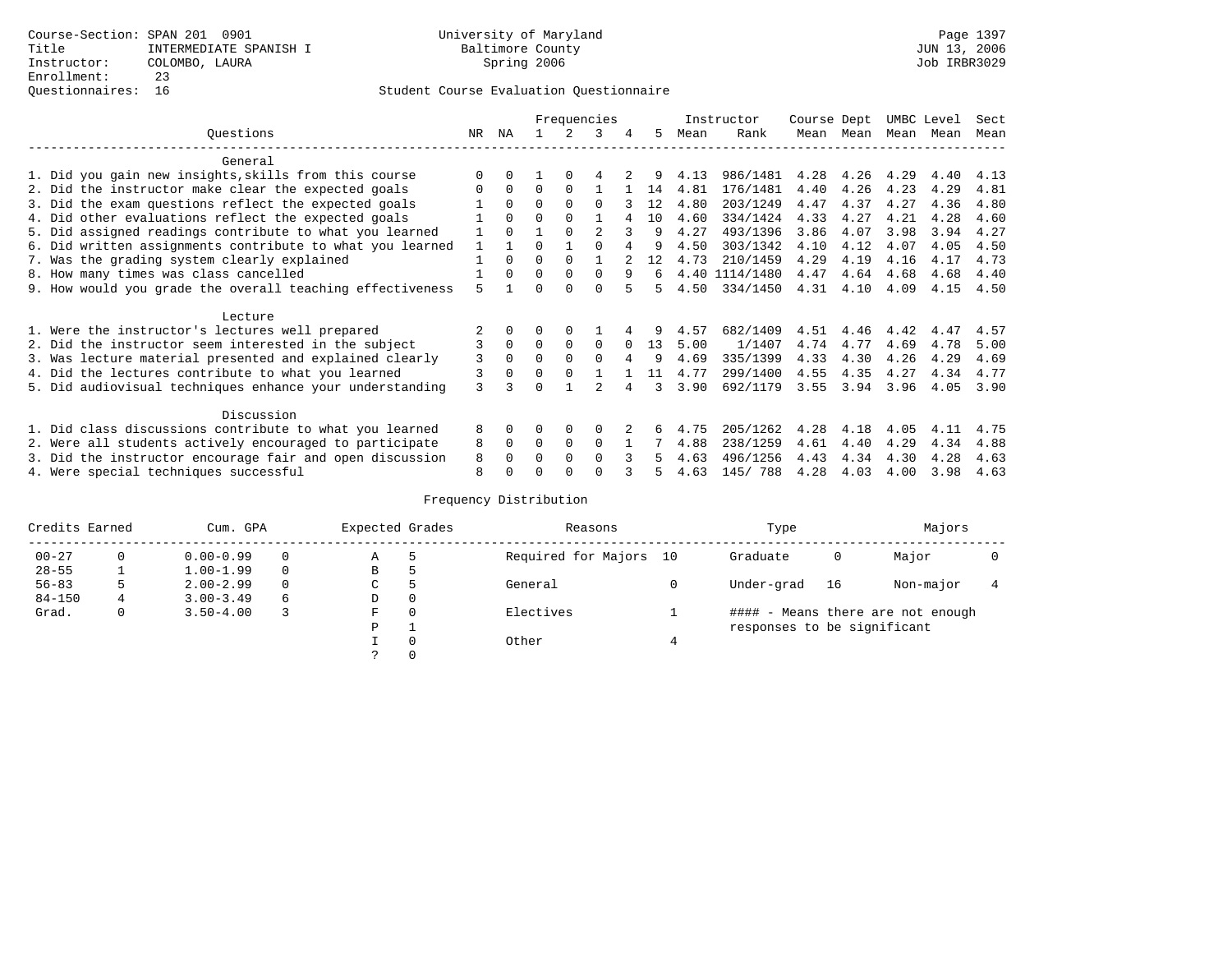## Questionnaires: 16 Student Course Evaluation Questionnaire

|                                                           |     |          |          |          | Frequencies    |          |    |      | Instructor     | Course Dept |      | UMBC Level |      | Sect |
|-----------------------------------------------------------|-----|----------|----------|----------|----------------|----------|----|------|----------------|-------------|------|------------|------|------|
| Ouestions                                                 | NR. | ΝA       |          |          | 3              | 4        | 5. | Mean | Rank           | Mean        | Mean | Mean       | Mean | Mean |
| General                                                   |     |          |          |          |                |          |    |      |                |             |      |            |      |      |
| 1. Did you gain new insights, skills from this course     |     | $\Omega$ |          | $\Omega$ |                |          |    | 4.13 | 986/1481       | 4.28        | 4.26 | 4.29       | 4.40 | 4.13 |
| 2. Did the instructor make clear the expected goals       |     | $\Omega$ | $\Omega$ | $\Omega$ |                |          | 14 | 4.81 | 176/1481       | 4.40        | 4.26 | 4.23       | 4.29 | 4.81 |
| 3. Did the exam questions reflect the expected goals      |     | $\Omega$ | $\Omega$ | $\Omega$ | $\Omega$       |          | 12 | 4.80 | 203/1249       | 4.47        | 4.37 | 4.27       | 4.36 | 4.80 |
| 4. Did other evaluations reflect the expected goals       |     | $\Omega$ | O        | $\Omega$ |                |          | 10 | 4.60 | 334/1424       | 4.33        | 4.27 | 4.21       | 4.28 | 4.60 |
| 5. Did assigned readings contribute to what you learned   |     | $\Omega$ |          | $\Omega$ | $\mathfrak{D}$ |          | 9  | 4.27 | 493/1396       | 3.86        | 4.07 | 3.98       | 3.94 | 4.27 |
| 6. Did written assignments contribute to what you learned |     |          | U        |          |                |          | 9  | 4.50 | 303/1342       | 4.10        | 4.12 | 4.07       | 4.05 | 4.50 |
| 7. Was the grading system clearly explained               |     | $\Omega$ | 0        | $\Omega$ |                |          | 12 | 4.73 | 210/1459       | 4.29        | 4.19 | 4.16       | 4.17 | 4.73 |
| 8. How many times was class cancelled                     |     | $\Omega$ | $\Omega$ | $\Omega$ | $\Omega$       | 9        | б. |      | 4.40 1114/1480 | 4.47        | 4.64 | 4.68       | 4.68 | 4.40 |
| 9. How would you grade the overall teaching effectiveness | 5   |          |          | $\Omega$ | U              |          | 5  | 4.50 | 334/1450       | 4.31        | 4.10 | 4.09       | 4.15 | 4.50 |
| Lecture                                                   |     |          |          |          |                |          |    |      |                |             |      |            |      |      |
| 1. Were the instructor's lectures well prepared           |     |          |          |          |                |          |    | 4.57 | 682/1409       | 4.51        | 4.46 | 4.42       | 4.47 | 4.57 |
| 2. Did the instructor seem interested in the subject      | 3   | $\Omega$ | $\Omega$ | $\Omega$ | $\Omega$       | $\Omega$ | 13 | 5.00 | 1/1407         | 4.74        | 4.77 | 4.69       | 4.78 | 5.00 |
| 3. Was lecture material presented and explained clearly   | 3   | $\Omega$ | 0        | $\Omega$ | $\cap$         | 4        | q  | 4.69 | 335/1399       | 4.33        | 4.30 | 4.26       | 4.29 | 4.69 |
| 4. Did the lectures contribute to what you learned        | 3   | $\Omega$ | $\Omega$ | $\Omega$ |                |          | 11 | 4.77 | 299/1400       | 4.55        | 4.35 | 4.27       | 4.34 | 4.77 |
| 5. Did audiovisual techniques enhance your understanding  | ζ   |          |          |          |                |          | 3  | 3.90 | 692/1179       | 3.55        | 3.94 | 3.96       | 4.05 | 3.90 |
| Discussion                                                |     |          |          |          |                |          |    |      |                |             |      |            |      |      |
| 1. Did class discussions contribute to what you learned   | 8   | $\Omega$ |          | $\Omega$ | $\Omega$       |          | 6  | 4.75 | 205/1262       | 4.28        | 4.18 | 4.05       | 4.11 | 4.75 |
| 2. Were all students actively encouraged to participate   | 8   | $\Omega$ | $\Omega$ | $\Omega$ | $\Omega$       |          |    | 4.88 | 238/1259       | 4.61        | 4.40 | 4.29       | 4.34 | 4.88 |
| 3. Did the instructor encourage fair and open discussion  | 8   |          | U        | $\Omega$ | <sup>0</sup>   |          |    | 4.63 | 496/1256       | 4.43        | 4.34 | 4.30       | 4.28 | 4.63 |
| 4. Were special techniques successful                     | 8   |          |          |          |                |          |    | 4.63 | 145/ 788       | 4.28        | 4.03 | 4.00       | 3.98 | 4.63 |

| Credits Earned |    | Cum. GPA      |          | Expected Grades |               | Reasons                | Type                        |    | Majors                            |  |
|----------------|----|---------------|----------|-----------------|---------------|------------------------|-----------------------------|----|-----------------------------------|--|
| $00 - 27$      | 0  | $0.00 - 0.99$ |          | Α               | 5             | Required for Majors 10 | Graduate                    | 0  | Major                             |  |
| $28 - 55$      |    | $1.00 - 1.99$ |          | B               | 5             |                        |                             |    |                                   |  |
| $56 - 83$      | 5. | $2.00 - 2.99$ | $\Omega$ | $\sim$<br>◡     | $\mathcal{P}$ | General                | Under-grad                  | 16 | Non-major                         |  |
| $84 - 150$     | 4  | $3.00 - 3.49$ | 6        | D               | 0             |                        |                             |    |                                   |  |
| Grad.          | 0  | $3.50 - 4.00$ |          | F               | $\Omega$      | Electives              |                             |    | #### - Means there are not enough |  |
|                |    |               |          | P               |               |                        | responses to be significant |    |                                   |  |
|                |    |               |          |                 | 0             | Other                  |                             |    |                                   |  |
|                |    |               |          | $\mathcal{L}$   |               |                        |                             |    |                                   |  |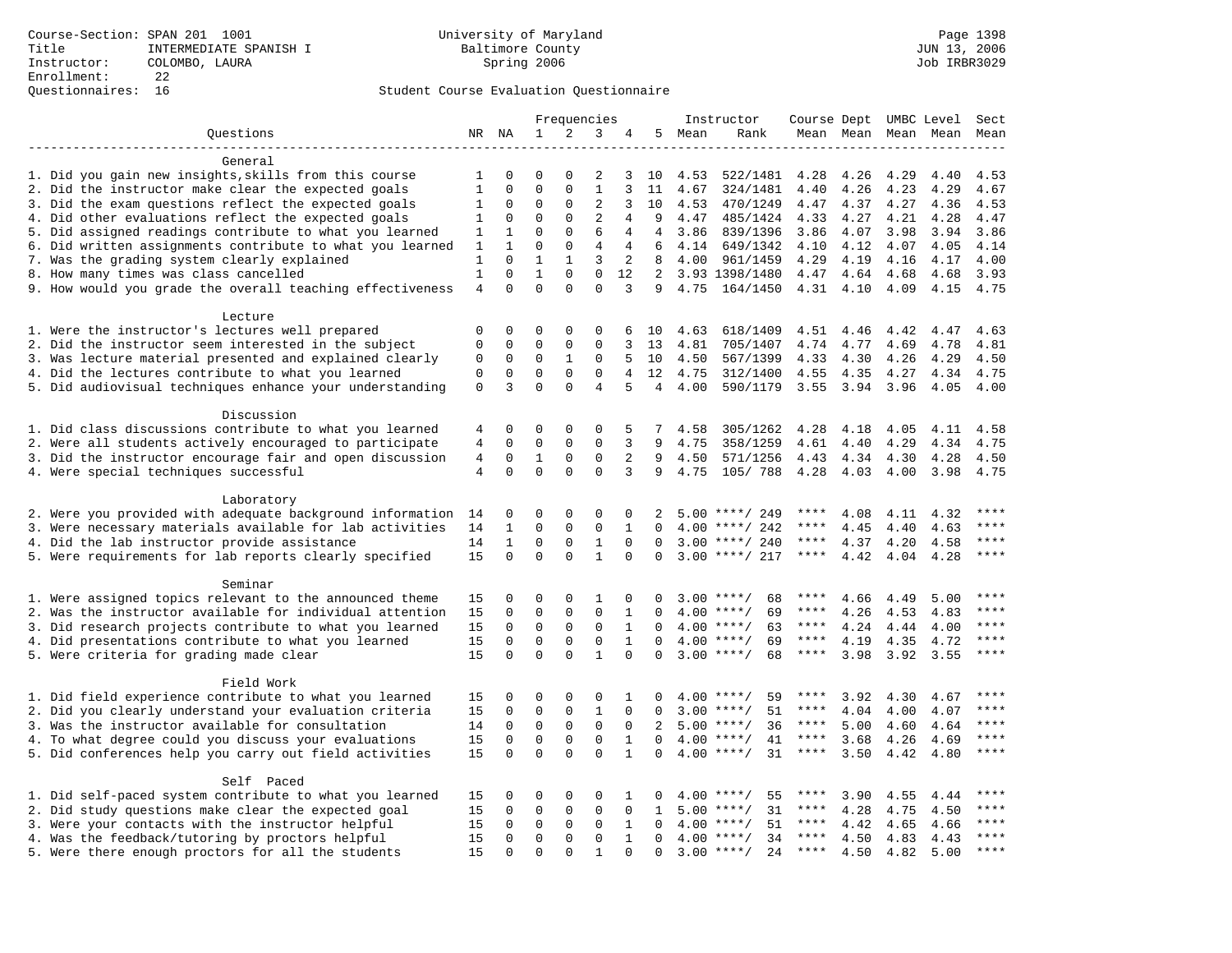|                                                           |                |              |              | Frequencies  |                |              |                |        | Instructor          | Course Dept UMBC Level |                     |      |      | Sect        |
|-----------------------------------------------------------|----------------|--------------|--------------|--------------|----------------|--------------|----------------|--------|---------------------|------------------------|---------------------|------|------|-------------|
| Questions                                                 |                | NR NA        | 1            | 2            | 3              | 4            |                | 5 Mean | Rank                |                        | Mean Mean Mean Mean |      |      | Mean        |
| ------------------                                        |                |              |              |              |                |              |                |        |                     |                        |                     |      |      |             |
| General                                                   |                |              |              |              |                |              |                |        |                     |                        |                     |      |      |             |
| 1. Did you gain new insights, skills from this course     | 1              | 0            | $\Omega$     | $\Omega$     | 2              | 3            | 10             | 4.53   | 522/1481            | 4.28                   | 4.26                | 4.29 | 4.40 | 4.53        |
| 2. Did the instructor make clear the expected goals       | 1              | 0            | $\mathbf 0$  | 0            | $\mathbf{1}$   | 3            | 11             | 4.67   | 324/1481            | 4.40                   | 4.26                | 4.23 | 4.29 | 4.67        |
| 3. Did the exam questions reflect the expected goals      | 1              | 0            | $\Omega$     | 0            | 2              | 3            | 10             | 4.53   | 470/1249            | 4.47                   | 4.37                | 4.27 | 4.36 | 4.53        |
| 4. Did other evaluations reflect the expected goals       | 1              | 0            | $\mathbf 0$  | $\mathbf{0}$ | 2              | 4            | 9              | 4.47   | 485/1424            | 4.33                   | 4.27                | 4.21 | 4.28 | 4.47        |
| 5. Did assigned readings contribute to what you learned   | 1              | $\mathbf{1}$ | $\Omega$     | $\Omega$     | 6              | 4            | $\overline{4}$ | 3.86   | 839/1396            | 3.86                   | 4.07                | 3.98 | 3.94 | 3.86        |
| 6. Did written assignments contribute to what you learned | 1              | $\mathbf{1}$ | $\Omega$     | $\mathbf{0}$ | 4              | 4            | 6              | 4.14   | 649/1342            | 4.10                   | 4.12                | 4.07 | 4.05 | 4.14        |
| 7. Was the grading system clearly explained               | $\mathbf{1}$   | $\Omega$     | $\mathbf{1}$ | $\mathbf{1}$ | 3              | 2            | 8              | 4.00   | 961/1459            | 4.29                   | 4.19                | 4.16 | 4.17 | 4.00        |
| 8. How many times was class cancelled                     | $\mathbf{1}$   | $\mathbf 0$  | $\mathbf{1}$ | $\mathbf{0}$ | $\mathbf 0$    | 12           | $2^{\circ}$    |        | 3.93 1398/1480      | 4.47                   | 4.64                | 4.68 | 4.68 | 3.93        |
| 9. How would you grade the overall teaching effectiveness | 4              | $\Omega$     | $\Omega$     | $\Omega$     | $\Omega$       | 3            | 9              | 4.75   | 164/1450            | 4.31                   | 4.10                | 4.09 | 4.15 | 4.75        |
| Lecture                                                   |                |              |              |              |                |              |                |        |                     |                        |                     |      |      |             |
| 1. Were the instructor's lectures well prepared           | $\Omega$       | 0            | 0            | $\Omega$     | 0              | 6            | 10             | 4.63   | 618/1409            | 4.51                   | 4.46                | 4.42 | 4.47 | 4.63        |
| 2. Did the instructor seem interested in the subject      | 0              | $\mathbf 0$  | $\mathbf 0$  | $\mathsf 0$  | 0              | 3            | 13             | 4.81   | 705/1407            | 4.74                   | 4.77                | 4.69 | 4.78 | 4.81        |
| 3. Was lecture material presented and explained clearly   | 0              | $\mathbf 0$  | $\mathbf 0$  | $\mathbf{1}$ | $\mathbf 0$    | 5            | 10             | 4.50   | 567/1399            | 4.33                   | 4.30                | 4.26 | 4.29 | 4.50        |
| 4. Did the lectures contribute to what you learned        | 0              | $\mathbf 0$  | $\mathbf 0$  | $\mathsf 0$  | 0              | 4            | 12             | 4.75   | 312/1400            | 4.55                   | 4.35                | 4.27 | 4.34 | 4.75        |
| 5. Did audiovisual techniques enhance your understanding  | $\mathbf 0$    | 3            | $\mathbf 0$  | $\Omega$     | $\overline{4}$ | 5            | $\overline{4}$ | 4.00   | 590/1179            | 3.55                   | 3.94 3.96           |      | 4.05 | 4.00        |
| Discussion                                                |                |              |              |              |                |              |                |        |                     |                        |                     |      |      |             |
| 1. Did class discussions contribute to what you learned   | 4              | 0            | 0            | 0            | $\Omega$       | 5            | 7              | 4.58   | 305/1262            | 4.28                   | 4.18                | 4.05 | 4.11 | 4.58        |
| 2. Were all students actively encouraged to participate   | 4              | $\mathbf 0$  | $\mathbf 0$  | $\mathbf{0}$ | $\mathbf 0$    | 3            | 9              | 4.75   | 358/1259            | 4.61                   | 4.40                | 4.29 | 4.34 | 4.75        |
| 3. Did the instructor encourage fair and open discussion  | $\overline{4}$ | $\mathbf 0$  | $\mathbf{1}$ | 0            | $\mathbf 0$    | 2            | 9              | 4.50   | 571/1256            | 4.43                   | 4.34                | 4.30 | 4.28 | 4.50        |
| 4. Were special techniques successful                     | $\overline{4}$ | $\Omega$     | $\Omega$     | $\Omega$     | $\Omega$       | 3            | 9              | 4.75   | 105/ 788            | 4.28                   | 4.03                | 4.00 | 3.98 | 4.75        |
|                                                           |                |              |              |              |                |              |                |        |                     |                        |                     |      |      |             |
| Laboratory                                                |                |              |              |              |                |              |                |        |                     |                        |                     |      |      |             |
| 2. Were you provided with adequate background information | 14             | 0            | $\Omega$     | $\Omega$     | $\Omega$       | 0            | 2              |        | $5.00$ ****/ 249    |                        | 4.08                | 4.11 | 4.32 |             |
| 3. Were necessary materials available for lab activities  | 14             | 1            | $\mathbf 0$  | 0            | $\mathbf 0$    | 1            | $\mathbf 0$    | 4.00   | ****/ 242           | ****                   | 4.45                | 4.40 | 4.63 | ****        |
| 4. Did the lab instructor provide assistance              | 14             | $\mathbf{1}$ | $\mathbf 0$  | $\mathbf{0}$ | $\mathbf{1}$   | $\Omega$     | $\Omega$       |        | $3.00$ ****/ 240    | $***$ * * *            | 4.37                | 4.20 | 4.58 | $***$       |
| 5. Were requirements for lab reports clearly specified    | 15             | $\mathbf 0$  | $\mathbf 0$  | $\Omega$     | $\mathbf{1}$   | $\Omega$     | $\mathbf 0$    |        | $3.00$ ****/ 217    | $***$ * * *            | 4.42                | 4.04 | 4.28 | $***$ *     |
| Seminar                                                   |                |              |              |              |                |              |                |        |                     |                        |                     |      |      |             |
| 1. Were assigned topics relevant to the announced theme   | 15             | 0            | $\mathbf 0$  | $\mathbf{0}$ | $\mathbf{1}$   | 0            | 0              |        | $3.00$ ****/<br>68  | ****                   | 4.66                | 4.49 | 5.00 |             |
| 2. Was the instructor available for individual attention  | 15             | 0            | $\mathbf 0$  | $\mathsf 0$  | $\mathbf 0$    | 1            | $\Omega$       |        | $4.00$ ****/<br>69  | ****                   | 4.26                | 4.53 | 4.83 | $***$       |
| 3. Did research projects contribute to what you learned   | 15             | 0            | $\mathbf 0$  | $\mathbf 0$  | $\mathbf 0$    | 1            | $\Omega$       |        | $4.00$ ****/<br>63  | $***$ * * *            | 4.24                | 4.44 | 4.00 | ****        |
| 4. Did presentations contribute to what you learned       | 15             | $\mathbf 0$  | $\mathbf 0$  | $\mathbf 0$  | $\mathbf 0$    | $\mathbf{1}$ | $\Omega$       |        | $4.00$ ****/<br>69  | ****                   | 4.19                | 4.35 | 4.72 | $***$ * * * |
| 5. Were criteria for grading made clear                   | 15             | $\Omega$     | $\mathbf 0$  | $\Omega$     | $\mathbf{1}$   | $\Omega$     | $\Omega$       |        | $3.00$ ****/<br>68  | ****                   | 3.98                | 3.92 | 3.55 | ****        |
| Field Work                                                |                |              |              |              |                |              |                |        |                     |                        |                     |      |      |             |
| 1. Did field experience contribute to what you learned    | 15             | 0            | 0            | 0            | 0              | 1            | $\Omega$       |        | $4.00$ ****/<br>59  | ****                   | 3.92                | 4.30 | 4.67 | ****        |
| 2. Did you clearly understand your evaluation criteria    | 15             | 0            | $\mathbf 0$  | 0            | $\mathbf{1}$   | $\mathbf 0$  | 0              |        | 51<br>$3.00$ ****/  | ****                   | 4.04                | 4.00 | 4.07 | ****        |
| 3. Was the instructor available for consultation          | 14             | $\Omega$     | $\mathbf 0$  | $\mathbf{0}$ | $\mathbf 0$    | $\Omega$     | $\overline{2}$ |        | $5.00$ ****/<br>36  | ****                   | 5.00                | 4.60 | 4.64 | $***$       |
| 4. To what degree could you discuss your evaluations      | 15             | $\mathbf 0$  | $\mathbf 0$  | $\mathbf 0$  | $\mathbf 0$    | $\mathbf{1}$ | $\Omega$       | 4.00   | 41<br>$***/$        | $***$ * * *            | 3.68                | 4.26 | 4.69 | $***$       |
| 5. Did conferences help you carry out field activities    | 15             | $\Omega$     | $\Omega$     | $\Omega$     | $\Omega$       | $\mathbf{1}$ | $\Omega$       |        | $4.00$ ****/<br>31  | $***$ * * *            | 3.50                | 4.42 | 4.80 | ****        |
|                                                           |                |              |              |              |                |              |                |        |                     |                        |                     |      |      |             |
| Self Paced                                                |                |              |              |              |                |              |                |        |                     |                        |                     |      |      |             |
| 1. Did self-paced system contribute to what you learned   | 15             | 0            | 0            | 0            | 0              | 1            | 0              |        | $4.00$ ****/<br>55  | ****                   | 3.90                | 4.55 | 4.44 |             |
| 2. Did study questions make clear the expected goal       | 15             | 0            | 0            | 0            | 0              | $\mathbf 0$  | 1              | 5.00   | $***$ /<br>31       | ****                   | 4.28                | 4.75 | 4.50 | ****        |
| 3. Were your contacts with the instructor helpful         | 15             | $\Omega$     | $\mathbf 0$  | $\mathbf 0$  | $\mathbf 0$    | $\mathbf 1$  | $\Omega$       |        | $4.00$ ****/<br>51  | $***$ * * *            | 4.42                | 4.65 | 4.66 | ****        |
| 4. Was the feedback/tutoring by proctors helpful          | 15             | $\mathbf 0$  | $\mathbf 0$  | $\mathbf{0}$ | $\mathbf 0$    | $\mathbf{1}$ | 0              |        | $4.00$ ****/<br>34  | $***$ * * *            | 4.50                | 4.83 | 4.43 | ****        |
| 5. Were there enough proctors for all the students        | 15             | $\Omega$     | $\Omega$     | $\Omega$     | $\mathbf{1}$   | $\Omega$     | $\Omega$       |        | $3.00$ ****/<br>2.4 | ****                   | 4.50                | 4.82 | 5.00 | $***$       |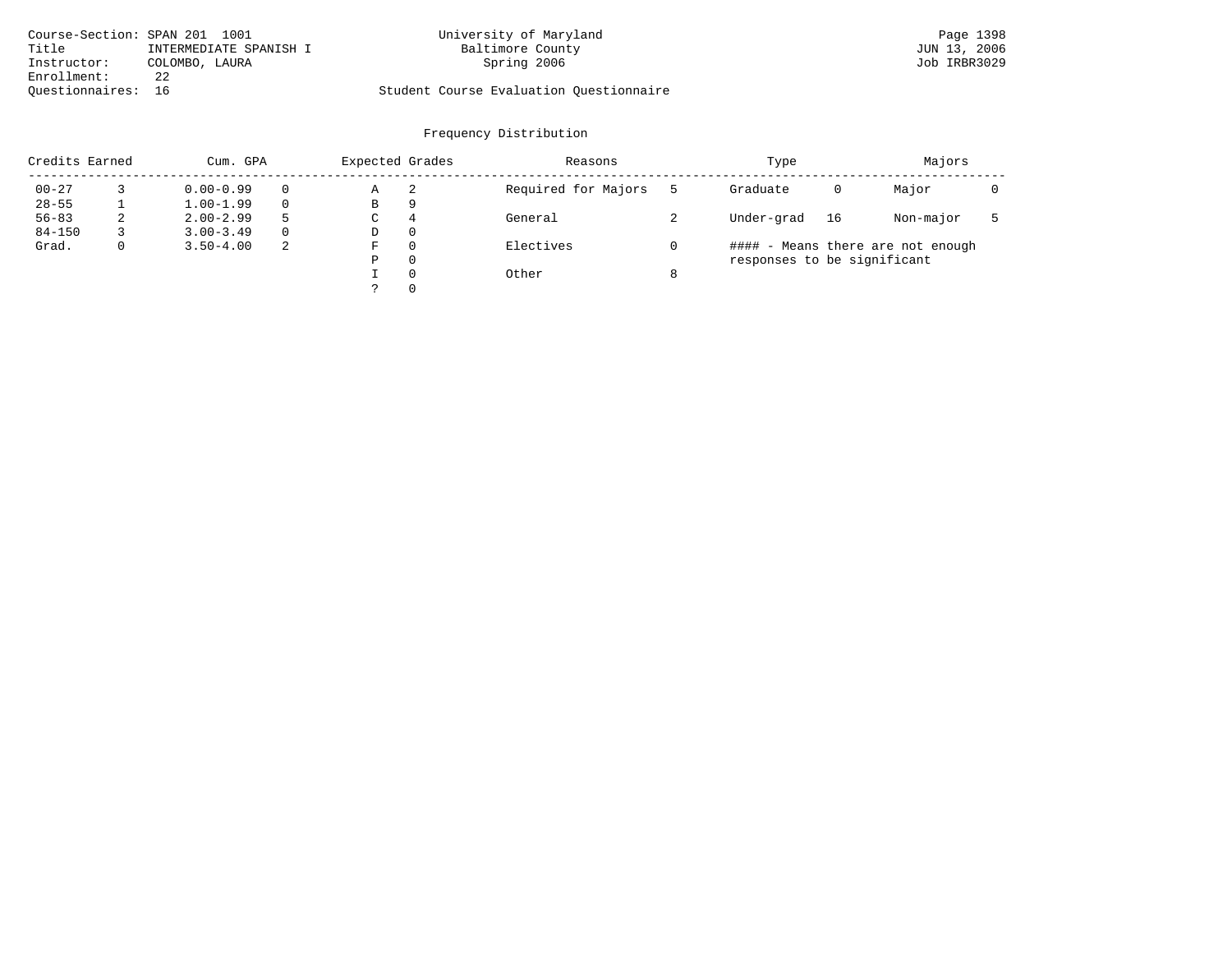| Course-Section: SPAN 201 1001 |                        | University of Maryland                  | Page 1398    |
|-------------------------------|------------------------|-----------------------------------------|--------------|
| Title                         | INTERMEDIATE SPANISH I | Baltimore County                        | JUN 13, 2006 |
| Instructor:                   | COLOMBO, LAURA         | Spring 2006                             | Job IRBR3029 |
| Enrollment:                   | 22                     |                                         |              |
| Ouestionnaires: 16            |                        | Student Course Evaluation Questionnaire |              |

| Credits Earned |   | Cum. GPA      | Expected Grades |   | Reasons  | Type                | Majors                      |    |                                   |  |
|----------------|---|---------------|-----------------|---|----------|---------------------|-----------------------------|----|-----------------------------------|--|
| $00 - 27$      |   | $0.00 - 0.99$ | $\Omega$        | Α | -2       | Required for Majors | Graduate                    | 0  | Major                             |  |
| $28 - 55$      |   | $1.00 - 1.99$ | $\Omega$        | В | 9        |                     |                             |    |                                   |  |
| $56 - 83$      | ∠ | $2.00 - 2.99$ | 5               | C | 4        | General             | Under-grad                  | 16 | Non-major                         |  |
| $84 - 150$     |   | $3.00 - 3.49$ | $\Omega$        | D | 0        |                     |                             |    |                                   |  |
| Grad.          |   | $3.50 - 4.00$ | 2               | F | $\Omega$ | Electives           |                             |    | #### - Means there are not enough |  |
|                |   |               |                 | Ρ | 0        |                     | responses to be significant |    |                                   |  |
|                |   |               |                 |   | $\Omega$ | Other               |                             |    |                                   |  |
|                |   |               |                 |   | $\Omega$ |                     |                             |    |                                   |  |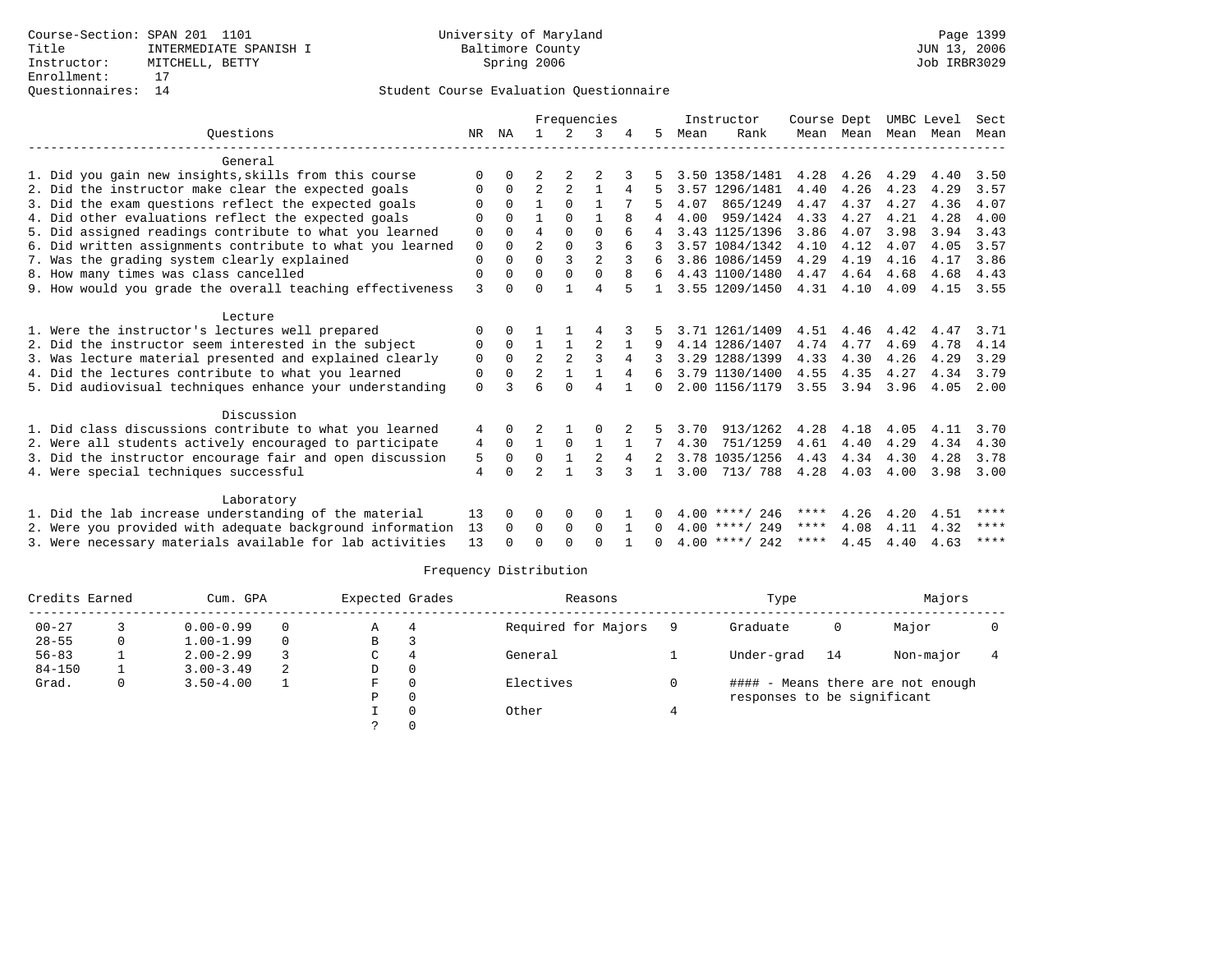| Mean<br>Mean<br>4.40<br>3.50<br>4.29<br>3.57<br>4.07<br>4.36<br>4.28<br>4.00 |
|------------------------------------------------------------------------------|
|                                                                              |
|                                                                              |
|                                                                              |
|                                                                              |
|                                                                              |
|                                                                              |
| 3.94<br>3.43                                                                 |
| 4.05<br>3.57                                                                 |
| 3.86<br>4.17                                                                 |
| 4.68<br>4.43                                                                 |
| 4.15<br>3.55                                                                 |
|                                                                              |
| 4.47<br>3.71                                                                 |
| 4.78<br>4.14                                                                 |
| 3.29<br>4.29                                                                 |
| 4.34<br>3.79                                                                 |
| 4.05<br>2.00                                                                 |
|                                                                              |
| 4.11<br>3.70                                                                 |
| 4.34<br>4.30                                                                 |
| 3.78<br>4.28                                                                 |
| 3.98<br>3.00                                                                 |
|                                                                              |
| ****                                                                         |
| ****                                                                         |
| $***$ * * *<br>4.63                                                          |
| 4.51<br>4.32                                                                 |

| Credits Earned |   | Cum. GPA      | Expected Grades |    | Reasons  | Type                | Majors                      |    |                                   |  |
|----------------|---|---------------|-----------------|----|----------|---------------------|-----------------------------|----|-----------------------------------|--|
| $00 - 27$      |   | $0.00 - 0.99$ | 0               | Α  | 4        | Required for Majors | Graduate                    | 0  | Major                             |  |
| $28 - 55$      | 0 | $1.00 - 1.99$ | $\Omega$        | В  |          |                     |                             |    |                                   |  |
| $56 - 83$      |   | $2.00 - 2.99$ |                 | C  | 4        | General             | Under-grad                  | 14 | Non-major                         |  |
| $84 - 150$     |   | $3.00 - 3.49$ | 2               | D  | 0        |                     |                             |    |                                   |  |
| Grad.          | 0 | $3.50 - 4.00$ |                 | F. | $\Omega$ | Electives           |                             |    | #### - Means there are not enough |  |
|                |   |               |                 | Ρ  | 0        |                     | responses to be significant |    |                                   |  |
|                |   |               |                 |    |          | Other               |                             |    |                                   |  |
|                |   |               |                 |    |          |                     |                             |    |                                   |  |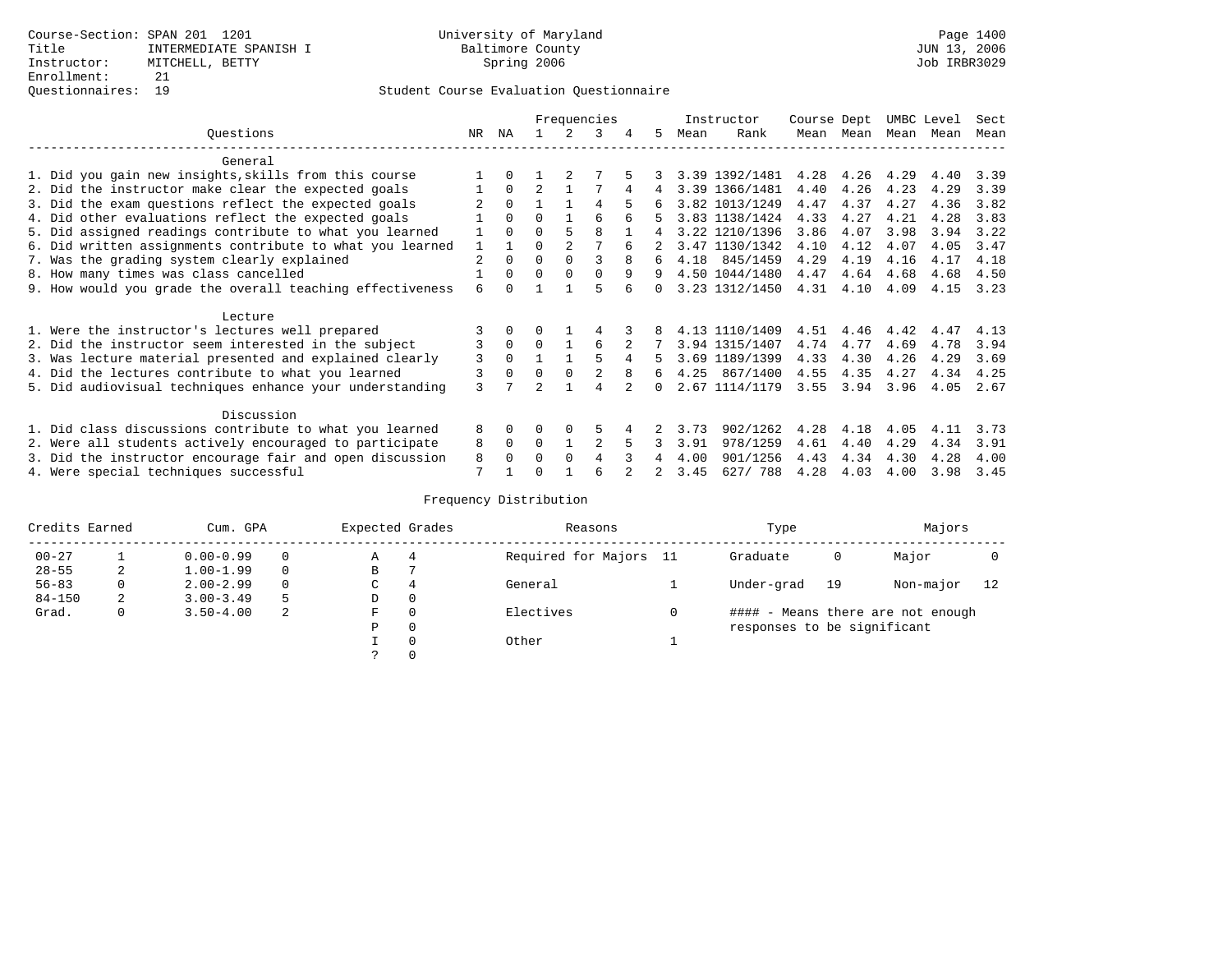|                                                           |                |              |                |          | Frequencies    |   |        |      | Instructor     | Course Dept |      | UMBC Level |      | Sect |
|-----------------------------------------------------------|----------------|--------------|----------------|----------|----------------|---|--------|------|----------------|-------------|------|------------|------|------|
| Ouestions                                                 | NR             | ΝA           |                |          | 3              | 4 | 5      | Mean | Rank           | Mean        | Mean | Mean       | Mean | Mean |
| General                                                   |                |              |                |          |                |   |        |      |                |             |      |            |      |      |
| 1. Did you gain new insights, skills from this course     |                | $\Omega$     |                |          |                |   |        |      | 3.39 1392/1481 | 4.28        | 4.26 | 4.29       | 4.40 | 3.39 |
| 2. Did the instructor make clear the expected goals       |                | $\Omega$     | $\overline{a}$ |          |                | 4 | 4      |      | 3.39 1366/1481 | 4.40        | 4.26 | 4.23       | 4.29 | 3.39 |
| 3. Did the exam questions reflect the expected goals      |                | $\Omega$     |                |          | 4              |   |        |      | 3.82 1013/1249 | 4.47        | 4.37 | 4.27       | 4.36 | 3.82 |
| 4. Did other evaluations reflect the expected goals       |                | $\Omega$     | $\Omega$       |          | 6              | 6 |        |      | 3.83 1138/1424 | 4.33        | 4.27 | 4.21       | 4.28 | 3.83 |
| 5. Did assigned readings contribute to what you learned   |                | $\Omega$     | O              | 5        | 8              |   | 4      |      | 3.22 1210/1396 | 3.86        | 4.07 | 3.98       | 3.94 | 3.22 |
| 6. Did written assignments contribute to what you learned | 1              | $\mathbf{1}$ | 0              |          |                | 6 |        |      | 3.47 1130/1342 | 4.10        | 4.12 | 4.07       | 4.05 | 3.47 |
| 7. Was the grading system clearly explained               | $\overline{2}$ | $\Omega$     | $\Omega$       | $\Omega$ | ς              | 8 | 6      |      | 4.18 845/1459  | 4.29        | 4.19 | 4.16       | 4.17 | 4.18 |
| 8. How many times was class cancelled                     |                | $\Omega$     | $\Omega$       | $\Omega$ | $\Omega$       | 9 | 9      |      | 4.50 1044/1480 | 4.47        | 4.64 | 4.68       | 4.68 | 4.50 |
| 9. How would you grade the overall teaching effectiveness | 6              |              |                |          | 5              |   | $\cap$ |      | 3.23 1312/1450 | 4.31        | 4.10 | 4.09       | 4.15 | 3.23 |
| Lecture                                                   |                |              |                |          |                |   |        |      |                |             |      |            |      |      |
| 1. Were the instructor's lectures well prepared           |                |              |                |          |                |   |        |      | 4.13 1110/1409 | 4.51        | 4.46 | 4.42       | 4.47 | 4.13 |
| 2. Did the instructor seem interested in the subject      | 3              | $\Omega$     | $\Omega$       |          | 6              |   |        |      | 3.94 1315/1407 | 4.74        | 4.77 | 4.69       | 4.78 | 3.94 |
| 3. Was lecture material presented and explained clearly   | 3              | $\Omega$     |                |          | 5              | 4 | 5.     |      | 3.69 1189/1399 | 4.33        | 4.30 | 4.26       | 4.29 | 3.69 |
| 4. Did the lectures contribute to what you learned        |                | $\Omega$     | $\Omega$       | $\Omega$ |                | 8 | 6      |      | 4.25 867/1400  | 4.55        | 4.35 | 4.27       | 4.34 | 4.25 |
| 5. Did audiovisual techniques enhance your understanding  | ζ              |              | $\mathfrak{D}$ |          | 4              |   |        |      | 2.67 1114/1179 | 3.55        | 3.94 | 3.96       | 4.05 | 2.67 |
| Discussion                                                |                |              |                |          |                |   |        |      |                |             |      |            |      |      |
| 1. Did class discussions contribute to what you learned   | 8              | $\Omega$     |                | $\Omega$ | 5              |   |        | 3.73 | 902/1262       | 4.28        | 4.18 | 4.05       | 4.11 | 3.73 |
| 2. Were all students actively encouraged to participate   | 8              | $\Omega$     | $\Omega$       |          | $\overline{a}$ |   |        | 3.91 | 978/1259       | 4.61        | 4.40 | 4.29       | 4.34 | 3.91 |
| 3. Did the instructor encourage fair and open discussion  | 8              | $\Omega$     | 0              | $\Omega$ |                |   |        | 4.00 | 901/1256       | 4.43        | 4.34 | 4.30       | 4.28 | 4.00 |
| 4. Were special techniques successful                     | 7              |              |                |          |                |   |        | 3.45 | 627/ 788       | 4.28        | 4.03 | 4.00       | 3.98 | 3.45 |

| Credits Earned |   | Cum. GPA      | Expected Grades |               | Reasons | Type                   | Majors                      |    |                                   |    |
|----------------|---|---------------|-----------------|---------------|---------|------------------------|-----------------------------|----|-----------------------------------|----|
| $00 - 27$      |   | $0.00 - 0.99$ |                 | Α             | 4       | Required for Majors 11 | Graduate                    | 0  | Major                             |    |
| $28 - 55$      | 2 | $1.00 - 1.99$ |                 | В             |         |                        |                             |    |                                   |    |
| $56 - 83$      | 0 | $2.00 - 2.99$ | 0               | $\sim$<br>◡   | 4       | General                | Under-grad                  | 19 | Non-major                         | 12 |
| $84 - 150$     | 2 | $3.00 - 3.49$ | 5               | D             | 0       |                        |                             |    |                                   |    |
| Grad.          | 0 | $3.50 - 4.00$ | 2               | F             | 0       | Electives              |                             |    | #### - Means there are not enough |    |
|                |   |               |                 | Ρ             | 0       |                        | responses to be significant |    |                                   |    |
|                |   |               |                 |               | 0       | Other                  |                             |    |                                   |    |
|                |   |               |                 | $\mathcal{L}$ |         |                        |                             |    |                                   |    |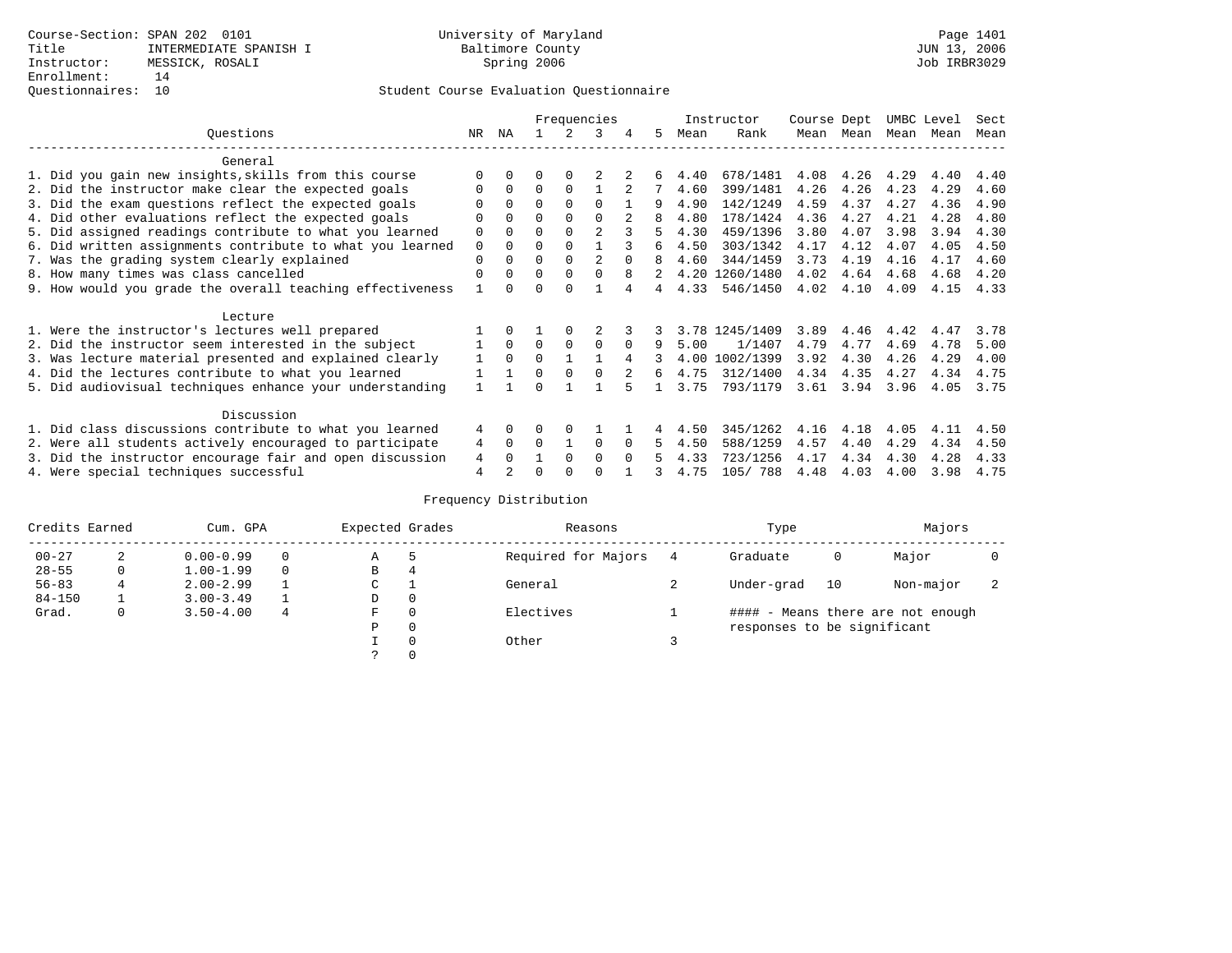## Questionnaires: 10 Student Course Evaluation Questionnaire

|                                                           |          |          |          |             | Frequencies    |          |    |      | Instructor     | Course Dept |      | UMBC Level |      | Sect |
|-----------------------------------------------------------|----------|----------|----------|-------------|----------------|----------|----|------|----------------|-------------|------|------------|------|------|
| Questions                                                 | NR.      | ΝA       |          |             | 3              | 4        | 5. | Mean | Rank           | Mean        | Mean | Mean       | Mean | Mean |
| General                                                   |          |          |          |             |                |          |    |      |                |             |      |            |      |      |
| 1. Did you gain new insights, skills from this course     |          | $\Omega$ | U        | $\Omega$    |                |          |    | 4.40 | 678/1481       | 4.08        | 4.26 | 4.29       | 4.40 | 4.40 |
| 2. Did the instructor make clear the expected goals       |          | $\Omega$ | $\Omega$ | $\Omega$    |                |          |    | 4.60 | 399/1481       | 4.26        | 4.26 | 4.23       | 4.29 | 4.60 |
| 3. Did the exam questions reflect the expected goals      |          | $\Omega$ | O        | $\Omega$    | $\Omega$       |          | 9  | 4.90 | 142/1249       | 4.59        | 4.37 | 4.27       | 4.36 | 4.90 |
| 4. Did other evaluations reflect the expected goals       | O        | $\Omega$ | O        | $\Omega$    | $\Omega$       |          |    | 4.80 | 178/1424       | 4.36        | 4.27 | 4.21       | 4.28 | 4.80 |
| 5. Did assigned readings contribute to what you learned   | 0        |          | O        |             | $\mathfrak{D}$ |          |    | 4.30 | 459/1396       | 3.80        | 4.07 | 3.98       | 3.94 | 4.30 |
| 6. Did written assignments contribute to what you learned | 0        | $\Omega$ | U        | $\Omega$    |                |          | б. | 4.50 | 303/1342       | 4.17        | 4.12 | 4.07       | 4.05 | 4.50 |
| 7. Was the grading system clearly explained               | 0        |          |          | $\Omega$    |                |          |    | 4.60 | 344/1459       | 3.73        | 4.19 | 4.16       | 4.17 | 4.60 |
| 8. How many times was class cancelled                     | $\Omega$ | $\Omega$ | 0        | $\Omega$    | <sup>0</sup>   | 8        |    |      | 4.20 1260/1480 | 4.02        | 4.64 | 4.68       | 4.68 | 4.20 |
| 9. How would you grade the overall teaching effectiveness |          |          |          |             |                |          | 4  | 4.33 | 546/1450       | 4.02        | 4.10 | 4.09       | 4.15 | 4.33 |
| Lecture                                                   |          |          |          |             |                |          |    |      |                |             |      |            |      |      |
| 1. Were the instructor's lectures well prepared           |          |          |          |             |                |          |    |      | 3.78 1245/1409 | 3.89        | 4.46 | 4.42       | 4.47 | 3.78 |
| 2. Did the instructor seem interested in the subject      |          | $\Omega$ | $\Omega$ | $\mathbf 0$ | $\Omega$       | $\Omega$ | 9  | 5.00 | 1/1407         | 4.79        | 4.77 | 4.69       | 4.78 | 5.00 |
| 3. Was lecture material presented and explained clearly   |          | $\Omega$ | 0        |             |                |          |    | 4.00 | 1002/1399      | 3.92        | 4.30 | 4.26       | 4.29 | 4.00 |
| 4. Did the lectures contribute to what you learned        |          |          | 0        | $\Omega$    |                |          | 6  | 4.75 | 312/1400       | 4.34        | 4.35 | 4.27       | 4.34 | 4.75 |
| 5. Did audiovisual techniques enhance your understanding  |          |          |          |             |                |          |    | 3.75 | 793/1179       | 3.61        | 3.94 | 3.96       | 4.05 | 3.75 |
| Discussion                                                |          |          |          |             |                |          |    |      |                |             |      |            |      |      |
| 1. Did class discussions contribute to what you learned   | 4        | $\Omega$ | O        | $\Omega$    |                |          |    | 4.50 | 345/1262       | 4.16        | 4.18 | 4.05       | 4.11 | 4.50 |
| 2. Were all students actively encouraged to participate   | 4        | $\Omega$ | $\Omega$ |             | $\Omega$       | $\Omega$ |    | 4.50 | 588/1259       | 4.57        | 4.40 | 4.29       | 4.34 | 4.50 |
| 3. Did the instructor encourage fair and open discussion  | 4        |          |          | $\Omega$    | $\Omega$       |          |    | 4.33 | 723/1256       | 4.17        | 4.34 | 4.30       | 4.28 | 4.33 |
| 4. Were special techniques successful                     | 4        |          |          |             |                |          |    | 4.75 | 105/788        | 4.48        | 4.03 | 4.00       | 3.98 | 4.75 |

| Credits Earned |   | Cum. GPA      | Expected Grades |               | Reasons | Type                | Majors                      |    |                                   |                          |
|----------------|---|---------------|-----------------|---------------|---------|---------------------|-----------------------------|----|-----------------------------------|--------------------------|
| $00 - 27$      | 2 | $0.00 - 0.99$ |                 | Α             | .5      | Required for Majors | Graduate                    | 0  | Major                             |                          |
| $28 - 55$      | 0 | $1.00 - 1.99$ |                 | B             | 4       |                     |                             |    |                                   |                          |
| $56 - 83$      | 4 | $2.00 - 2.99$ |                 | $\sim$<br>◡   |         | General             | Under-grad                  | 10 | Non-major                         | $\overline{\phantom{a}}$ |
| $84 - 150$     |   | $3.00 - 3.49$ |                 | D             | 0       |                     |                             |    |                                   |                          |
| Grad.          | 0 | $3.50 - 4.00$ | 4               | F             | 0       | Electives           |                             |    | #### - Means there are not enough |                          |
|                |   |               |                 | Ρ             | 0       |                     | responses to be significant |    |                                   |                          |
|                |   |               |                 |               | 0       | Other               |                             |    |                                   |                          |
|                |   |               |                 | $\mathcal{L}$ |         |                     |                             |    |                                   |                          |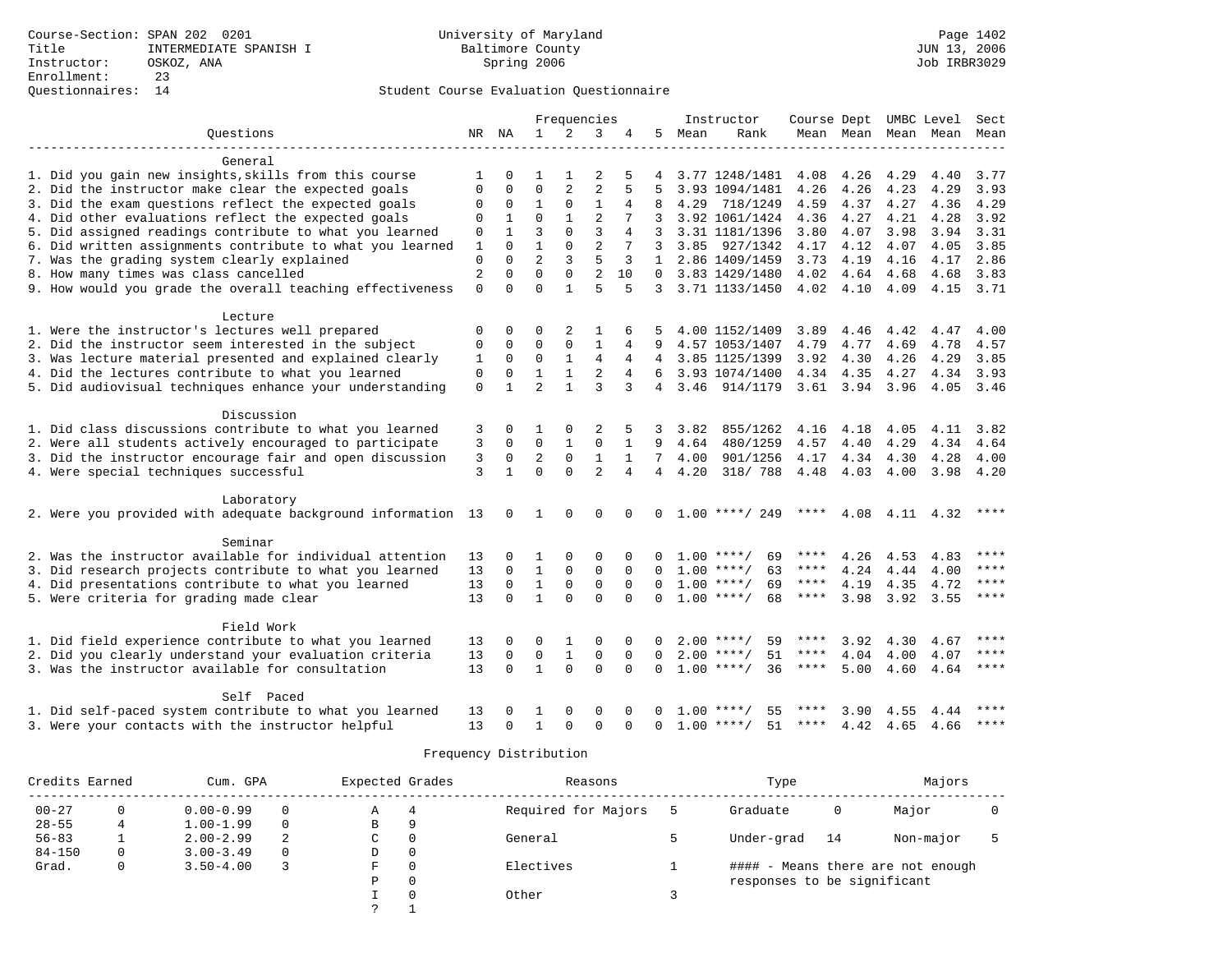|                                                                                                            |                |                  |                  |                          | Frequencies                |                      |                  |      | Instructor                               | Course Dept UMBC Level |                     |      |              | Sect        |
|------------------------------------------------------------------------------------------------------------|----------------|------------------|------------------|--------------------------|----------------------------|----------------------|------------------|------|------------------------------------------|------------------------|---------------------|------|--------------|-------------|
| Questions                                                                                                  |                | NR NA            | $\mathbf{1}$     | $\overline{2}$           | 3                          |                      | 5.               | Mean | Rank                                     |                        | Mean Mean Mean Mean |      |              | Mean        |
| General                                                                                                    |                |                  |                  |                          |                            |                      |                  |      |                                          |                        |                     |      |              |             |
| 1. Did you gain new insights, skills from this course                                                      | 1              | 0                |                  |                          |                            |                      |                  |      | 3.77 1248/1481                           | 4.08                   | 4.26                | 4.29 | 4.40         | 3.77        |
| 2. Did the instructor make clear the expected goals                                                        | $\Omega$       | $\Omega$         | $\Omega$         | $\overline{2}$           | 2                          | 5                    |                  |      | 3.93 1094/1481                           | 4.26                   | 4.26                | 4.23 | 4.29         | 3.93        |
| 3. Did the exam questions reflect the expected goals                                                       | 0              | $\mathbf 0$      | $\mathbf{1}$     | $\mathbf 0$              | $\mathbf{1}$               | 4                    | 8                | 4.29 | 718/1249                                 | 4.59                   | 4.37                | 4.27 | 4.36         | 4.29        |
| 4. Did other evaluations reflect the expected goals                                                        | $\Omega$       | 1                | $\Omega$         | $\mathbf{1}$             | $\overline{c}$             |                      | 3                |      | 3.92 1061/1424                           | 4.36                   | 4.27                | 4.21 | 4.28         | 3.92        |
| 5. Did assigned readings contribute to what you learned                                                    | $\Omega$       |                  | 3                | $\Omega$                 | 3                          | $\overline{4}$       | 3                |      | 3.31 1181/1396                           | 3.80                   | 4.07                | 3.98 | 3.94         | 3.31        |
| 6. Did written assignments contribute to what you learned                                                  | 1              | $\Omega$         | $\mathbf{1}$     | 0                        | $\overline{2}$             |                      | 3                |      | 3.85 927/1342                            | 4.17                   | 4.12                | 4.07 | 4.05         | 3.85        |
| 7. Was the grading system clearly explained                                                                | $\Omega$       | $\Omega$         | $\mathfrak{D}$   | 3                        | 5                          | 3                    | 1                |      | 2.86 1409/1459                           | 3.73                   | 4.19                | 4.16 | 4.17         | 2.86        |
| 8. How many times was class cancelled                                                                      | $\overline{a}$ | $\Omega$         | $\Omega$         | $\Omega$                 | $\overline{2}$             | 10                   | $\Omega$         |      | 3.83 1429/1480                           | 4.02                   | 4.64                | 4.68 | 4.68         | 3.83        |
| 9. How would you grade the overall teaching effectiveness                                                  | $\Omega$       | $\Omega$         | $\Omega$         | $\mathbf{1}$             | 5                          | 5                    | $\mathbf{3}$     |      | 3.71 1133/1450                           | 4.02                   | 4.10                | 4.09 | 4.15 3.71    |             |
|                                                                                                            |                |                  |                  |                          |                            |                      |                  |      |                                          |                        |                     |      |              |             |
| Lecture                                                                                                    |                |                  |                  |                          |                            |                      |                  |      |                                          |                        |                     |      |              |             |
| 1. Were the instructor's lectures well prepared                                                            | $\Omega$       | $\Omega$         | O                | 2                        | 1                          |                      |                  |      | 4.00 1152/1409                           | 3.89                   | 4.46                | 4.42 | 4.47         | 4.00        |
| 2. Did the instructor seem interested in the subject                                                       | $\Omega$       | $\Omega$         | $\Omega$         | $\Omega$                 | $\mathbf{1}$               | 4                    | 9                |      | 4.57 1053/1407                           | 4.79                   | 4.77                | 4.69 | 4.78         | 4.57        |
| 3. Was lecture material presented and explained clearly                                                    | $\mathbf{1}$   | $\mathbf 0$      | $\Omega$         | $\mathbf{1}$             | $\overline{4}$             | 4                    | $\overline{4}$   |      | 3.85 1125/1399                           | 3.92                   | 4.30                | 4.26 | 4.29         | 3.85        |
| 4. Did the lectures contribute to what you learned                                                         | $\Omega$       | $\Omega$         | $\mathbf{1}$     | $\mathbf{1}$             | $\overline{c}$             | 4                    | 6                |      | 3.93 1074/1400                           | 4.34                   | 4.35                | 4.27 | 4.34         | 3.93        |
| 5. Did audiovisual techniques enhance your understanding                                                   | $\mathbf 0$    | $\mathbf{1}$     | $\overline{2}$   | $\mathbf{1}$             | 3                          | 3                    | $4 \overline{ }$ |      | 3.46 914/1179                            |                        | $3.61$ $3.94$       | 3.96 | 4.05 3.46    |             |
| Discussion                                                                                                 |                |                  |                  |                          |                            |                      |                  |      |                                          |                        |                     |      |              |             |
| 1. Did class discussions contribute to what you learned                                                    | 3              | 0                | 1                | $\Omega$                 | $\overline{2}$             | 5                    | 3                | 3.82 | 855/1262                                 | 4.16                   | 4.18                | 4.05 | 4.11         | 3.82        |
| 2. Were all students actively encouraged to participate                                                    | 3              | $\mathbf 0$      | $\mathbf 0$      | $\mathbf{1}$             | $\mathbf 0$                | $\mathbf{1}$         | 9                |      | 4.64 480/1259                            | 4.57                   | 4.40                | 4.29 | 4.34         | 4.64        |
| 3. Did the instructor encourage fair and open discussion                                                   | 3              | 0                | $\overline{2}$   | $\mathbf 0$              | $\mathbf{1}$               | $\mathbf{1}$         | 7                | 4.00 | 901/1256                                 | 4.17                   | 4.34                | 4.30 | 4.28         | 4.00        |
| 4. Were special techniques successful                                                                      | 3              | $\mathbf{1}$     | $\Omega$         | $\Omega$                 | $\overline{a}$             | 4                    | $\overline{4}$   | 4.20 | 318/ 788                                 | 4.48                   | 4.03                | 4.00 | 3.98         | 4.20        |
|                                                                                                            |                |                  |                  |                          |                            |                      |                  |      |                                          |                        |                     |      |              |             |
| Laboratory                                                                                                 |                |                  |                  |                          |                            |                      |                  |      |                                          |                        |                     |      |              |             |
| 2. Were you provided with adequate background information 13                                               |                | $\mathbf{0}$     | 1                | 0                        | 0                          | $\Omega$             | $\Omega$         |      | $1.00$ ****/ 249                         | ****                   | 4.08                |      | 4.11 4.32    | ****        |
| Seminar                                                                                                    |                |                  |                  |                          |                            |                      |                  |      |                                          |                        |                     |      |              |             |
| 2. Was the instructor available for individual attention                                                   | 13             | 0                | 1                | $\Omega$                 | $\Omega$                   | $\Omega$             | 0                |      | $1.00$ ****/<br>69                       | ****                   | 4.26                | 4.53 | 4.83         | ****        |
| 3. Did research projects contribute to what you learned                                                    | 13             | $\Omega$         | $\mathbf{1}$     | $\mathbf 0$              | $\mathbf 0$                | $\Omega$             | $\Omega$         |      | $1.00$ ****/<br>63                       | ****                   | 4.24                | 4.44 | 4.00         | ****        |
| 4. Did presentations contribute to what you learned                                                        | 13             | $\Omega$         | $\mathbf{1}$     | $\mathbf 0$              | $\mathbf 0$                | $\Omega$             | 0                |      | $1.00$ ****/<br>69                       | $***$ * *              | 4.19                | 4.35 | 4.72         | $* * * *$   |
| 5. Were criteria for grading made clear                                                                    | 13             | $\Omega$         | $\mathbf{1}$     | $\Omega$                 | $\Omega$                   | $\Omega$             | $\Omega$         |      | $1.00$ ****/<br>68                       | ****                   | 3.98                | 3.92 | 3.55         | $***$       |
| Field Work                                                                                                 |                |                  |                  |                          |                            |                      |                  |      |                                          |                        |                     |      |              |             |
|                                                                                                            |                |                  |                  |                          |                            |                      |                  |      |                                          | ****                   |                     |      |              | $***$       |
| 1. Did field experience contribute to what you learned                                                     | 13             | 0<br>$\mathbf 0$ | 0<br>$\mathbf 0$ | 1                        | $\mathbf 0$<br>$\mathbf 0$ | $\Omega$<br>$\Omega$ | 0<br>$\Omega$    |      | $2.00$ ****/<br>59<br>$2.00$ ****/<br>51 | ****                   | 3.92<br>4.04        | 4.30 | 4.67<br>4.07 | ****        |
| 2. Did you clearly understand your evaluation criteria<br>3. Was the instructor available for consultation | 13<br>13       | $\Omega$         | $\mathbf{1}$     | $\mathbf{1}$<br>$\Omega$ | $\Omega$                   | $\Omega$             | $\Omega$         |      | $1.00$ ****/<br>36                       | ****                   |                     | 4.00 |              | ****        |
|                                                                                                            |                |                  |                  |                          |                            |                      |                  |      |                                          |                        | 5.00                | 4.60 | 4.64         |             |
| Self Paced                                                                                                 |                |                  |                  |                          |                            |                      |                  |      |                                          |                        |                     |      |              |             |
| 1. Did self-paced system contribute to what you learned                                                    | 13             | 0                |                  | $\Omega$                 | $\Omega$                   |                      |                  | 1.00 | 55<br>****                               |                        | 3.90                | 4.55 | 4.44         | ****        |
| 3. Were your contacts with the instructor helpful                                                          | 13             | $\Omega$         | $\mathbf{1}$     | $\Omega$                 | $\Omega$                   | $\cap$               | $\Omega$         | 1.00 | 51<br>****/                              | ****                   | 4.42                | 4.65 | 4.66         | $* * * * *$ |

| Credits Earned |   | Cum. GPA      |          |   | Expected Grades | Reasons             | Type                        | Majors |                                   |  |
|----------------|---|---------------|----------|---|-----------------|---------------------|-----------------------------|--------|-----------------------------------|--|
| $00 - 27$      |   | $0.00 - 0.99$ | $\Omega$ | Α | 4               | Required for Majors | Graduate                    | 0      | Major                             |  |
| $28 - 55$      | 4 | $1.00 - 1.99$ | $\Omega$ | В | 9               |                     |                             |        |                                   |  |
| $56 - 83$      |   | $2.00 - 2.99$ |          | C | 0               | General             | Under-grad                  | 14     | Non-major                         |  |
| $84 - 150$     |   | $3.00 - 3.49$ | $\Omega$ | D | 0               |                     |                             |        |                                   |  |
| Grad.          |   | $3.50 - 4.00$ |          | F | 0               | Electives           |                             |        | #### - Means there are not enough |  |
|                |   |               |          | Ρ | 0               |                     | responses to be significant |        |                                   |  |
|                |   |               |          |   | $\Omega$        | Other               |                             |        |                                   |  |
|                |   |               |          |   |                 |                     |                             |        |                                   |  |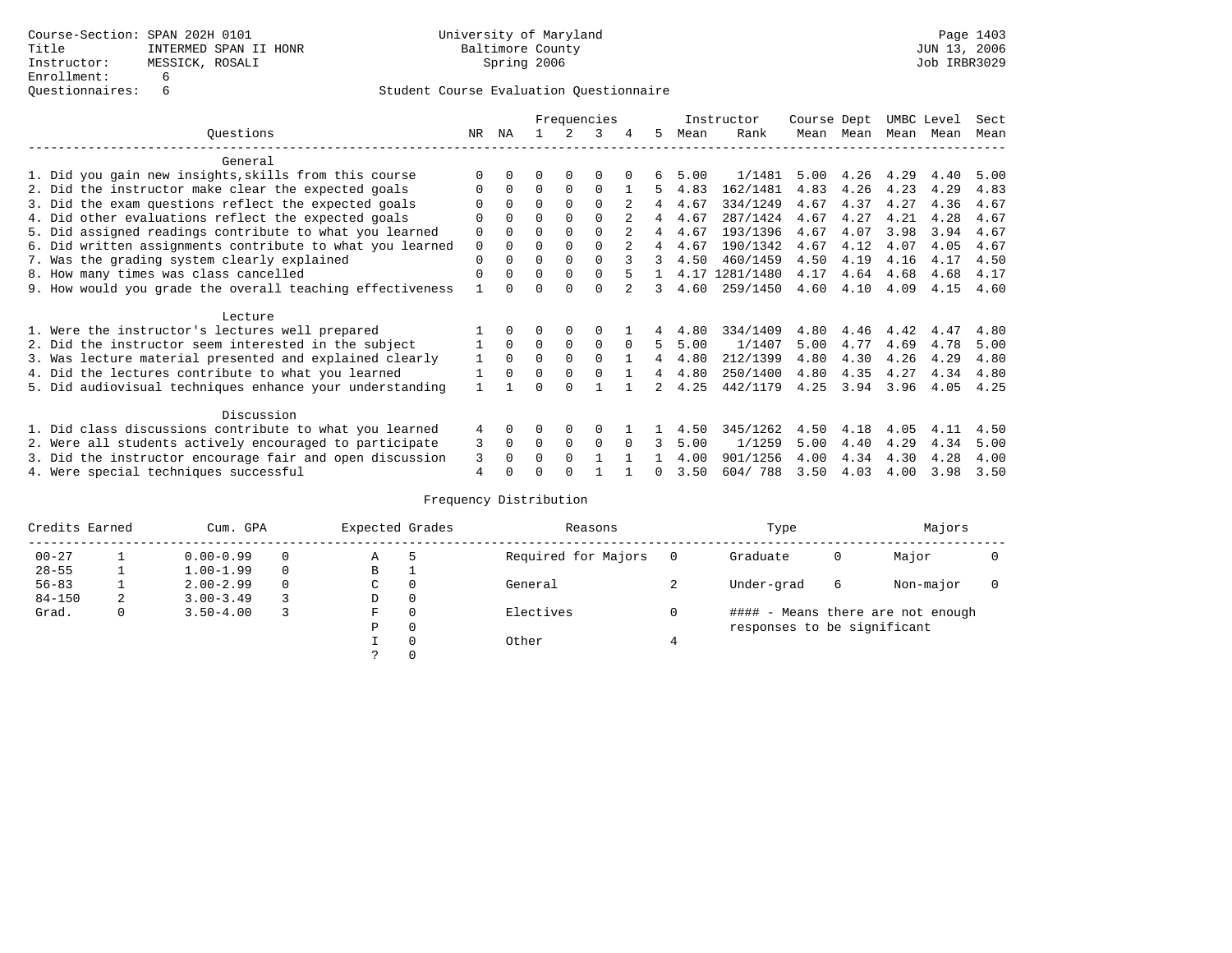|                                                           |             |              |          |             | Frequencies |          |              |      | Instructor     | Course Dept |      | UMBC Level |      | Sect |
|-----------------------------------------------------------|-------------|--------------|----------|-------------|-------------|----------|--------------|------|----------------|-------------|------|------------|------|------|
| Ouestions                                                 | NR.         | ΝA           |          |             | 3           |          | 5.           | Mean | Rank           | Mean        | Mean | Mean       | Mean | Mean |
| General                                                   |             |              |          |             |             |          |              |      |                |             |      |            |      |      |
| 1. Did you gain new insights, skills from this course     |             | $\Omega$     | O        | $\Omega$    | O           |          |              | 5.00 | 1/1481         | 5.00        | 4.26 | 4.29       | 4.40 | 5.00 |
| 2. Did the instructor make clear the expected goals       | O           | $\Omega$     | $\Omega$ | $\Omega$    | $\Omega$    |          | 5.           | 4.83 | 162/1481       | 4.83        | 4.26 | 4.23       | 4.29 | 4.83 |
| 3. Did the exam questions reflect the expected goals      |             | $\Omega$     | 0        | $\Omega$    | $\Omega$    |          | 4            | 4.67 | 334/1249       | 4.67        | 4.37 | 4.27       | 4.36 | 4.67 |
| 4. Did other evaluations reflect the expected goals       | O           | $\Omega$     | $\Omega$ | $\Omega$    | $\Omega$    |          | 4            | 4.67 | 287/1424       | 4.67        | 4.27 | 4.21       | 4.28 | 4.67 |
| 5. Did assigned readings contribute to what you learned   | $\mathbf 0$ |              | $\Omega$ | $\Omega$    | $\Omega$    |          | 4            | 4.67 | 193/1396       | 4.67        | 4.07 | 3.98       | 3.94 | 4.67 |
| 6. Did written assignments contribute to what you learned | $\mathbf 0$ | $\Omega$     | $\Omega$ |             | $\Omega$    |          | 4            | 4.67 | 190/1342       | 4.67        | 4.12 | 4.07       | 4.05 | 4.67 |
| 7. Was the grading system clearly explained               | $\Omega$    | $\Omega$     | $\Omega$ | $\Omega$    | $\Omega$    |          |              | 4.50 | 460/1459       | 4.50        | 4.19 | 4.16       | 4.17 | 4.50 |
| 8. How many times was class cancelled                     | $\Omega$    | $\Omega$     | $\Omega$ | $\Omega$    | $\Omega$    |          |              |      | 4.17 1281/1480 | 4.17        | 4.64 | 4.68       | 4.68 | 4.17 |
| 9. How would you grade the overall teaching effectiveness |             | <sup>n</sup> | U        | ∩           | $\cap$      |          | 3            | 4.60 | 259/1450       | 4.60        | 4.10 | 4.09       | 4.15 | 4.60 |
| Lecture                                                   |             |              |          |             |             |          |              |      |                |             |      |            |      |      |
| 1. Were the instructor's lectures well prepared           |             |              |          | $\Omega$    | $\Omega$    |          |              | 4.80 | 334/1409       | 4.80        | 4.46 | 4.42       | 4.47 | 4.80 |
| 2. Did the instructor seem interested in the subject      |             | $\Omega$     | $\Omega$ | $\mathbf 0$ | $\mathbf 0$ | $\Omega$ | 5            | 5.00 | 1/1407         | 5.00        | 4.77 | 4.69       | 4.78 | 5.00 |
| 3. Was lecture material presented and explained clearly   |             | $\Omega$     | $\Omega$ | $\Omega$    | $\Omega$    |          | 4            | 4.80 | 212/1399       | 4.80        | 4.30 | 4.26       | 4.29 | 4.80 |
| 4. Did the lectures contribute to what you learned        |             | $\Omega$     | $\Omega$ | $\Omega$    | $\Omega$    |          | 4            | 4.80 | 250/1400       | 4.80        | 4.35 | 4.27       | 4.34 | 4.80 |
| 5. Did audiovisual techniques enhance your understanding  |             |              |          |             |             |          |              | 4.25 | 442/1179       | 4.25        | 3.94 | 3.96       | 4.05 | 4.25 |
| Discussion                                                |             |              |          |             |             |          |              |      |                |             |      |            |      |      |
| 1. Did class discussions contribute to what you learned   | 4           | $\Omega$     | O        | $\Omega$    | $\Omega$    |          |              | 4.50 | 345/1262       | 4.50        | 4.18 | 4.05       | 4.11 | 4.50 |
| 2. Were all students actively encouraged to participate   | 3           | $\Omega$     | $\Omega$ | $\Omega$    | $\Omega$    |          |              | 5.00 | 1/1259         | 5.00        | 4.40 | 4.29       | 4.34 | 5.00 |
| 3. Did the instructor encourage fair and open discussion  | 3           | $\Omega$     | 0        | $\Omega$    |             |          |              | 4.00 | 901/1256       | 4.00        | 4.34 | 4.30       | 4.28 | 4.00 |
| 4. Were special techniques successful                     | 4           |              |          |             |             |          | <sup>n</sup> | 3.50 | 604/788        | 3.50        | 4.03 | 4.00       | 3.98 | 3.50 |

| Credits Earned |   | Cum. GPA      | Expected Grades |             | Reasons  |                     | Type | Majors                      |   |                                   |  |
|----------------|---|---------------|-----------------|-------------|----------|---------------------|------|-----------------------------|---|-----------------------------------|--|
| $00 - 27$      |   | $0.00 - 0.99$ |                 | Α           | 5        | Required for Majors | 0    | Graduate                    | 0 | Major                             |  |
| $28 - 55$      | ᅩ | $1.00 - 1.99$ |                 | В           |          |                     |      |                             |   |                                   |  |
| $56 - 83$      |   | $2.00 - 2.99$ |                 | $\sim$<br>◡ | 0        | General             |      | Under-grad                  | 6 | Non-major                         |  |
| $84 - 150$     | 2 | $3.00 - 3.49$ |                 | D           | 0        |                     |      |                             |   |                                   |  |
| Grad.          | 0 | $3.50 - 4.00$ |                 | F           | 0        | Electives           | 0    |                             |   | #### - Means there are not enough |  |
|                |   |               |                 | Ρ           | 0        |                     |      | responses to be significant |   |                                   |  |
|                |   |               |                 |             | $\Omega$ | Other               |      |                             |   |                                   |  |
|                |   |               |                 |             |          |                     |      |                             |   |                                   |  |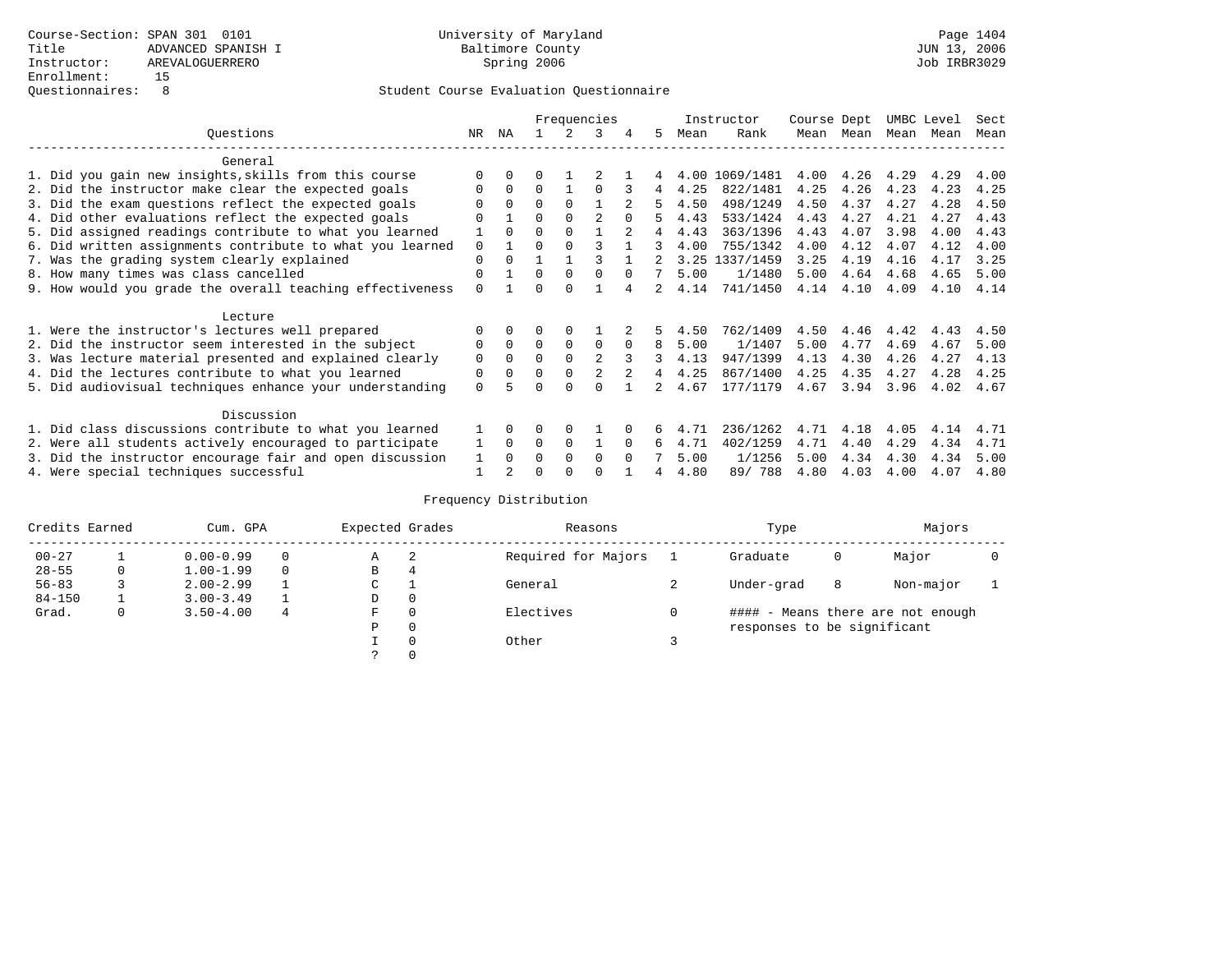|                                                           |          |          |          |             | Frequencies    |          |               |      | Instructor | Course Dept |      | UMBC Level |      | Sect |
|-----------------------------------------------------------|----------|----------|----------|-------------|----------------|----------|---------------|------|------------|-------------|------|------------|------|------|
| Questions                                                 | NR       | ΝA       |          |             |                | 4        | 5             | Mean | Rank       | Mean        | Mean | Mean       | Mean | Mean |
| General                                                   |          |          |          |             |                |          |               |      |            |             |      |            |      |      |
| 1. Did you gain new insights, skills from this course     |          |          |          |             |                |          |               | 4.00 | 1069/1481  | 4.00        | 4.26 | 4.29       | 4.29 | 4.00 |
| 2. Did the instructor make clear the expected goals       |          | $\Omega$ | $\Omega$ |             | O              |          | 4             | 4.25 | 822/1481   | 4.25        | 4.26 | 4.23       | 4.23 | 4.25 |
| 3. Did the exam questions reflect the expected goals      |          | $\Omega$ | $\Omega$ | $\Omega$    |                |          |               | 4.50 | 498/1249   | 4.50        | 4.37 | 4.27       | 4.28 | 4.50 |
| 4. Did other evaluations reflect the expected goals       | O        |          | 0        | $\Omega$    | $\mathfrak{D}$ |          |               | 4.43 | 533/1424   | 4.43        | 4.27 | 4.21       | 4.27 | 4.43 |
| 5. Did assigned readings contribute to what you learned   |          | $\cap$   | $\Omega$ |             |                |          |               | 4.43 | 363/1396   | 4.43        | 4.07 | 3.98       | 4.00 | 4.43 |
| 6. Did written assignments contribute to what you learned | $\Omega$ |          | U        |             |                |          | 3             | 4.00 | 755/1342   | 4.00        | 4.12 | 4.07       | 4.12 | 4.00 |
| 7. Was the grading system clearly explained               | $\Omega$ | $\Omega$ |          |             |                |          |               | 3.25 | 1337/1459  | 3.25        | 4.19 | 4.16       | 4.17 | 3.25 |
| 8. How many times was class cancelled                     | 0        |          | 0        | $\Omega$    | $\Omega$       | $\cap$   |               | 5.00 | 1/1480     | 5.00        | 4.64 | 4.68       | 4.65 | 5.00 |
| 9. How would you grade the overall teaching effectiveness | $\Omega$ |          | ∩        |             |                |          | $\mathcal{L}$ | 4.14 | 741/1450   | 4.14        | 4.10 | 4.09       | 4.10 | 4.14 |
| Lecture                                                   |          |          |          |             |                |          |               |      |            |             |      |            |      |      |
| 1. Were the instructor's lectures well prepared           |          |          |          |             |                |          |               | 4.50 | 762/1409   | 4.50        | 4.46 | 4.42       | 4.43 | 4.50 |
| 2. Did the instructor seem interested in the subject      | 0        | $\Omega$ | $\Omega$ | $\mathbf 0$ | 0              | $\Omega$ | 8             | 5.00 | 1/1407     | 5.00        | 4.77 | 4.69       | 4.67 | 5.00 |
| 3. Was lecture material presented and explained clearly   | 0        | $\Omega$ | $\Omega$ |             |                |          | 3             | 4.13 | 947/1399   | 4.13        | 4.30 | 4.26       | 4.27 | 4.13 |
| 4. Did the lectures contribute to what you learned        | 0        | $\Omega$ | 0        | $\Omega$    |                |          | 4             | 4.25 | 867/1400   | 4.25        | 4.35 | 4.27       | 4.28 | 4.25 |
| 5. Did audiovisual techniques enhance your understanding  | $\Omega$ |          |          | $\cap$      | $\cap$         |          |               | 4.67 | 177/1179   | 4.67        | 3.94 | 3.96       | 4.02 | 4.67 |
| Discussion                                                |          |          |          |             |                |          |               |      |            |             |      |            |      |      |
| 1. Did class discussions contribute to what you learned   |          | 0        | 0        | O           |                |          |               | 4.71 | 236/1262   | 4.71        | 4.18 | 4.05       | 4.14 | 4.71 |
| 2. Were all students actively encouraged to participate   |          | $\Omega$ | $\Omega$ | $\Omega$    |                | $\Omega$ | 6             | 4.71 | 402/1259   | 4.71        | 4.40 | 4.29       | 4.34 | 4.71 |
| 3. Did the instructor encourage fair and open discussion  | 1        | $\Omega$ | 0        | $\Omega$    | $\Omega$       | $\Omega$ |               | 5.00 | 1/1256     | 5.00        | 4.34 | 4.30       | 4.34 | 5.00 |
| 4. Were special techniques successful                     |          |          |          |             |                |          |               | 4.80 | 89/788     | 4.80        | 4.03 | 4.00       | 4.07 | 4.80 |

| Credits Earned |   | Cum. GPA      |   | Expected Grades |          | Reasons             | Type                        |   | Majors                            |  |
|----------------|---|---------------|---|-----------------|----------|---------------------|-----------------------------|---|-----------------------------------|--|
| $00 - 27$      |   | $0.00 - 0.99$ |   | Α               | -2       | Required for Majors | Graduate                    | 0 | Major                             |  |
| $28 - 55$      | 0 | $1.00 - 1.99$ |   | B               | 4        |                     |                             |   |                                   |  |
| $56 - 83$      |   | $2.00 - 2.99$ |   | ◡               |          | General             | Under-grad                  | 8 | Non-major                         |  |
| $84 - 150$     |   | $3.00 - 3.49$ |   | D               | 0        |                     |                             |   |                                   |  |
| Grad.          | 0 | $3.50 - 4.00$ | 4 | F               | 0        | Electives           |                             |   | #### - Means there are not enough |  |
|                |   |               |   | Ρ               | 0        |                     | responses to be significant |   |                                   |  |
|                |   |               |   |                 | $\Omega$ | Other               |                             |   |                                   |  |
|                |   |               |   |                 |          |                     |                             |   |                                   |  |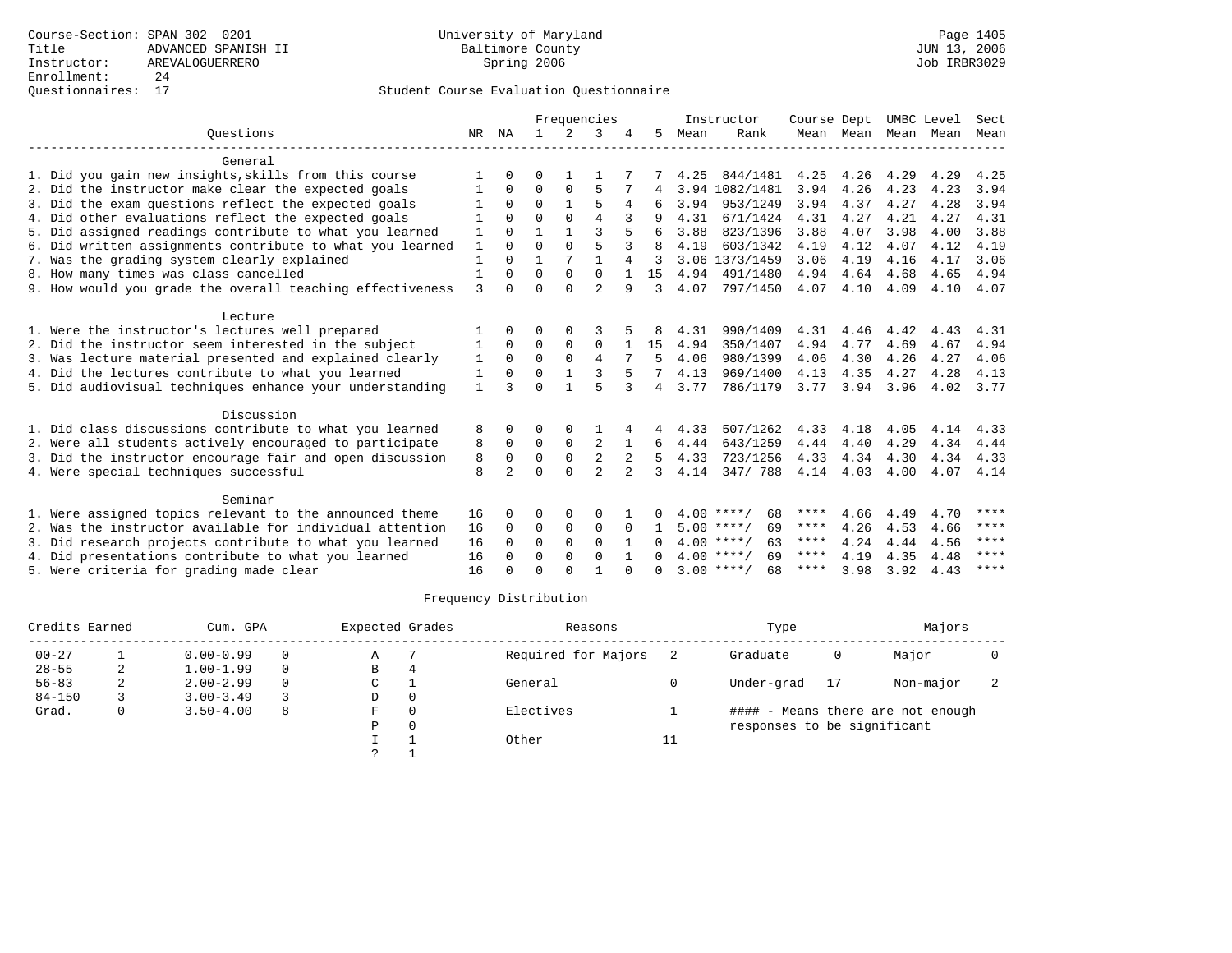## Questionnaires: 17 Student Course Evaluation Questionnaire

|                                                           |              |                |              |              | Frequencies    |              |                |      | Instructor         | Course Dept |           | UMBC Level |      | Sect |
|-----------------------------------------------------------|--------------|----------------|--------------|--------------|----------------|--------------|----------------|------|--------------------|-------------|-----------|------------|------|------|
| Ouestions                                                 | NR           | ΝA             | $\mathbf{1}$ | 2            | 3              |              | 5.             | Mean | Rank               |             | Mean Mean | Mean       | Mean | Mean |
| General                                                   |              |                |              |              |                |              |                |      |                    |             |           |            |      |      |
| 1. Did you gain new insights, skills from this course     |              | 0              | O            |              |                |              |                | 4.25 | 844/1481           | 4.25        | 4.26      | 4.29       | 4.29 | 4.25 |
| 2. Did the instructor make clear the expected goals       | -1           | 0              | $\Omega$     | $\Omega$     | 5              |              | 4              |      | 3.94 1082/1481     | 3.94        | 4.26      | 4.23       | 4.23 | 3.94 |
| 3. Did the exam questions reflect the expected goals      |              | $\Omega$       | $\Omega$     | $\mathbf{1}$ | 5              | 4            |                | 3.94 | 953/1249           | 3.94        | 4.37      | 4.27       | 4.28 | 3.94 |
| 4. Did other evaluations reflect the expected goals       |              | $\Omega$       | $\Omega$     | $\Omega$     | $\overline{4}$ |              |                | 4.31 | 671/1424           | 4.31        | 4.27      | 4.21       | 4.27 | 4.31 |
| 5. Did assigned readings contribute to what you learned   | 1            | 0              | 1            | $\mathbf{1}$ | 3              |              | 6              | 3.88 | 823/1396           | 3.88        | 4.07      | 3.98       | 4.00 | 3.88 |
| 6. Did written assignments contribute to what you learned | $\mathbf{1}$ | $\Omega$       | $\Omega$     | $\Omega$     | 5              |              | R              | 4.19 | 603/1342           | 4.19        | 4.12      | 4.07       | 4.12 | 4.19 |
| 7. Was the grading system clearly explained               | $\mathbf{1}$ | $\Omega$       | 1            | 7            | $\mathbf{1}$   | 4            | २              |      | 3.06 1373/1459     | 3.06        | 4.19      | 4.16       | 4.17 | 3.06 |
| 8. How many times was class cancelled                     | $\mathbf{1}$ | $\Omega$       | $\Omega$     | $\Omega$     | $\Omega$       |              | 1.5            | 4.94 | 491/1480           | 4.94        | 4.64      | 4.68       | 4.65 | 4.94 |
| 9. How would you grade the overall teaching effectiveness | 3            | $\cap$         | $\Omega$     | $\Omega$     | $\overline{a}$ | 9            | 3              | 4.07 | 797/1450           | 4.07        | 4.10      | 4.09       | 4.10 | 4.07 |
| Lecture                                                   |              |                |              |              |                |              |                |      |                    |             |           |            |      |      |
| 1. Were the instructor's lectures well prepared           |              | 0              | 0            | $\Omega$     |                |              |                | 4.31 | 990/1409           | 4.31        | 4.46      | 4.42       | 4.43 | 4.31 |
| 2. Did the instructor seem interested in the subject      | 1            | $\Omega$       | $\Omega$     | $\Omega$     | $\Omega$       |              | 15             | 4.94 | 350/1407           | 4.94        | 4.77      | 4.69       | 4.67 | 4.94 |
| 3. Was lecture material presented and explained clearly   | 1            | $\Omega$       | $\Omega$     | $\Omega$     | $\overline{4}$ |              | 5              | 4.06 | 980/1399           | 4.06        | 4.30      | 4.26       | 4.27 | 4.06 |
| 4. Did the lectures contribute to what you learned        | 1            | $\Omega$       | $\Omega$     |              | 3              |              |                | 4.13 | 969/1400           | 4.13        | 4.35      | 4.27       | 4.28 | 4.13 |
| 5. Did audiovisual techniques enhance your understanding  | $\mathbf{1}$ | ζ              | $\Omega$     |              | 5              | 3            | $\overline{4}$ | 3.77 | 786/1179           | 3.77        | 3.94      | 3.96       | 4.02 | 3.77 |
| Discussion                                                |              |                |              |              |                |              |                |      |                    |             |           |            |      |      |
| 1. Did class discussions contribute to what you learned   | 8            | 0              | O            | 0            |                | 4            | 4              | 4.33 | 507/1262           | 4.33        | 4.18      | 4.05       | 4.14 | 4.33 |
| 2. Were all students actively encouraged to participate   | 8            | $\Omega$       | $\Omega$     | $\mathbf 0$  | $\overline{2}$ | $\mathbf{1}$ | 6              | 4.44 | 643/1259           | 4.44        | 4.40      | 4.29       | 4.34 | 4.44 |
| 3. Did the instructor encourage fair and open discussion  | 8            | $\Omega$       | $\mathbf 0$  | $\mathbf 0$  | 2              |              | 5              | 4.33 | 723/1256           | 4.33        | 4.34      | 4.30       | 4.34 | 4.33 |
| 4. Were special techniques successful                     | 8            | $\overline{a}$ | $\cap$       | $\cap$       | $\mathcal{D}$  | $2^{1}$      | 3              | 4.14 | 347/788            | 4.14 4.03   |           | 4.00       | 4.07 | 4.14 |
| Seminar                                                   |              |                |              |              |                |              |                |      |                    |             |           |            |      |      |
| 1. Were assigned topics relevant to the announced theme   | 16           | 0              | 0            | 0            | 0              |              |                |      | 68<br>$4.00$ ****/ | ****        | 4.66      | 4.49       | 4.70 | **** |
| 2. Was the instructor available for individual attention  | 16           | $\Omega$       | $\Omega$     | $\Omega$     | $\Omega$       | $\Omega$     | 1.             |      | $5.00$ ****/<br>69 | ****        | 4.26      | 4.53       | 4.66 | **** |
| 3. Did research projects contribute to what you learned   | 16           | $\Omega$       | $\mathbf 0$  | $\Omega$     | $\Omega$       |              | 0              |      | $4.00$ ****/<br>63 | $***$ * * * | 4.24      | 4.44       | 4.56 | **** |
| 4. Did presentations contribute to what you learned       | 16           | $\Omega$       | $\Omega$     | $\Omega$     | $\Omega$       |              | <sup>n</sup>   |      | $4.00$ ****/<br>69 | ****        | 4.19      | 4.35       | 4.48 | **** |
| 5. Were criteria for grading made clear                   | 16           |                | U            | ∩            |                | $\cap$       |                |      | $3.00$ ****/<br>68 | ****        | 3.98      | 3.92       | 4.43 | **** |

| Credits Earned |   | Cum. GPA      |   | Expected Grades |          | Reasons             |                     | Type                        |    | Majors                            |  |
|----------------|---|---------------|---|-----------------|----------|---------------------|---------------------|-----------------------------|----|-----------------------------------|--|
| $00 - 27$      |   | $0.00 - 0.99$ |   | Α               |          | Required for Majors |                     | Graduate                    | 0  | Major                             |  |
| $28 - 55$      | 2 | $1.00 - 1.99$ |   | B               | 4        |                     |                     |                             |    |                                   |  |
| $56 - 83$      |   | $2.00 - 2.99$ |   | C               |          | General             |                     | Under-grad                  | 17 | Non-major                         |  |
| $84 - 150$     |   | $3.00 - 3.49$ |   | D               | $\Omega$ |                     |                     |                             |    |                                   |  |
| Grad.          | 0 | $3.50 - 4.00$ | 8 | F               | $\Omega$ | Electives           |                     |                             |    | #### - Means there are not enough |  |
|                |   |               |   | P               | $\Omega$ |                     |                     | responses to be significant |    |                                   |  |
|                |   |               |   |                 |          | Other               | $\sim$ $\sim$<br>⊥⊥ |                             |    |                                   |  |
|                |   |               |   |                 |          |                     |                     |                             |    |                                   |  |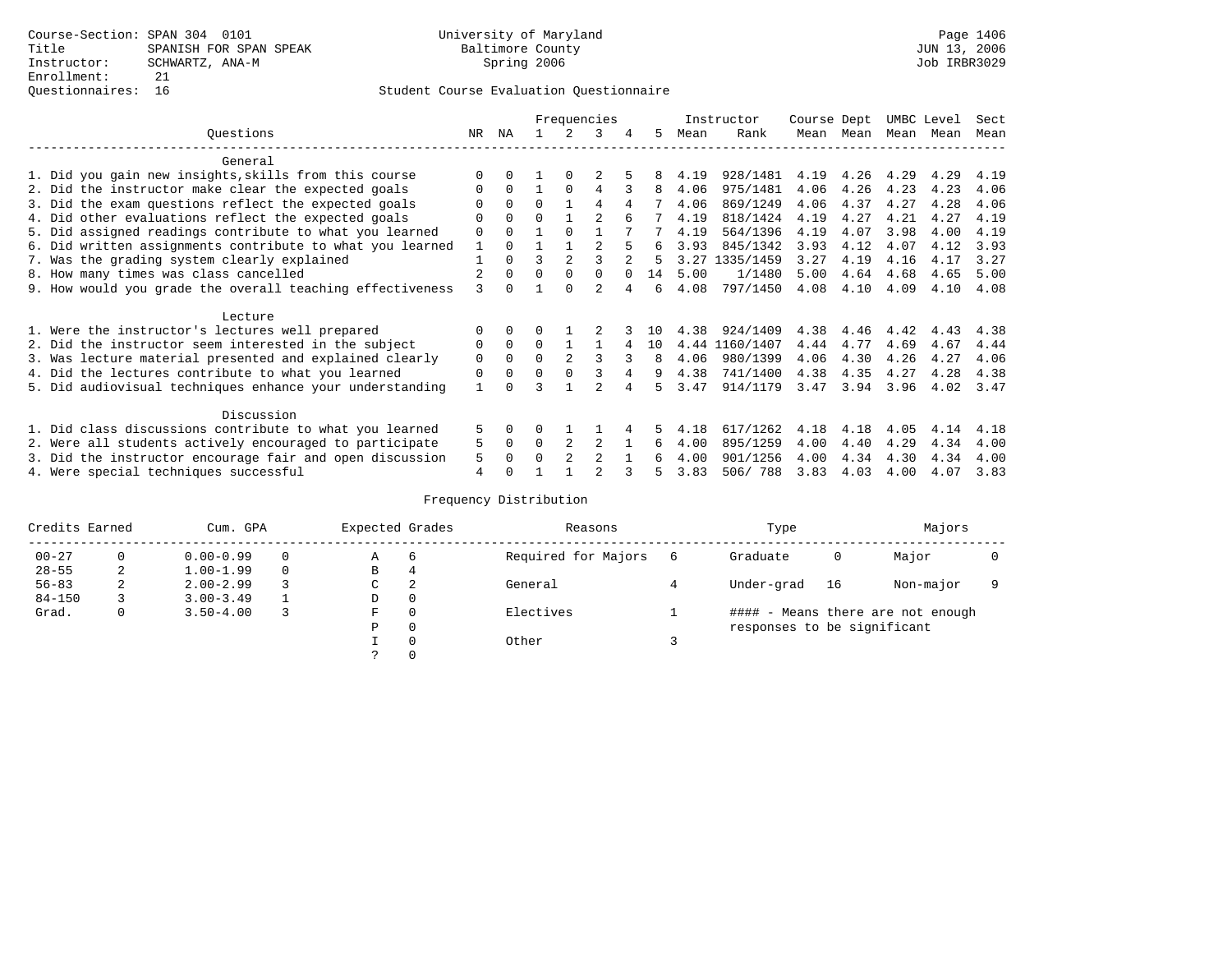|                                                           |     |              |          |                | Frequencies    |   |     |      | Instructor     | Course Dept |      | UMBC Level |      | Sect |
|-----------------------------------------------------------|-----|--------------|----------|----------------|----------------|---|-----|------|----------------|-------------|------|------------|------|------|
| Questions                                                 | NR. | ΝA           |          |                | 3              | 4 | 5.  | Mean | Rank           | Mean        | Mean | Mean       | Mean | Mean |
| General                                                   |     |              |          |                |                |   |     |      |                |             |      |            |      |      |
| 1. Did you gain new insights, skills from this course     |     | 0            |          | $\Omega$       |                |   |     | 4.19 | 928/1481       | 4.19        | 4.26 | 4.29       | 4.29 | 4.19 |
| 2. Did the instructor make clear the expected goals       |     | $\Omega$     |          | $\Omega$       | 4              |   | 8   | 4.06 | 975/1481       | 4.06        | 4.26 | 4.23       | 4.23 | 4.06 |
| 3. Did the exam questions reflect the expected goals      |     | $\Omega$     | $\Omega$ |                | 4              | 4 |     | 4.06 | 869/1249       | 4.06        | 4.37 | 4.27       | 4.28 | 4.06 |
| 4. Did other evaluations reflect the expected goals       | O   | $\Omega$     | 0        |                |                |   |     | 4.19 | 818/1424       | 4.19        | 4.27 | 4.21       | 4.27 | 4.19 |
| 5. Did assigned readings contribute to what you learned   | 0   | $\Omega$     |          | $\Omega$       |                |   |     | 4.19 | 564/1396       | 4.19        | 4.07 | 3.98       | 4.00 | 4.19 |
| 6. Did written assignments contribute to what you learned |     | $\Omega$     |          |                |                |   | 6   | 3.93 | 845/1342       | 3.93        | 4.12 | 4.07       | 4.12 | 3.93 |
| 7. Was the grading system clearly explained               |     | $\Omega$     | ς        |                |                |   |     | 3.27 | 1335/1459      | 3.27        | 4.19 | 4.16       | 4.17 | 3.27 |
| 8. How many times was class cancelled                     |     | $\Omega$     | O        | $\Omega$       | 0              |   | 14  | 5.00 | 1/1480         | 5.00        | 4.64 | 4.68       | 4.65 | 5.00 |
| 9. How would you grade the overall teaching effectiveness | ζ   | <sup>n</sup> |          | $\cap$         | $\mathfrak{D}$ |   | 6   | 4.08 | 797/1450       | 4.08        | 4.10 | 4.09       | 4.10 | 4.08 |
| Lecture                                                   |     |              |          |                |                |   |     |      |                |             |      |            |      |      |
| 1. Were the instructor's lectures well prepared           |     |              |          |                |                |   | 1 N | 4.38 | 924/1409       | 4.38        | 4.46 | 4.42       | 4.43 | 4.38 |
| 2. Did the instructor seem interested in the subject      | 0   | $\Omega$     | $\Omega$ |                |                |   | 10  |      | 4.44 1160/1407 | 4.44        | 4.77 | 4.69       | 4.67 | 4.44 |
| 3. Was lecture material presented and explained clearly   | 0   | $\Omega$     | 0        |                | ς              |   | 8   | 4.06 | 980/1399       | 4.06        | 4.30 | 4.26       | 4.27 | 4.06 |
| 4. Did the lectures contribute to what you learned        | 0   | 0            | O        | $\Omega$       |                |   | 9   | 4.38 | 741/1400       | 4.38        | 4.35 | 4.27       | 4.28 | 4.38 |
| 5. Did audiovisual techniques enhance your understanding  |     |              |          |                |                |   |     | 3.47 | 914/1179       | 3.47        | 3.94 | 3.96       | 4.02 | 3.47 |
| Discussion                                                |     |              |          |                |                |   |     |      |                |             |      |            |      |      |
| 1. Did class discussions contribute to what you learned   | 5   | $\Omega$     |          |                |                |   |     | 4.18 | 617/1262       | 4.18        | 4.18 | 4.05       | 4.14 | 4.18 |
| 2. Were all students actively encouraged to participate   | 5   | $\Omega$     | 0        |                |                |   | 6   | 4.00 | 895/1259       | 4.00        | 4.40 | 4.29       | 4.34 | 4.00 |
| 3. Did the instructor encourage fair and open discussion  | 5   |              | U        | $\mathfrak{D}$ | $\mathfrak{D}$ |   |     | 4.00 | 901/1256       | 4.00        | 4.34 | 4.30       | 4.34 | 4.00 |
| 4. Were special techniques successful                     | 4   |              |          |                |                |   |     | 3.83 | 506/788        | 3.83        | 4.03 | 4.00       | 4.07 | 3.83 |

| Credits Earned |   | Cum. GPA      |          | Expected Grades |          | Reasons             |   | Type                        |    | Majors                            |  |
|----------------|---|---------------|----------|-----------------|----------|---------------------|---|-----------------------------|----|-----------------------------------|--|
| $00 - 27$      |   | $0.00 - 0.99$ | $\Omega$ | Α               | 6        | Required for Majors | 6 | Graduate                    | 0  | Major                             |  |
| $28 - 55$      | 2 | $1.00 - 1.99$ | $\Omega$ | В               | 4        |                     |   |                             |    |                                   |  |
| $56 - 83$      | 2 | $2.00 - 2.99$ | 3        | С               | 2        | General             |   | Under-grad                  | 16 | Non-major                         |  |
| $84 - 150$     |   | $3.00 - 3.49$ |          | D               | 0        |                     |   |                             |    |                                   |  |
| Grad.          | 0 | $3.50 - 4.00$ | 3        | F               | 0        | Electives           |   |                             |    | #### - Means there are not enough |  |
|                |   |               |          | Ρ               | 0        |                     |   | responses to be significant |    |                                   |  |
|                |   |               |          |                 | $\Omega$ | Other               |   |                             |    |                                   |  |
|                |   |               |          | っ               | 0        |                     |   |                             |    |                                   |  |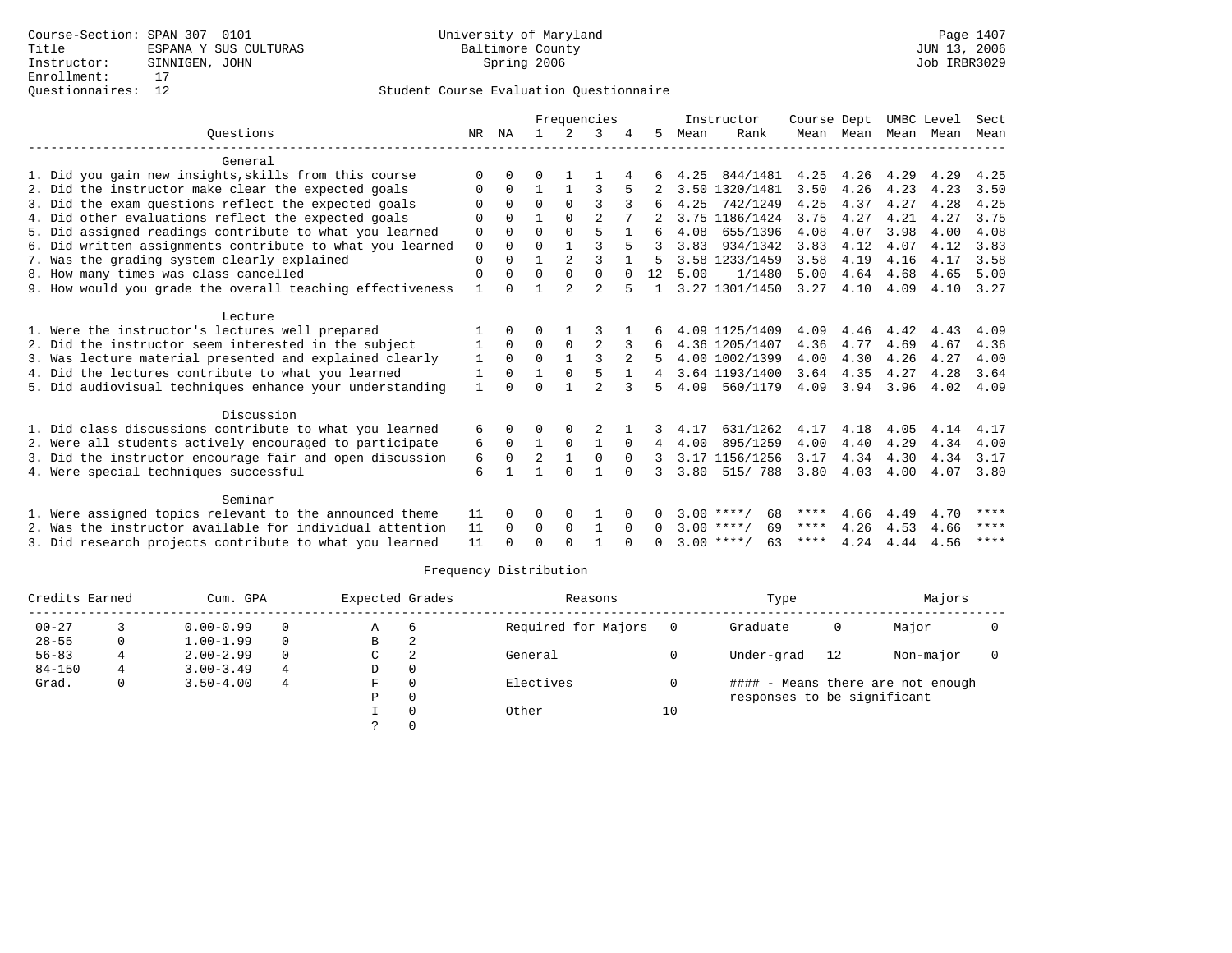|                                                           |                |             |          |                | Frequencies    |              |        |      | Instructor         | Course Dept |           | UMBC Level |      | Sect |
|-----------------------------------------------------------|----------------|-------------|----------|----------------|----------------|--------------|--------|------|--------------------|-------------|-----------|------------|------|------|
| Ouestions                                                 | NR             | ΝA          |          | $2^{1}$        | 3              |              | 5.     | Mean | Rank               |             | Mean Mean | Mean Mean  |      | Mean |
| General                                                   |                |             |          |                |                |              |        |      |                    |             |           |            |      |      |
| 1. Did you gain new insights, skills from this course     | $\Omega$       |             | U        |                |                |              |        | 4.25 | 844/1481           | 4.25        | 4.26      | 4.29       | 4.29 | 4.25 |
| 2. Did the instructor make clear the expected goals       | O              | $\Omega$    |          |                | 3              |              |        | 3.50 | 1320/1481          | 3.50        | 4.26      | 4.23       | 4.23 | 3.50 |
| 3. Did the exam questions reflect the expected goals      | $\Omega$       | $\Omega$    | $\Omega$ | $\Omega$       | ς              |              | 6      | 4.25 | 742/1249           | 4.25        | 4.37      | 4.27       | 4.28 | 4.25 |
| 4. Did other evaluations reflect the expected goals       | 0              | $\Omega$    |          | $\Omega$       | $\overline{2}$ |              |        |      | 3.75 1186/1424     | 3.75        | 4.27      | 4.21       | 4.27 | 3.75 |
| 5. Did assigned readings contribute to what you learned   | 0              | $\Omega$    | $\Omega$ | $\Omega$       | 5              |              |        | 4.08 | 655/1396           | 4.08        | 4.07      | 3.98       | 4.00 | 4.08 |
| 6. Did written assignments contribute to what you learned | 0              | $\Omega$    | U        | $\mathbf{1}$   |                | 5            |        | 3.83 | 934/1342           | 3.83        | 4.12      | 4.07       | 4.12 | 3.83 |
| 7. Was the grading system clearly explained               | $\Omega$       | $\Omega$    |          | $\overline{a}$ | 3              |              |        |      | 3.58 1233/1459     | 3.58        | 4.19      | 4.16       | 4.17 | 3.58 |
| 8. How many times was class cancelled                     | 0              | $\Omega$    | $\Omega$ | $\Omega$       | $\Omega$       | $\Omega$     | 12     | 5.00 | 1/1480             | 5.00        | 4.64      | 4.68       | 4.65 | 5.00 |
| 9. How would you grade the overall teaching effectiveness | $\overline{1}$ | $\Omega$    |          | っ              | $\overline{2}$ | 5            |        |      | 3.27 1301/1450     | 3.27        | 4.10      | 4.09       | 4.10 | 3.27 |
| Lecture                                                   |                |             |          |                |                |              |        |      |                    |             |           |            |      |      |
| 1. Were the instructor's lectures well prepared           |                | $\Omega$    | O        |                | 3              |              |        |      | 4.09 1125/1409     | 4.09        | 4.46      | 4.42       | 4.43 | 4.09 |
| 2. Did the instructor seem interested in the subject      |                | $\Omega$    | $\Omega$ | $\Omega$       |                |              |        |      | 4.36 1205/1407     | 4.36        | 4.77      | 4.69       | 4.67 | 4.36 |
| 3. Was lecture material presented and explained clearly   | 1              | $\mathbf 0$ | 0        | $\mathbf{1}$   | 3              | 2            |        |      | 4.00 1002/1399     | 4.00        | 4.30      | 4.26       | 4.27 | 4.00 |
| 4. Did the lectures contribute to what you learned        | 1              | $\Omega$    |          | $\Omega$       | 5              | $\mathbf{1}$ |        |      | 3.64 1193/1400     | 3.64        | 4.35      | 4.27       | 4.28 | 3.64 |
| 5. Did audiovisual techniques enhance your understanding  | $\mathbf{1}$   | $\cap$      | U        |                | $\mathcal{D}$  |              |        | 4.09 | 560/1179           | 4.09        | 3.94      | 3.96       | 4.02 | 4.09 |
| Discussion                                                |                |             |          |                |                |              |        |      |                    |             |           |            |      |      |
| 1. Did class discussions contribute to what you learned   | 6              | $\Omega$    | 0        | 0              |                |              |        | 4.17 | 631/1262           | 4.17        | 4.18      | 4.05       | 4.14 | 4.17 |
| 2. Were all students actively encouraged to participate   | 6              | $\Omega$    | 1        | $\mathbf 0$    | 1              | $\Omega$     | 4      | 4.00 | 895/1259           | 4.00        | 4.40      | 4.29       | 4.34 | 4.00 |
| 3. Did the instructor encourage fair and open discussion  | 6              | 0           | 2        | $\mathbf{1}$   | $\Omega$       | $\Omega$     |        |      | 3.17 1156/1256     | 3.17        | 4.34      | 4.30       | 4.34 | 3.17 |
| 4. Were special techniques successful                     | 6              | -1          |          | $\Omega$       | $\mathbf{1}$   | $\Omega$     |        | 3.80 | 515/788            | 3.80        | 4.03      | 4.00       | 4.07 | 3.80 |
|                                                           |                |             |          |                |                |              |        |      |                    |             |           |            |      |      |
| Seminar                                                   |                |             |          |                |                |              |        |      |                    |             |           |            |      |      |
| 1. Were assigned topics relevant to the announced theme   | 11             | $\Omega$    | U        | $\Omega$       |                |              | 0      |      | $3.00$ ****/<br>68 | ****        | 4.66      | 4.49       | 4.70 | **** |
| 2. Was the instructor available for individual attention  | 11             | $\Omega$    | 0        | $\Omega$       | $\mathbf{1}$   | $\Omega$     | 0      |      | 69<br>$3.00$ ****/ | ****        | 4.26      | 4.53       | 4.66 | **** |
| 3. Did research projects contribute to what you learned   | 11             | $\Omega$    | 0        | $\cap$         |                |              | $\cap$ |      | $3.00$ ****/<br>63 | ****        | 4.24      | 4.44       | 4.56 | **** |

| Credits Earned |   | Cum. GPA      |          | Expected Grades |          | Reasons             |     | Type                        |    | Majors                            |  |
|----------------|---|---------------|----------|-----------------|----------|---------------------|-----|-----------------------------|----|-----------------------------------|--|
| $00 - 27$      |   | $0.00 - 0.99$ | 0        | Α               | b        | Required for Majors | - 0 | Graduate                    | 0  | Major                             |  |
| $28 - 55$      | 0 | $1.00 - 1.99$ | $\Omega$ | B               |          |                     |     |                             |    |                                   |  |
| $56 - 83$      | 4 | $2.00 - 2.99$ | $\Omega$ | C               | ◠        | General             |     | Under-grad                  | 12 | Non-major                         |  |
| $84 - 150$     | 4 | $3.00 - 3.49$ | 4        | D               | 0        |                     |     |                             |    |                                   |  |
| Grad.          | 0 | $3.50 - 4.00$ | 4        | F.              | $\Omega$ | Electives           |     |                             |    | #### - Means there are not enough |  |
|                |   |               |          | Ρ               | 0        |                     |     | responses to be significant |    |                                   |  |
|                |   |               |          |                 |          | Other               | 10  |                             |    |                                   |  |
|                |   |               |          |                 |          |                     |     |                             |    |                                   |  |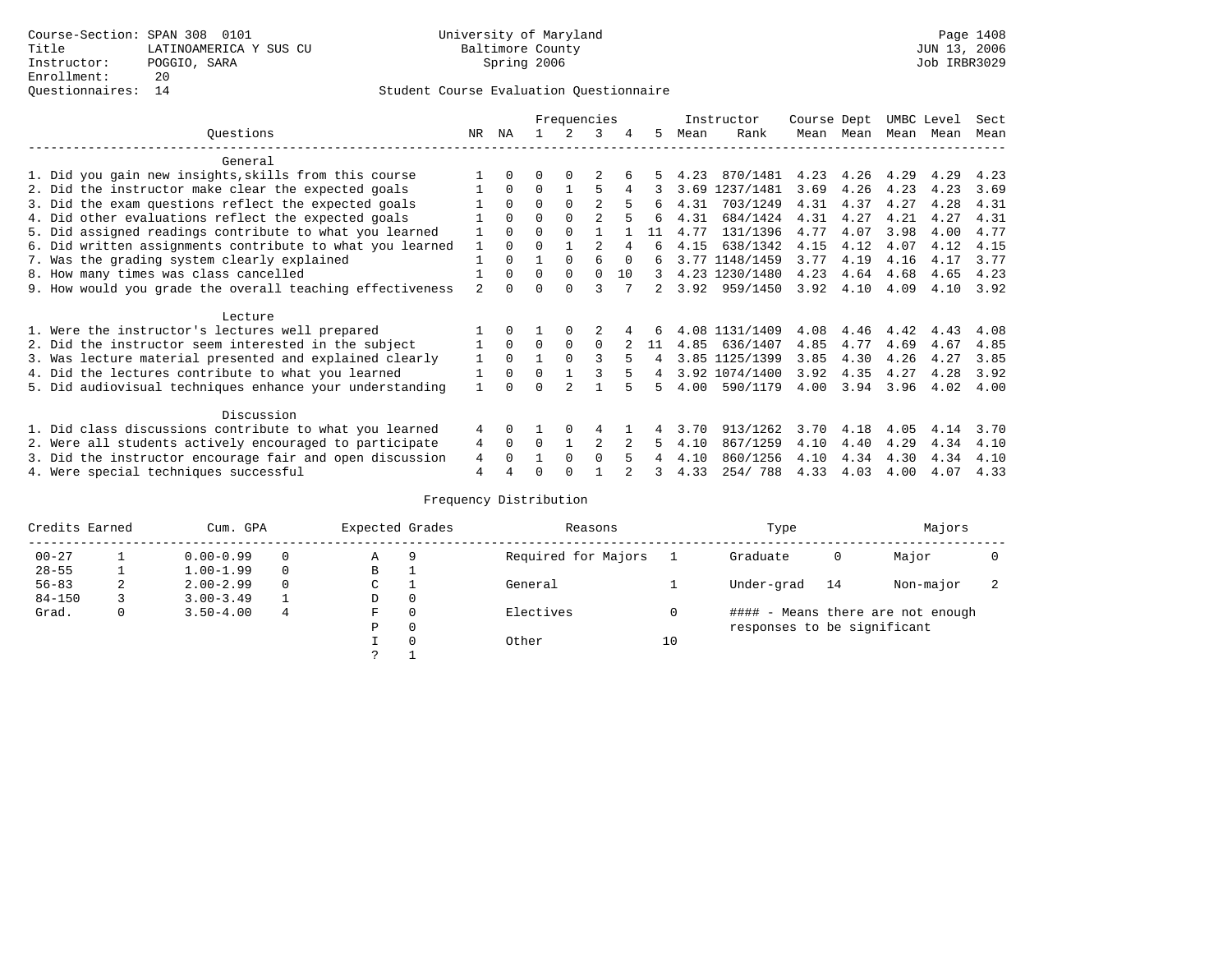|                                                           |                |          |              | Frequencies  |                |          |    |      | Instructor     | Course Dept |      | UMBC Level |      | Sect |
|-----------------------------------------------------------|----------------|----------|--------------|--------------|----------------|----------|----|------|----------------|-------------|------|------------|------|------|
| Ouestions                                                 | NR.            | ΝA       |              |              | 3              | 4        | 5  | Mean | Rank           | Mean        | Mean | Mean       | Mean | Mean |
| General                                                   |                |          |              |              |                |          |    |      |                |             |      |            |      |      |
| 1. Did you gain new insights, skills from this course     |                | 0        | U            | 0            |                |          |    | 4.23 | 870/1481       | 4.23        | 4.26 | 4.29       | 4.29 | 4.23 |
| 2. Did the instructor make clear the expected goals       |                | $\Omega$ | $\Omega$     |              | 5              | 4        |    | 3.69 | 1237/1481      | 3.69        | 4.26 | 4.23       | 4.23 | 3.69 |
| 3. Did the exam questions reflect the expected goals      |                | $\Omega$ | $\Omega$     | $\Omega$     | 2              |          | 6  | 4.31 | 703/1249       | 4.31        | 4.37 | 4.27       | 4.28 | 4.31 |
| 4. Did other evaluations reflect the expected goals       |                | $\Omega$ | 0            | $\Omega$     | $\mathfrak{D}$ |          | 6  | 4.31 | 684/1424       | 4.31        | 4.27 | 4.21       | 4.27 | 4.31 |
| 5. Did assigned readings contribute to what you learned   |                | $\Omega$ | U            | $\Omega$     |                |          | 11 | 4.77 | 131/1396       | 4.77        | 4.07 | 3.98       | 4.00 | 4.77 |
| 6. Did written assignments contribute to what you learned |                | $\Omega$ |              |              |                |          | F  | 4.15 | 638/1342       | 4.15        | 4.12 | 4.07       | 4.12 | 4.15 |
| 7. Was the grading system clearly explained               |                |          |              | <sup>0</sup> | F              | $\Omega$ | б. |      | 3.77 1148/1459 | 3.77        | 4.19 | 4.16       | 4.17 | 3.77 |
| 8. How many times was class cancelled                     |                | $\Omega$ | 0            | $\Omega$     | $\Omega$       | 10       | 3  |      | 4.23 1230/1480 | 4.23        | 4.64 | 4.68       | 4.65 | 4.23 |
| 9. How would you grade the overall teaching effectiveness | $\mathfrak{D}$ |          |              | <sup>n</sup> |                |          | 2. | 3.92 | 959/1450       | 3.92        | 4.10 | 4.09       | 4.10 | 3.92 |
| Lecture                                                   |                |          |              |              |                |          |    |      |                |             |      |            |      |      |
| 1. Were the instructor's lectures well prepared           |                |          |              |              |                |          |    |      | 4.08 1131/1409 | 4.08        | 4.46 | 4.42       | 4.43 | 4.08 |
| 2. Did the instructor seem interested in the subject      |                | $\Omega$ | 0            | 0            | $\Omega$       |          | 11 | 4.85 | 636/1407       | 4.85        | 4.77 | 4.69       | 4.67 | 4.85 |
| 3. Was lecture material presented and explained clearly   |                | $\Omega$ |              |              |                | 5        |    |      | 3.85 1125/1399 | 3.85        | 4.30 | 4.26       | 4.27 | 3.85 |
| 4. Did the lectures contribute to what you learned        |                | $\Omega$ | <sup>0</sup> |              |                |          | 4  |      | 3.92 1074/1400 | 3.92        | 4.35 | 4.27       | 4.28 | 3.92 |
| 5. Did audiovisual techniques enhance your understanding  |                |          |              |              |                |          |    | 4.00 | 590/1179       | 4.00        | 3.94 | 3.96       | 4.02 | 4.00 |
| Discussion                                                |                |          |              |              |                |          |    |      |                |             |      |            |      |      |
| 1. Did class discussions contribute to what you learned   | 4              | 0        |              |              |                |          |    | 3.70 | 913/1262       | 3.70        | 4.18 | 4.05       | 4.14 | 3.70 |
| 2. Were all students actively encouraged to participate   | 4              | $\Omega$ | 0            |              | 2              |          | 5  | 4.10 | 867/1259       | 4.10        | 4.40 | 4.29       | 4.34 | 4.10 |
| 3. Did the instructor encourage fair and open discussion  | 4              |          |              | <sup>0</sup> | 0              |          |    | 4.10 | 860/1256       | 4.10        | 4.34 | 4.30       | 4.34 | 4.10 |
| 4. Were special techniques successful                     | 4              |          |              |              |                |          |    | 4.33 | 254/788        | 4.33        | 4.03 | 4.00       | 4.07 | 4.33 |

| Credits Earned |   | Cum. GPA      |   | Expected Grades |          | Reasons             |    | Type                        |    | Majors                            |  |
|----------------|---|---------------|---|-----------------|----------|---------------------|----|-----------------------------|----|-----------------------------------|--|
| $00 - 27$      |   | $0.00 - 0.99$ |   | Α               | 9        | Required for Majors |    | Graduate                    | 0  | Major                             |  |
| $28 - 55$      |   | $1.00 - 1.99$ |   | B               |          |                     |    |                             |    |                                   |  |
| $56 - 83$      | 2 | $2.00 - 2.99$ |   | ◡               |          | General             |    | Under-grad                  | 14 | Non-major                         |  |
| $84 - 150$     |   | $3.00 - 3.49$ |   | D               | 0        |                     |    |                             |    |                                   |  |
| Grad.          | 0 | $3.50 - 4.00$ | 4 | F               | 0        | Electives           |    |                             |    | #### - Means there are not enough |  |
|                |   |               |   | Ρ               | 0        |                     |    | responses to be significant |    |                                   |  |
|                |   |               |   |                 | $\Omega$ | Other               | 10 |                             |    |                                   |  |
|                |   |               |   | っ               |          |                     |    |                             |    |                                   |  |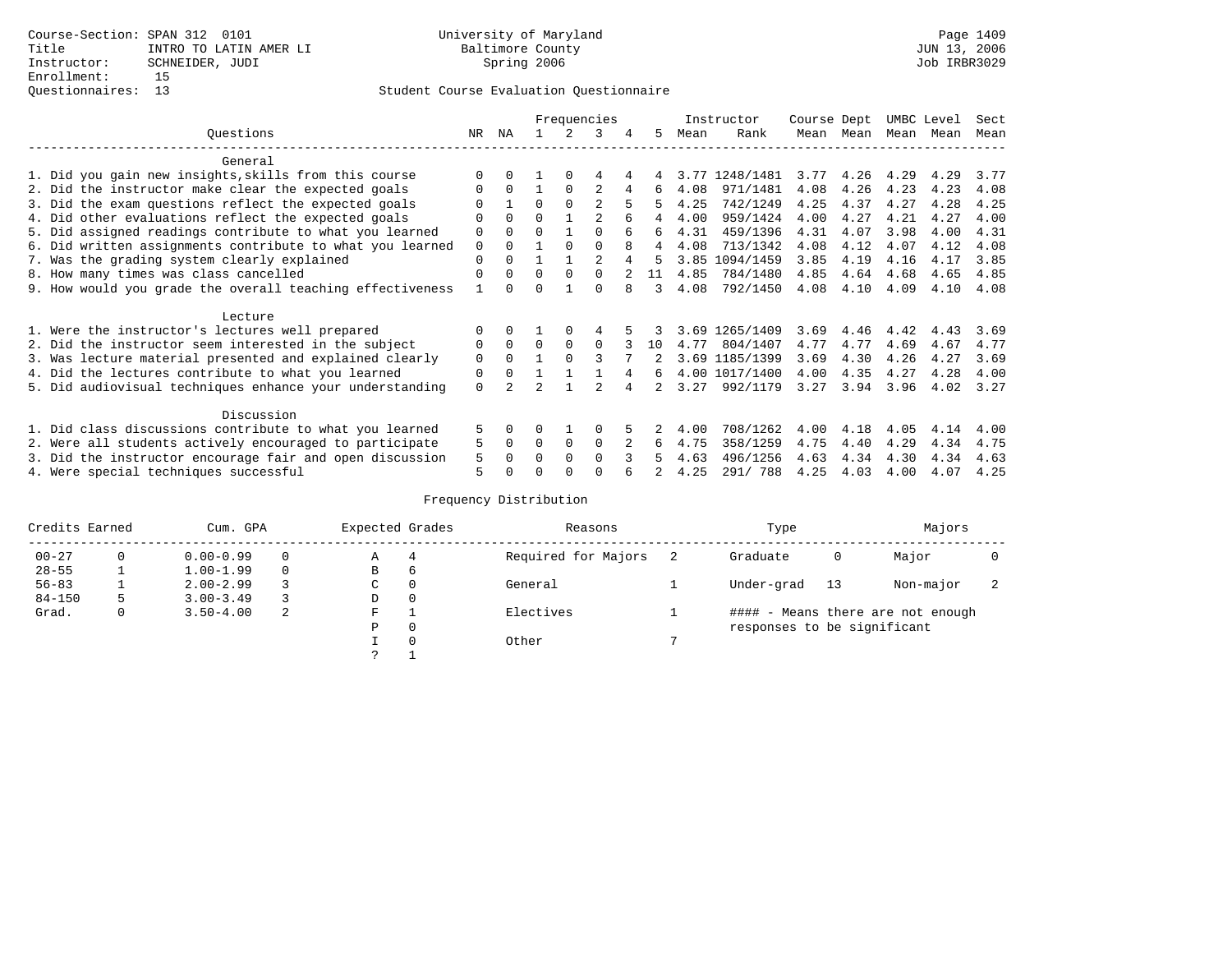|                                                           |     |              |          |          | Frequencies    |   |    |      | Instructor     | Course Dept |      | UMBC Level |      | Sect |
|-----------------------------------------------------------|-----|--------------|----------|----------|----------------|---|----|------|----------------|-------------|------|------------|------|------|
| Ouestions                                                 | NR. | ΝA           |          |          | 3              | 4 | 5  | Mean | Rank           | Mean        | Mean | Mean       | Mean | Mean |
| General                                                   |     |              |          |          |                |   |    |      |                |             |      |            |      |      |
| 1. Did you gain new insights, skills from this course     |     |              |          | $\Omega$ |                |   |    | 3.77 | 1248/1481      | 3.77        | 4.26 | 4.29       | 4.29 | 3.77 |
| 2. Did the instructor make clear the expected goals       |     | $\Omega$     |          | $\Omega$ |                | 4 | 6  | 4.08 | 971/1481       | 4.08        | 4.26 | 4.23       | 4.23 | 4.08 |
| 3. Did the exam questions reflect the expected goals      |     |              | $\Omega$ | $\Omega$ | 2              | 5 | 5  | 4.25 | 742/1249       | 4.25        | 4.37 | 4.27       | 4.28 | 4.25 |
| 4. Did other evaluations reflect the expected goals       | O   | $\Omega$     | 0        |          | $\mathfrak{D}$ | б | 4  | 4.00 | 959/1424       | 4.00        | 4.27 | 4.21       | 4.27 | 4.00 |
| 5. Did assigned readings contribute to what you learned   | 0   | <sup>0</sup> | U        |          | $\Omega$       | 6 | б. | 4.31 | 459/1396       | 4.31        | 4.07 | 3.98       | 4.00 | 4.31 |
| 6. Did written assignments contribute to what you learned | 0   |              |          |          | 0              | 8 | 4  | 4.08 | 713/1342       | 4.08        | 4.12 | 4.07       | 4.12 | 4.08 |
| 7. Was the grading system clearly explained               | 0   |              |          |          | $\mathfrak{D}$ |   |    | 3.85 | 1094/1459      | 3.85        | 4.19 | 4.16       | 4.17 | 3.85 |
| 8. How many times was class cancelled                     | 0   | $\Omega$     | 0        | $\Omega$ | 0              |   | 11 | 4.85 | 784/1480       | 4.85        | 4.64 | 4.68       | 4.65 | 4.85 |
| 9. How would you grade the overall teaching effectiveness |     | <sup>n</sup> |          |          | U              |   | 3  | 4.08 | 792/1450       | 4.08        | 4.10 | 4.09       | 4.10 | 4.08 |
|                                                           |     |              |          |          |                |   |    |      |                |             |      |            |      |      |
| Lecture                                                   |     |              |          |          |                |   |    |      |                |             |      |            |      |      |
| 1. Were the instructor's lectures well prepared           |     |              |          |          |                |   |    |      | 3.69 1265/1409 | 3.69        | 4.46 | 4.42       | 4.43 | 3.69 |
| 2. Did the instructor seem interested in the subject      | 0   | $\Omega$     | 0        | $\Omega$ | $\Omega$       |   | 10 | 4.77 | 804/1407       | 4.77        | 4.77 | 4.69       | 4.67 | 4.77 |
| 3. Was lecture material presented and explained clearly   | 0   | $\Omega$     |          |          |                |   |    |      | 3.69 1185/1399 | 3.69        | 4.30 | 4.26       | 4.27 | 3.69 |
| 4. Did the lectures contribute to what you learned        | 0   | $\Omega$     |          |          |                |   | 6  |      | 4.00 1017/1400 | 4.00        | 4.35 | 4.27       | 4.28 | 4.00 |
| 5. Did audiovisual techniques enhance your understanding  | 0   |              |          |          |                |   |    | 3.27 | 992/1179       | 3.27        | 3.94 | 3.96       | 4.02 | 3.27 |
|                                                           |     |              |          |          |                |   |    |      |                |             |      |            |      |      |
| Discussion                                                |     |              |          |          |                |   |    |      |                |             |      |            |      |      |
| 1. Did class discussions contribute to what you learned   | 5.  | <sup>0</sup> |          |          |                |   |    | 4.00 | 708/1262       | 4.00        | 4.18 | 4.05       | 4.14 | 4.00 |
| 2. Were all students actively encouraged to participate   | 5   | $\Omega$     | 0        | 0        | 0              |   | 6  | 4.75 | 358/1259       | 4.75        | 4.40 | 4.29       | 4.34 | 4.75 |
| 3. Did the instructor encourage fair and open discussion  | 5   |              |          | $\Omega$ | 0              |   |    | 4.63 | 496/1256       | 4.63        | 4.34 | 4.30       | 4.34 | 4.63 |
| 4. Were special techniques successful                     | 5   |              |          |          |                |   |    | 4.25 | 291/ 788       | 4.25        | 4.03 | 4.00       | 4.07 | 4.25 |

| Credits Earned |   | Cum. GPA      |   | Expected Grades |          | Reasons             | Type                        |    | Majors                            |  |
|----------------|---|---------------|---|-----------------|----------|---------------------|-----------------------------|----|-----------------------------------|--|
| $00 - 27$      | 0 | $0.00 - 0.99$ |   | Α               | 4        | Required for Majors | Graduate                    | 0  | Major                             |  |
| $28 - 55$      |   | $1.00 - 1.99$ |   | B               | 6        |                     |                             |    |                                   |  |
| $56 - 83$      |   | $2.00 - 2.99$ |   | C               | 0        | General             | Under-grad                  | 13 | Non-major                         |  |
| $84 - 150$     | 5 | $3.00 - 3.49$ |   | D               | 0        |                     |                             |    |                                   |  |
| Grad.          | 0 | $3.50 - 4.00$ | 2 | F               |          | Electives           |                             |    | #### - Means there are not enough |  |
|                |   |               |   | Ρ               | 0        |                     | responses to be significant |    |                                   |  |
|                |   |               |   |                 | $\Omega$ | Other               |                             |    |                                   |  |
|                |   |               |   | っ               |          |                     |                             |    |                                   |  |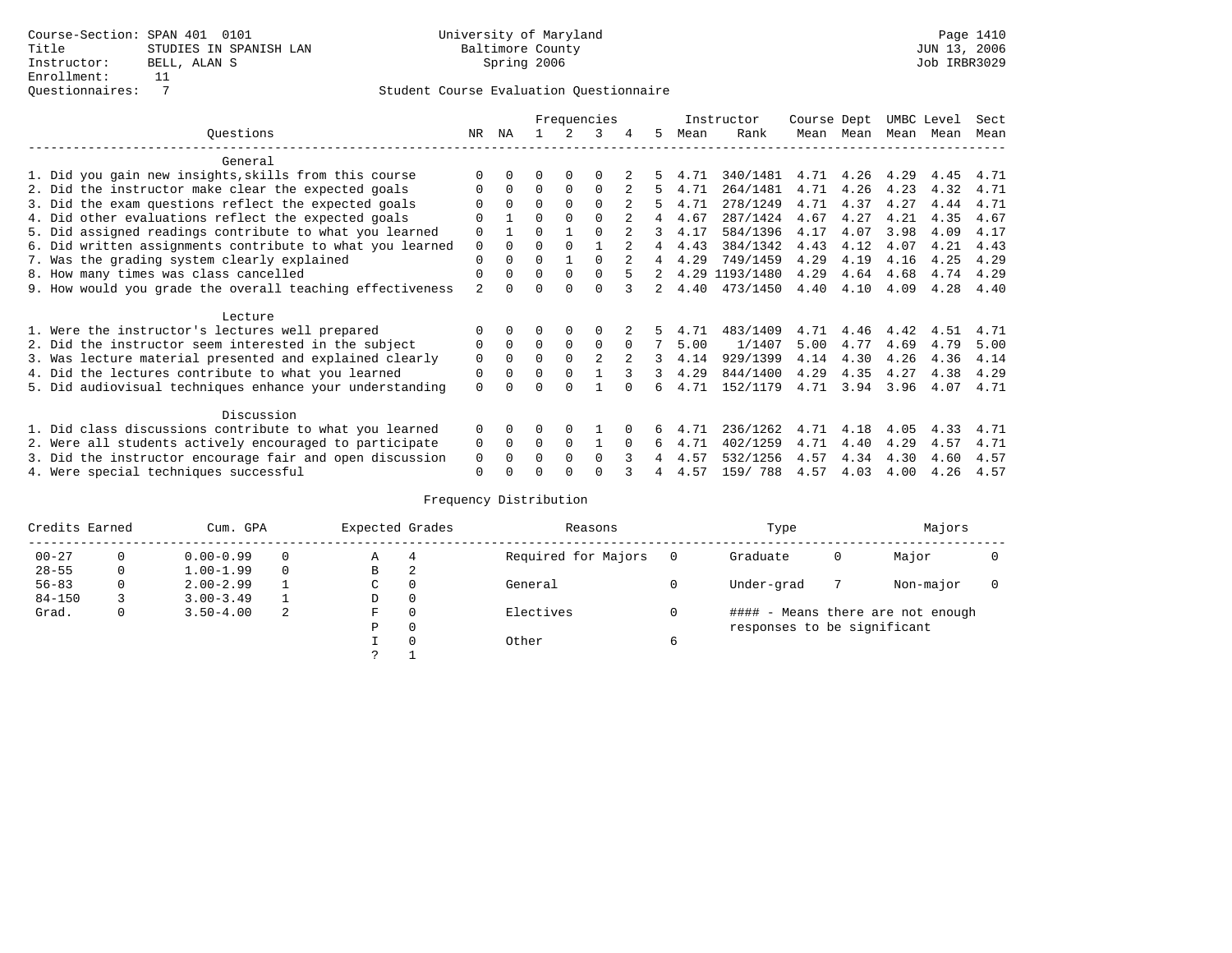|                                                           |             | Frequencies  |          |          |                |          |             |      | Instructor     | Course Dept |      | UMBC Level |      | Sect |
|-----------------------------------------------------------|-------------|--------------|----------|----------|----------------|----------|-------------|------|----------------|-------------|------|------------|------|------|
| Ouestions                                                 | NR.         | ΝA           |          |          | 3              |          | 5.          | Mean | Rank           | Mean        | Mean | Mean       | Mean | Mean |
| General                                                   |             |              |          |          |                |          |             |      |                |             |      |            |      |      |
| 1. Did you gain new insights, skills from this course     |             | $\Omega$     | O        | $\Omega$ | O              |          |             | 4.71 | 340/1481       | 4.71        | 4.26 | 4.29       | 4.45 | 4.71 |
| 2. Did the instructor make clear the expected goals       | O           | $\Omega$     | $\Omega$ | $\Omega$ | $\Omega$       |          | 5.          | 4.71 | 264/1481       | 4.71        | 4.26 | 4.23       | 4.32 | 4.71 |
| 3. Did the exam questions reflect the expected goals      |             | $\Omega$     | $\Omega$ | $\Omega$ | $\Omega$       |          | 5.          | 4.71 | 278/1249       | 4.71        | 4.37 | 4.27       | 4.44 | 4.71 |
| 4. Did other evaluations reflect the expected goals       | O           |              | $\Omega$ | $\Omega$ | $\Omega$       |          | 4           | 4.67 | 287/1424       | 4.67        | 4.27 | 4.21       | 4.35 | 4.67 |
| 5. Did assigned readings contribute to what you learned   | $\mathbf 0$ |              | $\Omega$ |          | $\Omega$       |          | 3           | 4.17 | 584/1396       | 4.17        | 4.07 | 3.98       | 4.09 | 4.17 |
| 6. Did written assignments contribute to what you learned | $\mathbf 0$ | $\Omega$     | $\Omega$ | $\Omega$ |                |          | 4           | 4.43 | 384/1342       | 4.43        | 4.12 | 4.07       | 4.21 | 4.43 |
| 7. Was the grading system clearly explained               | $\Omega$    | $\Omega$     | $\Omega$ |          | $\Omega$       |          | 4           | 4.29 | 749/1459       | 4.29        | 4.19 | 4.16       | 4.25 | 4.29 |
| 8. How many times was class cancelled                     | $\Omega$    | $\Omega$     | $\Omega$ | $\Omega$ | $\Omega$       |          | $2^{\circ}$ |      | 4.29 1193/1480 | 4.29        | 4.64 | 4.68       | 4.74 | 4.29 |
| 9. How would you grade the overall teaching effectiveness | 2           | <sup>n</sup> | U        | ∩        | $\cap$         |          | 2           | 4.40 | 473/1450       | 4.40        | 4.10 | 4.09       | 4.28 | 4.40 |
| Lecture                                                   |             |              |          |          |                |          |             |      |                |             |      |            |      |      |
| 1. Were the instructor's lectures well prepared           |             |              |          |          |                |          |             | 4.71 | 483/1409       | 4.71        | 4.46 | 4.42       | 4.51 | 4.71 |
| 2. Did the instructor seem interested in the subject      | 0           | $\Omega$     | $\Omega$ | $\Omega$ | $\mathbf 0$    | $\Omega$ |             | 5.00 | 1/1407         | 5.00        | 4.77 | 4.69       | 4.79 | 5.00 |
| 3. Was lecture material presented and explained clearly   | $\mathbf 0$ | $\Omega$     | $\Omega$ |          | $\mathfrak{D}$ |          | 3           | 4.14 | 929/1399       | 4.14        | 4.30 | 4.26       | 4.36 | 4.14 |
| 4. Did the lectures contribute to what you learned        | 0           | $\Omega$     | $\Omega$ | $\Omega$ |                |          | 3           | 4.29 | 844/1400       | 4.29        | 4.35 | 4.27       | 4.38 | 4.29 |
| 5. Did audiovisual techniques enhance your understanding  | $\Omega$    |              |          |          |                |          | б.          | 4.71 | 152/1179       | 4.71        | 3.94 | 3.96       | 4.07 | 4.71 |
| Discussion                                                |             |              |          |          |                |          |             |      |                |             |      |            |      |      |
| 1. Did class discussions contribute to what you learned   | $\Omega$    | $\Omega$     | U        | $\Omega$ |                |          |             | 4.71 | 236/1262       | 4.71        | 4.18 | 4.05       | 4.33 | 4.71 |
| 2. Were all students actively encouraged to participate   | 0           | $\Omega$     | $\Omega$ | $\Omega$ |                |          | 6           | 4.71 | 402/1259       | 4.71        | 4.40 | 4.29       | 4.57 | 4.71 |
| 3. Did the instructor encourage fair and open discussion  | 0           |              | O        | $\Omega$ | $\Omega$       |          |             | 4.57 | 532/1256       | 4.57        | 4.34 | 4.30       | 4.60 | 4.57 |
| 4. Were special techniques successful                     | $\Omega$    |              |          |          |                |          |             | 4.57 | 159/788        | 4.57        | 4.03 | 4.00       | 4.26 | 4.57 |

| Credits Earned<br>Cum. GPA |          |               | Expected Grades |             | Reasons  |                     | Type     | Majors                      |   |                                   |  |
|----------------------------|----------|---------------|-----------------|-------------|----------|---------------------|----------|-----------------------------|---|-----------------------------------|--|
| $00 - 27$                  | $\Omega$ | $0.00 - 0.99$ |                 | А           | 4        | Required for Majors | $\Omega$ | Graduate                    | 0 | Major                             |  |
| $28 - 55$                  | 0        | $1.00 - 1.99$ |                 | В           | 2        |                     |          |                             |   |                                   |  |
| $56 - 83$                  | 0        | $2.00 - 2.99$ |                 | $\sim$<br>◡ |          | General             |          | Under-grad                  |   | Non-major                         |  |
| $84 - 150$                 |          | $3.00 - 3.49$ |                 | D           | 0        |                     |          |                             |   |                                   |  |
| Grad.                      | 0        | $3.50 - 4.00$ | 2               | F           | 0        | Electives           | 0        |                             |   | #### - Means there are not enough |  |
|                            |          |               |                 | Ρ           | 0        |                     |          | responses to be significant |   |                                   |  |
|                            |          |               |                 |             | $\Omega$ | Other               | 6        |                             |   |                                   |  |
|                            |          |               |                 | っ           |          |                     |          |                             |   |                                   |  |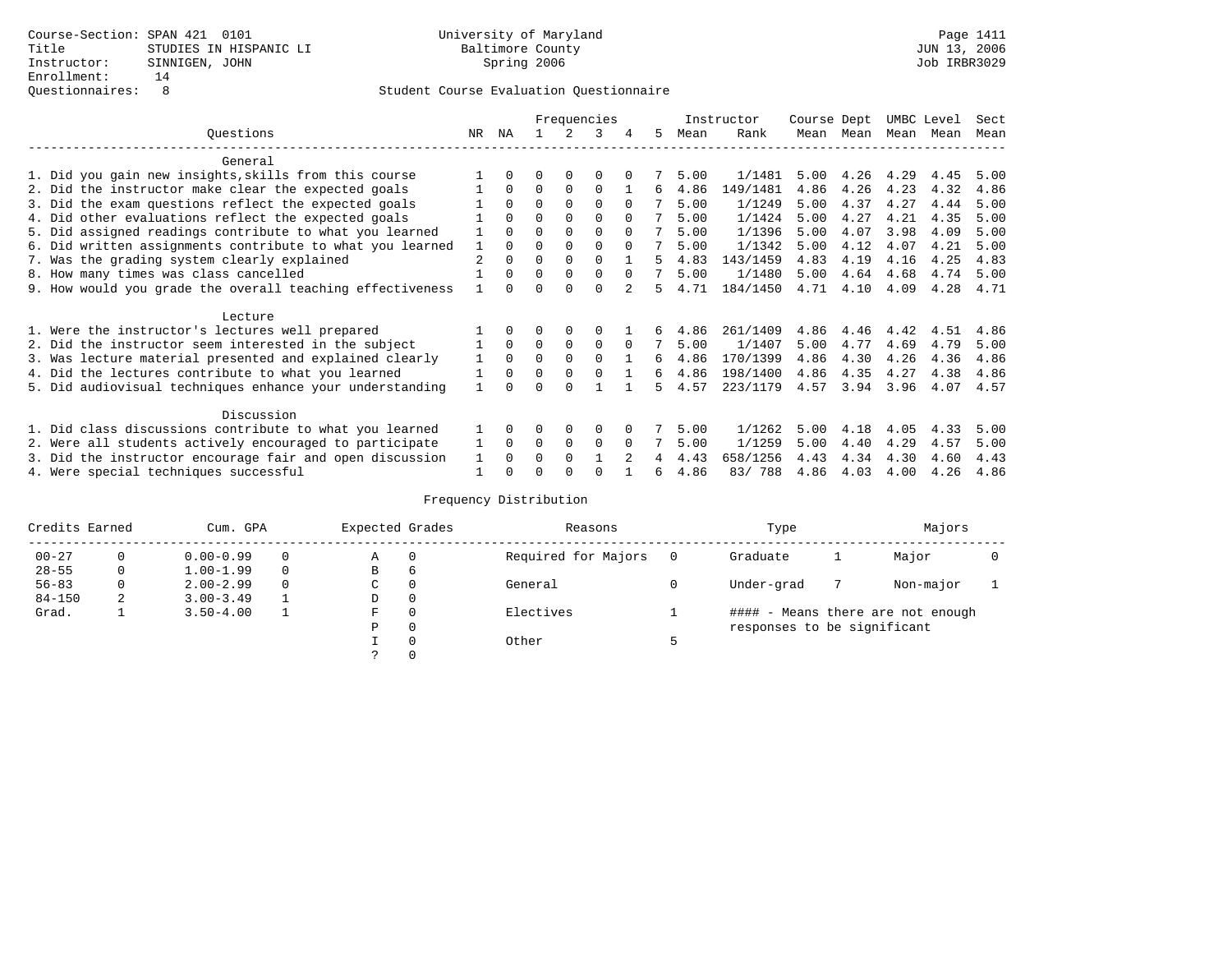|                                                           |     |          |          |          | Frequencies |          |    |      | Instructor | Course Dept |      | UMBC Level |      | Sect |
|-----------------------------------------------------------|-----|----------|----------|----------|-------------|----------|----|------|------------|-------------|------|------------|------|------|
| Ouestions                                                 | NR. | ΝA       |          |          | ર           | 4        | 5. | Mean | Rank       | Mean        | Mean | Mean       | Mean | Mean |
| General                                                   |     |          |          |          |             |          |    |      |            |             |      |            |      |      |
| 1. Did you gain new insights, skills from this course     |     |          | 0        | O        | $\Omega$    |          |    | 5.00 | 1/1481     | 5.00        | 4.26 | 4.29       | 4.45 | 5.00 |
| 2. Did the instructor make clear the expected goals       |     | 0        | $\Omega$ | $\Omega$ | $\Omega$    |          | 6  | 4.86 | 149/1481   | 4.86        | 4.26 | 4.23       | 4.32 | 4.86 |
| 3. Did the exam questions reflect the expected goals      |     | $\Omega$ | $\Omega$ | $\Omega$ | $\Omega$    | $\Omega$ |    | 5.00 | 1/1249     | 5.00        | 4.37 | 4.27       | 4.44 | 5.00 |
| 4. Did other evaluations reflect the expected goals       |     |          | $\Omega$ |          | $\Omega$    |          |    | 5.00 | 1/1424     | 5.00        | 4.27 | 4.21       | 4.35 | 5.00 |
| 5. Did assigned readings contribute to what you learned   |     |          |          |          | $\Omega$    |          |    | 5.00 | 1/1396     | 5.00        | 4.07 | 3.98       | 4.09 | 5.00 |
| 6. Did written assignments contribute to what you learned |     |          |          |          | $\Omega$    | $\Omega$ |    | 5.00 | 1/1342     | 5.00        | 4.12 | 4.07       | 4.21 | 5.00 |
| 7. Was the grading system clearly explained               |     |          | $\Omega$ | $\Omega$ | $\Omega$    |          |    | 4.83 | 143/1459   | 4.83        | 4.19 | 4.16       | 4.25 | 4.83 |
| 8. How many times was class cancelled                     |     | 0        | $\Omega$ | $\Omega$ | $\Omega$    | $\Omega$ |    | 5.00 | 1/1480     | 5.00        | 4.64 | 4.68       | 4.74 | 5.00 |
| 9. How would you grade the overall teaching effectiveness |     |          | U        | $\cap$   | $\cap$      |          | 5. | 4.71 | 184/1450   | 4.71        | 4.10 | 4.09       | 4.28 | 4.71 |
| Lecture                                                   |     |          |          |          |             |          |    |      |            |             |      |            |      |      |
| 1. Were the instructor's lectures well prepared           |     |          |          |          | $\Omega$    |          |    | 4.86 | 261/1409   | 4.86        | 4.46 | 4.42       | 4.51 | 4.86 |
| 2. Did the instructor seem interested in the subject      |     | $\Omega$ | $\Omega$ | 0        | $\mathbf 0$ | $\Omega$ |    | 5.00 | 1/1407     | 5.00        | 4.77 | 4.69       | 4.79 | 5.00 |
| 3. Was lecture material presented and explained clearly   |     | $\Omega$ | $\Omega$ |          | $\Omega$    |          | б. | 4.86 | 170/1399   | 4.86        | 4.30 | 4.26       | 4.36 | 4.86 |
| 4. Did the lectures contribute to what you learned        |     | $\Omega$ | $\Omega$ | $\Omega$ | $\Omega$    |          | б. | 4.86 | 198/1400   | 4.86        | 4.35 | 4.27       | 4.38 | 4.86 |
| 5. Did audiovisual techniques enhance your understanding  |     |          |          |          |             |          | Б. | 4.57 | 223/1179   | 4.57        | 3.94 | 3.96       | 4.07 | 4.57 |
| Discussion                                                |     |          |          |          |             |          |    |      |            |             |      |            |      |      |
| 1. Did class discussions contribute to what you learned   |     |          | 0        | 0        | $\Omega$    |          |    | 5.00 | 1/1262     | 5.00        | 4.18 | 4.05       | 4.33 | 5.00 |
| 2. Were all students actively encouraged to participate   |     | $\Omega$ | $\Omega$ | 0        | $\Omega$    |          |    | 5.00 | 1/1259     | 5.00        | 4.40 | 4.29       | 4.57 | 5.00 |
| 3. Did the instructor encourage fair and open discussion  |     |          | O        | $\Omega$ |             |          |    | 4.43 | 658/1256   | 4.43        | 4.34 | 4.30       | 4.60 | 4.43 |
| 4. Were special techniques successful                     |     |          |          |          | ∩           |          | 6  | 4.86 | 83/788     | 4.86        | 4.03 | 4.00       | 4.26 | 4.86 |

| Credits Earned<br>Cum. GPA |   |               | Expected Grades |             | Reasons  | Type                | Majors                      |  |                                   |  |
|----------------------------|---|---------------|-----------------|-------------|----------|---------------------|-----------------------------|--|-----------------------------------|--|
| $00 - 27$                  | 0 | $0.00 - 0.99$ |                 | Α           | $\Omega$ | Required for Majors | Graduate                    |  | Major                             |  |
| $28 - 55$                  | 0 | $1.00 - 1.99$ |                 | B           | 6        |                     |                             |  |                                   |  |
| $56 - 83$                  | 0 | $2.00 - 2.99$ | 0               | $\sim$<br>◡ | 0        | General             | Under-grad                  |  | Non-major                         |  |
| $84 - 150$                 | 2 | $3.00 - 3.49$ |                 | D           | 0        |                     |                             |  |                                   |  |
| Grad.                      |   | $3.50 - 4.00$ |                 | F           | $\Omega$ | Electives           |                             |  | #### - Means there are not enough |  |
|                            |   |               |                 | Ρ           | 0        |                     | responses to be significant |  |                                   |  |
|                            |   |               |                 |             | 0        | Other               |                             |  |                                   |  |
|                            |   |               |                 | C.          |          |                     |                             |  |                                   |  |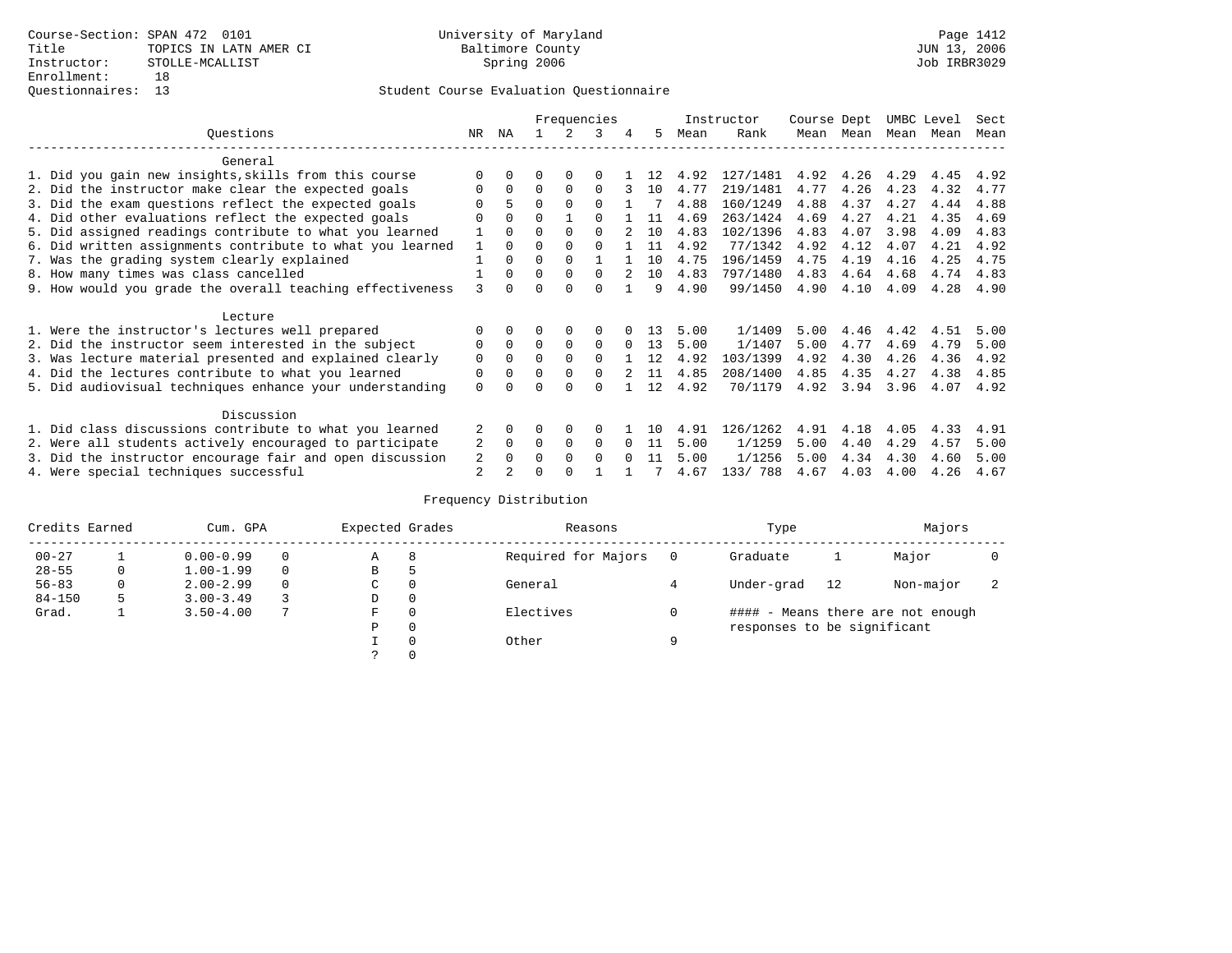|                                                           |                |          | Frequencies |          |          |          |     | Instructor |          | Course Dept |      | UMBC Level |      | Sect |
|-----------------------------------------------------------|----------------|----------|-------------|----------|----------|----------|-----|------------|----------|-------------|------|------------|------|------|
| Ouestions                                                 | NR.            | ΝA       |             |          | ર        | 4        | 5.  | Mean       | Rank     | Mean        | Mean | Mean       | Mean | Mean |
| General                                                   |                |          |             |          |          |          |     |            |          |             |      |            |      |      |
| 1. Did you gain new insights, skills from this course     |                |          | O           | O        | ∩        |          |     | 4.92       | 127/1481 | 4.92        | 4.26 | 4.29       | 4.45 | 4.92 |
| 2. Did the instructor make clear the expected goals       |                | $\Omega$ | $\Omega$    | $\Omega$ | $\Omega$ |          | 10  | 4.77       | 219/1481 | 4.77        | 4.26 | 4.23       | 4.32 | 4.77 |
| 3. Did the exam questions reflect the expected goals      |                |          | $\Omega$    | $\Omega$ | $\Omega$ |          |     | 4.88       | 160/1249 | 4.88        | 4.37 | 4.27       | 4.44 | 4.88 |
| 4. Did other evaluations reflect the expected goals       |                |          | $\Omega$    |          | ∩        |          | 11  | 4.69       | 263/1424 | 4.69        | 4.27 | 4.21       | 4.35 | 4.69 |
| 5. Did assigned readings contribute to what you learned   |                |          |             |          | $\cap$   |          | 10  | 4.83       | 102/1396 | 4.83        | 4.07 | 3.98       | 4.09 | 4.83 |
| 6. Did written assignments contribute to what you learned |                |          |             |          |          |          | 11  | 4.92       | 77/1342  | 4.92        | 4.12 | 4.07       | 4.21 | 4.92 |
| 7. Was the grading system clearly explained               |                |          | O           |          |          |          | 10  | 4.75       | 196/1459 | 4.75        | 4.19 | 4.16       | 4.25 | 4.75 |
| 8. How many times was class cancelled                     |                | $\Omega$ | $\Omega$    | $\Omega$ | $\cap$   |          | 1 O | 4.83       | 797/1480 | 4.83        | 4.64 | 4.68       | 4.74 | 4.83 |
| 9. How would you grade the overall teaching effectiveness | 3              |          | U           | $\cap$   | $\cap$   |          | 9   | 4.90       | 99/1450  | 4.90        | 4.10 | 4.09       | 4.28 | 4.90 |
| Lecture                                                   |                |          |             |          |          |          |     |            |          |             |      |            |      |      |
| 1. Were the instructor's lectures well prepared           |                |          |             | $\Omega$ | $\Omega$ |          | 13  | 5.00       | 1/1409   | 5.00        | 4.46 | 4.42       | 4.51 | 5.00 |
| 2. Did the instructor seem interested in the subject      | 0              | $\Omega$ | $\Omega$    |          | $\Omega$ | $\Omega$ | 13  | 5.00       | 1/1407   | 5.00        | 4.77 | 4.69       | 4.79 | 5.00 |
| 3. Was lecture material presented and explained clearly   | $\mathbf 0$    | 0        | $\Omega$    |          | $\Omega$ |          | 12  | 4.92       | 103/1399 | 4.92        | 4.30 | 4.26       | 4.36 | 4.92 |
| 4. Did the lectures contribute to what you learned        | 0              |          | $\Omega$    |          | $\Omega$ |          | 11  | 4.85       | 208/1400 | 4.85        | 4.35 | 4.27       | 4.38 | 4.85 |
| 5. Did audiovisual techniques enhance your understanding  | $\Omega$       |          |             |          | ∩        |          | 12  | 4.92       | 70/1179  | 4.92        | 3.94 | 3.96       | 4.07 | 4.92 |
| Discussion                                                |                |          |             |          |          |          |     |            |          |             |      |            |      |      |
| 1. Did class discussions contribute to what you learned   | 2              |          | 0           | $\Omega$ | $\Omega$ |          | 1 N | 4.91       | 126/1262 | 4.91        | 4.18 | 4.05       | 4.33 | 4.91 |
| 2. Were all students actively encouraged to participate   | 2              | $\Omega$ | $\Omega$    | $\Omega$ | $\Omega$ |          | -11 | 5.00       | 1/1259   | 5.00        | 4.40 | 4.29       | 4.57 | 5.00 |
| 3. Did the instructor encourage fair and open discussion  | 2              |          | $\Omega$    | $\Omega$ | $\Omega$ |          | 11  | 5.00       | 1/1256   | 5.00        | 4.34 | 4.30       | 4.60 | 5.00 |
| 4. Were special techniques successful                     | $\overline{2}$ |          |             |          |          |          |     | 4.67       | 133/ 788 | 4.67        | 4.03 | 4.00       | 4.26 | 4.67 |

| Credits Earned<br>Cum. GPA |         |               | Expected Grades |             | Reasons  |                     | Type | Majors                      |    |                                   |  |
|----------------------------|---------|---------------|-----------------|-------------|----------|---------------------|------|-----------------------------|----|-----------------------------------|--|
| $00 - 27$                  |         | $0.00 - 0.99$ |                 | А           | 8        | Required for Majors | 0    | Graduate                    |    | Major                             |  |
| $28 - 55$                  | $\circ$ | $1.00 - 1.99$ |                 | В           | 5        |                     |      |                             |    |                                   |  |
| $56 - 83$                  | 0       | $2.00 - 2.99$ |                 | $\sim$<br>◡ |          | General             |      | Under-grad                  | 12 | Non-major                         |  |
| $84 - 150$                 | 5       | $3.00 - 3.49$ |                 | D           | 0        |                     |      |                             |    |                                   |  |
| Grad.                      |         | $3.50 - 4.00$ |                 | F           | 0        | Electives           | 0    |                             |    | #### - Means there are not enough |  |
|                            |         |               |                 | Ρ           | 0        |                     |      | responses to be significant |    |                                   |  |
|                            |         |               |                 |             | $\Omega$ | Other               | Q    |                             |    |                                   |  |
|                            |         |               |                 |             |          |                     |      |                             |    |                                   |  |